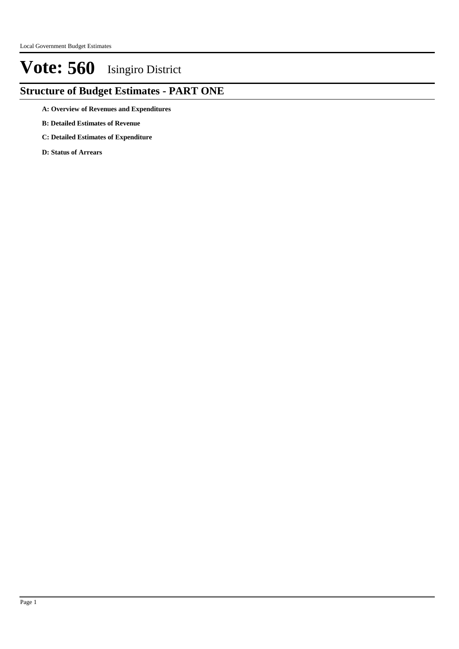### **Structure of Budget Estimates - PART ONE**

- **A: Overview of Revenues and Expenditures**
- **B: Detailed Estimates of Revenue**
- **C: Detailed Estimates of Expenditure**
- **D: Status of Arrears**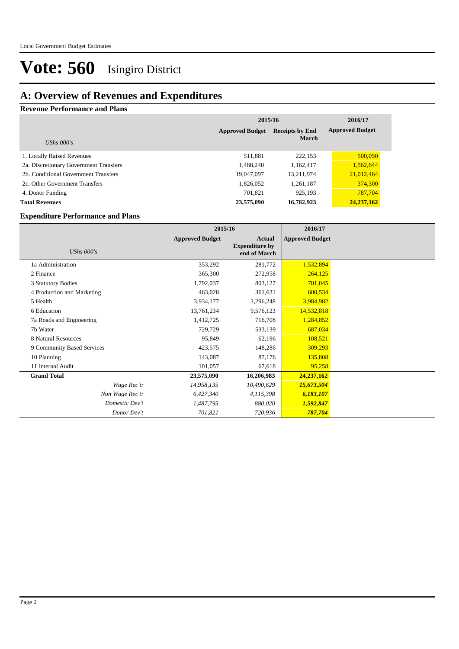### **A: Overview of Revenues and Expenditures**

### **Revenue Performance and Plans**

|                                        | 2015/16                                          | 2016/17      |                        |
|----------------------------------------|--------------------------------------------------|--------------|------------------------|
|                                        | <b>Approved Budget</b><br><b>Receipts by End</b> |              | <b>Approved Budget</b> |
| UShs $000's$                           |                                                  | <b>March</b> |                        |
| 1. Locally Raised Revenues             | 511,881                                          | 222,153      | 500,050                |
| 2a. Discretionary Government Transfers | 1,488,240                                        | 1,162,417    | 1,562,644              |
| 2b. Conditional Government Transfers   | 19,047,097                                       | 13,211,974   | 21,012,464             |
| 2c. Other Government Transfers         | 1,826,052                                        | 1,261,187    | 374,300                |
| 4. Donor Funding                       | 701.821                                          | 925,193      | 787,704                |
| <b>Total Revenues</b>                  | 23,575,090                                       | 16,782,923   | 24,237,162             |

#### **Expenditure Performance and Plans**

|                            | 2015/16                |                                                 | 2016/17                |  |
|----------------------------|------------------------|-------------------------------------------------|------------------------|--|
| UShs $000's$               | <b>Approved Budget</b> | Actual<br><b>Expenditure by</b><br>end of March | <b>Approved Budget</b> |  |
| 1a Administration          | 353,292                | 281,772                                         | 1,532,894              |  |
| 2 Finance                  | 365,300                | 272,958                                         | 264,125                |  |
| 3 Statutory Bodies         | 1,792,037              | 803,127                                         | 701,045                |  |
| 4 Production and Marketing | 463,028                | 361,631                                         | 600,534                |  |
| 5 Health                   | 3,934,177              | 3,296,248                                       | 3,984,982              |  |
| 6 Education                | 13,761,234             | 9,576,123                                       | 14,532,818             |  |
| 7a Roads and Engineering   | 1,412,725              | 716,708                                         | 1,284,852              |  |
| 7b Water                   | 729,729                | 533,139                                         | 687,034                |  |
| 8 Natural Resources        | 95,849                 | 62,196                                          | 108,521                |  |
| 9 Community Based Services | 423,575                | 148,286                                         | 309,293                |  |
| 10 Planning                | 143,087                | 87,176                                          | 135,808                |  |
| 11 Internal Audit          | 101,057                | 67,618                                          | 95,258                 |  |
| <b>Grand Total</b>         | 23,575,090             | 16,206,983                                      | 24,237,162             |  |
| Wage Rec't:                | 14,958,135             | 10,490,629                                      | 15,673,504             |  |
| Non Wage Rec't:            | 6,427,340              | 4,115,398                                       | 6,183,107              |  |
| Domestic Dev't             | 1,487,795              | 880,020                                         | 1,592,847              |  |
| Donor Dev't                | 701,821                | 720,936                                         | 787,704                |  |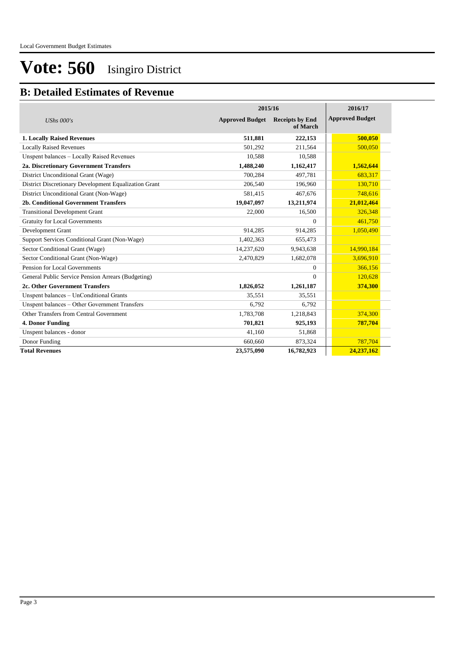### **B: Detailed Estimates of Revenue**

|                                                       | 2015/16                | 2016/17                            |                        |
|-------------------------------------------------------|------------------------|------------------------------------|------------------------|
| UShs $000's$                                          | <b>Approved Budget</b> | <b>Receipts by End</b><br>of March | <b>Approved Budget</b> |
| <b>1. Locally Raised Revenues</b>                     | 511,881                | 222,153                            | 500,050                |
| <b>Locally Raised Revenues</b>                        | 501,292                | 211,564                            | 500,050                |
| Unspent balances - Locally Raised Revenues            | 10,588                 | 10,588                             |                        |
| 2a. Discretionary Government Transfers                | 1,488,240              | 1,162,417                          | 1,562,644              |
| District Unconditional Grant (Wage)                   | 700.284                | 497.781                            | 683,317                |
| District Discretionary Development Equalization Grant | 206,540                | 196,960                            | 130,710                |
| District Unconditional Grant (Non-Wage)               | 581,415                | 467.676                            | 748,616                |
| 2b. Conditional Government Transfers                  | 19,047,097             | 13,211,974                         | 21,012,464             |
| <b>Transitional Development Grant</b>                 | 22,000                 | 16,500                             | 326,348                |
| <b>Gratuity for Local Governments</b>                 |                        | $\Omega$                           | 461,750                |
| Development Grant                                     | 914,285                | 914,285                            | 1,050,490              |
| Support Services Conditional Grant (Non-Wage)         | 1,402,363              | 655,473                            |                        |
| Sector Conditional Grant (Wage)                       | 14,237,620             | 9,943,638                          | 14,990,184             |
| Sector Conditional Grant (Non-Wage)                   | 2,470,829              | 1,682,078                          | 3,696,910              |
| Pension for Local Governments                         |                        | $\Omega$                           | 366,156                |
| General Public Service Pension Arrears (Budgeting)    |                        | $\Omega$                           | 120,628                |
| 2c. Other Government Transfers                        | 1,826,052              | 1,261,187                          | 374,300                |
| Unspent balances - UnConditional Grants               | 35,551                 | 35,551                             |                        |
| Unspent balances - Other Government Transfers         | 6,792                  | 6,792                              |                        |
| Other Transfers from Central Government               | 1,783,708              | 1,218,843                          | 374,300                |
| 4. Donor Funding                                      | 701,821                | 925,193                            | 787,704                |
| Unspent balances - donor                              | 41,160                 | 51,868                             |                        |
| Donor Funding                                         | 660,660                | 873,324                            | 787,704                |
| <b>Total Revenues</b>                                 | 23,575,090             | 16,782,923                         | 24,237,162             |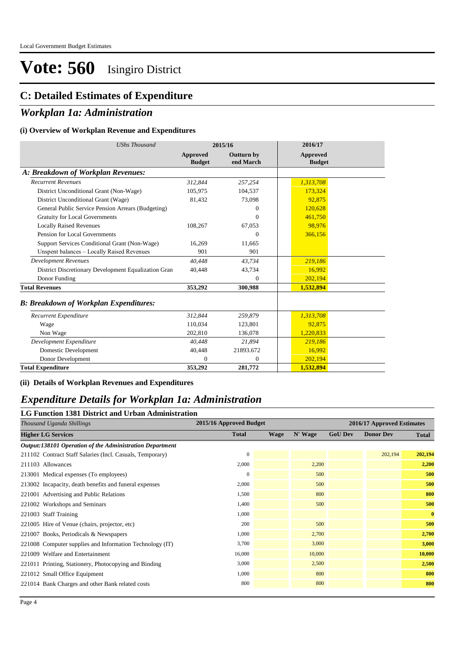### **C: Detailed Estimates of Expenditure**

### *Workplan 1a: Administration*

#### **(i) Overview of Workplan Revenue and Expenditures**

| <b>UShs Thousand</b>                                 |                                  | 2015/16                        | 2016/17                          |
|------------------------------------------------------|----------------------------------|--------------------------------|----------------------------------|
|                                                      | <b>Approved</b><br><b>Budget</b> | <b>Outturn by</b><br>end March | <b>Approved</b><br><b>Budget</b> |
| A: Breakdown of Workplan Revenues:                   |                                  |                                |                                  |
| <b>Recurrent Revenues</b>                            | 312,844                          | 257,254                        | 1,313,708                        |
| District Unconditional Grant (Non-Wage)              | 105,975                          | 104,537                        | 173,324                          |
| District Unconditional Grant (Wage)                  | 81,432                           | 73,098                         | 92,875                           |
| General Public Service Pension Arrears (Budgeting)   |                                  | $\Omega$                       | 120,628                          |
| <b>Gratuity for Local Governments</b>                |                                  | $\Omega$                       | 461,750                          |
| <b>Locally Raised Revenues</b>                       | 108,267                          | 67,053                         | 98,976                           |
| Pension for Local Governments                        |                                  | $\Omega$                       | 366,156                          |
| Support Services Conditional Grant (Non-Wage)        | 16,269                           | 11,665                         |                                  |
| Unspent balances - Locally Raised Revenues           | 901                              | 901                            |                                  |
| <b>Development Revenues</b>                          | 40.448                           | 43,734                         | 219,186                          |
| District Discretionary Development Equalization Gran | 40,448                           | 43,734                         | 16,992                           |
| Donor Funding                                        |                                  | $\Omega$                       | 202,194                          |
| <b>Total Revenues</b>                                | 353,292                          | 300,988                        | 1,532,894                        |
| <b>B: Breakdown of Workplan Expenditures:</b>        |                                  |                                |                                  |
| Recurrent Expenditure                                | 312,844                          | 259,879                        | 1,313,708                        |
| Wage                                                 | 110.034                          | 123,801                        | 92.875                           |
| Non Wage                                             | 202,810                          | 136,078                        | 1,220,833                        |
| Development Expenditure                              | 40.448                           | 21.894                         | 219,186                          |
| Domestic Development                                 | 40,448                           | 21893.672                      | 16,992                           |
| Donor Development                                    | $\Omega$                         | $\overline{0}$                 | 202,194                          |
| <b>Total Expenditure</b>                             | 353,292                          | 281,772                        | 1,532,894                        |

#### **(ii) Details of Workplan Revenues and Expenditures**

### *Expenditure Details for Workplan 1a: Administration*

#### **LG Function 1381 District and Urban Administration**

| Thousand Uganda Shillings                                 | 2015/16 Approved Budget<br>2016/17 Approved Estimates |             |         |                |                  |              |
|-----------------------------------------------------------|-------------------------------------------------------|-------------|---------|----------------|------------------|--------------|
| <b>Higher LG Services</b>                                 | <b>Total</b>                                          | <b>Wage</b> | N' Wage | <b>GoU Dev</b> | <b>Donor Dev</b> | <b>Total</b> |
| Output:138101 Operation of the Administration Department  |                                                       |             |         |                |                  |              |
| 211102 Contract Staff Salaries (Incl. Casuals, Temporary) | $\mathbf{0}$                                          |             |         |                | 202,194          | 202,194      |
| 211103 Allowances                                         | 2,000                                                 |             | 2,200   |                |                  | 2,200        |
| 213001 Medical expenses (To employees)                    | $\mathbf{0}$                                          |             | 500     |                |                  | 500          |
| 213002 Incapacity, death benefits and funeral expenses    | 2,000                                                 |             | 500     |                |                  | 500          |
| 221001 Advertising and Public Relations                   | 1,500                                                 |             | 800     |                |                  | 800          |
| 221002 Workshops and Seminars                             | 1,400                                                 |             | 500     |                |                  | 500          |
| 221003 Staff Training                                     | 1,000                                                 |             |         |                |                  | $\bf{0}$     |
| 221005 Hire of Venue (chairs, projector, etc)             | 200                                                   |             | 500     |                |                  | 500          |
| 221007 Books, Periodicals & Newspapers                    | 1,000                                                 |             | 2,700   |                |                  | 2,700        |
| 221008 Computer supplies and Information Technology (IT)  | 3,700                                                 |             | 3,000   |                |                  | 3,000        |
| 221009 Welfare and Entertainment                          | 16,000                                                |             | 10,000  |                |                  | 10,000       |
| 221011 Printing, Stationery, Photocopying and Binding     | 3,000                                                 |             | 2,500   |                |                  | 2,500        |
| 221012 Small Office Equipment                             | 1,000                                                 |             | 800     |                |                  | 800          |
| 221014 Bank Charges and other Bank related costs          | 800                                                   |             | 800     |                |                  | 800          |
|                                                           |                                                       |             |         |                |                  |              |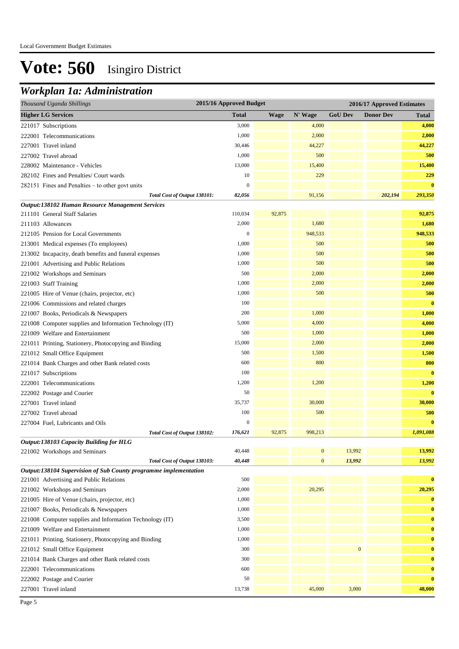### *Workplan 1a: Administration*

| Thousand Uganda Shillings                                        |                              | 2015/16 Approved Budget<br>2016/17 Approved Estimates |             |                  |                  |                  |              |  |
|------------------------------------------------------------------|------------------------------|-------------------------------------------------------|-------------|------------------|------------------|------------------|--------------|--|
| <b>Higher LG Services</b>                                        |                              | <b>Total</b>                                          | <b>Wage</b> | N' Wage          | <b>GoU Dev</b>   | <b>Donor Dev</b> | <b>Total</b> |  |
| 221017 Subscriptions                                             |                              | 3,000                                                 |             | 4,000            |                  |                  | 4,000        |  |
| 222001 Telecommunications                                        |                              | 1,000                                                 |             | 2,000            |                  |                  | 2,000        |  |
| 227001 Travel inland                                             |                              | 30,446                                                |             | 44,227           |                  |                  | 44,227       |  |
| 227002 Travel abroad                                             |                              | 1,000                                                 |             | 500              |                  |                  | 500          |  |
| 228002 Maintenance - Vehicles                                    |                              | 13,000                                                |             | 15,400           |                  |                  | 15,400       |  |
| 282102 Fines and Penalties/ Court wards                          |                              | 10                                                    |             | 229              |                  |                  | 229          |  |
| 282151 Fines and Penalties – to other govt units                 |                              | $\boldsymbol{0}$                                      |             |                  |                  |                  | $\bf{0}$     |  |
|                                                                  | Total Cost of Output 138101: | 82,056                                                |             | 91,156           |                  | 202,194          | 293,350      |  |
| Output:138102 Human Resource Management Services                 |                              |                                                       |             |                  |                  |                  |              |  |
| 211101 General Staff Salaries                                    |                              | 110,034                                               | 92,875      |                  |                  |                  | 92,875       |  |
| 211103 Allowances                                                |                              | 2,000                                                 |             | 1,680            |                  |                  | 1,680        |  |
| 212105 Pension for Local Governments                             |                              | $\boldsymbol{0}$                                      |             | 948,533          |                  |                  | 948,533      |  |
| 213001 Medical expenses (To employees)                           |                              | 1,000                                                 |             | 500              |                  |                  | 500          |  |
| 213002 Incapacity, death benefits and funeral expenses           |                              | 1,000                                                 |             | 500              |                  |                  | 500          |  |
| 221001 Advertising and Public Relations                          |                              | 1,000                                                 |             | 500              |                  |                  | 500          |  |
| 221002 Workshops and Seminars                                    |                              | 500                                                   |             | 2,000            |                  |                  | 2,000        |  |
| 221003 Staff Training                                            |                              | 1,000                                                 |             | 2,000            |                  |                  | 2,000        |  |
| 221005 Hire of Venue (chairs, projector, etc)                    |                              | 1,000                                                 |             | 500              |                  |                  | 500          |  |
| 221006 Commissions and related charges                           |                              | 100                                                   |             |                  |                  |                  | $\bf{0}$     |  |
| 221007 Books, Periodicals & Newspapers                           |                              | 200                                                   |             | 1,000            |                  |                  | 1,000        |  |
| 221008 Computer supplies and Information Technology (IT)         |                              | 5,000                                                 |             | 4,000            |                  |                  | 4,000        |  |
| 221009 Welfare and Entertainment                                 |                              | 500                                                   |             | 1,000            |                  |                  | 1,000        |  |
| 221011 Printing, Stationery, Photocopying and Binding            |                              | 15,000                                                |             | 2,000            |                  |                  | 2,000        |  |
| 221012 Small Office Equipment                                    |                              | 500                                                   |             | 1,500            |                  |                  | 1,500        |  |
| 221014 Bank Charges and other Bank related costs                 |                              | 600                                                   |             | 800              |                  |                  | 800          |  |
| 221017 Subscriptions                                             |                              | 100                                                   |             |                  |                  |                  | $\bf{0}$     |  |
| 222001 Telecommunications                                        |                              | 1,200                                                 |             | 1,200            |                  |                  | 1,200        |  |
| 222002 Postage and Courier                                       |                              | 50                                                    |             |                  |                  |                  | $\bf{0}$     |  |
| 227001 Travel inland                                             |                              | 35,737                                                |             | 30,000           |                  |                  | 30,000       |  |
| 227002 Travel abroad                                             |                              | 100                                                   |             | 500              |                  |                  | 500          |  |
| 227004 Fuel, Lubricants and Oils                                 |                              | $\overline{0}$                                        |             |                  |                  |                  | $\bf{0}$     |  |
|                                                                  | Total Cost of Output 138102: | 176,621                                               | 92,875      | 998,213          |                  |                  | 1,091,088    |  |
| Output:138103 Capacity Building for HLG                          |                              |                                                       |             |                  |                  |                  |              |  |
| 221002 Workshops and Seminars                                    |                              | 40,448                                                |             | $\boldsymbol{0}$ | 13,992           |                  | 13,992       |  |
|                                                                  | Total Cost of Output 138103: | 40,448                                                |             | $\mathbf{0}$     | 13,992           |                  | 13,992       |  |
| Output:138104 Supervision of Sub County programme implementation |                              |                                                       |             |                  |                  |                  |              |  |
| 221001 Advertising and Public Relations                          |                              | 500                                                   |             |                  |                  |                  | $\bf{0}$     |  |
| 221002 Workshops and Seminars                                    |                              | 2,000                                                 |             | 20,295           |                  |                  | 20,295       |  |
| 221005 Hire of Venue (chairs, projector, etc)                    |                              | 1,000                                                 |             |                  |                  |                  | $\bf{0}$     |  |
| 221007 Books, Periodicals & Newspapers                           |                              | 1,000                                                 |             |                  |                  |                  | $\bf{0}$     |  |
| 221008 Computer supplies and Information Technology (IT)         |                              | 3,500                                                 |             |                  |                  |                  | $\bf{0}$     |  |
| 221009 Welfare and Entertainment                                 |                              | 1,000                                                 |             |                  |                  |                  | $\bf{0}$     |  |
| 221011 Printing, Stationery, Photocopying and Binding            |                              | 1,000                                                 |             |                  |                  |                  | $\bf{0}$     |  |
| 221012 Small Office Equipment                                    |                              | 300                                                   |             |                  | $\boldsymbol{0}$ |                  | $\bf{0}$     |  |
| 221014 Bank Charges and other Bank related costs                 |                              | 300                                                   |             |                  |                  |                  | $\bf{0}$     |  |
| 222001 Telecommunications                                        |                              | 600                                                   |             |                  |                  |                  | $\bf{0}$     |  |
| 222002 Postage and Courier                                       |                              | 50                                                    |             |                  |                  |                  | $\bf{0}$     |  |
| 227001 Travel inland                                             |                              | 13,738                                                |             | 45,000           | 3,000            |                  | 48,000       |  |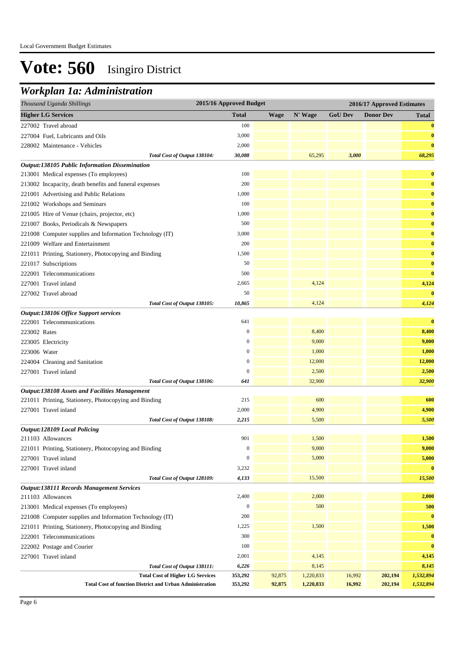### *Workplan 1a: Administration*

| Thousand Uganda Shillings                                                                                  | 2015/16 Approved Budget |                  |                        |                  | 2016/17 Approved Estimates |                        |  |  |
|------------------------------------------------------------------------------------------------------------|-------------------------|------------------|------------------------|------------------|----------------------------|------------------------|--|--|
| <b>Higher LG Services</b>                                                                                  | <b>Total</b>            | <b>Wage</b>      | N' Wage                | <b>GoU Dev</b>   | <b>Donor Dev</b>           | <b>Total</b>           |  |  |
| 227002 Travel abroad                                                                                       | 100                     |                  |                        |                  |                            | $\bf{0}$               |  |  |
| 227004 Fuel, Lubricants and Oils                                                                           | 3,000                   |                  |                        |                  |                            | $\bf{0}$               |  |  |
| 228002 Maintenance - Vehicles                                                                              | 2,000                   |                  |                        |                  |                            | $\bf{0}$               |  |  |
| Total Cost of Output 138104:                                                                               | 30,088                  |                  | 65,295                 | 3,000            |                            | 68,295                 |  |  |
| Output:138105 Public Information Dissemination                                                             |                         |                  |                        |                  |                            |                        |  |  |
| 213001 Medical expenses (To employees)                                                                     | 100                     |                  |                        |                  |                            | $\bf{0}$               |  |  |
| 213002 Incapacity, death benefits and funeral expenses                                                     | 200                     |                  |                        |                  |                            | $\bf{0}$               |  |  |
| 221001 Advertising and Public Relations                                                                    | 1,000                   |                  |                        |                  |                            | $\bf{0}$               |  |  |
| 221002 Workshops and Seminars                                                                              | 100                     |                  |                        |                  |                            | $\bf{0}$               |  |  |
| 221005 Hire of Venue (chairs, projector, etc)                                                              | 1,000                   |                  |                        |                  |                            | $\bf{0}$               |  |  |
| 221007 Books, Periodicals & Newspapers                                                                     | 500                     |                  |                        |                  |                            | $\bf{0}$               |  |  |
| 221008 Computer supplies and Information Technology (IT)                                                   | 3,000                   |                  |                        |                  |                            | $\bf{0}$               |  |  |
| 221009 Welfare and Entertainment                                                                           | 200                     |                  |                        |                  |                            | $\bf{0}$               |  |  |
| 221011 Printing, Stationery, Photocopying and Binding                                                      | 1,500                   |                  |                        |                  |                            | $\bf{0}$               |  |  |
| 221017 Subscriptions                                                                                       | 50                      |                  |                        |                  |                            | $\bf{0}$               |  |  |
| 222001 Telecommunications                                                                                  | 500                     |                  |                        |                  |                            | $\bf{0}$               |  |  |
| 227001 Travel inland                                                                                       | 2,665                   |                  | 4,124                  |                  |                            | 4,124                  |  |  |
| 227002 Travel abroad                                                                                       | 50                      |                  |                        |                  |                            | $\bf{0}$               |  |  |
| Total Cost of Output 138105:                                                                               | 10,865                  |                  | 4,124                  |                  |                            | 4,124                  |  |  |
| Output:138106 Office Support services                                                                      |                         |                  |                        |                  |                            |                        |  |  |
| 222001 Telecommunications                                                                                  | 641                     |                  |                        |                  |                            | $\bf{0}$               |  |  |
| 223002 Rates                                                                                               | $\boldsymbol{0}$        |                  | 8,400                  |                  |                            | 8,400                  |  |  |
| 223005 Electricity                                                                                         | $\boldsymbol{0}$        |                  | 9,000                  |                  |                            | 9,000                  |  |  |
| 223006 Water                                                                                               | $\mathbf{0}$            |                  | 1,000                  |                  |                            | 1,000                  |  |  |
| 224004 Cleaning and Sanitation                                                                             | $\mathbf{0}$            |                  | 12,000                 |                  |                            | 12,000                 |  |  |
| 227001 Travel inland                                                                                       | $\mathbf{0}$            |                  | 2,500                  |                  |                            | 2,500                  |  |  |
| Total Cost of Output 138106:                                                                               | 641                     |                  | 32,900                 |                  |                            | 32,900                 |  |  |
| <b>Output:138108 Assets and Facilities Management</b>                                                      |                         |                  |                        |                  |                            |                        |  |  |
| 221011 Printing, Stationery, Photocopying and Binding                                                      | 215                     |                  | 600                    |                  |                            | 600                    |  |  |
| 227001 Travel inland                                                                                       | 2,000                   |                  | 4,900                  |                  |                            | 4,900                  |  |  |
| Total Cost of Output 138108:                                                                               | 2,215                   |                  | 5,500                  |                  |                            | 5,500                  |  |  |
| <b>Output:128109 Local Policing</b>                                                                        |                         |                  |                        |                  |                            |                        |  |  |
| 211103 Allowances                                                                                          | 901                     |                  | 1,500                  |                  |                            | 1,500                  |  |  |
| 221011 Printing, Stationery, Photocopying and Binding                                                      | $\boldsymbol{0}$        |                  | 9,000                  |                  |                            | 9,000                  |  |  |
| 227001 Travel inland                                                                                       | $\boldsymbol{0}$        |                  | 5,000                  |                  |                            | 5,000                  |  |  |
| 227001 Travel inland                                                                                       | 3,232                   |                  |                        |                  |                            | $\bf{0}$               |  |  |
| Total Cost of Output 128109:                                                                               | 4,133                   |                  | 15,500                 |                  |                            | 15,500                 |  |  |
| <b>Output:138111 Records Management Services</b>                                                           | 2,400                   |                  | 2,000                  |                  |                            |                        |  |  |
| 211103 Allowances                                                                                          | $\boldsymbol{0}$        |                  |                        |                  |                            | 2,000                  |  |  |
| 213001 Medical expenses (To employees)                                                                     |                         |                  | 500                    |                  |                            | 500                    |  |  |
| 221008 Computer supplies and Information Technology (IT)                                                   | 200                     |                  |                        |                  |                            | $\bf{0}$               |  |  |
| 221011 Printing, Stationery, Photocopying and Binding                                                      | 1,225                   |                  | 1,500                  |                  |                            | 1,500                  |  |  |
| 222001 Telecommunications                                                                                  | 300                     |                  |                        |                  |                            | $\bf{0}$               |  |  |
| 222002 Postage and Courier                                                                                 | 100                     |                  |                        |                  |                            | $\bf{0}$               |  |  |
| 227001 Travel inland                                                                                       | 2,001                   |                  | 4,145                  |                  |                            | 4,145                  |  |  |
| Total Cost of Output 138111:                                                                               | 6,226                   |                  | 8,145                  |                  |                            | 8,145                  |  |  |
| <b>Total Cost of Higher LG Services</b><br><b>Total Cost of function District and Urban Administration</b> | 353,292<br>353,292      | 92,875<br>92,875 | 1,220,833<br>1,220,833 | 16,992<br>16,992 | 202,194<br>202,194         | 1,532,894<br>1,532,894 |  |  |
|                                                                                                            |                         |                  |                        |                  |                            |                        |  |  |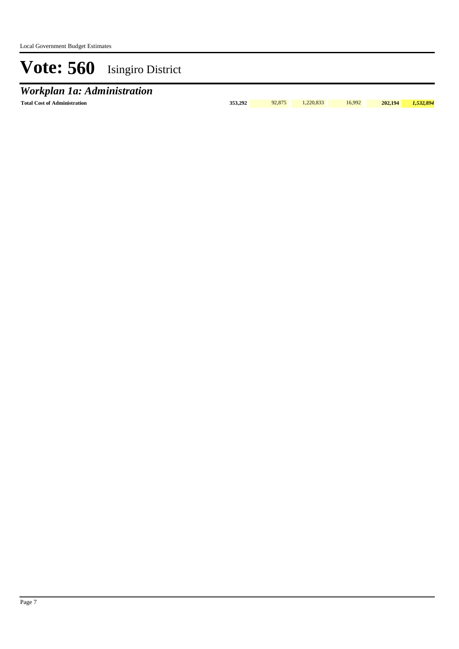### *Workplan 1a: Administration*

**Total Cost of Administration 353,292** 92,875 1,220,833 16,992 **202,194** *1,532,894*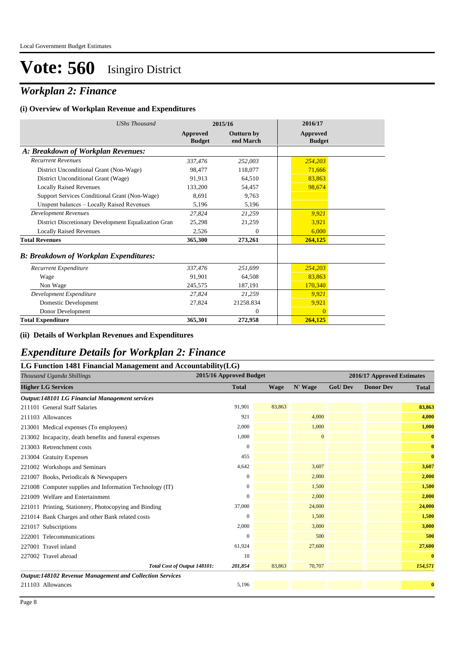### *Workplan 2: Finance*

#### **(i) Overview of Workplan Revenue and Expenditures**

| <b>UShs Thousand</b>                                 |                                  | 2015/16                        | 2016/17                   |
|------------------------------------------------------|----------------------------------|--------------------------------|---------------------------|
|                                                      | <b>Approved</b><br><b>Budget</b> | <b>Outturn by</b><br>end March | Approved<br><b>Budget</b> |
| A: Breakdown of Workplan Revenues:                   |                                  |                                |                           |
| <b>Recurrent Revenues</b>                            | 337,476                          | 252,003                        | 254,203                   |
| District Unconditional Grant (Non-Wage)              | 98.477                           | 118,077                        | 71,666                    |
| District Unconditional Grant (Wage)                  | 91,913                           | 64.510                         | 83,863                    |
| <b>Locally Raised Revenues</b>                       | 133,200                          | 54,457                         | 98,674                    |
| Support Services Conditional Grant (Non-Wage)        | 8.691                            | 9.763                          |                           |
| Unspent balances - Locally Raised Revenues           | 5,196                            | 5,196                          |                           |
| <b>Development Revenues</b>                          | 27,824                           | 21,259                         | 9,921                     |
| District Discretionary Development Equalization Gran | 25,298                           | 21,259                         | 3,921                     |
| <b>Locally Raised Revenues</b>                       | 2,526                            | $\overline{0}$                 | 6,000                     |
| <b>Total Revenues</b>                                | 365,300                          | 273,261                        | 264,125                   |
| <b>B: Breakdown of Workplan Expenditures:</b>        |                                  |                                |                           |
| Recurrent Expenditure                                | 337,476                          | 251,699                        | 254,203                   |
| Wage                                                 | 91,901                           | 64,508                         | 83,863                    |
| Non Wage                                             | 245,575                          | 187,191                        | 170,340                   |
| Development Expenditure                              | 27,824                           | 21,259                         | 9,921                     |
| Domestic Development                                 | 27,824                           | 21258.834                      | 9,921                     |
| Donor Development                                    |                                  | $\theta$                       | $\Omega$                  |
| <b>Total Expenditure</b>                             | 365,301                          | 272,958                        | 264,125                   |

#### **(ii) Details of Workplan Revenues and Expenditures**

### *Expenditure Details for Workplan 2: Finance*

| LG Function 1481 Financial Management and Accountability(LG)    |                         |             |              |                |                            |              |
|-----------------------------------------------------------------|-------------------------|-------------|--------------|----------------|----------------------------|--------------|
| Thousand Uganda Shillings                                       | 2015/16 Approved Budget |             |              |                | 2016/17 Approved Estimates |              |
| <b>Higher LG Services</b>                                       | <b>Total</b>            | <b>Wage</b> | N' Wage      | <b>GoU Dev</b> | <b>Donor Dev</b>           | <b>Total</b> |
| <b>Output:148101 LG Financial Management services</b>           |                         |             |              |                |                            |              |
| 211101 General Staff Salaries                                   | 91.901                  | 83,863      |              |                |                            | 83,863       |
| 211103 Allowances                                               | 921                     |             | 4,000        |                |                            | 4,000        |
| 213001 Medical expenses (To employees)                          | 2,000                   |             | 1,000        |                |                            | 1,000        |
| 213002 Incapacity, death benefits and funeral expenses          | 1,000                   |             | $\mathbf{0}$ |                |                            | $\bf{0}$     |
| 213003 Retrenchment costs                                       | $\mathbf{0}$            |             |              |                |                            | $\bf{0}$     |
| 213004 Gratuity Expenses                                        | 455                     |             |              |                |                            | $\bf{0}$     |
| 221002 Workshops and Seminars                                   | 4,642                   |             | 3,607        |                |                            | 3,607        |
| 221007 Books, Periodicals & Newspapers                          | 0                       |             | 2,000        |                |                            | 2,000        |
| 221008 Computer supplies and Information Technology (IT)        | $\mathbf{0}$            |             | 1,500        |                |                            | 1,500        |
| 221009 Welfare and Entertainment                                | 0                       |             | 2,000        |                |                            | 2,000        |
| 221011 Printing, Stationery, Photocopying and Binding           | 37,000                  |             | 24,000       |                |                            | 24,000       |
| 221014 Bank Charges and other Bank related costs                | 0                       |             | 1,500        |                |                            | 1,500        |
| 221017 Subscriptions                                            | 2,000                   |             | 3,000        |                |                            | 3,000        |
| 222001 Telecommunications                                       | 0                       |             | 500          |                |                            | 500          |
| 227001 Travel inland                                            | 61,924                  |             | 27,600       |                |                            | 27,600       |
| 227002 Travel abroad                                            | 10                      |             |              |                |                            | $\bf{0}$     |
| Total Cost of Output 148101:                                    | 201,854                 | 83,863      | 70,707       |                |                            | 154,571      |
| <b>Output:148102 Revenue Management and Collection Services</b> |                         |             |              |                |                            |              |
| 211103 Allowances                                               | 5,196                   |             |              |                |                            | $\bf{0}$     |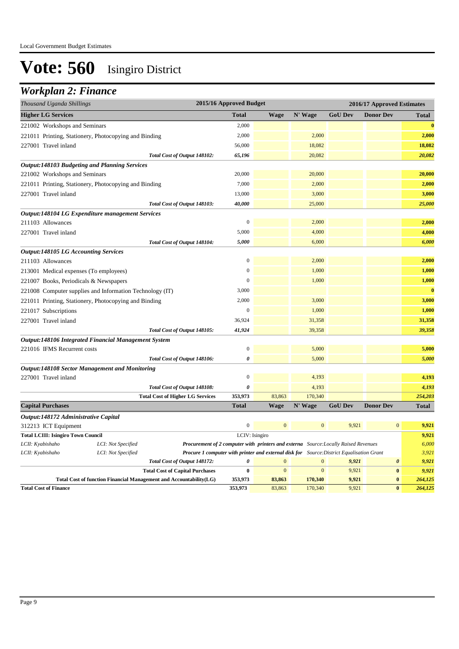### *Workplan 2: Finance*

| Thousand Uganda Shillings                   |                                                                    |                                                                                           | 2015/16 Approved Budget |                              |                              | 2016/17 Approved Estimates |                                   |                |
|---------------------------------------------|--------------------------------------------------------------------|-------------------------------------------------------------------------------------------|-------------------------|------------------------------|------------------------------|----------------------------|-----------------------------------|----------------|
| <b>Higher LG Services</b>                   |                                                                    |                                                                                           | <b>Total</b>            | <b>Wage</b>                  | N' Wage                      | <b>GoU Dev</b>             | <b>Donor Dev</b>                  | <b>Total</b>   |
| 221002 Workshops and Seminars               |                                                                    |                                                                                           | 2,000                   |                              |                              |                            |                                   | $\bf{0}$       |
|                                             | 221011 Printing, Stationery, Photocopying and Binding              |                                                                                           | 2,000                   |                              | 2,000                        |                            |                                   | 2,000          |
| 227001 Travel inland                        |                                                                    |                                                                                           | 56,000                  |                              | 18,082                       |                            |                                   | 18,082         |
|                                             |                                                                    | Total Cost of Output 148102:                                                              | 65,196                  |                              | 20,082                       |                            |                                   | 20,082         |
|                                             | <b>Output:148103 Budgeting and Planning Services</b>               |                                                                                           |                         |                              |                              |                            |                                   |                |
| 221002 Workshops and Seminars               |                                                                    |                                                                                           | 20,000                  |                              | 20,000                       |                            |                                   | 20,000         |
|                                             | 221011 Printing, Stationery, Photocopying and Binding              |                                                                                           | 7,000                   |                              | 2,000                        |                            |                                   | 2,000          |
| 227001 Travel inland                        |                                                                    |                                                                                           | 13,000                  |                              | 3,000                        |                            |                                   | 3,000          |
|                                             |                                                                    | Total Cost of Output 148103:                                                              | 40,000                  |                              | 25,000                       |                            |                                   | 25,000         |
|                                             | Output:148104 LG Expenditure management Services                   |                                                                                           |                         |                              |                              |                            |                                   |                |
| 211103 Allowances                           |                                                                    |                                                                                           | $\boldsymbol{0}$        |                              | 2,000                        |                            |                                   | 2,000          |
| 227001 Travel inland                        |                                                                    |                                                                                           | 5,000                   |                              | 4,000                        |                            |                                   | 4,000          |
|                                             |                                                                    | Total Cost of Output 148104:                                                              | 5,000                   |                              | 6,000                        |                            |                                   | 6,000          |
| <b>Output:148105 LG Accounting Services</b> |                                                                    |                                                                                           |                         |                              |                              |                            |                                   |                |
| 211103 Allowances                           |                                                                    |                                                                                           | $\boldsymbol{0}$        |                              | 2,000                        |                            |                                   | 2,000          |
| 213001 Medical expenses (To employees)      |                                                                    |                                                                                           | $\boldsymbol{0}$        |                              | 1,000                        |                            |                                   | 1,000          |
| 221007 Books, Periodicals & Newspapers      |                                                                    |                                                                                           | $\mathbf{0}$            |                              | 1,000                        |                            |                                   | 1,000          |
|                                             | 221008 Computer supplies and Information Technology (IT)           |                                                                                           | 3,000                   |                              |                              |                            |                                   | $\bf{0}$       |
|                                             | 221011 Printing, Stationery, Photocopying and Binding              |                                                                                           | 2,000                   |                              | 3,000                        |                            |                                   | 3,000          |
| 221017 Subscriptions                        |                                                                    |                                                                                           | $\boldsymbol{0}$        |                              | 1,000                        |                            |                                   | 1,000          |
| 227001 Travel inland                        |                                                                    |                                                                                           | 36,924                  |                              | 31,358                       |                            |                                   | 31,358         |
|                                             |                                                                    | Total Cost of Output 148105:                                                              | 41,924                  |                              | 39,358                       |                            |                                   | 39,358         |
|                                             | Output:148106 Integrated Financial Management System               |                                                                                           |                         |                              |                              |                            |                                   |                |
| 221016 IFMS Recurrent costs                 |                                                                    |                                                                                           | $\boldsymbol{0}$        |                              | 5,000                        |                            |                                   | 5,000          |
|                                             |                                                                    | Total Cost of Output 148106:                                                              | 0                       |                              | 5,000                        |                            |                                   | 5,000          |
|                                             | <b>Output:148108 Sector Management and Monitoring</b>              |                                                                                           |                         |                              |                              |                            |                                   |                |
| 227001 Travel inland                        |                                                                    |                                                                                           | $\boldsymbol{0}$        |                              | 4,193                        |                            |                                   | 4,193          |
|                                             |                                                                    | Total Cost of Output 148108:                                                              | 0                       |                              | 4,193                        |                            |                                   | 4,193          |
|                                             |                                                                    | <b>Total Cost of Higher LG Services</b>                                                   | 353,973                 | 83,863                       | 170,340                      |                            |                                   | 254,203        |
| <b>Capital Purchases</b>                    |                                                                    |                                                                                           | <b>Total</b>            | <b>Wage</b>                  | N' Wage                      | <b>GoU Dev</b>             | <b>Donor Dev</b>                  | Total          |
| Output:148172 Administrative Capital        |                                                                    |                                                                                           |                         |                              |                              |                            |                                   |                |
| 312213 ICT Equipment                        |                                                                    |                                                                                           | $\boldsymbol{0}$        | $\mathbf{0}$                 | $\mathbf{0}$                 | 9,921                      | $\boldsymbol{0}$                  | 9,921          |
| <b>Total LCIII: Isingiro Town Council</b>   |                                                                    |                                                                                           | LCIV: Isingiro          |                              |                              |                            |                                   | 9,921          |
| LCII: Kyabishaho                            | LCI: Not Specified                                                 | Procurement of 2 computer with printers and externa Source: Locally Raised Revenues       |                         |                              |                              |                            |                                   | 6,000          |
| LCII: Kyabishaho                            | LCI: Not Specified                                                 | Procure 1 computer with printer and external disk for Source: District Equalisation Grant |                         |                              |                              |                            |                                   | 3,921          |
|                                             |                                                                    | Total Cost of Output 148172:                                                              | 0<br>$\bf{0}$           | $\mathbf{0}$<br>$\mathbf{0}$ | $\mathbf{0}$<br>$\mathbf{0}$ | 9,921<br>9,921             | $\boldsymbol{\theta}$<br>$\bf{0}$ | 9,921<br>9,921 |
|                                             | Total Cost of function Financial Management and Accountability(LG) | <b>Total Cost of Capital Purchases</b>                                                    | 353,973                 | 83,863                       | 170,340                      | 9,921                      | $\bf{0}$                          | 264,125        |
| <b>Total Cost of Finance</b>                |                                                                    |                                                                                           | 353,973                 | 83,863                       | 170,340                      | 9,921                      | $\bf{0}$                          | 264,125        |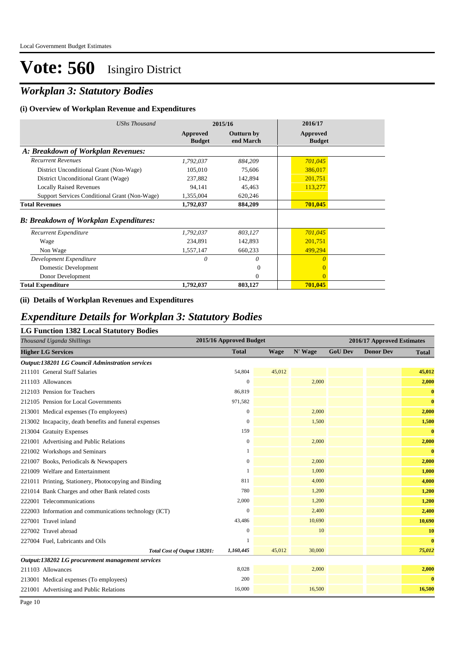### *Workplan 3: Statutory Bodies*

#### **(i) Overview of Workplan Revenue and Expenditures**

| <b>UShs Thousand</b>                           | 2015/16                   |                                | 2016/17                   |
|------------------------------------------------|---------------------------|--------------------------------|---------------------------|
|                                                | Approved<br><b>Budget</b> | <b>Outturn by</b><br>end March | Approved<br><b>Budget</b> |
| A: Breakdown of Workplan Revenues:             |                           |                                |                           |
| <b>Recurrent Revenues</b>                      | 1,792,037                 | 884,209                        | 701,045                   |
| District Unconditional Grant (Non-Wage)        | 105,010                   | 75,606                         | 386,017                   |
| District Unconditional Grant (Wage)            | 237,882                   | 142,894                        | 201,751                   |
| <b>Locally Raised Revenues</b>                 | 94,141                    | 45,463                         | 113,277                   |
| Support Services Conditional Grant (Non-Wage)  | 1,355,004                 | 620,246                        |                           |
| <b>Total Revenues</b>                          | 1,792,037                 | 884,209                        | 701,045                   |
| <b>B</b> : Breakdown of Workplan Expenditures: |                           |                                |                           |
| Recurrent Expenditure                          | 1,792,037                 | 803,127                        | 701,045                   |
| Wage                                           | 234,891                   | 142,893                        | 201,751                   |
| Non Wage                                       | 1,557,147                 | 660,233                        | 499,294                   |
| Development Expenditure                        | 0                         | 0                              | $\Omega$                  |
| Domestic Development                           |                           | $\Omega$                       | $\Omega$                  |
| Donor Development                              |                           | $\Omega$                       | $\Omega$                  |
| <b>Total Expenditure</b>                       | 1,792,037                 | 803,127                        | 701,045                   |

#### **(ii) Details of Workplan Revenues and Expenditures**

### *Expenditure Details for Workplan 3: Statutory Bodies*

#### **LG Function 1382 Local Statutory Bodies**

| Thousand Uganda Shillings                              | 2015/16 Approved Budget |             |         | 2016/17 Approved Estimates |                  |              |
|--------------------------------------------------------|-------------------------|-------------|---------|----------------------------|------------------|--------------|
| <b>Higher LG Services</b>                              | <b>Total</b>            | <b>Wage</b> | N' Wage | <b>GoU Dev</b>             | <b>Donor Dev</b> | <b>Total</b> |
| <b>Output:138201 LG Council Adminstration services</b> |                         |             |         |                            |                  |              |
| 211101 General Staff Salaries                          | 54,804                  | 45,012      |         |                            |                  | 45,012       |
| 211103 Allowances                                      | $\theta$                |             | 2,000   |                            |                  | 2,000        |
| 212103 Pension for Teachers                            | 86,819                  |             |         |                            |                  | $\bf{0}$     |
| 212105 Pension for Local Governments                   | 971,582                 |             |         |                            |                  | $\bf{0}$     |
| 213001 Medical expenses (To employees)                 | $\boldsymbol{0}$        |             | 2,000   |                            |                  | 2,000        |
| 213002 Incapacity, death benefits and funeral expenses | $\mathbf{0}$            |             | 1,500   |                            |                  | 1,500        |
| 213004 Gratuity Expenses                               | 159                     |             |         |                            |                  | $\bf{0}$     |
| 221001 Advertising and Public Relations                | $\mathbf{0}$            |             | 2,000   |                            |                  | 2,000        |
| 221002 Workshops and Seminars                          |                         |             |         |                            |                  | $\bf{0}$     |
| 221007 Books, Periodicals & Newspapers                 | $\boldsymbol{0}$        |             | 2,000   |                            |                  | 2,000        |
| 221009 Welfare and Entertainment                       |                         |             | 1,000   |                            |                  | 1,000        |
| 221011 Printing, Stationery, Photocopying and Binding  | 811                     |             | 4,000   |                            |                  | 4,000        |
| 221014 Bank Charges and other Bank related costs       | 780                     |             | 1,200   |                            |                  | 1,200        |
| 222001 Telecommunications                              | 2,000                   |             | 1,200   |                            |                  | 1,200        |
| 222003 Information and communications technology (ICT) | $\mathbf{0}$            |             | 2,400   |                            |                  | 2,400        |
| 227001 Travel inland                                   | 43,486                  |             | 10,690  |                            |                  | 10,690       |
| 227002 Travel abroad                                   | $\overline{0}$          |             | 10      |                            |                  | 10           |
| 227004 Fuel, Lubricants and Oils                       |                         |             |         |                            |                  | $\bf{0}$     |
| Total Cost of Output 138201:                           | 1,160,445               | 45,012      | 30,000  |                            |                  | 75,012       |
| Output:138202 LG procurement management services       |                         |             |         |                            |                  |              |
| 211103 Allowances                                      | 8,028                   |             | 2,000   |                            |                  | 2,000        |
| 213001 Medical expenses (To employees)                 | 200                     |             |         |                            |                  | $\bf{0}$     |
| 221001 Advertising and Public Relations                | 16,000                  |             | 16,500  |                            |                  | 16,500       |

Page 10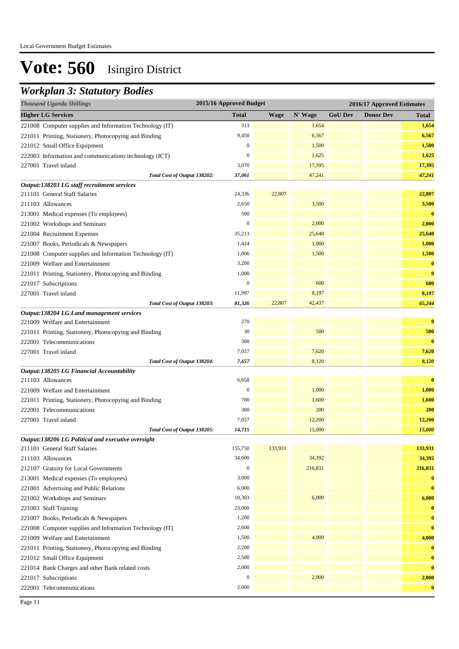### *Workplan 3: Statutory Bodies*

| <b>Total</b><br>N' Wage<br><b>GoU Dev</b><br><b>Donor Dev</b><br><b>Wage</b><br><b>Total</b><br>313<br>1,654<br>1,654<br>9,450<br>6,567<br>6,567<br>$\boldsymbol{0}$<br>1,500<br>1,500<br>$\mathbf{0}$<br>1,625<br>1,625<br>3,070<br>17,395<br>17,395<br>47,241<br>47,241<br>Total Cost of Output 138202:<br>37,061<br>211101 General Staff Salaries<br>22,807<br>22,807<br>24,336<br>2,650<br>3,500<br>3,500<br>$\bf{0}$<br>500<br>213001 Medical expenses (To employees)<br>$\mathbf{0}$<br>2,000<br>2,000<br>221002 Workshops and Seminars<br>25,640<br>221004 Recruitment Expenses<br>35,213<br>25,640<br>1,000<br>1,000<br>221007 Books, Periodicals & Newspapers<br>1,424<br>1,006<br>1,500<br>221008 Computer supplies and Information Technology (IT)<br>1,500<br>3,200<br>$\bf{0}$<br>221009 Welfare and Entertainment<br>1,000<br>$\bf{0}$<br>221011 Printing, Stationery, Photocopying and Binding<br>$\mathbf{0}$<br>600<br>600<br>221017 Subscriptions<br>11,997<br>8,197<br>8,197<br>227001 Travel inland<br>22,807<br>81,326<br>42,437<br>65,244<br>Total Cost of Output 138203:<br>Output:138204 LG Land management services<br>270<br>$\bf{0}$<br>221009 Welfare and Entertainment<br>30<br>500<br>500<br>221011 Printing, Stationery, Photocopying and Binding<br>300<br>$\bf{0}$<br>222001 Telecommunications<br>7,620<br>227001 Travel inland<br>7,057<br>7,620<br>8,120<br>8,120<br>Total Cost of Output 138204:<br>7,657<br>Output:138205 LG Financial Accountability<br>6,658<br>$\bf{0}$<br>211103 Allowances<br>1,000<br>$\boldsymbol{0}$<br>1,000<br>221009 Welfare and Entertainment<br>1,600<br>700<br>1,600<br>221011 Printing, Stationery, Photocopying and Binding<br>222001 Telecommunications<br>300<br>200<br>200<br>12,200<br>12,200<br>227001 Travel inland<br>7,057<br>15,000<br>14,715<br>15,000<br>Total Cost of Output 138205:<br>Output:138206 LG Political and executive oversight<br>155,750<br>133,931<br>133,931<br>34,392<br>34,600<br>34,392<br>$\boldsymbol{0}$<br>216,831<br>216,831<br>3,000<br>$\bf{0}$<br>$\bf{0}$<br>6,000<br>6,000<br>10,303<br>6,000<br>23,000<br>$\bf{0}$<br>1,200<br>$\bf{0}$<br>$\bf{0}$<br>2,600<br>4,000<br>1,500<br>4,000<br>2,200<br>$\bf{0}$<br>2,500<br>$\bf{0}$<br>2,000<br>$\bf{0}$<br>$\boldsymbol{0}$<br>2,000<br>2,000 | Thousand Uganda Shillings                                | 2015/16 Approved Budget |  | 2016/17 Approved Estimates |          |
|-------------------------------------------------------------------------------------------------------------------------------------------------------------------------------------------------------------------------------------------------------------------------------------------------------------------------------------------------------------------------------------------------------------------------------------------------------------------------------------------------------------------------------------------------------------------------------------------------------------------------------------------------------------------------------------------------------------------------------------------------------------------------------------------------------------------------------------------------------------------------------------------------------------------------------------------------------------------------------------------------------------------------------------------------------------------------------------------------------------------------------------------------------------------------------------------------------------------------------------------------------------------------------------------------------------------------------------------------------------------------------------------------------------------------------------------------------------------------------------------------------------------------------------------------------------------------------------------------------------------------------------------------------------------------------------------------------------------------------------------------------------------------------------------------------------------------------------------------------------------------------------------------------------------------------------------------------------------------------------------------------------------------------------------------------------------------------------------------------------------------------------------------------------------------------------------------------------------------------------------------------------------------------------------------------------|----------------------------------------------------------|-------------------------|--|----------------------------|----------|
|                                                                                                                                                                                                                                                                                                                                                                                                                                                                                                                                                                                                                                                                                                                                                                                                                                                                                                                                                                                                                                                                                                                                                                                                                                                                                                                                                                                                                                                                                                                                                                                                                                                                                                                                                                                                                                                                                                                                                                                                                                                                                                                                                                                                                                                                                                             | <b>Higher LG Services</b>                                |                         |  |                            |          |
|                                                                                                                                                                                                                                                                                                                                                                                                                                                                                                                                                                                                                                                                                                                                                                                                                                                                                                                                                                                                                                                                                                                                                                                                                                                                                                                                                                                                                                                                                                                                                                                                                                                                                                                                                                                                                                                                                                                                                                                                                                                                                                                                                                                                                                                                                                             | 221008 Computer supplies and Information Technology (IT) |                         |  |                            |          |
|                                                                                                                                                                                                                                                                                                                                                                                                                                                                                                                                                                                                                                                                                                                                                                                                                                                                                                                                                                                                                                                                                                                                                                                                                                                                                                                                                                                                                                                                                                                                                                                                                                                                                                                                                                                                                                                                                                                                                                                                                                                                                                                                                                                                                                                                                                             | 221011 Printing, Stationery, Photocopying and Binding    |                         |  |                            |          |
|                                                                                                                                                                                                                                                                                                                                                                                                                                                                                                                                                                                                                                                                                                                                                                                                                                                                                                                                                                                                                                                                                                                                                                                                                                                                                                                                                                                                                                                                                                                                                                                                                                                                                                                                                                                                                                                                                                                                                                                                                                                                                                                                                                                                                                                                                                             | 221012 Small Office Equipment                            |                         |  |                            |          |
|                                                                                                                                                                                                                                                                                                                                                                                                                                                                                                                                                                                                                                                                                                                                                                                                                                                                                                                                                                                                                                                                                                                                                                                                                                                                                                                                                                                                                                                                                                                                                                                                                                                                                                                                                                                                                                                                                                                                                                                                                                                                                                                                                                                                                                                                                                             | 222003 Information and communications technology (ICT)   |                         |  |                            |          |
|                                                                                                                                                                                                                                                                                                                                                                                                                                                                                                                                                                                                                                                                                                                                                                                                                                                                                                                                                                                                                                                                                                                                                                                                                                                                                                                                                                                                                                                                                                                                                                                                                                                                                                                                                                                                                                                                                                                                                                                                                                                                                                                                                                                                                                                                                                             | 227001 Travel inland                                     |                         |  |                            |          |
|                                                                                                                                                                                                                                                                                                                                                                                                                                                                                                                                                                                                                                                                                                                                                                                                                                                                                                                                                                                                                                                                                                                                                                                                                                                                                                                                                                                                                                                                                                                                                                                                                                                                                                                                                                                                                                                                                                                                                                                                                                                                                                                                                                                                                                                                                                             |                                                          |                         |  |                            |          |
|                                                                                                                                                                                                                                                                                                                                                                                                                                                                                                                                                                                                                                                                                                                                                                                                                                                                                                                                                                                                                                                                                                                                                                                                                                                                                                                                                                                                                                                                                                                                                                                                                                                                                                                                                                                                                                                                                                                                                                                                                                                                                                                                                                                                                                                                                                             | Output:138203 LG staff recruitment services              |                         |  |                            |          |
|                                                                                                                                                                                                                                                                                                                                                                                                                                                                                                                                                                                                                                                                                                                                                                                                                                                                                                                                                                                                                                                                                                                                                                                                                                                                                                                                                                                                                                                                                                                                                                                                                                                                                                                                                                                                                                                                                                                                                                                                                                                                                                                                                                                                                                                                                                             |                                                          |                         |  |                            |          |
|                                                                                                                                                                                                                                                                                                                                                                                                                                                                                                                                                                                                                                                                                                                                                                                                                                                                                                                                                                                                                                                                                                                                                                                                                                                                                                                                                                                                                                                                                                                                                                                                                                                                                                                                                                                                                                                                                                                                                                                                                                                                                                                                                                                                                                                                                                             | 211103 Allowances                                        |                         |  |                            |          |
|                                                                                                                                                                                                                                                                                                                                                                                                                                                                                                                                                                                                                                                                                                                                                                                                                                                                                                                                                                                                                                                                                                                                                                                                                                                                                                                                                                                                                                                                                                                                                                                                                                                                                                                                                                                                                                                                                                                                                                                                                                                                                                                                                                                                                                                                                                             |                                                          |                         |  |                            |          |
|                                                                                                                                                                                                                                                                                                                                                                                                                                                                                                                                                                                                                                                                                                                                                                                                                                                                                                                                                                                                                                                                                                                                                                                                                                                                                                                                                                                                                                                                                                                                                                                                                                                                                                                                                                                                                                                                                                                                                                                                                                                                                                                                                                                                                                                                                                             |                                                          |                         |  |                            |          |
|                                                                                                                                                                                                                                                                                                                                                                                                                                                                                                                                                                                                                                                                                                                                                                                                                                                                                                                                                                                                                                                                                                                                                                                                                                                                                                                                                                                                                                                                                                                                                                                                                                                                                                                                                                                                                                                                                                                                                                                                                                                                                                                                                                                                                                                                                                             |                                                          |                         |  |                            |          |
|                                                                                                                                                                                                                                                                                                                                                                                                                                                                                                                                                                                                                                                                                                                                                                                                                                                                                                                                                                                                                                                                                                                                                                                                                                                                                                                                                                                                                                                                                                                                                                                                                                                                                                                                                                                                                                                                                                                                                                                                                                                                                                                                                                                                                                                                                                             |                                                          |                         |  |                            |          |
|                                                                                                                                                                                                                                                                                                                                                                                                                                                                                                                                                                                                                                                                                                                                                                                                                                                                                                                                                                                                                                                                                                                                                                                                                                                                                                                                                                                                                                                                                                                                                                                                                                                                                                                                                                                                                                                                                                                                                                                                                                                                                                                                                                                                                                                                                                             |                                                          |                         |  |                            |          |
|                                                                                                                                                                                                                                                                                                                                                                                                                                                                                                                                                                                                                                                                                                                                                                                                                                                                                                                                                                                                                                                                                                                                                                                                                                                                                                                                                                                                                                                                                                                                                                                                                                                                                                                                                                                                                                                                                                                                                                                                                                                                                                                                                                                                                                                                                                             |                                                          |                         |  |                            |          |
|                                                                                                                                                                                                                                                                                                                                                                                                                                                                                                                                                                                                                                                                                                                                                                                                                                                                                                                                                                                                                                                                                                                                                                                                                                                                                                                                                                                                                                                                                                                                                                                                                                                                                                                                                                                                                                                                                                                                                                                                                                                                                                                                                                                                                                                                                                             |                                                          |                         |  |                            |          |
|                                                                                                                                                                                                                                                                                                                                                                                                                                                                                                                                                                                                                                                                                                                                                                                                                                                                                                                                                                                                                                                                                                                                                                                                                                                                                                                                                                                                                                                                                                                                                                                                                                                                                                                                                                                                                                                                                                                                                                                                                                                                                                                                                                                                                                                                                                             |                                                          |                         |  |                            |          |
|                                                                                                                                                                                                                                                                                                                                                                                                                                                                                                                                                                                                                                                                                                                                                                                                                                                                                                                                                                                                                                                                                                                                                                                                                                                                                                                                                                                                                                                                                                                                                                                                                                                                                                                                                                                                                                                                                                                                                                                                                                                                                                                                                                                                                                                                                                             |                                                          |                         |  |                            |          |
|                                                                                                                                                                                                                                                                                                                                                                                                                                                                                                                                                                                                                                                                                                                                                                                                                                                                                                                                                                                                                                                                                                                                                                                                                                                                                                                                                                                                                                                                                                                                                                                                                                                                                                                                                                                                                                                                                                                                                                                                                                                                                                                                                                                                                                                                                                             |                                                          |                         |  |                            |          |
|                                                                                                                                                                                                                                                                                                                                                                                                                                                                                                                                                                                                                                                                                                                                                                                                                                                                                                                                                                                                                                                                                                                                                                                                                                                                                                                                                                                                                                                                                                                                                                                                                                                                                                                                                                                                                                                                                                                                                                                                                                                                                                                                                                                                                                                                                                             |                                                          |                         |  |                            |          |
|                                                                                                                                                                                                                                                                                                                                                                                                                                                                                                                                                                                                                                                                                                                                                                                                                                                                                                                                                                                                                                                                                                                                                                                                                                                                                                                                                                                                                                                                                                                                                                                                                                                                                                                                                                                                                                                                                                                                                                                                                                                                                                                                                                                                                                                                                                             |                                                          |                         |  |                            |          |
|                                                                                                                                                                                                                                                                                                                                                                                                                                                                                                                                                                                                                                                                                                                                                                                                                                                                                                                                                                                                                                                                                                                                                                                                                                                                                                                                                                                                                                                                                                                                                                                                                                                                                                                                                                                                                                                                                                                                                                                                                                                                                                                                                                                                                                                                                                             |                                                          |                         |  |                            |          |
|                                                                                                                                                                                                                                                                                                                                                                                                                                                                                                                                                                                                                                                                                                                                                                                                                                                                                                                                                                                                                                                                                                                                                                                                                                                                                                                                                                                                                                                                                                                                                                                                                                                                                                                                                                                                                                                                                                                                                                                                                                                                                                                                                                                                                                                                                                             |                                                          |                         |  |                            |          |
|                                                                                                                                                                                                                                                                                                                                                                                                                                                                                                                                                                                                                                                                                                                                                                                                                                                                                                                                                                                                                                                                                                                                                                                                                                                                                                                                                                                                                                                                                                                                                                                                                                                                                                                                                                                                                                                                                                                                                                                                                                                                                                                                                                                                                                                                                                             |                                                          |                         |  |                            |          |
|                                                                                                                                                                                                                                                                                                                                                                                                                                                                                                                                                                                                                                                                                                                                                                                                                                                                                                                                                                                                                                                                                                                                                                                                                                                                                                                                                                                                                                                                                                                                                                                                                                                                                                                                                                                                                                                                                                                                                                                                                                                                                                                                                                                                                                                                                                             |                                                          |                         |  |                            |          |
|                                                                                                                                                                                                                                                                                                                                                                                                                                                                                                                                                                                                                                                                                                                                                                                                                                                                                                                                                                                                                                                                                                                                                                                                                                                                                                                                                                                                                                                                                                                                                                                                                                                                                                                                                                                                                                                                                                                                                                                                                                                                                                                                                                                                                                                                                                             |                                                          |                         |  |                            |          |
|                                                                                                                                                                                                                                                                                                                                                                                                                                                                                                                                                                                                                                                                                                                                                                                                                                                                                                                                                                                                                                                                                                                                                                                                                                                                                                                                                                                                                                                                                                                                                                                                                                                                                                                                                                                                                                                                                                                                                                                                                                                                                                                                                                                                                                                                                                             |                                                          |                         |  |                            |          |
|                                                                                                                                                                                                                                                                                                                                                                                                                                                                                                                                                                                                                                                                                                                                                                                                                                                                                                                                                                                                                                                                                                                                                                                                                                                                                                                                                                                                                                                                                                                                                                                                                                                                                                                                                                                                                                                                                                                                                                                                                                                                                                                                                                                                                                                                                                             |                                                          |                         |  |                            |          |
|                                                                                                                                                                                                                                                                                                                                                                                                                                                                                                                                                                                                                                                                                                                                                                                                                                                                                                                                                                                                                                                                                                                                                                                                                                                                                                                                                                                                                                                                                                                                                                                                                                                                                                                                                                                                                                                                                                                                                                                                                                                                                                                                                                                                                                                                                                             |                                                          |                         |  |                            |          |
|                                                                                                                                                                                                                                                                                                                                                                                                                                                                                                                                                                                                                                                                                                                                                                                                                                                                                                                                                                                                                                                                                                                                                                                                                                                                                                                                                                                                                                                                                                                                                                                                                                                                                                                                                                                                                                                                                                                                                                                                                                                                                                                                                                                                                                                                                                             |                                                          |                         |  |                            |          |
|                                                                                                                                                                                                                                                                                                                                                                                                                                                                                                                                                                                                                                                                                                                                                                                                                                                                                                                                                                                                                                                                                                                                                                                                                                                                                                                                                                                                                                                                                                                                                                                                                                                                                                                                                                                                                                                                                                                                                                                                                                                                                                                                                                                                                                                                                                             |                                                          |                         |  |                            |          |
|                                                                                                                                                                                                                                                                                                                                                                                                                                                                                                                                                                                                                                                                                                                                                                                                                                                                                                                                                                                                                                                                                                                                                                                                                                                                                                                                                                                                                                                                                                                                                                                                                                                                                                                                                                                                                                                                                                                                                                                                                                                                                                                                                                                                                                                                                                             |                                                          |                         |  |                            |          |
|                                                                                                                                                                                                                                                                                                                                                                                                                                                                                                                                                                                                                                                                                                                                                                                                                                                                                                                                                                                                                                                                                                                                                                                                                                                                                                                                                                                                                                                                                                                                                                                                                                                                                                                                                                                                                                                                                                                                                                                                                                                                                                                                                                                                                                                                                                             | 211101 General Staff Salaries                            |                         |  |                            |          |
|                                                                                                                                                                                                                                                                                                                                                                                                                                                                                                                                                                                                                                                                                                                                                                                                                                                                                                                                                                                                                                                                                                                                                                                                                                                                                                                                                                                                                                                                                                                                                                                                                                                                                                                                                                                                                                                                                                                                                                                                                                                                                                                                                                                                                                                                                                             | 211103 Allowances                                        |                         |  |                            |          |
|                                                                                                                                                                                                                                                                                                                                                                                                                                                                                                                                                                                                                                                                                                                                                                                                                                                                                                                                                                                                                                                                                                                                                                                                                                                                                                                                                                                                                                                                                                                                                                                                                                                                                                                                                                                                                                                                                                                                                                                                                                                                                                                                                                                                                                                                                                             | 212107 Gratuity for Local Governments                    |                         |  |                            |          |
|                                                                                                                                                                                                                                                                                                                                                                                                                                                                                                                                                                                                                                                                                                                                                                                                                                                                                                                                                                                                                                                                                                                                                                                                                                                                                                                                                                                                                                                                                                                                                                                                                                                                                                                                                                                                                                                                                                                                                                                                                                                                                                                                                                                                                                                                                                             | 213001 Medical expenses (To employees)                   |                         |  |                            |          |
|                                                                                                                                                                                                                                                                                                                                                                                                                                                                                                                                                                                                                                                                                                                                                                                                                                                                                                                                                                                                                                                                                                                                                                                                                                                                                                                                                                                                                                                                                                                                                                                                                                                                                                                                                                                                                                                                                                                                                                                                                                                                                                                                                                                                                                                                                                             | 221001 Advertising and Public Relations                  |                         |  |                            |          |
|                                                                                                                                                                                                                                                                                                                                                                                                                                                                                                                                                                                                                                                                                                                                                                                                                                                                                                                                                                                                                                                                                                                                                                                                                                                                                                                                                                                                                                                                                                                                                                                                                                                                                                                                                                                                                                                                                                                                                                                                                                                                                                                                                                                                                                                                                                             | 221002 Workshops and Seminars                            |                         |  |                            |          |
|                                                                                                                                                                                                                                                                                                                                                                                                                                                                                                                                                                                                                                                                                                                                                                                                                                                                                                                                                                                                                                                                                                                                                                                                                                                                                                                                                                                                                                                                                                                                                                                                                                                                                                                                                                                                                                                                                                                                                                                                                                                                                                                                                                                                                                                                                                             | 221003 Staff Training                                    |                         |  |                            |          |
|                                                                                                                                                                                                                                                                                                                                                                                                                                                                                                                                                                                                                                                                                                                                                                                                                                                                                                                                                                                                                                                                                                                                                                                                                                                                                                                                                                                                                                                                                                                                                                                                                                                                                                                                                                                                                                                                                                                                                                                                                                                                                                                                                                                                                                                                                                             | 221007 Books, Periodicals & Newspapers                   |                         |  |                            |          |
|                                                                                                                                                                                                                                                                                                                                                                                                                                                                                                                                                                                                                                                                                                                                                                                                                                                                                                                                                                                                                                                                                                                                                                                                                                                                                                                                                                                                                                                                                                                                                                                                                                                                                                                                                                                                                                                                                                                                                                                                                                                                                                                                                                                                                                                                                                             | 221008 Computer supplies and Information Technology (IT) |                         |  |                            |          |
|                                                                                                                                                                                                                                                                                                                                                                                                                                                                                                                                                                                                                                                                                                                                                                                                                                                                                                                                                                                                                                                                                                                                                                                                                                                                                                                                                                                                                                                                                                                                                                                                                                                                                                                                                                                                                                                                                                                                                                                                                                                                                                                                                                                                                                                                                                             | 221009 Welfare and Entertainment                         |                         |  |                            |          |
|                                                                                                                                                                                                                                                                                                                                                                                                                                                                                                                                                                                                                                                                                                                                                                                                                                                                                                                                                                                                                                                                                                                                                                                                                                                                                                                                                                                                                                                                                                                                                                                                                                                                                                                                                                                                                                                                                                                                                                                                                                                                                                                                                                                                                                                                                                             | 221011 Printing, Stationery, Photocopying and Binding    |                         |  |                            |          |
|                                                                                                                                                                                                                                                                                                                                                                                                                                                                                                                                                                                                                                                                                                                                                                                                                                                                                                                                                                                                                                                                                                                                                                                                                                                                                                                                                                                                                                                                                                                                                                                                                                                                                                                                                                                                                                                                                                                                                                                                                                                                                                                                                                                                                                                                                                             | 221012 Small Office Equipment                            |                         |  |                            |          |
|                                                                                                                                                                                                                                                                                                                                                                                                                                                                                                                                                                                                                                                                                                                                                                                                                                                                                                                                                                                                                                                                                                                                                                                                                                                                                                                                                                                                                                                                                                                                                                                                                                                                                                                                                                                                                                                                                                                                                                                                                                                                                                                                                                                                                                                                                                             | 221014 Bank Charges and other Bank related costs         |                         |  |                            |          |
|                                                                                                                                                                                                                                                                                                                                                                                                                                                                                                                                                                                                                                                                                                                                                                                                                                                                                                                                                                                                                                                                                                                                                                                                                                                                                                                                                                                                                                                                                                                                                                                                                                                                                                                                                                                                                                                                                                                                                                                                                                                                                                                                                                                                                                                                                                             | 221017 Subscriptions                                     |                         |  |                            |          |
|                                                                                                                                                                                                                                                                                                                                                                                                                                                                                                                                                                                                                                                                                                                                                                                                                                                                                                                                                                                                                                                                                                                                                                                                                                                                                                                                                                                                                                                                                                                                                                                                                                                                                                                                                                                                                                                                                                                                                                                                                                                                                                                                                                                                                                                                                                             | 222001 Telecommunications                                | 2,000                   |  |                            | $\bf{0}$ |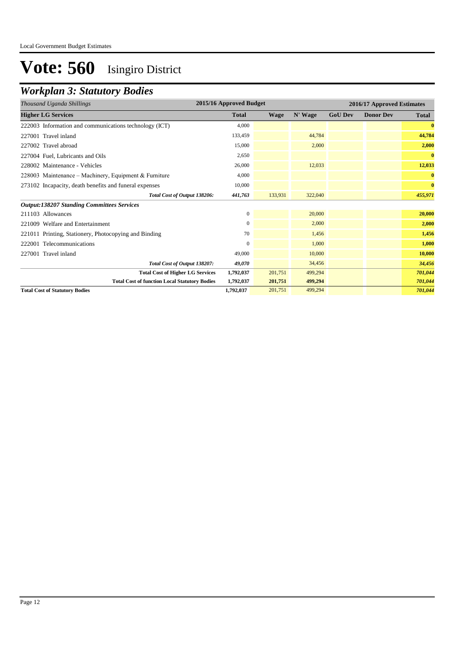## *Workplan 3: Statutory Bodies*

| Thousand Uganda Shillings                              | 2015/16 Approved Budget | 2016/17 Approved Estimates |         |                |                  |              |
|--------------------------------------------------------|-------------------------|----------------------------|---------|----------------|------------------|--------------|
| <b>Higher LG Services</b>                              | <b>Total</b>            | Wage                       | N' Wage | <b>GoU Dev</b> | <b>Donor Dev</b> | <b>Total</b> |
| 222003 Information and communications technology (ICT) | 4,000                   |                            |         |                |                  | $\bf{0}$     |
| 227001 Travel inland                                   | 133,459                 |                            | 44,784  |                |                  | 44,784       |
| 227002 Travel abroad                                   | 15,000                  |                            | 2,000   |                |                  | 2,000        |
| 227004 Fuel, Lubricants and Oils                       | 2,650                   |                            |         |                |                  | $\bf{0}$     |
| 228002 Maintenance - Vehicles                          | 26,000                  |                            | 12,033  |                |                  | 12,033       |
| 228003 Maintenance – Machinery, Equipment & Furniture  | 4,000                   |                            |         |                |                  | $\bf{0}$     |
| 273102 Incapacity, death benefits and funeral expenses | 10,000                  |                            |         |                |                  | $\bf{0}$     |
| Total Cost of Output 138206:                           | 441,763                 | 133,931                    | 322,040 |                |                  | 455,971      |
| <b>Output:138207 Standing Committees Services</b>      |                         |                            |         |                |                  |              |
| 211103 Allowances                                      | $\mathbf{0}$            |                            | 20,000  |                |                  | 20,000       |
| 221009 Welfare and Entertainment                       | $\mathbf{0}$            |                            | 2,000   |                |                  | 2,000        |
| 221011 Printing, Stationery, Photocopying and Binding  | 70                      |                            | 1,456   |                |                  | 1,456        |
| 222001 Telecommunications                              | $\mathbf{0}$            |                            | 1,000   |                |                  | 1,000        |
| 227001 Travel inland                                   | 49,000                  |                            | 10,000  |                |                  | 10,000       |
| Total Cost of Output 138207:                           | 49,070                  |                            | 34,456  |                |                  | 34,456       |
| <b>Total Cost of Higher LG Services</b>                | 1,792,037               | 201,751                    | 499,294 |                |                  | 701,044      |
| <b>Total Cost of function Local Statutory Bodies</b>   | 1,792,037               | 201,751                    | 499,294 |                |                  | 701,044      |
| <b>Total Cost of Statutory Bodies</b>                  | 1,792,037               | 201,751                    | 499,294 |                |                  | 701,044      |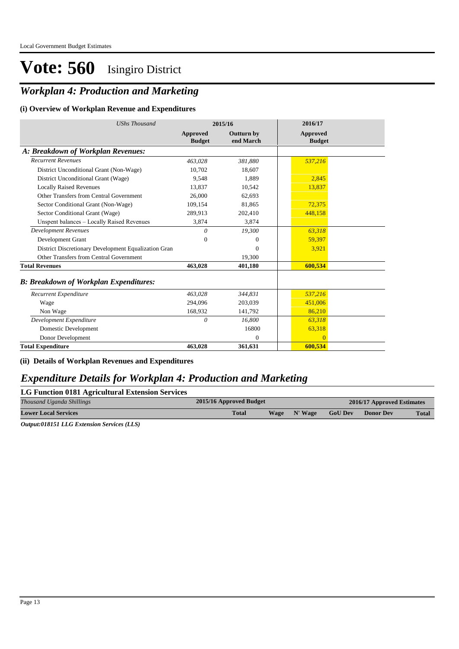### *Workplan 4: Production and Marketing*

#### **(i) Overview of Workplan Revenue and Expenditures**

| <b>UShs Thousand</b>                                 | 2015/16                   |                                | 2016/17                          |
|------------------------------------------------------|---------------------------|--------------------------------|----------------------------------|
|                                                      | Approved<br><b>Budget</b> | <b>Outturn by</b><br>end March | <b>Approved</b><br><b>Budget</b> |
| A: Breakdown of Workplan Revenues:                   |                           |                                |                                  |
| <b>Recurrent Revenues</b>                            | 463,028                   | 381,880                        | 537,216                          |
| District Unconditional Grant (Non-Wage)              | 10.702                    | 18.607                         |                                  |
| District Unconditional Grant (Wage)                  | 9.548                     | 1.889                          | 2,845                            |
| <b>Locally Raised Revenues</b>                       | 13,837                    | 10,542                         | 13,837                           |
| Other Transfers from Central Government              | 26,000                    | 62,693                         |                                  |
| Sector Conditional Grant (Non-Wage)                  | 109,154                   | 81,865                         | 72,375                           |
| Sector Conditional Grant (Wage)                      | 289,913                   | 202,410                        | 448,158                          |
| Unspent balances - Locally Raised Revenues           | 3,874                     | 3,874                          |                                  |
| <b>Development Revenues</b>                          | $\theta$                  | 19,300                         | 63,318                           |
| Development Grant                                    | $\Omega$                  | $\Omega$                       | 59,397                           |
| District Discretionary Development Equalization Gran |                           | $\Omega$                       | 3,921                            |
| Other Transfers from Central Government              |                           | 19,300                         |                                  |
| <b>Total Revenues</b>                                | 463,028                   | 401,180                        | 600,534                          |
| <b>B: Breakdown of Workplan Expenditures:</b>        |                           |                                |                                  |
| Recurrent Expenditure                                | 463.028                   | 344,831                        | 537,216                          |
| Wage                                                 | 294,096                   | 203,039                        | 451,006                          |
| Non Wage                                             | 168,932                   | 141,792                        | 86,210                           |
| Development Expenditure                              | $\theta$                  | 16,800                         | 63,318                           |
| Domestic Development                                 |                           | 16800                          | 63,318                           |
| Donor Development                                    |                           | $\Omega$                       | $\Omega$                         |
| <b>Total Expenditure</b>                             | 463,028                   | 361,631                        | 600,534                          |

#### **(ii) Details of Workplan Revenues and Expenditures**

### *Expenditure Details for Workplan 4: Production and Marketing*

| LG Function 0181 Agricultural Extension Services |                         |             |         |                            |                  |              |
|--------------------------------------------------|-------------------------|-------------|---------|----------------------------|------------------|--------------|
| Thousand Uganda Shillings                        | 2015/16 Approved Budget |             |         | 2016/17 Approved Estimates |                  |              |
| <b>Lower Local Services</b>                      | <b>Total</b>            | <b>Wage</b> | N' Wage | <b>GoU Dev</b>             | <b>Donor Dev</b> | <b>Total</b> |
|                                                  |                         |             |         |                            |                  |              |

*Output:018151 LLG Extension Services (LLS)*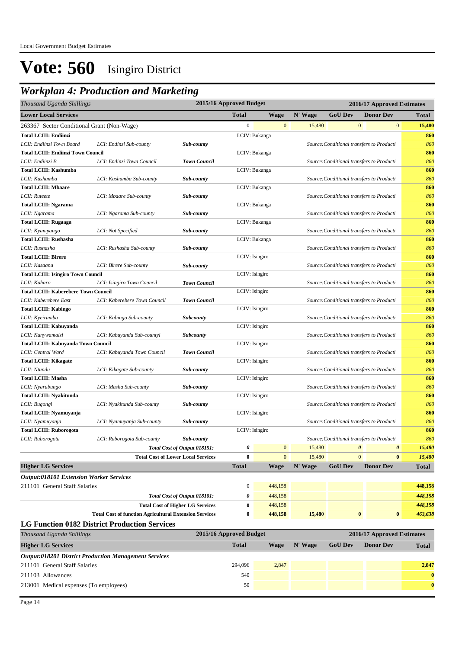| Thousand Uganda Shillings                      |                                                               |                                           | 2015/16 Approved Budget |                  |         |                | 2016/17 Approved Estimates                |                                |
|------------------------------------------------|---------------------------------------------------------------|-------------------------------------------|-------------------------|------------------|---------|----------------|-------------------------------------------|--------------------------------|
| <b>Lower Local Services</b>                    |                                                               |                                           | <b>Total</b>            | <b>Wage</b>      | N' Wage | <b>GoU Dev</b> | <b>Donor Dev</b>                          | Total                          |
| 263367 Sector Conditional Grant (Non-Wage)     |                                                               |                                           | $\boldsymbol{0}$        | $\bf{0}$         | 15,480  |                | $\mathbf{0}$                              | $\boldsymbol{0}$<br>15,480     |
| <b>Total LCIII: Endiinzi</b>                   |                                                               |                                           |                         | LCIV: Bukanga    |         |                |                                           | 860                            |
| LCII: Endiinzi Town Board                      | LCI: Endinzi Sub-county                                       | <b>Sub-county</b>                         |                         |                  |         |                | Source: Conditional transfers to Producti | 860                            |
| <b>Total LCIII: Endiinzi Town Council</b>      |                                                               |                                           |                         | LCIV: Bukanga    |         |                |                                           | 860                            |
| LCII: Endiinzi B                               | LCI: Endinzi Town Council                                     | <b>Town Council</b>                       |                         |                  |         |                | Source: Conditional transfers to Producti | 860                            |
| <b>Total LCIII: Kashumba</b>                   |                                                               |                                           |                         | LCIV: Bukanga    |         |                |                                           | 860                            |
| LCII: Kashumba                                 | LCI: Kashumba Sub-county                                      | Sub-county                                |                         |                  |         |                | Source: Conditional transfers to Producti | 860                            |
| <b>Total LCIII: Mbaare</b>                     |                                                               |                                           |                         | LCIV: Bukanga    |         |                |                                           | 860                            |
| LCII: Ruteete                                  | LCI: Mbaare Sub-county                                        | Sub-county                                |                         |                  |         |                | Source: Conditional transfers to Producti | 860                            |
| <b>Total LCIII: Ngarama</b>                    |                                                               |                                           |                         | LCIV: Bukanga    |         |                |                                           | 860                            |
| LCII: Ngarama                                  | LCI: Ngarama Sub-county                                       | Sub-county                                |                         |                  |         |                | Source: Conditional transfers to Producti | 860                            |
| <b>Total LCIII: Rugaaga</b>                    |                                                               |                                           |                         | LCIV: Bukanga    |         |                |                                           | 860                            |
| LCII: Kyampango                                | LCI: Not Specified                                            | Sub-county                                |                         |                  |         |                | Source: Conditional transfers to Producti | 860                            |
| <b>Total LCIII: Rushasha</b>                   |                                                               |                                           |                         | LCIV: Bukanga    |         |                |                                           | 860                            |
| LCII: Rushasha                                 | LCI: Rushasha Sub-county                                      | Sub-county                                |                         |                  |         |                | Source: Conditional transfers to Producti | 860                            |
| <b>Total LCIII: Birere</b>                     |                                                               |                                           | LCIV: Isingiro          |                  |         |                |                                           | 860                            |
| LCII: Kasaana                                  | LCI: Birere Sub-county                                        | Sub-county                                |                         |                  |         |                | Source: Conditional transfers to Producti | 860                            |
| <b>Total LCIII: Isingiro Town Council</b>      |                                                               |                                           | LCIV: Isingiro          |                  |         |                |                                           | 860                            |
| LCII: Kaharo                                   | LCI: Isingiro Town Council                                    | <b>Town Council</b>                       |                         |                  |         |                | Source: Conditional transfers to Producti | 860                            |
| <b>Total LCIII: Kaberebere Town Council</b>    |                                                               |                                           | LCIV: Isingiro          |                  |         |                |                                           | 860                            |
| LCII: Kaberebere East                          | LCI: Kaberebere Town Council                                  | <b>Town Council</b>                       |                         |                  |         |                | Source: Conditional transfers to Producti | 860                            |
| <b>Total LCIII: Kabingo</b>                    |                                                               |                                           | LCIV: Isingiro          |                  |         |                |                                           | 860                            |
| LCII: Kyeirumba                                | LCI: Kabingo Sub-county                                       | <b>Subcounty</b>                          |                         |                  |         |                | Source: Conditional transfers to Producti | 860                            |
| Total LCIII: Kabuyanda                         |                                                               |                                           | LCIV: Isingiro          |                  |         |                |                                           | 860                            |
| LCII: Kanywamaizi                              | LCI: Kabuyanda Sub-countyl                                    | Subcounty                                 |                         |                  |         |                | Source: Conditional transfers to Producti | 860                            |
| Total LCIII: Kabuyanda Town Council            |                                                               |                                           | LCIV: Isingiro          |                  |         |                |                                           | 860                            |
| LCII: Central Ward                             | LCI: Kabuyanda Town Council                                   | <b>Town Council</b>                       |                         |                  |         |                | Source: Conditional transfers to Producti | 860                            |
| <b>Total LCIII: Kikagate</b>                   |                                                               |                                           | LCIV: Isingiro          |                  |         |                |                                           | 860                            |
| LCII: Ntundu                                   | LCI: Kikagate Sub-county                                      | Sub-county                                |                         |                  |         |                | Source: Conditional transfers to Producti | 860                            |
| <b>Total LCIII: Masha</b>                      |                                                               |                                           | LCIV: Isingiro          |                  |         |                |                                           | 860                            |
| LCII: Nyarubungo                               | LCI: Masha Sub-county                                         | Sub-county                                |                         |                  |         |                | Source: Conditional transfers to Producti | 860                            |
| Total LCIII: Nyakitunda                        |                                                               |                                           | LCIV: Isingiro          |                  |         |                |                                           | 860                            |
| LCII: Bugongi                                  | LCI: Nyakitunda Sub-county                                    | Sub-county                                |                         |                  |         |                | Source: Conditional transfers to Producti | 860                            |
| Total LCIII: Nyamuyanja                        |                                                               |                                           | LCIV: Isingiro          |                  |         |                |                                           | 860                            |
| LCII: Nyamuyanja                               | LCI: Nyamuyanja Sub-county                                    | Sub-county                                |                         |                  |         |                | Source: Conditional transfers to Producti | 860                            |
| <b>Total LCIII: Ruborogota</b>                 |                                                               |                                           | LCIV: Isingiro          |                  |         |                |                                           | 860                            |
| LCII: Ruborogota                               | LCI: Ruborogota Sub-county                                    | Sub-county                                |                         |                  |         |                | Source: Conditional transfers to Producti | 860                            |
|                                                |                                                               | Total Cost of Output 018151:              | 0                       | $\boldsymbol{0}$ | 15,480  |                | $\boldsymbol{\theta}$                     | $\pmb{\theta}$<br>15,480       |
|                                                |                                                               | <b>Total Cost of Lower Local Services</b> | $\bf{0}$                | $\mathbf{0}$     | 15,480  |                | $\mathbf{0}$                              | $\bf{0}$<br>15,480             |
| <b>Higher LG Services</b>                      |                                                               |                                           | <b>Total</b>            | Wage             | N' Wage | <b>GoU Dev</b> | <b>Donor Dev</b>                          | <b>Total</b>                   |
| <b>Output:018101 Extension Worker Services</b> |                                                               |                                           |                         |                  |         |                |                                           |                                |
| 211101 General Staff Salaries                  |                                                               |                                           | $\boldsymbol{0}$        | 448,158          |         |                |                                           | 448,158                        |
|                                                |                                                               | Total Cost of Output 018101:              | 0                       | 448,158          |         |                |                                           | 448,158                        |
|                                                |                                                               | <b>Total Cost of Higher LG Services</b>   | 0                       | 448,158          |         |                |                                           |                                |
|                                                | <b>Total Cost of function Agricultural Extension Services</b> |                                           | $\bf{0}$                | 448,158          | 15,480  |                | $\bf{0}$                                  | 448,158<br>$\bf{0}$<br>463,638 |
|                                                |                                                               |                                           |                         |                  |         |                |                                           |                                |
|                                                | <b>LG Function 0182 District Production Services</b>          |                                           | 2015/16 Approved Budget |                  |         |                |                                           |                                |
| Thousand Uganda Shillings                      |                                                               |                                           |                         |                  |         |                | 2016/17 Approved Estimates                |                                |

| <b>Higher LG Services</b>                                    | <b>Total</b> | Wage  | N' Wage | <b>GoU Dev</b> | <b>Donor Dev</b> | <b>Total</b> |
|--------------------------------------------------------------|--------------|-------|---------|----------------|------------------|--------------|
| <b>Output:018201 District Production Management Services</b> |              |       |         |                |                  |              |
| 211101 General Staff Salaries                                | 294,096      | 2.847 |         |                |                  | 2.847        |
| 211103 Allowances                                            | 540          |       |         |                |                  | $\mathbf{0}$ |
| 213001 Medical expenses (To employees)                       | 50           |       |         |                |                  | $\mathbf{0}$ |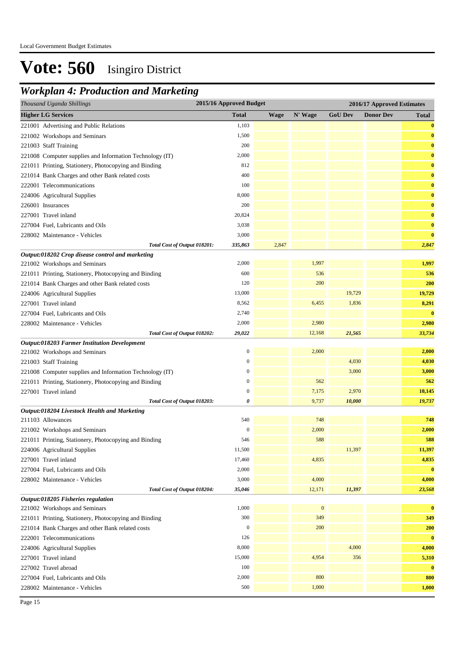| 2015/16 Approved Budget<br>Thousand Uganda Shillings<br>2016/17 Approved Estimates |                  |             |              |                |                  |              |
|------------------------------------------------------------------------------------|------------------|-------------|--------------|----------------|------------------|--------------|
| <b>Higher LG Services</b>                                                          | <b>Total</b>     | <b>Wage</b> | N' Wage      | <b>GoU Dev</b> | <b>Donor Dev</b> | <b>Total</b> |
| 221001 Advertising and Public Relations                                            | 1,103            |             |              |                |                  | $\bf{0}$     |
| 221002 Workshops and Seminars                                                      | 1,500            |             |              |                |                  | $\bf{0}$     |
| 221003 Staff Training                                                              | 200              |             |              |                |                  | $\bf{0}$     |
| 221008 Computer supplies and Information Technology (IT)                           | 2,000            |             |              |                |                  | $\bf{0}$     |
| 221011 Printing, Stationery, Photocopying and Binding                              | 812              |             |              |                |                  | $\bf{0}$     |
| 221014 Bank Charges and other Bank related costs                                   | 400              |             |              |                |                  | $\bf{0}$     |
| 222001 Telecommunications                                                          | 100              |             |              |                |                  | $\bf{0}$     |
| 224006 Agricultural Supplies                                                       | 8,000            |             |              |                |                  | $\bf{0}$     |
| 226001 Insurances                                                                  | 200              |             |              |                |                  | $\bf{0}$     |
| 227001 Travel inland                                                               | 20,824           |             |              |                |                  | $\bf{0}$     |
| 227004 Fuel, Lubricants and Oils                                                   | 3,038            |             |              |                |                  | $\bf{0}$     |
| 228002 Maintenance - Vehicles                                                      | 3,000            |             |              |                |                  | $\bf{0}$     |
| Total Cost of Output 018201:                                                       | 335,863          | 2,847       |              |                |                  | 2,847        |
| Output:018202 Crop disease control and marketing                                   |                  |             |              |                |                  |              |
| 221002 Workshops and Seminars                                                      | 2,000            |             | 1,997        |                |                  | 1,997        |
| 221011 Printing, Stationery, Photocopying and Binding                              | 600              |             | 536          |                |                  | 536          |
| 221014 Bank Charges and other Bank related costs                                   | 120              |             | 200          |                |                  | 200          |
| 224006 Agricultural Supplies                                                       | 13,000           |             |              | 19,729         |                  | 19,729       |
| 227001 Travel inland                                                               | 8,562            |             | 6,455        | 1,836          |                  | 8,291        |
| 227004 Fuel, Lubricants and Oils                                                   | 2,740            |             |              |                |                  | $\bf{0}$     |
| 228002 Maintenance - Vehicles                                                      | 2,000            |             | 2,980        |                |                  | 2,980        |
| Total Cost of Output 018202:                                                       | 29,022           |             | 12,168       | 21,565         |                  | 33,734       |
| Output:018203 Farmer Institution Development                                       |                  |             |              |                |                  |              |
| 221002 Workshops and Seminars                                                      | $\boldsymbol{0}$ |             | 2,000        |                |                  | 2,000        |
| 221003 Staff Training                                                              | $\mathbf{0}$     |             |              | 4,030          |                  | 4,030        |
| 221008 Computer supplies and Information Technology (IT)                           | $\boldsymbol{0}$ |             |              | 3,000          |                  | 3,000        |
| 221011 Printing, Stationery, Photocopying and Binding                              | $\boldsymbol{0}$ |             | 562          |                |                  | 562          |
| 227001 Travel inland                                                               | $\mathbf{0}$     |             | 7,175        | 2,970          |                  | 10,145       |
| Total Cost of Output 018203:                                                       | 0                |             | 9,737        | 10,000         |                  | 19,737       |
| Output:018204 Livestock Health and Marketing                                       |                  |             |              |                |                  |              |
| 211103 Allowances                                                                  | 540              |             | 748          |                |                  | 748          |
| 221002 Workshops and Seminars                                                      | $\boldsymbol{0}$ |             | 2,000        |                |                  | 2,000        |
| 221011 Printing, Stationery, Photocopying and Binding                              | 546              |             | 588          |                |                  | 588          |
| 224006 Agricultural Supplies                                                       | 11,500           |             |              | 11,397         |                  | 11,397       |
| 227001 Travel inland                                                               | 17,460           |             | 4,835        |                |                  | 4,835        |
| 227004 Fuel, Lubricants and Oils                                                   | 2,000            |             |              |                |                  | $\bf{0}$     |
| 228002 Maintenance - Vehicles                                                      | 3,000            |             | 4,000        |                |                  | 4,000        |
| Total Cost of Output 018204:                                                       | 35,046           |             | 12,171       | 11,397         |                  | 23,568       |
| Output:018205 Fisheries regulation                                                 |                  |             |              |                |                  |              |
| 221002 Workshops and Seminars                                                      | 1,000            |             | $\mathbf{0}$ |                |                  | $\bf{0}$     |
| 221011 Printing, Stationery, Photocopying and Binding                              | 300              |             | 349          |                |                  | 349          |
| 221014 Bank Charges and other Bank related costs                                   | $\boldsymbol{0}$ |             | 200          |                |                  | 200          |
| 222001 Telecommunications                                                          | 126              |             |              |                |                  | $\bf{0}$     |
| 224006 Agricultural Supplies                                                       | 8,000            |             |              | 4,000          |                  | 4,000        |
| 227001 Travel inland                                                               | 15,000           |             | 4,954        | 356            |                  | 5,310        |
| 227002 Travel abroad                                                               | 100              |             |              |                |                  | $\bf{0}$     |
| 227004 Fuel, Lubricants and Oils                                                   | 2,000            |             | 800          |                |                  | 800          |
| 228002 Maintenance - Vehicles                                                      | 500              |             | 1,000        |                |                  | 1,000        |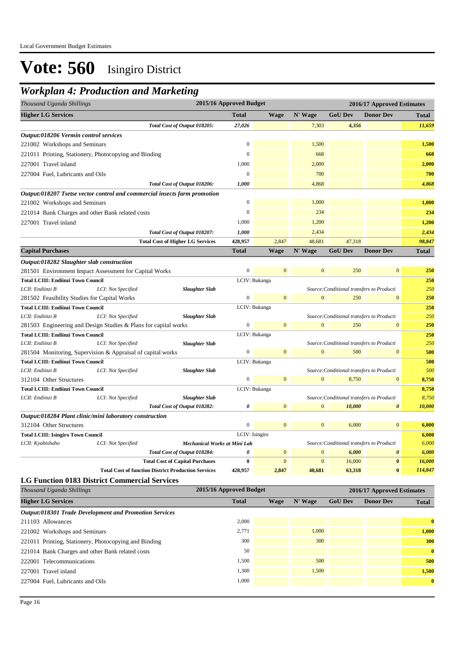| Thousand Uganda Shillings                                       |                    |                                                                           | 2015/16 Approved Budget |                |                |                                                    | 2016/17 Approved Estimates |              |
|-----------------------------------------------------------------|--------------------|---------------------------------------------------------------------------|-------------------------|----------------|----------------|----------------------------------------------------|----------------------------|--------------|
| <b>Higher LG Services</b>                                       |                    |                                                                           | <b>Total</b>            | <b>Wage</b>    | N' Wage        | <b>GoU Dev</b>                                     | <b>Donor Dev</b>           | <b>Total</b> |
|                                                                 |                    | Total Cost of Output 018205:                                              | 27,026                  |                | 7,303          | 4,356                                              |                            | 11,659       |
| <i><b>Output:018206 Vermin control services</b></i>             |                    |                                                                           |                         |                |                |                                                    |                            |              |
| 221002 Workshops and Seminars                                   |                    |                                                                           | $\boldsymbol{0}$        |                | 1,500          |                                                    |                            | 1,500        |
| 221011 Printing, Stationery, Photocopying and Binding           |                    |                                                                           | $\mathbf{0}$            |                | 668            |                                                    |                            | 668          |
| 227001 Travel inland                                            |                    |                                                                           | 1,000                   |                | 2,000          |                                                    |                            | 2,000        |
| 227004 Fuel, Lubricants and Oils                                |                    |                                                                           | $\mathbf{0}$            |                | 700            |                                                    |                            | 700          |
|                                                                 |                    | Total Cost of Output 018206:                                              | 1,000                   |                | 4,868          |                                                    |                            | 4,868        |
|                                                                 |                    | Output:018207 Tsetse vector control and commercial insects farm promotion |                         |                |                |                                                    |                            |              |
| 221002 Workshops and Seminars                                   |                    |                                                                           | $\mathbf{0}$            |                | 1,000          |                                                    |                            | 1,000        |
| 221014 Bank Charges and other Bank related costs                |                    |                                                                           | $\overline{0}$          |                | 234            |                                                    |                            | 234          |
| 227001 Travel inland                                            |                    |                                                                           | 1,000                   |                | 1,200          |                                                    |                            | 1,200        |
|                                                                 |                    | Total Cost of Output 018207:                                              | 1,000                   |                | 2,434          |                                                    |                            | 2,434        |
|                                                                 |                    | <b>Total Cost of Higher LG Services</b>                                   | 428,957                 | 2,847          | 48,681         | 47,318                                             |                            | 98,847       |
| <b>Capital Purchases</b>                                        |                    |                                                                           | <b>Total</b>            | <b>Wage</b>    | N' Wage        | <b>GoU Dev</b>                                     | <b>Donor Dev</b>           | <b>Total</b> |
| Output:018282 Slaughter slab construction                       |                    |                                                                           |                         |                |                |                                                    |                            |              |
| 281501 Environment Impact Assessment for Capital Works          |                    |                                                                           | $\boldsymbol{0}$        | $\mathbf{0}$   | $\overline{0}$ | 250                                                | $\mathbf{0}$               | 250          |
| <b>Total LCIII: Endiinzi Town Council</b>                       |                    |                                                                           |                         | LCIV: Bukanga  |                |                                                    |                            | 250          |
| LCII: Endiinzi B                                                | LCI: Not Specified | <b>Slaughter Slab</b>                                                     |                         |                |                | Source: Conditional transfers to Producti          |                            | 250          |
| 281502 Feasibility Studies for Capital Works                    |                    |                                                                           | $\mathbf{0}$            | $\overline{0}$ | $\overline{0}$ | 250                                                | $\mathbf{0}$               | 250          |
| <b>Total LCIII: Endiinzi Town Council</b>                       |                    |                                                                           |                         | LCIV: Bukanga  |                |                                                    |                            | 250          |
| LCII: Endiinzi B                                                | LCI: Not Specified | <b>Slaughter Slab</b>                                                     |                         |                |                | Source: Conditional transfers to Producti          |                            | 250          |
| 281503 Engineering and Design Studies & Plans for capital works |                    |                                                                           | $\boldsymbol{0}$        | $\mathbf{0}$   | $\theta$       | 250                                                | $\mathbf{0}$               | 250          |
| <b>Total LCIII: Endiinzi Town Council</b>                       |                    |                                                                           |                         | LCIV: Bukanga  |                |                                                    |                            | 250          |
| LCII: Endiinzi B                                                | LCI: Not Specified | <b>Slaughter Slab</b>                                                     |                         |                |                | Source: Conditional transfers to Producti          |                            | 250          |
| 281504 Monitoring, Supervision & Appraisal of capital works     |                    |                                                                           | $\boldsymbol{0}$        | $\mathbf{0}$   | $\mathbf{0}$   | 500                                                | $\overline{0}$             | 500          |
| <b>Total LCIII: Endiinzi Town Council</b>                       |                    |                                                                           |                         | LCIV: Bukanga  |                |                                                    |                            | 500<br>500   |
| LCII: Endiinzi B<br>312104 Other Structures                     | LCI: Not Specified | <b>Slaughter Slab</b>                                                     | $\boldsymbol{0}$        | $\mathbf{0}$   | $\overline{0}$ | Source: Conditional transfers to Producti<br>8,750 | $\mathbf{0}$               | 8,750        |
| <b>Total LCIII: Endiinzi Town Council</b>                       |                    |                                                                           |                         | LCIV: Bukanga  |                |                                                    |                            | 8,750        |
| LCII: Endiinzi B                                                | LCI: Not Specified | <b>Slaughter Slab</b>                                                     |                         |                |                | Source: Conditional transfers to Producti          |                            | 8,750        |
|                                                                 |                    | Total Cost of Output 018282:                                              | 0                       | $\mathbf{0}$   | $\mathbf{0}$   | 10,000                                             | 0                          | 10,000       |
| Output:018284 Plant clinic/mini laboratory construction         |                    |                                                                           |                         |                |                |                                                    |                            |              |
| 312104 Other Structures                                         |                    |                                                                           | $\boldsymbol{0}$        | $\overline{0}$ | $\mathbf{0}$   | 6,000                                              | $\overline{0}$             | 6,000        |
| <b>Total LCIII: Isingiro Town Council</b>                       |                    |                                                                           | LCIV: Isingiro          |                |                |                                                    |                            | 6,000        |
| LCII: Kyabishaho                                                | LCI: Not Specified | Mechanical Works at Mini Lab                                              |                         |                |                | Source: Conditional transfers to Producti          |                            | 6,000        |
|                                                                 |                    | Total Cost of Output 018284:                                              | 0                       | $\mathbf{0}$   | $\mathbf{0}$   | 6,000                                              | $\boldsymbol{\theta}$      | 6,000        |
|                                                                 |                    | <b>Total Cost of Capital Purchases</b>                                    | $\bf{0}$                | $\overline{0}$ | $\overline{0}$ | 16,000                                             | $\boldsymbol{0}$           | 16,000       |
|                                                                 |                    | <b>Total Cost of function District Production Services</b>                | 428,957                 | 2,847          | 48,681         | 63,318                                             | $\bf{0}$                   | 114,847      |
| <b>LG Function 0183 District Commercial Services</b>            |                    |                                                                           |                         |                |                |                                                    |                            |              |
| Thousand Uganda Shillings                                       |                    |                                                                           | 2015/16 Approved Budget |                |                |                                                    | 2016/17 Approved Estimates |              |

| <b>Total</b> | Wage                                                                                                                                                                       | N' Wage | <b>GoU Dev</b> | <b>Donor Dev</b> | <b>Total</b> |
|--------------|----------------------------------------------------------------------------------------------------------------------------------------------------------------------------|---------|----------------|------------------|--------------|
|              |                                                                                                                                                                            |         |                |                  |              |
| 2,000        |                                                                                                                                                                            |         |                |                  | $\bf{0}$     |
| 2,771        |                                                                                                                                                                            | 1,000   |                |                  | 1,000        |
| 300          |                                                                                                                                                                            | 300     |                |                  | 300          |
| 50           |                                                                                                                                                                            |         |                |                  | $\mathbf{0}$ |
| 1,500        |                                                                                                                                                                            | 500     |                |                  | 500          |
| 1,300        |                                                                                                                                                                            | 1,500   |                |                  | 1,500        |
| 1,000        |                                                                                                                                                                            |         |                |                  | $\bf{0}$     |
|              | <b>Output:018301 Trade Development and Promotion Services</b><br>221011 Printing, Stationery, Photocopying and Binding<br>221014 Bank Charges and other Bank related costs |         |                |                  |              |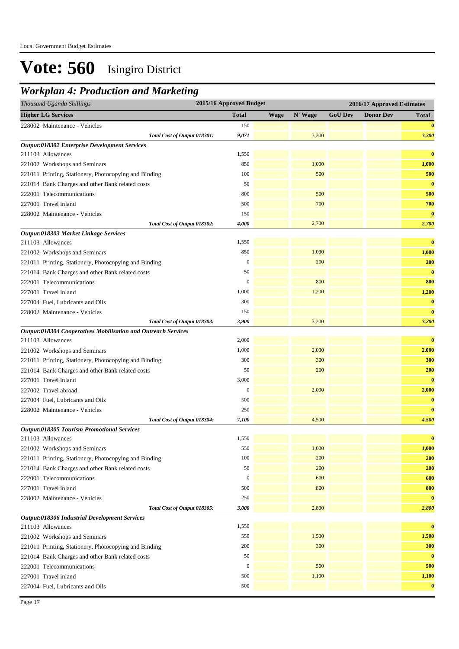| <b>Total</b><br>N' Wage<br><b>GoU Dev</b><br><b>Donor Dev</b><br><b>Wage</b><br><b>Total</b><br>150<br>$\bf{0}$<br>3,300<br>Total Cost of Output 018301:<br>9,071<br>3,300<br>1,550<br>$\bf{0}$<br>850<br>1,000<br>1,000<br>100<br>500<br>500<br>50<br>$\bf{0}$<br>800<br>500<br>500<br>500<br>700<br>700<br>$\bf{0}$<br>228002 Maintenance - Vehicles<br>150<br>4,000<br>2,700<br>2,700<br>Total Cost of Output 018302:<br>$\bf{0}$<br>1,550<br>211103 Allowances<br>1,000<br>1,000<br>850<br>221002 Workshops and Seminars<br>$\boldsymbol{0}$<br>200<br>200<br>221011 Printing, Stationery, Photocopying and Binding<br>$\bf{0}$<br>50<br>221014 Bank Charges and other Bank related costs<br>800<br>800<br>$\mathbf{0}$<br>222001 Telecommunications<br>1,000<br>1,200<br>1,200<br>227001 Travel inland<br>300<br>$\bf{0}$<br>227004 Fuel, Lubricants and Oils<br>$\bf{0}$<br>150<br>228002 Maintenance - Vehicles<br>3,200<br>3,200<br>Total Cost of Output 018303:<br>3,900<br>Output:018304 Cooperatives Mobilisation and Outreach Services<br>$\bf{0}$<br>211103 Allowances<br>2,000<br>1,000<br>2,000<br>2,000<br>221002 Workshops and Seminars<br>300<br>300<br>300<br>221011 Printing, Stationery, Photocopying and Binding<br>200<br>50<br>200<br>221014 Bank Charges and other Bank related costs<br>$\bf{0}$<br>3,000<br>227001 Travel inland<br>$\boldsymbol{0}$<br>2,000<br>2,000<br>227002 Travel abroad<br>$\bf{0}$<br>500<br>227004 Fuel, Lubricants and Oils<br>$\bf{0}$<br>228002 Maintenance - Vehicles<br>250<br>4,500<br>Total Cost of Output 018304:<br>7,100<br>4,500<br><b>Output:018305 Tourism Promotional Services</b><br>$\bf{0}$<br>1,550<br>211103 Allowances<br>1,000<br>550<br>1,000<br>221002 Workshops and Seminars<br>200<br>200<br>221011 Printing, Stationery, Photocopying and Binding<br>100<br>200<br>50<br>200<br>221014 Bank Charges and other Bank related costs<br>$\boldsymbol{0}$<br>600<br>222001 Telecommunications<br>600<br>500<br>800<br>800<br>227001 Travel inland<br>250<br>$\bf{0}$<br>228002 Maintenance - Vehicles<br>Total Cost of Output 018305:<br>3,000<br>2,800<br>2,800<br>Output:018306 Industrial Development Services<br>1,550<br>$\bf{0}$<br>1,500<br>550<br>1,500<br>300<br>200<br>300<br>221011 Printing, Stationery, Photocopying and Binding<br>$\bf{0}$<br>50<br>221014 Bank Charges and other Bank related costs<br>$\boldsymbol{0}$<br>500<br>500<br>500<br>1,100<br>1,100 | Thousand Uganda Shillings                             | 2015/16 Approved Budget |  |  | 2016/17 Approved Estimates |  |          |  |
|---------------------------------------------------------------------------------------------------------------------------------------------------------------------------------------------------------------------------------------------------------------------------------------------------------------------------------------------------------------------------------------------------------------------------------------------------------------------------------------------------------------------------------------------------------------------------------------------------------------------------------------------------------------------------------------------------------------------------------------------------------------------------------------------------------------------------------------------------------------------------------------------------------------------------------------------------------------------------------------------------------------------------------------------------------------------------------------------------------------------------------------------------------------------------------------------------------------------------------------------------------------------------------------------------------------------------------------------------------------------------------------------------------------------------------------------------------------------------------------------------------------------------------------------------------------------------------------------------------------------------------------------------------------------------------------------------------------------------------------------------------------------------------------------------------------------------------------------------------------------------------------------------------------------------------------------------------------------------------------------------------------------------------------------------------------------------------------------------------------------------------------------------------------------------------------------------------------------------------------------------------------------------------------------------------------------------------------------------------------------------------------------------------------------------------------------------------|-------------------------------------------------------|-------------------------|--|--|----------------------------|--|----------|--|
|                                                                                                                                                                                                                                                                                                                                                                                                                                                                                                                                                                                                                                                                                                                                                                                                                                                                                                                                                                                                                                                                                                                                                                                                                                                                                                                                                                                                                                                                                                                                                                                                                                                                                                                                                                                                                                                                                                                                                                                                                                                                                                                                                                                                                                                                                                                                                                                                                                                         | <b>Higher LG Services</b>                             |                         |  |  |                            |  |          |  |
|                                                                                                                                                                                                                                                                                                                                                                                                                                                                                                                                                                                                                                                                                                                                                                                                                                                                                                                                                                                                                                                                                                                                                                                                                                                                                                                                                                                                                                                                                                                                                                                                                                                                                                                                                                                                                                                                                                                                                                                                                                                                                                                                                                                                                                                                                                                                                                                                                                                         | 228002 Maintenance - Vehicles                         |                         |  |  |                            |  |          |  |
|                                                                                                                                                                                                                                                                                                                                                                                                                                                                                                                                                                                                                                                                                                                                                                                                                                                                                                                                                                                                                                                                                                                                                                                                                                                                                                                                                                                                                                                                                                                                                                                                                                                                                                                                                                                                                                                                                                                                                                                                                                                                                                                                                                                                                                                                                                                                                                                                                                                         |                                                       |                         |  |  |                            |  |          |  |
|                                                                                                                                                                                                                                                                                                                                                                                                                                                                                                                                                                                                                                                                                                                                                                                                                                                                                                                                                                                                                                                                                                                                                                                                                                                                                                                                                                                                                                                                                                                                                                                                                                                                                                                                                                                                                                                                                                                                                                                                                                                                                                                                                                                                                                                                                                                                                                                                                                                         | <b>Output:018302 Enterprise Development Services</b>  |                         |  |  |                            |  |          |  |
|                                                                                                                                                                                                                                                                                                                                                                                                                                                                                                                                                                                                                                                                                                                                                                                                                                                                                                                                                                                                                                                                                                                                                                                                                                                                                                                                                                                                                                                                                                                                                                                                                                                                                                                                                                                                                                                                                                                                                                                                                                                                                                                                                                                                                                                                                                                                                                                                                                                         | 211103 Allowances                                     |                         |  |  |                            |  |          |  |
|                                                                                                                                                                                                                                                                                                                                                                                                                                                                                                                                                                                                                                                                                                                                                                                                                                                                                                                                                                                                                                                                                                                                                                                                                                                                                                                                                                                                                                                                                                                                                                                                                                                                                                                                                                                                                                                                                                                                                                                                                                                                                                                                                                                                                                                                                                                                                                                                                                                         | 221002 Workshops and Seminars                         |                         |  |  |                            |  |          |  |
|                                                                                                                                                                                                                                                                                                                                                                                                                                                                                                                                                                                                                                                                                                                                                                                                                                                                                                                                                                                                                                                                                                                                                                                                                                                                                                                                                                                                                                                                                                                                                                                                                                                                                                                                                                                                                                                                                                                                                                                                                                                                                                                                                                                                                                                                                                                                                                                                                                                         | 221011 Printing, Stationery, Photocopying and Binding |                         |  |  |                            |  |          |  |
|                                                                                                                                                                                                                                                                                                                                                                                                                                                                                                                                                                                                                                                                                                                                                                                                                                                                                                                                                                                                                                                                                                                                                                                                                                                                                                                                                                                                                                                                                                                                                                                                                                                                                                                                                                                                                                                                                                                                                                                                                                                                                                                                                                                                                                                                                                                                                                                                                                                         | 221014 Bank Charges and other Bank related costs      |                         |  |  |                            |  |          |  |
|                                                                                                                                                                                                                                                                                                                                                                                                                                                                                                                                                                                                                                                                                                                                                                                                                                                                                                                                                                                                                                                                                                                                                                                                                                                                                                                                                                                                                                                                                                                                                                                                                                                                                                                                                                                                                                                                                                                                                                                                                                                                                                                                                                                                                                                                                                                                                                                                                                                         | 222001 Telecommunications                             |                         |  |  |                            |  |          |  |
|                                                                                                                                                                                                                                                                                                                                                                                                                                                                                                                                                                                                                                                                                                                                                                                                                                                                                                                                                                                                                                                                                                                                                                                                                                                                                                                                                                                                                                                                                                                                                                                                                                                                                                                                                                                                                                                                                                                                                                                                                                                                                                                                                                                                                                                                                                                                                                                                                                                         | 227001 Travel inland                                  |                         |  |  |                            |  |          |  |
|                                                                                                                                                                                                                                                                                                                                                                                                                                                                                                                                                                                                                                                                                                                                                                                                                                                                                                                                                                                                                                                                                                                                                                                                                                                                                                                                                                                                                                                                                                                                                                                                                                                                                                                                                                                                                                                                                                                                                                                                                                                                                                                                                                                                                                                                                                                                                                                                                                                         |                                                       |                         |  |  |                            |  |          |  |
|                                                                                                                                                                                                                                                                                                                                                                                                                                                                                                                                                                                                                                                                                                                                                                                                                                                                                                                                                                                                                                                                                                                                                                                                                                                                                                                                                                                                                                                                                                                                                                                                                                                                                                                                                                                                                                                                                                                                                                                                                                                                                                                                                                                                                                                                                                                                                                                                                                                         |                                                       |                         |  |  |                            |  |          |  |
|                                                                                                                                                                                                                                                                                                                                                                                                                                                                                                                                                                                                                                                                                                                                                                                                                                                                                                                                                                                                                                                                                                                                                                                                                                                                                                                                                                                                                                                                                                                                                                                                                                                                                                                                                                                                                                                                                                                                                                                                                                                                                                                                                                                                                                                                                                                                                                                                                                                         | Output:018303 Market Linkage Services                 |                         |  |  |                            |  |          |  |
|                                                                                                                                                                                                                                                                                                                                                                                                                                                                                                                                                                                                                                                                                                                                                                                                                                                                                                                                                                                                                                                                                                                                                                                                                                                                                                                                                                                                                                                                                                                                                                                                                                                                                                                                                                                                                                                                                                                                                                                                                                                                                                                                                                                                                                                                                                                                                                                                                                                         |                                                       |                         |  |  |                            |  |          |  |
|                                                                                                                                                                                                                                                                                                                                                                                                                                                                                                                                                                                                                                                                                                                                                                                                                                                                                                                                                                                                                                                                                                                                                                                                                                                                                                                                                                                                                                                                                                                                                                                                                                                                                                                                                                                                                                                                                                                                                                                                                                                                                                                                                                                                                                                                                                                                                                                                                                                         |                                                       |                         |  |  |                            |  |          |  |
|                                                                                                                                                                                                                                                                                                                                                                                                                                                                                                                                                                                                                                                                                                                                                                                                                                                                                                                                                                                                                                                                                                                                                                                                                                                                                                                                                                                                                                                                                                                                                                                                                                                                                                                                                                                                                                                                                                                                                                                                                                                                                                                                                                                                                                                                                                                                                                                                                                                         |                                                       |                         |  |  |                            |  |          |  |
|                                                                                                                                                                                                                                                                                                                                                                                                                                                                                                                                                                                                                                                                                                                                                                                                                                                                                                                                                                                                                                                                                                                                                                                                                                                                                                                                                                                                                                                                                                                                                                                                                                                                                                                                                                                                                                                                                                                                                                                                                                                                                                                                                                                                                                                                                                                                                                                                                                                         |                                                       |                         |  |  |                            |  |          |  |
|                                                                                                                                                                                                                                                                                                                                                                                                                                                                                                                                                                                                                                                                                                                                                                                                                                                                                                                                                                                                                                                                                                                                                                                                                                                                                                                                                                                                                                                                                                                                                                                                                                                                                                                                                                                                                                                                                                                                                                                                                                                                                                                                                                                                                                                                                                                                                                                                                                                         |                                                       |                         |  |  |                            |  |          |  |
|                                                                                                                                                                                                                                                                                                                                                                                                                                                                                                                                                                                                                                                                                                                                                                                                                                                                                                                                                                                                                                                                                                                                                                                                                                                                                                                                                                                                                                                                                                                                                                                                                                                                                                                                                                                                                                                                                                                                                                                                                                                                                                                                                                                                                                                                                                                                                                                                                                                         |                                                       |                         |  |  |                            |  |          |  |
|                                                                                                                                                                                                                                                                                                                                                                                                                                                                                                                                                                                                                                                                                                                                                                                                                                                                                                                                                                                                                                                                                                                                                                                                                                                                                                                                                                                                                                                                                                                                                                                                                                                                                                                                                                                                                                                                                                                                                                                                                                                                                                                                                                                                                                                                                                                                                                                                                                                         |                                                       |                         |  |  |                            |  |          |  |
|                                                                                                                                                                                                                                                                                                                                                                                                                                                                                                                                                                                                                                                                                                                                                                                                                                                                                                                                                                                                                                                                                                                                                                                                                                                                                                                                                                                                                                                                                                                                                                                                                                                                                                                                                                                                                                                                                                                                                                                                                                                                                                                                                                                                                                                                                                                                                                                                                                                         |                                                       |                         |  |  |                            |  |          |  |
|                                                                                                                                                                                                                                                                                                                                                                                                                                                                                                                                                                                                                                                                                                                                                                                                                                                                                                                                                                                                                                                                                                                                                                                                                                                                                                                                                                                                                                                                                                                                                                                                                                                                                                                                                                                                                                                                                                                                                                                                                                                                                                                                                                                                                                                                                                                                                                                                                                                         |                                                       |                         |  |  |                            |  |          |  |
|                                                                                                                                                                                                                                                                                                                                                                                                                                                                                                                                                                                                                                                                                                                                                                                                                                                                                                                                                                                                                                                                                                                                                                                                                                                                                                                                                                                                                                                                                                                                                                                                                                                                                                                                                                                                                                                                                                                                                                                                                                                                                                                                                                                                                                                                                                                                                                                                                                                         |                                                       |                         |  |  |                            |  |          |  |
|                                                                                                                                                                                                                                                                                                                                                                                                                                                                                                                                                                                                                                                                                                                                                                                                                                                                                                                                                                                                                                                                                                                                                                                                                                                                                                                                                                                                                                                                                                                                                                                                                                                                                                                                                                                                                                                                                                                                                                                                                                                                                                                                                                                                                                                                                                                                                                                                                                                         |                                                       |                         |  |  |                            |  |          |  |
|                                                                                                                                                                                                                                                                                                                                                                                                                                                                                                                                                                                                                                                                                                                                                                                                                                                                                                                                                                                                                                                                                                                                                                                                                                                                                                                                                                                                                                                                                                                                                                                                                                                                                                                                                                                                                                                                                                                                                                                                                                                                                                                                                                                                                                                                                                                                                                                                                                                         |                                                       |                         |  |  |                            |  |          |  |
|                                                                                                                                                                                                                                                                                                                                                                                                                                                                                                                                                                                                                                                                                                                                                                                                                                                                                                                                                                                                                                                                                                                                                                                                                                                                                                                                                                                                                                                                                                                                                                                                                                                                                                                                                                                                                                                                                                                                                                                                                                                                                                                                                                                                                                                                                                                                                                                                                                                         |                                                       |                         |  |  |                            |  |          |  |
|                                                                                                                                                                                                                                                                                                                                                                                                                                                                                                                                                                                                                                                                                                                                                                                                                                                                                                                                                                                                                                                                                                                                                                                                                                                                                                                                                                                                                                                                                                                                                                                                                                                                                                                                                                                                                                                                                                                                                                                                                                                                                                                                                                                                                                                                                                                                                                                                                                                         |                                                       |                         |  |  |                            |  |          |  |
|                                                                                                                                                                                                                                                                                                                                                                                                                                                                                                                                                                                                                                                                                                                                                                                                                                                                                                                                                                                                                                                                                                                                                                                                                                                                                                                                                                                                                                                                                                                                                                                                                                                                                                                                                                                                                                                                                                                                                                                                                                                                                                                                                                                                                                                                                                                                                                                                                                                         |                                                       |                         |  |  |                            |  |          |  |
|                                                                                                                                                                                                                                                                                                                                                                                                                                                                                                                                                                                                                                                                                                                                                                                                                                                                                                                                                                                                                                                                                                                                                                                                                                                                                                                                                                                                                                                                                                                                                                                                                                                                                                                                                                                                                                                                                                                                                                                                                                                                                                                                                                                                                                                                                                                                                                                                                                                         |                                                       |                         |  |  |                            |  |          |  |
|                                                                                                                                                                                                                                                                                                                                                                                                                                                                                                                                                                                                                                                                                                                                                                                                                                                                                                                                                                                                                                                                                                                                                                                                                                                                                                                                                                                                                                                                                                                                                                                                                                                                                                                                                                                                                                                                                                                                                                                                                                                                                                                                                                                                                                                                                                                                                                                                                                                         |                                                       |                         |  |  |                            |  |          |  |
|                                                                                                                                                                                                                                                                                                                                                                                                                                                                                                                                                                                                                                                                                                                                                                                                                                                                                                                                                                                                                                                                                                                                                                                                                                                                                                                                                                                                                                                                                                                                                                                                                                                                                                                                                                                                                                                                                                                                                                                                                                                                                                                                                                                                                                                                                                                                                                                                                                                         |                                                       |                         |  |  |                            |  |          |  |
|                                                                                                                                                                                                                                                                                                                                                                                                                                                                                                                                                                                                                                                                                                                                                                                                                                                                                                                                                                                                                                                                                                                                                                                                                                                                                                                                                                                                                                                                                                                                                                                                                                                                                                                                                                                                                                                                                                                                                                                                                                                                                                                                                                                                                                                                                                                                                                                                                                                         |                                                       |                         |  |  |                            |  |          |  |
|                                                                                                                                                                                                                                                                                                                                                                                                                                                                                                                                                                                                                                                                                                                                                                                                                                                                                                                                                                                                                                                                                                                                                                                                                                                                                                                                                                                                                                                                                                                                                                                                                                                                                                                                                                                                                                                                                                                                                                                                                                                                                                                                                                                                                                                                                                                                                                                                                                                         |                                                       |                         |  |  |                            |  |          |  |
|                                                                                                                                                                                                                                                                                                                                                                                                                                                                                                                                                                                                                                                                                                                                                                                                                                                                                                                                                                                                                                                                                                                                                                                                                                                                                                                                                                                                                                                                                                                                                                                                                                                                                                                                                                                                                                                                                                                                                                                                                                                                                                                                                                                                                                                                                                                                                                                                                                                         |                                                       |                         |  |  |                            |  |          |  |
|                                                                                                                                                                                                                                                                                                                                                                                                                                                                                                                                                                                                                                                                                                                                                                                                                                                                                                                                                                                                                                                                                                                                                                                                                                                                                                                                                                                                                                                                                                                                                                                                                                                                                                                                                                                                                                                                                                                                                                                                                                                                                                                                                                                                                                                                                                                                                                                                                                                         |                                                       |                         |  |  |                            |  |          |  |
|                                                                                                                                                                                                                                                                                                                                                                                                                                                                                                                                                                                                                                                                                                                                                                                                                                                                                                                                                                                                                                                                                                                                                                                                                                                                                                                                                                                                                                                                                                                                                                                                                                                                                                                                                                                                                                                                                                                                                                                                                                                                                                                                                                                                                                                                                                                                                                                                                                                         |                                                       |                         |  |  |                            |  |          |  |
|                                                                                                                                                                                                                                                                                                                                                                                                                                                                                                                                                                                                                                                                                                                                                                                                                                                                                                                                                                                                                                                                                                                                                                                                                                                                                                                                                                                                                                                                                                                                                                                                                                                                                                                                                                                                                                                                                                                                                                                                                                                                                                                                                                                                                                                                                                                                                                                                                                                         |                                                       |                         |  |  |                            |  |          |  |
|                                                                                                                                                                                                                                                                                                                                                                                                                                                                                                                                                                                                                                                                                                                                                                                                                                                                                                                                                                                                                                                                                                                                                                                                                                                                                                                                                                                                                                                                                                                                                                                                                                                                                                                                                                                                                                                                                                                                                                                                                                                                                                                                                                                                                                                                                                                                                                                                                                                         |                                                       |                         |  |  |                            |  |          |  |
|                                                                                                                                                                                                                                                                                                                                                                                                                                                                                                                                                                                                                                                                                                                                                                                                                                                                                                                                                                                                                                                                                                                                                                                                                                                                                                                                                                                                                                                                                                                                                                                                                                                                                                                                                                                                                                                                                                                                                                                                                                                                                                                                                                                                                                                                                                                                                                                                                                                         |                                                       |                         |  |  |                            |  |          |  |
|                                                                                                                                                                                                                                                                                                                                                                                                                                                                                                                                                                                                                                                                                                                                                                                                                                                                                                                                                                                                                                                                                                                                                                                                                                                                                                                                                                                                                                                                                                                                                                                                                                                                                                                                                                                                                                                                                                                                                                                                                                                                                                                                                                                                                                                                                                                                                                                                                                                         |                                                       |                         |  |  |                            |  |          |  |
|                                                                                                                                                                                                                                                                                                                                                                                                                                                                                                                                                                                                                                                                                                                                                                                                                                                                                                                                                                                                                                                                                                                                                                                                                                                                                                                                                                                                                                                                                                                                                                                                                                                                                                                                                                                                                                                                                                                                                                                                                                                                                                                                                                                                                                                                                                                                                                                                                                                         |                                                       |                         |  |  |                            |  |          |  |
|                                                                                                                                                                                                                                                                                                                                                                                                                                                                                                                                                                                                                                                                                                                                                                                                                                                                                                                                                                                                                                                                                                                                                                                                                                                                                                                                                                                                                                                                                                                                                                                                                                                                                                                                                                                                                                                                                                                                                                                                                                                                                                                                                                                                                                                                                                                                                                                                                                                         | 211103 Allowances                                     |                         |  |  |                            |  |          |  |
|                                                                                                                                                                                                                                                                                                                                                                                                                                                                                                                                                                                                                                                                                                                                                                                                                                                                                                                                                                                                                                                                                                                                                                                                                                                                                                                                                                                                                                                                                                                                                                                                                                                                                                                                                                                                                                                                                                                                                                                                                                                                                                                                                                                                                                                                                                                                                                                                                                                         | 221002 Workshops and Seminars                         |                         |  |  |                            |  |          |  |
|                                                                                                                                                                                                                                                                                                                                                                                                                                                                                                                                                                                                                                                                                                                                                                                                                                                                                                                                                                                                                                                                                                                                                                                                                                                                                                                                                                                                                                                                                                                                                                                                                                                                                                                                                                                                                                                                                                                                                                                                                                                                                                                                                                                                                                                                                                                                                                                                                                                         |                                                       |                         |  |  |                            |  |          |  |
|                                                                                                                                                                                                                                                                                                                                                                                                                                                                                                                                                                                                                                                                                                                                                                                                                                                                                                                                                                                                                                                                                                                                                                                                                                                                                                                                                                                                                                                                                                                                                                                                                                                                                                                                                                                                                                                                                                                                                                                                                                                                                                                                                                                                                                                                                                                                                                                                                                                         |                                                       |                         |  |  |                            |  |          |  |
|                                                                                                                                                                                                                                                                                                                                                                                                                                                                                                                                                                                                                                                                                                                                                                                                                                                                                                                                                                                                                                                                                                                                                                                                                                                                                                                                                                                                                                                                                                                                                                                                                                                                                                                                                                                                                                                                                                                                                                                                                                                                                                                                                                                                                                                                                                                                                                                                                                                         | 222001 Telecommunications                             |                         |  |  |                            |  |          |  |
|                                                                                                                                                                                                                                                                                                                                                                                                                                                                                                                                                                                                                                                                                                                                                                                                                                                                                                                                                                                                                                                                                                                                                                                                                                                                                                                                                                                                                                                                                                                                                                                                                                                                                                                                                                                                                                                                                                                                                                                                                                                                                                                                                                                                                                                                                                                                                                                                                                                         | 227001 Travel inland                                  |                         |  |  |                            |  |          |  |
|                                                                                                                                                                                                                                                                                                                                                                                                                                                                                                                                                                                                                                                                                                                                                                                                                                                                                                                                                                                                                                                                                                                                                                                                                                                                                                                                                                                                                                                                                                                                                                                                                                                                                                                                                                                                                                                                                                                                                                                                                                                                                                                                                                                                                                                                                                                                                                                                                                                         | 227004 Fuel, Lubricants and Oils                      | 500                     |  |  |                            |  | $\bf{0}$ |  |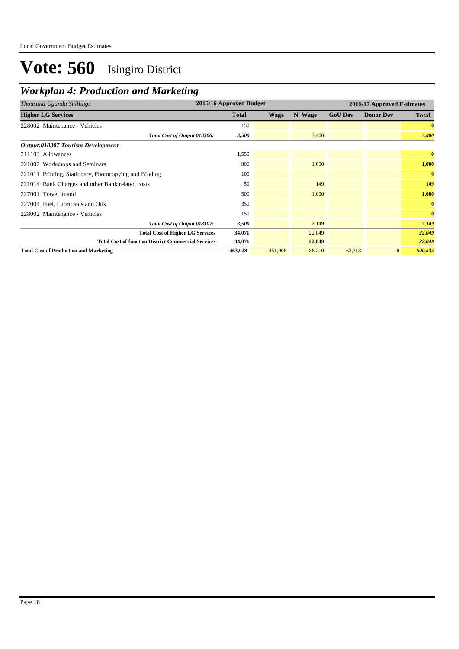| Thousand Uganda Shillings                                  | 2015/16 Approved Budget |             |         | 2016/17 Approved Estimates |                  |              |
|------------------------------------------------------------|-------------------------|-------------|---------|----------------------------|------------------|--------------|
| <b>Higher LG Services</b>                                  | <b>Total</b>            | <b>Wage</b> | N' Wage | <b>GoU Dev</b>             | <b>Donor Dev</b> | <b>Total</b> |
| 228002 Maintenance - Vehicles                              | 150                     |             |         |                            |                  | $\bf{0}$     |
| Total Cost of Output 018306:                               | 3,500                   |             | 3,400   |                            |                  | 3,400        |
| Output:018307 Tourism Development                          |                         |             |         |                            |                  |              |
| 211103 Allowances                                          | 1,550                   |             |         |                            |                  | $\bf{0}$     |
| 221002 Workshops and Seminars                              | 800                     |             | 1,000   |                            |                  | 1,000        |
| 221011 Printing, Stationery, Photocopying and Binding      | 100                     |             |         |                            |                  | $\bf{0}$     |
| 221014 Bank Charges and other Bank related costs           | 50                      |             | 149     |                            |                  | 149          |
| 227001 Travel inland                                       | 500                     |             | 1,000   |                            |                  | 1,000        |
| 227004 Fuel, Lubricants and Oils                           | 350                     |             |         |                            |                  | $\bf{0}$     |
| 228002 Maintenance - Vehicles                              | 150                     |             |         |                            |                  | $\bf{0}$     |
| Total Cost of Output 018307:                               | 3,500                   |             | 2,149   |                            |                  | 2,149        |
| <b>Total Cost of Higher LG Services</b>                    | 34,071                  |             | 22,049  |                            |                  | 22,049       |
| <b>Total Cost of function District Commercial Services</b> | 34,071                  |             | 22,049  |                            |                  | 22,049       |
| <b>Total Cost of Production and Marketing</b>              | 463,028                 | 451,006     | 86,210  | 63,318                     | $\bf{0}$         | 600,534      |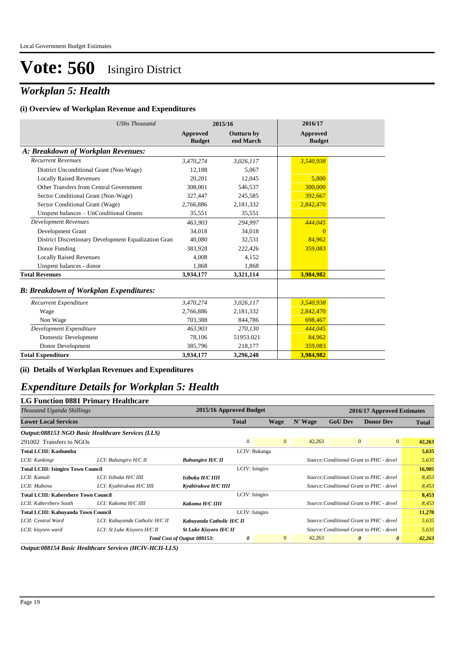### *Workplan 5: Health*

#### **(i) Overview of Workplan Revenue and Expenditures**

| <b>UShs Thousand</b>                                 |                                  | 2015/16                        | 2016/17                          |  |
|------------------------------------------------------|----------------------------------|--------------------------------|----------------------------------|--|
|                                                      | <b>Approved</b><br><b>Budget</b> | <b>Outturn by</b><br>end March | <b>Approved</b><br><b>Budget</b> |  |
| A: Breakdown of Workplan Revenues:                   |                                  |                                |                                  |  |
| <b>Recurrent Revenues</b>                            | 3,470,274                        | 3,026,117                      | 3,540,938                        |  |
| District Unconditional Grant (Non-Wage)              | 12,188                           | 5,067                          |                                  |  |
| <b>Locally Raised Revenues</b>                       | 20,201                           | 12,045                         | 5,800                            |  |
| Other Transfers from Central Government              | 308,001                          | 546,537                        | 300,000                          |  |
| Sector Conditional Grant (Non-Wage)                  | 327,447                          | 245,585                        | 392,667                          |  |
| Sector Conditional Grant (Wage)                      | 2,766,886                        | 2,181,332                      | 2,842,470                        |  |
| Unspent balances - UnConditional Grants              | 35,551                           | 35,551                         |                                  |  |
| <b>Development Revenues</b>                          | 463.903                          | 294.997                        | 444,045                          |  |
| Development Grant                                    | 34,018                           | 34,018                         | $\Omega$                         |  |
| District Discretionary Development Equalization Gran | 40.080                           | 32,531                         | 84,962                           |  |
| Donor Funding                                        | 383,928                          | 222,426                        | 359,083                          |  |
| <b>Locally Raised Revenues</b>                       | 4.008                            | 4,152                          |                                  |  |
| Unspent balances - donor                             | 1,868                            | 1,868                          |                                  |  |
| <b>Total Revenues</b>                                | 3,934,177                        | 3,321,114                      | 3,984,982                        |  |
| <b>B: Breakdown of Workplan Expenditures:</b>        |                                  |                                |                                  |  |
| Recurrent Expenditure                                | 3,470,274                        | 3,026,117                      | 3,540,938                        |  |
| Wage                                                 | 2,766,886                        | 2,181,332                      | 2,842,470                        |  |
| Non Wage                                             | 703,388                          | 844,786                        | 698,467                          |  |
| Development Expenditure                              | 463,903                          | 270,130                        | 444,045                          |  |
| Domestic Development                                 | 78,106                           | 51953.021                      | 84,962                           |  |
| Donor Development                                    | 385,796                          | 218,177                        | 359,083                          |  |
| <b>Total Expenditure</b>                             | 3,934,177                        | 3,296,248                      | 3,984,982                        |  |

**(ii) Details of Workplan Revenues and Expenditures**

### *Expenditure Details for Workplan 5: Health*

| <b>LG Function 0881 Primary Healthcare</b>  |                                                   |                               |                         |                |         |                            |                                                |              |  |
|---------------------------------------------|---------------------------------------------------|-------------------------------|-------------------------|----------------|---------|----------------------------|------------------------------------------------|--------------|--|
| Thousand Uganda Shillings                   |                                                   |                               | 2015/16 Approved Budget |                |         | 2016/17 Approved Estimates |                                                |              |  |
| <b>Lower Local Services</b>                 |                                                   |                               | <b>Total</b>            | <b>Wage</b>    | N' Wage | <b>GoU Dev</b>             | <b>Donor Dev</b>                               | <b>Total</b> |  |
|                                             | Output:088153 NGO Basic Healthcare Services (LLS) |                               |                         |                |         |                            |                                                |              |  |
| 291002 Transfers to NGOs                    |                                                   |                               | $\Omega$                | $\mathbf{0}$   | 42,263  |                            | $\overline{0}$<br>$\overline{0}$               | 42,263       |  |
| Total LCIII: Kashumba                       |                                                   |                               | LCIV: Bukanga           |                |         |                            |                                                | 5,635        |  |
| LCII: Kankingi                              | LCI: Buhungiro H/C II                             | <b>Buhungiro H/C II</b>       |                         |                |         |                            | Source: Conditional Grant to PHC - devel       | 5,635        |  |
| <b>Total LCIII: Isingiro Town Council</b>   |                                                   |                               | LCIV: Isingiro          |                |         |                            |                                                | 16,905       |  |
| LCII: Kamuli                                | LCI: Isibuka H/C IIII                             | Isibuka H/C IIII              |                         |                |         |                            | Source: Conditional Grant to PHC - devel       | 8,453        |  |
| LCII: Mabona                                | LCI: Kyabirukwa H/C IIII                          | Kyabirukwa H/C IIII           |                         |                |         |                            | Source: Conditional Grant to PHC - devel       | 8,453        |  |
| <b>Total LCIII: Kaberebere Town Council</b> |                                                   |                               | LCIV: Isingiro          |                |         |                            |                                                | 8,453        |  |
| LCII: Kaberebere South                      | LCI: Kakoma H/C IIII                              | Kakoma H/C IIII               |                         |                |         |                            | Source: Conditional Grant to PHC - devel       | 8,453        |  |
| <b>Total LCIII: Kabuyanda Town Council</b>  |                                                   |                               | LCIV: Isingiro          |                |         |                            |                                                | 11,270       |  |
| LCII: Central Ward                          | LCI: Kabuyanda Catholic H/C II                    | Kabuyanda Catholic H/C II     |                         |                |         |                            | Source: Conditional Grant to PHC - devel       | 5,635        |  |
| LCII: kisyoro ward                          | LCI: St Luke Kisyoro H/C II                       | <b>St Luke Kisyoro H/C II</b> |                         |                |         |                            | Source: Conditional Grant to PHC - devel       | 5,635        |  |
|                                             |                                                   | Total Cost of Output 088153:  | 0                       | $\overline{0}$ | 42,263  |                            | $\boldsymbol{\theta}$<br>$\boldsymbol{\theta}$ | 42,263       |  |

*Output:088154 Basic Healthcare Services (HCIV-HCII-LLS)*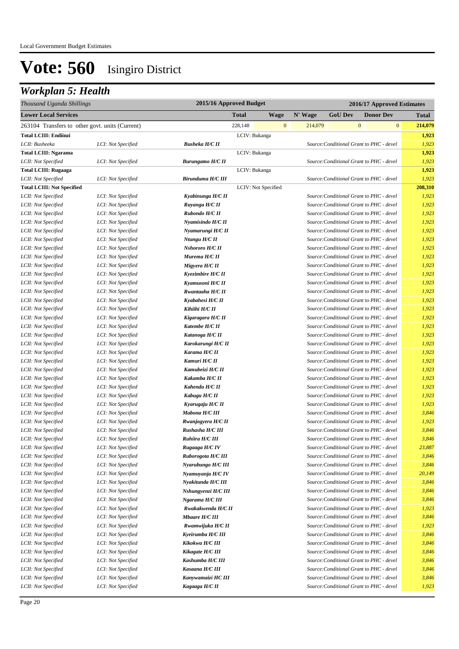## *Workplan 5: Health*

| Thousand Uganda Shillings                       |                    |                         | 2015/16 Approved Budget<br>2016/17 Approved Estimates |              |         |                |                                          |              |
|-------------------------------------------------|--------------------|-------------------------|-------------------------------------------------------|--------------|---------|----------------|------------------------------------------|--------------|
| <b>Lower Local Services</b>                     |                    |                         | <b>Total</b>                                          | Wage         | N' Wage | <b>GoU Dev</b> | <b>Donor Dev</b>                         | <b>Total</b> |
| 263104 Transfers to other govt. units (Current) |                    |                         | 228,148                                               | $\mathbf{0}$ | 214,079 |                | $\mathbf{0}$<br>$\boldsymbol{0}$         | 214,079      |
| <b>Total LCIII: Endiinzi</b>                    |                    |                         | LCIV: Bukanga                                         |              |         |                |                                          | 1,923        |
| LCII: Busheeka                                  | LCI: Not Specified | <b>Busheka H/C II</b>   |                                                       |              |         |                | Source: Conditional Grant to PHC - devel | 1,923        |
| <b>Total LCIII: Ngarama</b>                     |                    |                         | LCIV: Bukanga                                         |              |         |                |                                          | 1,923        |
| LCII: Not Specified                             | LCI: Not Specified | <b>Burungamo H/C II</b> |                                                       |              |         |                | Source: Conditional Grant to PHC - devel | 1,923        |
| <b>Total LCIII: Rugaaga</b>                     |                    |                         | LCIV: Bukanga                                         |              |         |                |                                          | 1,923        |
| LCII: Not Specified                             | LCI: Not Specified | Birunduma H/C III       |                                                       |              |         |                | Source: Conditional Grant to PHC - devel | 1,923        |
| <b>Total LCIII: Not Specified</b>               |                    |                         | LCIV: Not Specified                                   |              |         |                |                                          | 208,310      |
| LCII: Not Specified                             | LCI: Not Specified | Kyabinunga H/C II       |                                                       |              |         |                | Source: Conditional Grant to PHC - devel | 1,923        |
| LCII: Not Specified                             | LCI: Not Specified | Ruyanga H/C II          |                                                       |              |         |                | Source: Conditional Grant to PHC - devel | 1,923        |
| LCII: Not Specified                             | LCI: Not Specified | Rubondo H/C II          |                                                       |              |         |                | Source: Conditional Grant to PHC - devel | 1,923        |
| LCII: Not Specified                             | LCI: Not Specified | Nyamisindo H/C II       |                                                       |              |         |                | Source: Conditional Grant to PHC - devel | 1,923        |
| LCII: Not Specified                             | LCI: Not Specified | Nyamarungi H/C II       |                                                       |              |         |                | Source: Conditional Grant to PHC - devel | 1,923        |
| LCII: Not Specified                             | LCI: Not Specified | Ntungu H/C II           |                                                       |              |         |                | Source: Conditional Grant to PHC - devel | 1,923        |
| LCII: Not Specified                             | LCI: Not Specified | Nshororo H/C II         |                                                       |              |         |                | Source: Conditional Grant to PHC - devel | 1,923        |
| LCII: Not Specified                             | LCI: Not Specified | Murema H/C II           |                                                       |              |         |                | Source: Conditional Grant to PHC - devel | 1,923        |
| LCII: Not Specified                             | LCI: Not Specified | Migyera H/C II          |                                                       |              |         |                | Source: Conditional Grant to PHC - devel | 1,923        |
| LCII: Not Specified                             | LCI: Not Specified | Kyezimbire H/C II       |                                                       |              |         |                | Source: Conditional Grant to PHC - devel | 1,923        |
| LCII: Not Specified                             | LCI: Not Specified | Kyamusoni H/C II        |                                                       |              |         |                | Source: Conditional Grant to PHC - devel | 1,923        |
| LCII: Not Specified                             | LCI: Not Specified | Rwantaaha H/C II        |                                                       |              |         |                | Source: Conditional Grant to PHC - devel | 1,923        |
| LCII: Not Specified                             | LCI: Not Specified | Kyabahesi H/C II        |                                                       |              |         |                | Source: Conditional Grant to PHC - devel | 1,923        |
| LCII: Not Specified                             | LCI: Not Specified | Kihiihi H/C II          |                                                       |              |         |                | Source: Conditional Grant to PHC - devel | 1,923        |
| LCII: Not Specified                             | LCI: Not Specified | Kigaragara H/C II       |                                                       |              |         |                | Source: Conditional Grant to PHC - devel | 1,923        |
| LCII: Not Specified                             | LCI: Not Specified | Katembe H/C II          |                                                       |              |         |                | Source: Conditional Grant to PHC - devel | 1,923        |
| LCII: Not Specified                             | LCI: Not Specified | Katanoga H/C II         |                                                       |              |         |                | Source: Conditional Grant to PHC - devel | 1,923        |
| LCII: Not Specified                             | LCI: Not Specified | Karokarungi H/C II      |                                                       |              |         |                | Source: Conditional Grant to PHC - devel | 1,923        |
| LCII: Not Specified                             | LCI: Not Specified | Karama H/C II           |                                                       |              |         |                | Source: Conditional Grant to PHC - devel | 1,923        |
| LCII: Not Specified                             | LCI: Not Specified | Kamuri H/C II           |                                                       |              |         |                | Source: Conditional Grant to PHC - devel | 1,923        |
| LCII: Not Specified                             | LCI: Not Specified | Kamubeizi H/C II        |                                                       |              |         |                | Source: Conditional Grant to PHC - devel | 1,923        |
| LCII: Not Specified                             | LCI: Not Specified | Kakamba H/C II          |                                                       |              |         |                | Source: Conditional Grant to PHC - devel | 1,923        |
| LCII: Not Specified                             | LCI: Not Specified | Kahenda H/C II          |                                                       |              |         |                | Source: Conditional Grant to PHC - devel | 1,923        |
| LCII: Not Specified                             | LCI: Not Specified | Kabugu H/C II           |                                                       |              |         |                | Source: Conditional Grant to PHC - devel | 1,923        |
| LCII: Not Specified                             | LCI: Not Specified | Kyarugaju H/C II        |                                                       |              |         |                | Source: Conditional Grant to PHC - devel | 1,923        |
| LCII: Not Specified                             | LCI: Not Specified | Mabona H/C III          |                                                       |              |         |                | Source: Conditional Grant to PHC - devel | 3,846        |
| LCII: Not Specified                             | LCI: Not Specified | Rwanjogyera H/C II      |                                                       |              |         |                | Source: Conditional Grant to PHC - devel | 1,923        |
| LCII: Not Specified                             | LCI: Not Specified | Rushasha H/C III        |                                                       |              |         |                | Source: Conditional Grant to PHC - devel | 3,846        |
| LCII: Not Specified                             | LCI: Not Specified | Ruhiira H/C III         |                                                       |              |         |                | Source: Conditional Grant to PHC - devel | 3,846        |
| LCII: Not Specified                             | LCI: Not Specified | Rugaaga H/C IV          |                                                       |              |         |                | Source: Conditional Grant to PHC - devel | 23,887       |
| LCII: Not Specified                             | LCI: Not Specified | Ruborogota H/C III      |                                                       |              |         |                | Source: Conditional Grant to PHC - devel | 3,846        |
| LCII: Not Specified                             | LCI: Not Specified | Nyarubungo H/C III      |                                                       |              |         |                | Source: Conditional Grant to PHC - devel | 3,846        |
| LCII: Not Specified                             | LCI: Not Specified | Nyamuyanja H/C IV       |                                                       |              |         |                | Source: Conditional Grant to PHC - devel | 20,149       |
| LCII: Not Specified                             | LCI: Not Specified | Nyakitunda H/C III      |                                                       |              |         |                | Source: Conditional Grant to PHC - devel | 3,846        |
| LCII: Not Specified                             | LCI: Not Specified | Nshungyenzi H/C III     |                                                       |              |         |                | Source: Conditional Grant to PHC - devel | 3,846        |
| LCII: Not Specified                             | LCI: Not Specified | Ngarama H/C III         |                                                       |              |         |                | Source: Conditional Grant to PHC - devel | 3,846        |
| LCII: Not Specified                             | LCI: Not Specified | Rwakakwenda H/C II      |                                                       |              |         |                | Source: Conditional Grant to PHC - devel | 1,923        |
| LCII: Not Specified                             | LCI: Not Specified | Mbaare H/C III          |                                                       |              |         |                | Source: Conditional Grant to PHC - devel | 3,846        |
| LCII: Not Specified                             | LCI: Not Specified | Rwamwijuka H/C II       |                                                       |              |         |                | Source: Conditional Grant to PHC - devel | 1,923        |
| LCII: Not Specified                             | LCI: Not Specified | Kyeirumba H/C III       |                                                       |              |         |                | Source: Conditional Grant to PHC - devel | 3,846        |
| LCII: Not Specified                             | LCI: Not Specified | Kikokwa H/C III         |                                                       |              |         |                | Source: Conditional Grant to PHC - devel | 3,846        |
| LCII: Not Specified                             | LCI: Not Specified | Kikagate H/C III        |                                                       |              |         |                | Source: Conditional Grant to PHC - devel | 3,846        |
| LCII: Not Specified                             | LCI: Not Specified | Kashumba H/C III        |                                                       |              |         |                | Source: Conditional Grant to PHC - devel | 3,846        |
| LCII: Not Specified                             | LCI: Not Specified | Kasaana H/C III         |                                                       |              |         |                | Source: Conditional Grant to PHC - devel | 3,846        |
| LCII: Not Specified                             | LCI: Not Specified | Kanywamaizi HC III      |                                                       |              |         |                | Source: Conditional Grant to PHC - devel | 3,846        |
| LCII: Not Specified                             | LCI: Not Specified | Kagaaga H/C II          |                                                       |              |         |                | Source: Conditional Grant to PHC - devel | 1,923        |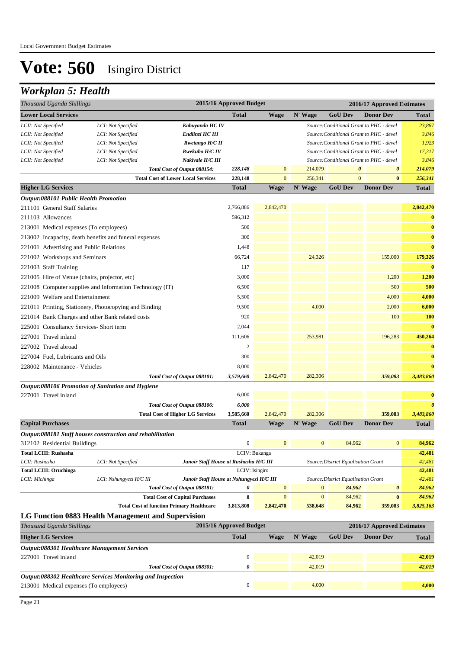### *Workplan 5: Health*

| Thousand Uganda Shillings                                  |                    |                                           | 2015/16 Approved Budget |               |              | 2016/17 Approved Estimates               |                                          |                       |
|------------------------------------------------------------|--------------------|-------------------------------------------|-------------------------|---------------|--------------|------------------------------------------|------------------------------------------|-----------------------|
| <b>Lower Local Services</b>                                |                    |                                           | <b>Total</b>            | <b>Wage</b>   | N' Wage      | <b>GoU Dev</b>                           | <b>Donor Dev</b>                         | <b>Total</b>          |
| LCII: Not Specified                                        | LCI: Not Specified | Kabuyanda HC IV                           |                         |               |              | Source: Conditional Grant to PHC - devel |                                          | 23,887                |
| LCII: Not Specified                                        | LCI: Not Specified | Endiinzi HC III                           |                         |               |              | Source: Conditional Grant to PHC - devel |                                          | 3,846                 |
| LCII: Not Specified                                        | LCI: Not Specified | Rwetango H/C II                           |                         |               |              | Source: Conditional Grant to PHC - devel |                                          | 1,923                 |
| LCII: Not Specified                                        | LCI: Not Specified | Rwekubo H/C IV                            |                         |               |              | Source: Conditional Grant to PHC - devel |                                          | 17,317                |
| LCII: Not Specified                                        | LCI: Not Specified | Nakivale H/C III                          |                         |               |              |                                          | Source: Conditional Grant to PHC - devel | 3,846                 |
|                                                            |                    | Total Cost of Output 088154:              | 228,148                 | $\mathbf{0}$  | 214,079      | $\boldsymbol{\theta}$                    | $\boldsymbol{\theta}$                    | 214,079               |
|                                                            |                    | <b>Total Cost of Lower Local Services</b> | 228,148                 | $\mathbf{0}$  | 256,341      | $\mathbf{0}$                             | $\bf{0}$                                 | 256,341               |
| <b>Higher LG Services</b>                                  |                    |                                           | <b>Total</b>            | <b>Wage</b>   | N' Wage      | <b>GoU Dev</b>                           | <b>Donor Dev</b>                         | <b>Total</b>          |
| <b>Output:088101 Public Health Promotion</b>               |                    |                                           |                         |               |              |                                          |                                          |                       |
| 211101 General Staff Salaries                              |                    |                                           | 2,766,886               | 2,842,470     |              |                                          |                                          | 2,842,470             |
| 211103 Allowances                                          |                    |                                           | 596,312                 |               |              |                                          |                                          | $\bf{0}$              |
| 213001 Medical expenses (To employees)                     |                    |                                           | 500                     |               |              |                                          |                                          | $\bf{0}$              |
| 213002 Incapacity, death benefits and funeral expenses     |                    |                                           | 300                     |               |              |                                          |                                          | $\bf{0}$              |
| 221001 Advertising and Public Relations                    |                    |                                           | 1,448                   |               |              |                                          |                                          | $\bf{0}$              |
| 221002 Workshops and Seminars                              |                    |                                           | 66,724                  |               | 24,326       |                                          | 155,000                                  | 179,326               |
| 221003 Staff Training                                      |                    |                                           | 117                     |               |              |                                          |                                          | $\bf{0}$              |
| 221005 Hire of Venue (chairs, projector, etc)              |                    |                                           | 3,000                   |               |              |                                          | 1,200                                    | 1,200                 |
| 221008 Computer supplies and Information Technology (IT)   |                    |                                           | 6,500                   |               |              |                                          | 500                                      | 500                   |
| 221009 Welfare and Entertainment                           |                    |                                           | 5,500                   |               |              |                                          | 4,000                                    | 4,000                 |
| 221011 Printing, Stationery, Photocopying and Binding      |                    |                                           | 9,500                   |               | 4,000        |                                          | 2,000                                    | 6,000                 |
| 221014 Bank Charges and other Bank related costs           |                    |                                           | 920                     |               |              |                                          | 100                                      | 100                   |
| 225001 Consultancy Services- Short term                    |                    |                                           | 2,044                   |               |              |                                          |                                          | $\bf{0}$              |
| 227001 Travel inland                                       |                    |                                           | 111,606                 |               | 253,981      |                                          | 196,283                                  | 450,264               |
| 227002 Travel abroad                                       |                    |                                           | $\overline{2}$          |               |              |                                          |                                          | $\bf{0}$              |
| 227004 Fuel, Lubricants and Oils                           |                    |                                           | 300                     |               |              |                                          |                                          | $\bf{0}$              |
| 228002 Maintenance - Vehicles                              |                    |                                           | 8,000                   |               |              |                                          |                                          | $\bf{0}$              |
|                                                            |                    | Total Cost of Output 088101:              | 3,579,660               | 2,842,470     | 282,306      |                                          | 359,083                                  | 3,483,860             |
| Output:088106 Promotion of Sanitation and Hygiene          |                    |                                           |                         |               |              |                                          |                                          |                       |
| 227001 Travel inland                                       |                    |                                           | 6,000                   |               |              |                                          |                                          | $\bf{0}$              |
|                                                            |                    | Total Cost of Output 088106:              | 6,000                   |               |              |                                          |                                          | $\boldsymbol{\theta}$ |
|                                                            |                    | <b>Total Cost of Higher LG Services</b>   | 3,585,660               | 2,842,470     | 282,306      |                                          | 359,083                                  | 3,483,860             |
| <b>Capital Purchases</b>                                   |                    |                                           | <b>Total</b>            | <b>Wage</b>   | N' Wage      | <b>GoU Dev</b>                           | <b>Donor Dev</b>                         | <b>Total</b>          |
| Output:088181 Staff houses construction and rehabilitation |                    |                                           |                         |               |              |                                          |                                          |                       |
| 312102 Residential Buildings                               |                    |                                           | $\mathbf{0}$            | $\mathbf{0}$  | $\mathbf{0}$ | 84,962                                   | $\boldsymbol{0}$                         | 84,962                |
| <b>Total LCIII: Rushasha</b>                               |                    |                                           |                         | LCIV: Bukanga |              |                                          |                                          | 42,481                |
| LCII: Rushasha                                             | LCI: Not Specified | Junoir Staff House at Rushasha H/C III    |                         |               |              | Source: District Equalisation Grant      |                                          | 42,481                |

| LCII: Rushasha                | LCI: Not Specified                                 | Junoir Staff House at Rushasha H/C III<br>Source: District Equalisation Grant   |           |                |         |        |                       | 42.481    |
|-------------------------------|----------------------------------------------------|---------------------------------------------------------------------------------|-----------|----------------|---------|--------|-----------------------|-----------|
| <b>Total LCIII: Oruchinga</b> |                                                    | LCIV: Isingiro                                                                  |           |                |         |        |                       | 42,481    |
| LCII: Michinga                | LCI: Nshungyezi H/C III                            | Junoir Staff House at Nshungyezi H/C III<br>Source: District Equalisation Grant |           |                |         |        |                       | 42,481    |
|                               |                                                    | Total Cost of Output 088181:                                                    | 0         | $\overline{0}$ |         | 84.962 | $\boldsymbol{\theta}$ | 84,962    |
|                               |                                                    | <b>Total Cost of Capital Purchases</b>                                          |           | $\Omega$       |         | 84,962 | $\bf{0}$              | 84.962    |
|                               | <b>Total Cost of function Primary Healthcare</b>   |                                                                                 | 3,813,808 | 2,842,470      | 538,648 | 84,962 | 359,083               | 3,825,163 |
|                               | LG Function 0883 Health Management and Supervision |                                                                                 |           |                |         |        |                       |           |

| Thousand Uganda Shillings                                                 |                              | 2015/16 Approved Budget |      |         | 2016/17 Approved Estimates |                  |              |
|---------------------------------------------------------------------------|------------------------------|-------------------------|------|---------|----------------------------|------------------|--------------|
| <b>Higher LG Services</b>                                                 |                              | <b>Total</b>            | Wage | N' Wage | <b>GoU Dev</b>             | <b>Donor Dev</b> | <b>Total</b> |
| Output:088301 Healthcare Management Services                              |                              |                         |      |         |                            |                  |              |
| 227001 Travel inland                                                      |                              | $\theta$                |      | 42,019  |                            |                  | 42.019       |
|                                                                           | Total Cost of Output 088301: | 0                       |      | 42,019  |                            |                  | 42,019       |
| <i><b>Output:088302 Healthcare Services Monitoring and Inspection</b></i> |                              |                         |      |         |                            |                  |              |
| 213001 Medical expenses (To employees)                                    |                              | $\Omega$                |      | 4,000   |                            |                  | 4,000        |
|                                                                           |                              |                         |      |         |                            |                  |              |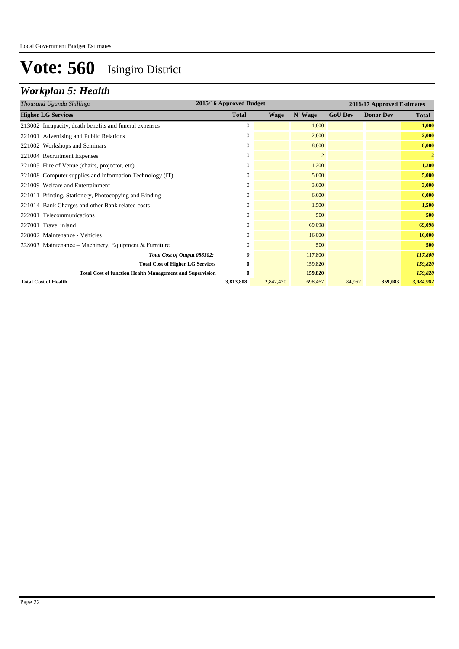## *Workplan 5: Health*

| Thousand Uganda Shillings                                       | 2015/16 Approved Budget |             |                | 2016/17 Approved Estimates |                  |                |  |
|-----------------------------------------------------------------|-------------------------|-------------|----------------|----------------------------|------------------|----------------|--|
| <b>Higher LG Services</b>                                       | <b>Total</b>            | <b>Wage</b> | N' Wage        | <b>GoU Dev</b>             | <b>Donor Dev</b> | <b>Total</b>   |  |
| 213002 Incapacity, death benefits and funeral expenses          | $\mathbf{0}$            |             | 1,000          |                            |                  | 1,000          |  |
| 221001 Advertising and Public Relations                         | $\mathbf{0}$            |             | 2,000          |                            |                  | 2,000          |  |
| 221002 Workshops and Seminars                                   | $\overline{0}$          |             | 8,000          |                            |                  | 8,000          |  |
| 221004 Recruitment Expenses                                     | $\overline{0}$          |             | $\overline{2}$ |                            |                  | $\overline{2}$ |  |
| 221005 Hire of Venue (chairs, projector, etc)                   | $\mathbf{0}$            |             | 1,200          |                            |                  | 1,200          |  |
| 221008 Computer supplies and Information Technology (IT)        | $\mathbf{0}$            |             | 5,000          |                            |                  | 5,000          |  |
| 221009 Welfare and Entertainment                                | $\mathbf{0}$            |             | 3,000          |                            |                  | 3,000          |  |
| 221011 Printing, Stationery, Photocopying and Binding           | $\mathbf{0}$            |             | 6,000          |                            |                  | 6,000          |  |
| 221014 Bank Charges and other Bank related costs                | $\mathbf{0}$            |             | 1.500          |                            |                  | 1,500          |  |
| 222001 Telecommunications                                       | $\mathbf{0}$            |             | 500            |                            |                  | 500            |  |
| 227001 Travel inland                                            | $\mathbf{0}$            |             | 69,098         |                            |                  | 69,098         |  |
| 228002 Maintenance - Vehicles                                   | $\mathbf{0}$            |             | 16,000         |                            |                  | 16,000         |  |
| 228003 Maintenance – Machinery, Equipment & Furniture           | $\Omega$                |             | 500            |                            |                  | 500            |  |
| Total Cost of Output 088302:                                    | 0                       |             | 117,800        |                            |                  | 117,800        |  |
| <b>Total Cost of Higher LG Services</b>                         | $\bf{0}$                |             | 159,820        |                            |                  | 159,820        |  |
| <b>Total Cost of function Health Management and Supervision</b> | 0                       |             | 159,820        |                            |                  | 159,820        |  |
| <b>Total Cost of Health</b>                                     | 3,813,808               | 2,842,470   | 698,467        | 84,962                     | 359,083          | 3,984,982      |  |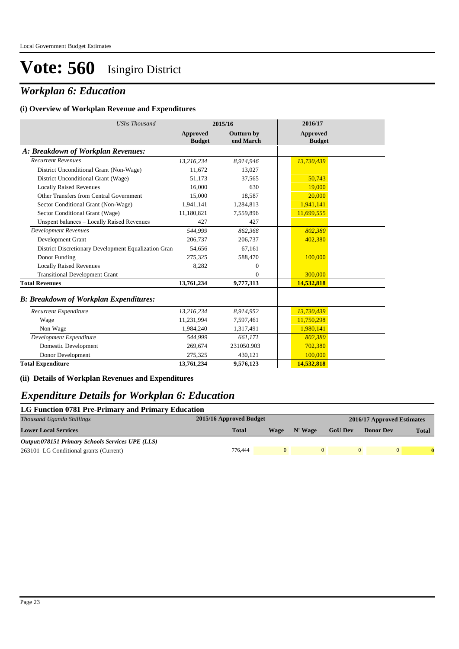### *Workplan 6: Education*

#### **(i) Overview of Workplan Revenue and Expenditures**

| <b>UShs Thousand</b>                                 | 2015/16                   |                         | 2016/17                          |  |
|------------------------------------------------------|---------------------------|-------------------------|----------------------------------|--|
|                                                      | Approved<br><b>Budget</b> | Outturn by<br>end March | <b>Approved</b><br><b>Budget</b> |  |
| A: Breakdown of Workplan Revenues:                   |                           |                         |                                  |  |
| <b>Recurrent Revenues</b>                            | 13,216,234                | 8,914,946               | 13,730,439                       |  |
| District Unconditional Grant (Non-Wage)              | 11,672                    | 13,027                  |                                  |  |
| District Unconditional Grant (Wage)                  | 51,173                    | 37,565                  | 50,743                           |  |
| <b>Locally Raised Revenues</b>                       | 16.000                    | 630                     | 19,000                           |  |
| Other Transfers from Central Government              | 15,000                    | 18,587                  | 20,000                           |  |
| Sector Conditional Grant (Non-Wage)                  | 1,941,141                 | 1,284,813               | 1,941,141                        |  |
| Sector Conditional Grant (Wage)                      | 11,180,821                | 7,559,896               | 11,699,555                       |  |
| Unspent balances - Locally Raised Revenues           | 427                       | 427                     |                                  |  |
| <b>Development Revenues</b>                          | 544.999                   | 862,368                 | 802,380                          |  |
| Development Grant                                    | 206,737                   | 206,737                 | 402,380                          |  |
| District Discretionary Development Equalization Gran | 54,656                    | 67,161                  |                                  |  |
| Donor Funding                                        | 275,325                   | 588,470                 | 100,000                          |  |
| <b>Locally Raised Revenues</b>                       | 8,282                     | $\mathbf{0}$            |                                  |  |
| <b>Transitional Development Grant</b>                |                           | $\Omega$                | 300,000                          |  |
| <b>Total Revenues</b>                                | 13,761,234                | 9,777,313               | 14,532,818                       |  |
| <b>B: Breakdown of Workplan Expenditures:</b>        |                           |                         |                                  |  |
| Recurrent Expenditure                                | 13,216,234                | 8,914,952               | 13,730,439                       |  |
| Wage                                                 | 11,231,994                | 7,597,461               | 11,750,298                       |  |
| Non Wage                                             | 1,984,240                 | 1,317,491               | 1,980,141                        |  |
| Development Expenditure                              | 544,999                   | 661,171                 | 802,380                          |  |
| Domestic Development                                 | 269,674                   | 231050.903              | 702,380                          |  |
| Donor Development                                    | 275,325                   | 430,121                 | 100,000                          |  |
| <b>Total Expenditure</b>                             | 13,761,234                | 9,576,123               | 14,532,818                       |  |

#### **(ii) Details of Workplan Revenues and Expenditures**

### *Expenditure Details for Workplan 6: Education*

#### **LG Function 0781 Pre-Primary and Primary Education**

| Thousand Uganda Shillings                        | 2015/16 Approved Budget |      |         |                | 2016/17 Approved Estimates |              |
|--------------------------------------------------|-------------------------|------|---------|----------------|----------------------------|--------------|
| <b>Lower Local Services</b>                      | <b>Total</b>            | Wage | N' Wage | <b>GoU Dev</b> | <b>Donor Dev</b>           | <b>Total</b> |
| Output:078151 Primary Schools Services UPE (LLS) |                         |      |         |                |                            |              |
| 263101 LG Conditional grants (Current)           | 776,444                 |      |         |                | $\Omega$                   |              |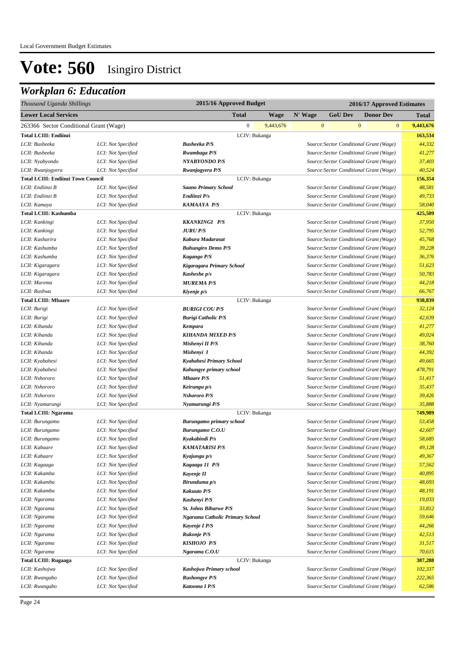| Thousand Uganda Shillings                  |                                          | 2015/16 Approved Budget                |             | 2016/17 Approved Estimates |                                                                                    |              |                  |                   |
|--------------------------------------------|------------------------------------------|----------------------------------------|-------------|----------------------------|------------------------------------------------------------------------------------|--------------|------------------|-------------------|
| <b>Lower Local Services</b>                |                                          | <b>Total</b>                           | <b>Wage</b> | N' Wage                    | <b>GoU Dev</b>                                                                     |              | <b>Donor Dev</b> | Total             |
| 263366 Sector Conditional Grant (Wage)     |                                          | $\mathbf{0}$                           | 9,443,676   |                            | $\mathbf{0}$                                                                       | $\mathbf{0}$ | $\mathbf{0}$     | 9,443,676         |
| <b>Total LCIII: Endiinzi</b>               |                                          | LCIV: Bukanga                          |             |                            |                                                                                    |              |                  | 163,534           |
| LCII: Busheeka                             | LCI: Not Specified                       | <b>Busheeka P/S</b>                    |             |                            | Source: Sector Conditional Grant (Wage)                                            |              |                  | 44,332            |
| LCII: Busheeka                             | LCI: Not Specified                       | Rwambaga P/S                           |             |                            | Source: Sector Conditional Grant (Wage)                                            |              |                  | 41,277            |
| LCII: Nyabyondo                            | LCI: Not Specified                       | <b>NYABYONDO P/S</b>                   |             |                            | Source: Sector Conditional Grant (Wage)                                            |              |                  | 37,403            |
| LCII: Rwanjogyera                          | LCI: Not Specified                       | Rwanjogyera P/S                        |             |                            | Source: Sector Conditional Grant (Wage)                                            |              |                  | 40,524            |
| <b>Total LCIII: Endiinzi Town Council</b>  |                                          | LCIV: Bukanga                          |             |                            |                                                                                    |              |                  | 156,354           |
| LCII: Endiinzi B                           | LCI: Not Specified                       | <b>Saano Primary School</b>            |             |                            | Source: Sector Conditional Grant (Wage)                                            |              |                  | 48,581            |
| LCII: Endiinzi B                           | LCI: Not Specified                       | Endiinzi P/s                           |             |                            | Source: Sector Conditional Grant (Wage)                                            |              |                  | 49,733            |
| LCII: Kamaya                               | LCI: Not Specified                       | <b>KAMAAYA P/S</b>                     |             |                            | Source: Sector Conditional Grant (Wage)                                            |              |                  | 58,040            |
| <b>Total LCIII: Kashumba</b>               |                                          | LCIV: Bukanga                          |             |                            |                                                                                    |              |                  | 425,509           |
| LCII: Kankingi                             | LCI: Not Specified                       | <b>KKANKINGI P/S</b>                   |             |                            | Source: Sector Conditional Grant (Wage)                                            |              |                  | 37,950            |
| LCII: Kankingi                             | LCI: Not Specified                       | <b>JURU P/S</b>                        |             |                            | Source: Sector Conditional Grant (Wage)                                            |              |                  | 52,795            |
| LCII: Kasharira                            | LCI: Not Specified                       | Kabura Madarasat                       |             |                            | Source: Sector Conditional Grant (Wage)                                            |              |                  | 45,768            |
| LCII: Kashumba                             | LCI: Not Specified                       | <b>Buhungiro Demo P/S</b>              |             |                            | Source: Sector Conditional Grant (Wage)                                            |              |                  | 39,228            |
| LCII: Kashumba                             | LCI: Not Specified                       | Kagango P/S                            |             |                            | Source: Sector Conditional Grant (Wage)                                            |              |                  | 36,376            |
| LCII: Kigaragara                           | LCI: Not Specified                       | Kigaragara Primary School              |             |                            | Source: Sector Conditional Grant (Wage)                                            |              |                  | 51,623            |
| LCII: Kigaragara                           | LCI: Not Specified                       | Kasheshe p/s                           |             |                            | Source: Sector Conditional Grant (Wage)                                            |              |                  | 50,783            |
| LCII: Murema                               | LCI: Not Specified                       | <b>MUREMA P/S</b>                      |             |                            | Source: Sector Conditional Grant (Wage)                                            |              |                  | 44,218            |
| LCII: Rushwa                               | LCI: Not Specified                       | Kiyenje p/s                            |             |                            | Source: Sector Conditional Grant (Wage)                                            |              |                  | 66,767            |
| <b>Total LCIII: Mbaare</b><br>LCII: Burigi |                                          | LCIV: Bukanga<br><b>BURIGI COU P/S</b> |             |                            | Source: Sector Conditional Grant (Wage)                                            |              |                  | 938,839<br>32,124 |
| LCII: Burigi                               | LCI: Not Specified<br>LCI: Not Specified | <b>Burigi Catholic P/S</b>             |             |                            | Source: Sector Conditional Grant (Wage)                                            |              |                  | 42,639            |
| LCII: Kihanda                              | LCI: Not Specified                       | Kempara                                |             |                            | Source: Sector Conditional Grant (Wage)                                            |              |                  | 41,277            |
| LCII: Kihanda                              | LCI: Not Specified                       | <b>KIHANDA MIXED P/S</b>               |             |                            | Source: Sector Conditional Grant (Wage)                                            |              |                  | 49,024            |
| LCII: Kihanda                              | LCI: Not Specified                       | Mishenyi II P/S                        |             |                            | Source: Sector Conditional Grant (Wage)                                            |              |                  | 38,760            |
| LCII: Kihanda                              | LCI: Not Specified                       | Mishenyi I                             |             |                            | Source: Sector Conditional Grant (Wage)                                            |              |                  | 44,392            |
| LCII: Kyabahesi                            | LCI: Not Specified                       | Kyabahesi Primary School               |             |                            | Source: Sector Conditional Grant (Wage)                                            |              |                  | 49,665            |
| LCII: Kyabahesi                            | LCI: Not Specified                       | Kahungye primary school                |             |                            | Source: Sector Conditional Grant (Wage)                                            |              |                  | 478,791           |
| LCII: Nshororo                             | LCI: Not Specified                       | <b>Mbaare P/S</b>                      |             |                            | Source: Sector Conditional Grant (Wage)                                            |              |                  | 51,417            |
| LCII: Nshororo                             | LCI: Not Specified                       | Keirungu p/s                           |             |                            | Source: Sector Conditional Grant (Wage)                                            |              |                  | 35,437            |
| LCII: Nshororo                             | LCI: Not Specified                       | <b>Nshororo P/S</b>                    |             |                            | Source: Sector Conditional Grant (Wage)                                            |              |                  | 39,426            |
| LCII: Nyamarungi                           | LCI: Not Specified                       | Nyamarungi P/S                         |             |                            | Source: Sector Conditional Grant (Wage)                                            |              |                  | 35,888            |
| <b>Total LCIII: Ngarama</b>                |                                          | LCIV: Bukanga                          |             |                            |                                                                                    |              |                  | 749,989           |
| LCII: Burungamo                            | LCI: Not Specified                       | <b>Burungamo primary school</b>        |             |                            | Source: Sector Conditional Grant (Wage)                                            |              |                  | 53,458            |
| LCII: Burungamo                            | LCI: Not Specified                       | <b>Burungamo C.O.U</b>                 |             |                            | Source: Sector Conditional Grant (Wage)                                            |              |                  | 42,607            |
| LCII: Burungamo                            | LCI: Not Specified                       | Kyakabindi P/s                         |             |                            | Source: Sector Conditional Grant (Wage)                                            |              |                  | 58,685            |
| LCII: Kabaare                              | LCI: Not Specified                       | <b>KAMATARISI P/S</b>                  |             |                            | Source: Sector Conditional Grant (Wage)                                            |              |                  | 49,128            |
| LCII: Kabaare                              | LCI: Not Specified                       | Kyajungu p/s                           |             |                            | Source: Sector Conditional Grant (Wage)                                            |              |                  | 49,367            |
| LCII: Kagaaga                              | LCI: Not Specified                       | Kagaaga 11 P/S                         |             |                            | Source: Sector Conditional Grant (Wage)                                            |              |                  | 57,562            |
| LCII: Kakamba                              | LCI: Not Specified                       | Kavenje II                             |             |                            | Source: Sector Conditional Grant (Wage)                                            |              |                  | 40,895            |
| LCII: Kakamba                              | LCI: Not Specified                       | Birunduma p/s                          |             |                            | Source: Sector Conditional Grant (Wage)                                            |              |                  | 48,693            |
| LCII: Kakamba                              | LCI: Not Specified                       | <b>Kakuuto P/S</b>                     |             |                            | Source: Sector Conditional Grant (Wage)                                            |              |                  | 48,191            |
| LCII: Ngarama                              | LCI: Not Specified                       | Kashenyi P/S                           |             |                            | Source: Sector Conditional Grant (Wage)                                            |              |                  | 19,033            |
| LCII: Ngarama                              | LCI: Not Specified<br>LCI: Not Specified | <b>St. Johns Biharwe P/S</b>           |             |                            | Source: Sector Conditional Grant (Wage)                                            |              |                  | 33,812<br>59,646  |
| LCII: Ngarama<br>LCII: Ngarama             | LCI: Not Specified                       | Ngarama Catholic Primary School        |             |                            | Source: Sector Conditional Grant (Wage)<br>Source: Sector Conditional Grant (Wage) |              |                  | 44,266            |
| LCII: Ngarama                              | LCI: Not Specified                       | Kayenje I P/S<br><b>Rukonje P/S</b>    |             |                            | Source: Sector Conditional Grant (Wage)                                            |              |                  | 42,513            |
| LCII: Ngarama                              | LCI: Not Specified                       | <b>KISHOJO P/S</b>                     |             |                            | Source: Sector Conditional Grant (Wage)                                            |              |                  | 31,517            |
| LCII: Ngarama                              | LCI: Not Specified                       | Ngarama C.O.U                          |             |                            | Source: Sector Conditional Grant (Wage)                                            |              |                  | 70,615            |
| <b>Total LCIII: Rugaaga</b>                |                                          | LCIV: Bukanga                          |             |                            |                                                                                    |              |                  | 387,288           |
| LCII: Kashojwa                             | LCI: Not Specified                       | Kashojwa Primary school                |             |                            | Source: Sector Conditional Grant (Wage)                                            |              |                  | 102,337           |
| LCII: Rwangabo                             | LCI: Not Specified                       | <b>Rushongye P/S</b>                   |             |                            | Source: Sector Conditional Grant (Wage)                                            |              |                  | 222,365           |
| LCII: Rwangabo                             | LCI: Not Specified                       | Katooma I P/S                          |             |                            | Source: Sector Conditional Grant (Wage)                                            |              |                  | 62,586            |
|                                            |                                          |                                        |             |                            |                                                                                    |              |                  |                   |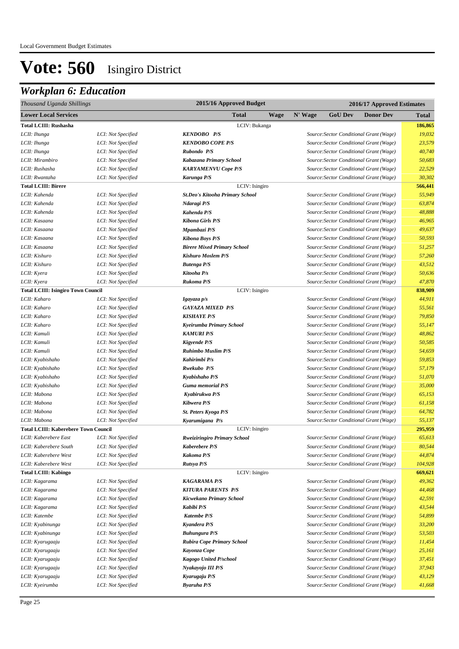| Thousand Uganda Shillings                   |                    | 2015/16 Approved Budget                | 2016/17 Approved Estimates |                |                                         |              |
|---------------------------------------------|--------------------|----------------------------------------|----------------------------|----------------|-----------------------------------------|--------------|
| <b>Lower Local Services</b>                 |                    | Total                                  | <b>Wage</b><br>N' Wage     | <b>GoU Dev</b> | <b>Donor Dev</b>                        | <b>Total</b> |
| <b>Total LCIII: Rushasha</b>                |                    | LCIV: Bukanga                          |                            |                |                                         | 186,865      |
| LCII: Ihunga                                | LCI: Not Specified | <b>KENDOBO P/S</b>                     |                            |                | Source: Sector Conditional Grant (Wage) | 19,032       |
| LCII: Ihunga                                | LCI: Not Specified | <b>KENDOBO COPE P/S</b>                |                            |                | Source: Sector Conditional Grant (Wage) | 23,579       |
| LCII: Ihunga                                | LCI: Not Specified | Rubondo P/S                            |                            |                | Source: Sector Conditional Grant (Wage) | 40,740       |
| LCII: Mirambiro                             | LCI: Not Specified | Kabazana Primary School                |                            |                | Source: Sector Conditional Grant (Wage) | 50,683       |
| LCII: Rushasha                              | LCI: Not Specified | <b>KARYAMENVU Cope P/S</b>             |                            |                | Source: Sector Conditional Grant (Wage) | 22,529       |
| LCII: Rwantaha                              | LCI: Not Specified | Karunga P/S                            |                            |                | Source: Sector Conditional Grant (Wage) | 30,302       |
| <b>Total LCIII: Birere</b>                  |                    | LCIV: Isingiro                         |                            |                |                                         | 566,441      |
| LCII: Kahenda                               | LCI: Not Specified | <b>St.Deo's Kitooha Primary School</b> |                            |                | Source: Sector Conditional Grant (Wage) | 55,949       |
| LCII: Kahenda                               | LCI: Not Specified | Ndaragi P/S                            |                            |                | Source: Sector Conditional Grant (Wage) | 63.874       |
| LCII: Kahenda                               | LCI: Not Specified | Kahenda P/S                            |                            |                | Source: Sector Conditional Grant (Wage) | 48,888       |
| LCII: Kasaana                               | LCI: Not Specified | <b>Kibona Girls P/S</b>                |                            |                | Source: Sector Conditional Grant (Wage) | 46,965       |
| LCII: Kasaana                               | LCI: Not Specified | Mpambazi P/S                           |                            |                | Source: Sector Conditional Grant (Wage) | 49,637       |
| LCII: Kasaana                               | LCI: Not Specified | <b>Kibona Boys P/S</b>                 |                            |                | Source: Sector Conditional Grant (Wage) | 50,593       |
| LCII: Kasaana                               | LCI: Not Specified | <b>Birere Mixed Primary School</b>     |                            |                | Source: Sector Conditional Grant (Wage) | 51,257       |
| LCII: Kishuro                               | LCI: Not Specified | <b>Kishuro Moslem P/S</b>              |                            |                | Source: Sector Conditional Grant (Wage) | 57,260       |
| LCII: Kishuro                               | LCI: Not Specified | <b>Butenga P/S</b>                     |                            |                | Source: Sector Conditional Grant (Wage) | 43,512       |
| LCII: Kyera                                 | LCI: Not Specified | Kitooha P/s                            |                            |                | Source: Sector Conditional Grant (Wage) | 50,636       |
| LCII: Kyera                                 | LCI: Not Specified | Rukoma P/S                             |                            |                | Source: Sector Conditional Grant (Wage) | 47,870       |
| <b>Total LCIII: Isingiro Town Council</b>   |                    | LCIV: Isingiro                         |                            |                |                                         | 838,909      |
| LCII: Kaharo                                | LCI: Not Specified | Igayaza p/s                            |                            |                | Source: Sector Conditional Grant (Wage) | 44,911       |
| LCII: Kaharo                                | LCI: Not Specified | <b>GAYAZA MIXED P/S</b>                |                            |                | Source: Sector Conditional Grant (Wage) | 55,561       |
| LCII: Kaharo                                | LCI: Not Specified | <b>KISHAYE P/S</b>                     |                            |                | Source: Sector Conditional Grant (Wage) | 79,850       |
| LCII: Kaharo                                | LCI: Not Specified | Kyeirumba Primary School               |                            |                | Source: Sector Conditional Grant (Wage) | 55,147       |
| LCII: Kamuli                                | LCI: Not Specified | <b>KAMURI P/S</b>                      |                            |                | Source: Sector Conditional Grant (Wage) | 48,862       |
| LCII: Kamuli                                | LCI: Not Specified | <b>Kigyende P/S</b>                    |                            |                | Source: Sector Conditional Grant (Wage) | 50,585       |
| LCII: Kamuli                                | LCI: Not Specified | <b>Ruhimbo Muslim P/S</b>              |                            |                | Source: Sector Conditional Grant (Wage) | 54,659       |
| LCII: Kyabishaho                            | LCI: Not Specified | Kahirimbi P/s                          |                            |                | Source: Sector Conditional Grant (Wage) | 59,853       |
| LCII: Kyabishaho                            | LCI: Not Specified | Rwekubo P/S                            |                            |                | Source: Sector Conditional Grant (Wage) | 57,179       |
| LCII: Kyabishaho                            | LCI: Not Specified | Kyabishaho P/S                         |                            |                | Source: Sector Conditional Grant (Wage) | 51,070       |
| LCII: Kyabishaho                            | LCI: Not Specified | <b>Guma memorial P/S</b>               |                            |                | Source: Sector Conditional Grant (Wage) | 35,000       |
| LCII: Mabona                                | LCI: Not Specified | Kyabirukwa P/S                         |                            |                | Source: Sector Conditional Grant (Wage) | 65,153       |
| LCII: Mabona                                | LCI: Not Specified | Kibwera P/S                            |                            |                | Source: Sector Conditional Grant (Wage) | 61,158       |
| LCII: Mabona                                | LCI: Not Specified | St. Peters Kyoga P/S                   |                            |                | Source: Sector Conditional Grant (Wage) | 64,782       |
| LCII: Mabona                                | LCI: Not Specified | Kyarumigana P/s                        |                            |                | Source: Sector Conditional Grant (Wage) | 55,137       |
| <b>Total LCIII: Kaberebere Town Council</b> |                    | LCIV: Isingiro                         |                            |                |                                         | 295,959      |
| LCII: Kaberebere East                       | LCI: Not Specified | <b>Rweiziringiro Primary School</b>    |                            |                | Source: Sector Conditional Grant (Wage) | 65,613       |
| LCII: Kaberebere South                      | LCI: Not Specified | <b>Kaberebere P/S</b>                  |                            |                | Source: Sector Conditional Grant (Wage) | 80,544       |
| LCII: Kaberebere West                       | LCI: Not Specified | <b>Kakoma P/S</b>                      |                            |                | Source: Sector Conditional Grant (Wage) | 44,874       |
| LCII: Kaberebere West                       | LCI: Not Specified | Rutsya P/S                             |                            |                | Source: Sector Conditional Grant (Wage) | 104,928      |
| <b>Total LCIII: Kabingo</b>                 |                    | LCIV: Isingiro                         |                            |                |                                         | 669,621      |
| LCII: Kagarama                              | LCI: Not Specified | <b>KAGARAMA P/S</b>                    |                            |                | Source: Sector Conditional Grant (Wage) | 49,362       |
| LCII: Kagarama                              | LCI: Not Specified | <b>KITURA PARENTS P/S</b>              |                            |                | Source: Sector Conditional Grant (Wage) | 44,468       |
| LCII: Kagarama                              | LCI: Not Specified | Kicwekano Primary School               |                            |                | Source: Sector Conditional Grant (Wage) | 42,591       |
| LCII: Kagarama                              | LCI: Not Specified | Kabibi P/S                             |                            |                | Source: Sector Conditional Grant (Wage) | 43,544       |
| LCII: Katembe                               | LCI: Not Specified | <b>Katembe P/S</b>                     |                            |                | Source: Sector Conditional Grant (Wage) | 54,899       |
| LCII: Kyabinunga                            | LCI: Not Specified | Kyandera P/S                           |                            |                | Source: Sector Conditional Grant (Wage) | 33,200       |
| LCII: Kyabinunga                            | LCI: Not Specified | <b>Buhungura P/S</b>                   |                            |                | Source: Sector Conditional Grant (Wage) | 53,503       |
| LCII: Kyarugaaju                            | LCI: Not Specified | <b>Rubira Cope Primary School</b>      |                            |                | Source: Sector Conditional Grant (Wage) | 11,454       |
| LCII: Kyarugaaju                            | LCI: Not Specified | Kayonza Cope                           |                            |                | Source: Sector Conditional Grant (Wage) | 25,161       |
| LCII: Kyarugaaju                            | LCI: Not Specified | Kagogo United P/school                 |                            |                | Source: Sector Conditional Grant (Wage) | 37,451       |
| LCII: Kyarugaaju                            | LCI: Not Specified | Nyakayojo III P/S                      |                            |                | Source: Sector Conditional Grant (Wage) | 37,943       |
| LCII: Kyarugaaju                            | LCI: Not Specified | Kyarugaju P/S                          |                            |                | Source: Sector Conditional Grant (Wage) | 43,129       |
| LCII: Kyeirumba                             | LCI: Not Specified | <b>Byaruha P/S</b>                     |                            |                | Source: Sector Conditional Grant (Wage) | 41,668       |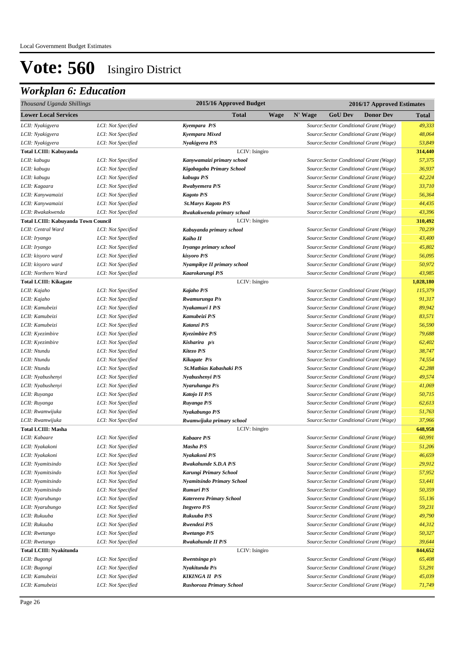| Thousand Uganda Shillings                  |                    | 2015/16 Approved Budget               |             | 2016/17 Approved Estimates |                |                                                                                    |                   |  |  |
|--------------------------------------------|--------------------|---------------------------------------|-------------|----------------------------|----------------|------------------------------------------------------------------------------------|-------------------|--|--|
| <b>Lower Local Services</b>                |                    | <b>Total</b>                          | <b>Wage</b> | N' Wage                    | <b>GoU Dev</b> | <b>Donor Dev</b>                                                                   | <b>Total</b>      |  |  |
| LCII: Nyakigyera                           | LCI: Not Specified | Kvempara P/S                          |             |                            |                | Source: Sector Conditional Grant (Wage)                                            | 49,333            |  |  |
| LCII: Nyakigyera                           | LCI: Not Specified | Kyempara Mixed                        |             |                            |                | Source: Sector Conditional Grant (Wage)                                            | 48,064            |  |  |
| LCII: Nyakigyera                           | LCI: Not Specified | Nyakigyera P/S                        |             |                            |                | Source: Sector Conditional Grant (Wage)                                            | 53,849            |  |  |
| Total LCIII: Kabuyanda                     |                    | LCIV: Isingiro                        |             |                            |                |                                                                                    | 314,440           |  |  |
| LCII: kabugu                               | LCI: Not Specified | Kanywamaizi primary school            |             |                            |                | Source: Sector Conditional Grant (Wage)                                            | 57,375            |  |  |
| LCII: kabugu                               | LCI: Not Specified | Kigabagaba Primary School             |             |                            |                | Source: Sector Conditional Grant (Wage)                                            | 36,937            |  |  |
| LCII: kabugu                               | LCI: Not Specified | kabugu P/S                            |             |                            |                | Source: Sector Conditional Grant (Wage)                                            | 42,224            |  |  |
| LCII: Kagaara                              | LCI: Not Specified | <b>Rwabyemera P/S</b>                 |             |                            |                | Source: Sector Conditional Grant (Wage)                                            | 33,710            |  |  |
| LCII: Kanywamaizi                          | LCI: Not Specified | <b>Kagoto P/S</b>                     |             |                            |                | Source: Sector Conditional Grant (Wage)                                            | 56,364            |  |  |
| LCII: Kanywamaizi                          | LCI: Not Specified | <b>St.Marys Kagoto P/S</b>            |             |                            |                | Source: Sector Conditional Grant (Wage)                                            | 44,435            |  |  |
| LCII: Rwakakwenda                          | LCI: Not Specified | Rwakakwenda primary school            |             |                            |                | Source: Sector Conditional Grant (Wage)                                            | 43,396            |  |  |
| <b>Total LCIII: Kabuyanda Town Council</b> |                    | LCIV: Isingiro                        |             |                            |                |                                                                                    | 310,492           |  |  |
| LCII: Central Ward                         | LCI: Not Specified | Kabuyanda primary school              |             |                            |                | Source: Sector Conditional Grant (Wage)                                            | 70,239            |  |  |
| LCII: Iryango                              | LCI: Not Specified | Kaiho II                              |             |                            |                | Source: Sector Conditional Grant (Wage)                                            | 43,400            |  |  |
| LCII: Iryango                              | LCI: Not Specified | Iryango primary school                |             |                            |                | Source: Sector Conditional Grant (Wage)                                            | 45,802            |  |  |
| LCII: kisyoro ward                         | LCI: Not Specified | kisyoro P/S                           |             |                            |                | Source: Sector Conditional Grant (Wage)                                            | 56,095            |  |  |
| LCII: kisyoro ward                         | LCI: Not Specified | Nyampikye II primary school           |             |                            |                | Source: Sector Conditional Grant (Wage)                                            | 50,972            |  |  |
| LCII: Northern Ward                        | LCI: Not Specified | Kaarokarungi P/S                      |             |                            |                | Source: Sector Conditional Grant (Wage)                                            | 43,985            |  |  |
| <b>Total LCIII: Kikagate</b>               |                    | LCIV: Isingiro                        |             |                            |                |                                                                                    | 1,028,180         |  |  |
| LCII: Kajaho                               | LCI: Not Specified | Kajaho P/S                            |             |                            |                | Source: Sector Conditional Grant (Wage)                                            | 115,379           |  |  |
| LCII: Kajaho                               | LCI: Not Specified | Rwamurunga P/s                        |             |                            |                | Source: Sector Conditional Grant (Wage)                                            | 91,317            |  |  |
| LCII: Kamubeizi                            | LCI: Not Specified | Nyakamuri I P/S                       |             |                            |                | Source: Sector Conditional Grant (Wage)                                            | 89,942            |  |  |
| LCII: Kamubeizi                            | LCI: Not Specified | Kamubeizi P/S                         |             |                            |                | Source: Sector Conditional Grant (Wage)                                            | 83,571            |  |  |
| LCII: Kamubeizi                            | LCI: Not Specified | Katanzi P/S                           |             |                            |                | Source: Sector Conditional Grant (Wage)                                            | 56,590            |  |  |
| LCII: Kyezimbire                           | LCI: Not Specified | <b>Kyezimbire P/S</b>                 |             |                            |                | Source: Sector Conditional Grant (Wage)                                            | 79,688            |  |  |
| LCII: Kyezimbire                           | LCI: Not Specified | Kisharira p/s                         |             |                            |                | Source: Sector Conditional Grant (Wage)                                            | 62,402            |  |  |
| LCII: Ntundu                               | LCI: Not Specified | Kitezo P/S                            |             |                            |                | Source: Sector Conditional Grant (Wage)                                            | 38,747            |  |  |
| LCII: Ntundu                               | LCI: Not Specified | Kikagate P/s                          |             |                            |                | Source: Sector Conditional Grant (Wage)                                            | 74,554            |  |  |
| LCII: Ntundu                               | LCI: Not Specified | St.Mathias Kabashaki P/S              |             |                            |                | Source: Sector Conditional Grant (Wage)                                            | 42,288            |  |  |
| LCII: Nyabushenyi                          | LCI: Not Specified | Nyabushenyi P/S                       |             |                            |                | Source: Sector Conditional Grant (Wage)                                            | 49,574            |  |  |
| LCII: Nyabushenyi                          | LCI: Not Specified | Nyaruhanga P/s                        |             |                            |                | Source: Sector Conditional Grant (Wage)                                            | 41,069            |  |  |
| LCII: Ruyanga                              | LCI: Not Specified | Katojo II P/S                         |             |                            |                | Source: Sector Conditional Grant (Wage)                                            | 50,715            |  |  |
| LCII: Ruyanga                              | LCI: Not Specified | Ruyanga P/S                           |             |                            |                | Source: Sector Conditional Grant (Wage)                                            | 62,613            |  |  |
| LCII: Rwamwijuka                           | LCI: Not Specified | Nyakabungo P/S                        |             |                            |                | Source: Sector Conditional Grant (Wage)                                            | 51,763            |  |  |
| LCII: Rwamwijuka                           | LCI: Not Specified | Rwamwijuka primary school             |             |                            |                | Source: Sector Conditional Grant (Wage)                                            | 37,966            |  |  |
| <b>Total LCIII: Masha</b>                  | LCI: Not Specified | LCIV: Isingiro                        |             |                            |                |                                                                                    | 648,958<br>60,991 |  |  |
| LCII: Kabaare<br>LCII: Nyakakoni           | LCI: Not Specified | <b>Kabaare P/S</b><br>Masha P/S       |             |                            |                | Source: Sector Conditional Grant (Wage)<br>Source: Sector Conditional Grant (Wage) | 51,206            |  |  |
|                                            | LCI: Not Specified |                                       |             |                            |                | Source: Sector Conditional Grant (Wage)                                            | 46,659            |  |  |
| LCII: Nyakakoni<br>LCII: Nyamitsindo       | LCI: Not Specified | Nyakakoni P/S<br>Rwakahunde S.D.A P/S |             |                            |                | Source: Sector Conditional Grant (Wage)                                            | 29,912            |  |  |
| LCII: Nyamitsindo                          | LCI: Not Specified | Karungi Primary School                |             |                            |                | Source: Sector Conditional Grant (Wage)                                            | 57,952            |  |  |
| LCII: Nyamitsindo                          | LCI: Not Specified | Nyamitsindo Primary School            |             |                            |                | Source: Sector Conditional Grant (Wage)                                            | 53,441            |  |  |
| LCII: Nyamitsindo                          | LCI: Not Specified | Rumuri P/S                            |             |                            |                | Source: Sector Conditional Grant (Wage)                                            | 50,359            |  |  |
| LCII: Nyarubungo                           | LCI: Not Specified | Katereera Primary School              |             |                            |                | Source: Sector Conditional Grant (Wage)                                            | 55,136            |  |  |
| LCII: Nyarubungo                           | LCI: Not Specified | <b>Itegyero P/S</b>                   |             |                            |                | Source: Sector Conditional Grant (Wage)                                            | 59,231            |  |  |
| LCII: Rukuuba                              | LCI: Not Specified | Rukuuba P/S                           |             |                            |                | Source: Sector Conditional Grant (Wage)                                            | 49,790            |  |  |
| LCII: Rukuuba                              | LCI: Not Specified | Rwendezi P/S                          |             |                            |                | Source: Sector Conditional Grant (Wage)                                            | 44,312            |  |  |
| LCII: Rwetango                             | LCI: Not Specified | <b>Rwetango P/S</b>                   |             |                            |                | Source: Sector Conditional Grant (Wage)                                            | 50,327            |  |  |
| LCII: Rwetango                             | LCI: Not Specified | Rwakahunde II P/S                     |             |                            |                | Source: Sector Conditional Grant (Wage)                                            | 39,644            |  |  |
| <b>Total LCIII: Nyakitunda</b>             |                    | LCIV: Isingiro                        |             |                            |                |                                                                                    | 844,652           |  |  |
| LCII: Bugongi                              | LCI: Not Specified | Rwentsinga p/s                        |             |                            |                | Source: Sector Conditional Grant (Wage)                                            | 65,408            |  |  |
| LCII: Bugongi                              | LCI: Not Specified | Nyakitunda P/s                        |             |                            |                | Source: Sector Conditional Grant (Wage)                                            | 53,291            |  |  |
| LCII: Kamubeizi                            | LCI: Not Specified | <b>KIKINGA II P/S</b>                 |             |                            |                | Source: Sector Conditional Grant (Wage)                                            | 45,039            |  |  |
| LCII: Kamubeizi                            | LCI: Not Specified | Rushoroza Primary School              |             |                            |                | Source: Sector Conditional Grant (Wage)                                            | 71,749            |  |  |
|                                            |                    |                                       |             |                            |                |                                                                                    |                   |  |  |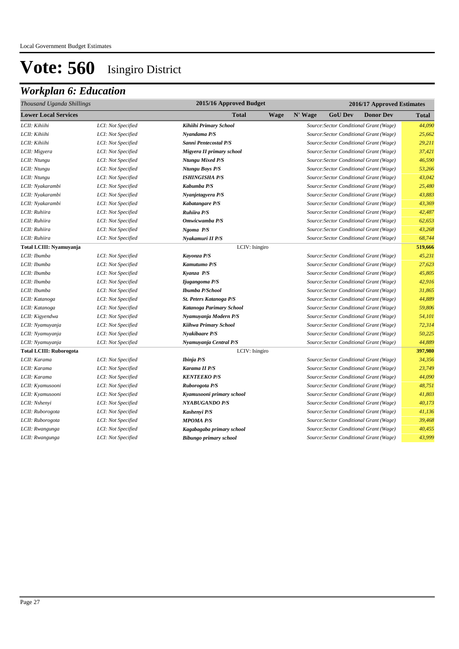| Thousand Uganda Shillings      | 2015/16 Approved Budget<br>2016/17 Approved Estimates |                           |             |         |                |                                         |              |
|--------------------------------|-------------------------------------------------------|---------------------------|-------------|---------|----------------|-----------------------------------------|--------------|
| <b>Lower Local Services</b>    |                                                       | <b>Total</b>              | <b>Wage</b> | N' Wage | <b>GoU Dev</b> | <b>Donor Dev</b>                        | <b>Total</b> |
| LCII: Kihiihi                  | LCI: Not Specified                                    | Kihiihi Primary School    |             |         |                | Source: Sector Conditional Grant (Wage) | 44,090       |
| LCII: Kihiihi                  | LCI: Not Specified                                    | Nyandama P/S              |             |         |                | Source: Sector Conditional Grant (Wage) | 25,662       |
| LCII: Kihiihi                  | LCI: Not Specified                                    | Sanni Pentecostal P/S     |             |         |                | Source: Sector Conditional Grant (Wage) | 29,211       |
| LCII: Migyera                  | LCI: Not Specified                                    | Migyera II primary school |             |         |                | Source: Sector Conditional Grant (Wage) | 37,421       |
| LCII: Ntungu                   | LCI: Not Specified                                    | <b>Ntungu Mixed P/S</b>   |             |         |                | Source: Sector Conditional Grant (Wage) | 46,590       |
| LCII: Ntungu                   | LCI: Not Specified                                    | Ntungu Boys P/S           |             |         |                | Source: Sector Conditional Grant (Wage) | 53,266       |
| LCII: Ntungu                   | LCI: Not Specified                                    | <b>ISHINGISHA P/S</b>     |             |         |                | Source: Sector Conditional Grant (Wage) | 43,042       |
| LCII: Nyakarambi               | LCI: Not Specified                                    | Kabumba P/S               |             |         |                | Source: Sector Conditional Grant (Wage) | 25,480       |
| LCII: Nyakarambi               | LCI: Not Specified                                    | Nyanjetagyera P/S         |             |         |                | Source: Sector Conditional Grant (Wage) | 43,883       |
| LCII: Nyakarambi               | LCI: Not Specified                                    | Kabatangare P/S           |             |         |                | Source: Sector Conditional Grant (Wage) | 43,369       |
| LCII: Ruhiira                  | LCI: Not Specified                                    | Ruhiira P/S               |             |         |                | Source: Sector Conditional Grant (Wage) | 42,487       |
| LCII: Ruhiira                  | LCI: Not Specified                                    | Omwicwamba P/S            |             |         |                | Source: Sector Conditional Grant (Wage) | 62,653       |
| LCII: Ruhiira                  | LCI: Not Specified                                    | Ngoma P/S                 |             |         |                | Source: Sector Conditional Grant (Wage) | 43,268       |
| LCII: Ruhiira                  | LCI: Not Specified                                    | Nyakamuri II P/S          |             |         |                | Source: Sector Conditional Grant (Wage) | 68,744       |
| Total LCIII: Nyamuyanja        |                                                       | LCIV: Isingiro            |             |         |                |                                         | 519,666      |
| LCII: Ibumba                   | LCI: Not Specified                                    | Kayonza P/S               |             |         |                | Source: Sector Conditional Grant (Wage) | 45,231       |
| LCII: Ibumba                   | LCI: Not Specified                                    | Kamutumo P/S              |             |         |                | Source: Sector Conditional Grant (Wage) | 27,623       |
| LCII: Ibumba                   | LCI: Not Specified                                    | Kyanza P/S                |             |         |                | Source: Sector Conditional Grant (Wage) | 45,805       |
| LCII: Ibumba                   | LCI: Not Specified                                    | Ijugangoma P/S            |             |         |                | Source: Sector Conditional Grant (Wage) | 42,916       |
| LCII: Ibumba                   | LCI: Not Specified                                    | Ibumba P/School           |             |         |                | Source: Sector Conditional Grant (Wage) | 31,865       |
| LCII: Katanoga                 | LCI: Not Specified                                    | St. Peters Katanoga P/S   |             |         |                | Source: Sector Conditional Grant (Wage) | 44,889       |
| LCII: Katanoga                 | LCI: Not Specified                                    | Katanoga Parimary School  |             |         |                | Source: Sector Conditional Grant (Wage) | 59,806       |
| LCII: Kigyendwa                | LCI: Not Specified                                    | Nyamuyanja Modern P/S     |             |         |                | Source: Sector Conditional Grant (Wage) | 54,101       |
| LCII: Nyamuyanja               | LCI: Not Specified                                    | Kiihwa Primary School     |             |         |                | Source: Sector Conditional Grant (Wage) | 72,314       |
| LCII: Nyamuyanja               | LCI: Not Specified                                    | Nyakibaare P/S            |             |         |                | Source: Sector Conditional Grant (Wage) | 50,225       |
| LCII: Nyamuyanja               | LCI: Not Specified                                    | Nyamuyanja Central P/S    |             |         |                | Source: Sector Conditional Grant (Wage) | 44,889       |
| <b>Total LCIII: Ruborogota</b> |                                                       | LCIV: Isingiro            |             |         |                |                                         | 397,980      |
| LCII: Karama                   | LCI: Not Specified                                    | <b>Ibinja P/S</b>         |             |         |                | Source: Sector Conditional Grant (Wage) | 34,356       |
| LCII: Karama                   | LCI: Not Specified                                    | Karama II P/S             |             |         |                | Source: Sector Conditional Grant (Wage) | 23,749       |
| LCII: Karama                   | LCI: Not Specified                                    | <b>KENTEEKO P/S</b>       |             |         |                | Source: Sector Conditional Grant (Wage) | 44,090       |
| LCII: Kyamusooni               | LCI: Not Specified                                    | Ruborogota P/S            |             |         |                | Source: Sector Conditional Grant (Wage) | 48,751       |
| LCII: Kyamusooni               | LCI: Not Specified                                    | Kyamusooni primary school |             |         |                | Source: Sector Conditional Grant (Wage) | 41,803       |
| LCII: Nshenyi                  | LCI: Not Specified                                    | <b>NYABUGANDO P/S</b>     |             |         |                | Source: Sector Conditional Grant (Wage) | 40,173       |
| LCII: Ruborogota               | LCI: Not Specified                                    | Kashenyi P/S              |             |         |                | Source: Sector Conditional Grant (Wage) | 41,136       |
| LCII: Ruborogota               | LCI: Not Specified                                    | <b>MPOMA P/S</b>          |             |         |                | Source: Sector Conditional Grant (Wage) | 39,468       |
| LCII: Rwangunga                | LCI: Not Specified                                    | Kagabagaba primary school |             |         |                | Source: Sector Conditional Grant (Wage) | 40,455       |
| LCII: Rwangunga                | LCI: Not Specified                                    | Bibungo primary school    |             |         |                | Source: Sector Conditional Grant (Wage) | 43,999       |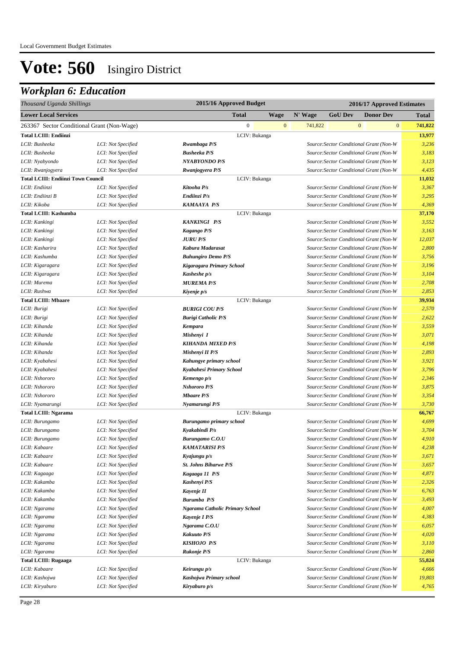| Thousand Uganda Shillings                  |                    |                                 | 2015/16 Approved Budget |              |         |                |              | 2016/17 Approved Estimates              |              |
|--------------------------------------------|--------------------|---------------------------------|-------------------------|--------------|---------|----------------|--------------|-----------------------------------------|--------------|
| <b>Lower Local Services</b>                |                    |                                 | <b>Total</b>            | <b>Wage</b>  | N' Wage | <b>GoU Dev</b> |              | <b>Donor Dev</b>                        | <b>Total</b> |
| 263367 Sector Conditional Grant (Non-Wage) |                    |                                 | $\mathbf{0}$            | $\mathbf{0}$ | 741,822 |                | $\mathbf{0}$ | $\mathbf{0}$                            | 741,822      |
| <b>Total LCIII: Endiinzi</b>               |                    |                                 | LCIV: Bukanga           |              |         |                |              |                                         | 13,977       |
| LCII: Busheeka                             | LCI: Not Specified | Rwambaga P/S                    |                         |              |         |                |              | Source: Sector Conditional Grant (Non-W | 3,236        |
| LCII: Busheeka                             | LCI: Not Specified | <b>Busheeka P/S</b>             |                         |              |         |                |              | Source: Sector Conditional Grant (Non-W | 3,183        |
| LCII: Nyabyondo                            | LCI: Not Specified | <b>NYABYONDO P/S</b>            |                         |              |         |                |              | Source: Sector Conditional Grant (Non-W | 3,123        |
| LCII: Rwanjogyera                          | LCI: Not Specified | Rwanjogyera P/S                 |                         |              |         |                |              | Source: Sector Conditional Grant (Non-W | 4,435        |
| <b>Total LCIII: Endiinzi Town Council</b>  |                    |                                 | LCIV: Bukanga           |              |         |                |              |                                         | 11,032       |
| LCII: Endiinzi                             | LCI: Not Specified | Kitooha P/s                     |                         |              |         |                |              | Source: Sector Conditional Grant (Non-W | 3,367        |
| LCII: Endiinzi B                           | LCI: Not Specified | Endiinzi P/s                    |                         |              |         |                |              | Source: Sector Conditional Grant (Non-W | 3,295        |
| LCII: Kikoba                               | LCI: Not Specified | KAMAAYA P/S                     |                         |              |         |                |              | Source: Sector Conditional Grant (Non-W | 4,369        |
| <b>Total LCIII: Kashumba</b>               |                    |                                 | LCIV: Bukanga           |              |         |                |              |                                         | 37,170       |
| LCII: Kankingi                             | LCI: Not Specified | <b>KANKINGI P/S</b>             |                         |              |         |                |              | Source: Sector Conditional Grant (Non-W | 3,552        |
| LCII: Kankingi                             | LCI: Not Specified | Kagango P/S                     |                         |              |         |                |              | Source: Sector Conditional Grant (Non-W | 3,163        |
| LCII: Kankingi                             | LCI: Not Specified | <b>JURU P/S</b>                 |                         |              |         |                |              | Source: Sector Conditional Grant (Non-W | 12,037       |
| LCII: Kasharira                            | LCI: Not Specified | Kabura Madarasat                |                         |              |         |                |              | Source: Sector Conditional Grant (Non-W | 2,800        |
| LCII: Kashumba                             | LCI: Not Specified | <b>Buhungiro Demo P/S</b>       |                         |              |         |                |              | Source: Sector Conditional Grant (Non-W | 3,756        |
| LCII: Kigaragara                           | LCI: Not Specified | Kigaragara Primary School       |                         |              |         |                |              | Source: Sector Conditional Grant (Non-W | 3,196        |
| LCII: Kigaragara                           | LCI: Not Specified | Kasheshe p/s                    |                         |              |         |                |              | Source: Sector Conditional Grant (Non-W | 3,104        |
| LCII: Murema                               | LCI: Not Specified | <b>MUREMA P/S</b>               |                         |              |         |                |              | Source: Sector Conditional Grant (Non-W | 2,708        |
| LCII: Rushwa                               | LCI: Not Specified | Kiyenje p/s                     |                         |              |         |                |              | Source: Sector Conditional Grant (Non-W | 2,853        |
| <b>Total LCIII: Mbaare</b>                 |                    |                                 | LCIV: Bukanga           |              |         |                |              |                                         | 39,934       |
| LCII: Burigi                               | LCI: Not Specified | <b>BURIGI COU P/S</b>           |                         |              |         |                |              | Source: Sector Conditional Grant (Non-W | 2,570        |
| LCII: Burigi                               | LCI: Not Specified | <b>Burigi Catholic P/S</b>      |                         |              |         |                |              | Source: Sector Conditional Grant (Non-W | 2,622        |
| LCII: Kihanda                              | LCI: Not Specified | <b>Kempara</b>                  |                         |              |         |                |              | Source: Sector Conditional Grant (Non-W | 3,559        |
| LCII: Kihanda                              | LCI: Not Specified | Mishenyi I                      |                         |              |         |                |              | Source: Sector Conditional Grant (Non-W | 3,071        |
| LCII: Kihanda                              | LCI: Not Specified | <b>KIHANDA MIXED P/S</b>        |                         |              |         |                |              | Source: Sector Conditional Grant (Non-W | 4,198        |
| LCII: Kihanda                              | LCI: Not Specified | Mishenyi II P/S                 |                         |              |         |                |              | Source: Sector Conditional Grant (Non-W | 2,893        |
| LCII: Kyabahesi                            | LCI: Not Specified | Kahungye primary school         |                         |              |         |                |              | Source: Sector Conditional Grant (Non-W | 3,921        |
| LCII: Kyabahesi                            | LCI: Not Specified | Kyabahesi Primary School        |                         |              |         |                |              | Source: Sector Conditional Grant (Non-W | 3,796        |
| LCII: Nshororo                             | LCI: Not Specified | Kemengo p/s                     |                         |              |         |                |              | Source: Sector Conditional Grant (Non-W | 2,346        |
| LCII: Nshororo                             | LCI: Not Specified | <b>Nshororo P/S</b>             |                         |              |         |                |              | Source: Sector Conditional Grant (Non-W | 3,875        |
| LCII: Nshororo                             | LCI: Not Specified | <b>Mbaare P/S</b>               |                         |              |         |                |              | Source: Sector Conditional Grant (Non-W | 3,354        |
| LCII: Nyamarungi                           | LCI: Not Specified | Nyamarungi P/S                  |                         |              |         |                |              | Source: Sector Conditional Grant (Non-W | 3,730        |
| <b>Total LCIII: Ngarama</b>                |                    |                                 | LCIV: Bukanga           |              |         |                |              |                                         | 66,767       |
| LCII: Burungamo                            | LCI: Not Specified | <b>Burungamo primary school</b> |                         |              |         |                |              | Source: Sector Conditional Grant (Non-W | 4,699        |
| LCII: Burungamo                            | LCI: Not Specified | Kyakabindi P/s                  |                         |              |         |                |              | Source: Sector Conditional Grant (Non-W | 3,704        |
| LCII: Burungamo                            | LCI: Not Specified | <b>Burungamo C.O.U</b>          |                         |              |         |                |              | Source: Sector Conditional Grant (Non-W | 4,910        |
| LCII: Kabaare                              | LCI: Not Specified | <b>KAMATARISI P/S</b>           |                         |              |         |                |              | Source: Sector Conditional Grant (Non-W | 4,238        |
| LCII: Kabaare                              | LCI: Not Specified | Kyajungu p/s                    |                         |              |         |                |              | Source: Sector Conditional Grant (Non-W | 3,671        |
| LCII: Kabaare                              | LCI: Not Specified | St. Johns Biharwe P/S           |                         |              |         |                |              | Source: Sector Conditional Grant (Non-W | 3,657        |
| LCII: Kagaaga                              | LCI: Not Specified | Kagaaga 11 P/S                  |                         |              |         |                |              | Source: Sector Conditional Grant (Non-W | 4,871        |
| LCII: Kakamba                              | LCI: Not Specified | Kashenyi P/S                    |                         |              |         |                |              | Source: Sector Conditional Grant (Non-W | 2,326        |
| LCII: Kakamba                              | LCI: Not Specified | Kayenje II                      |                         |              |         |                |              | Source: Sector Conditional Grant (Non-W | 6,763        |
| LCII: Kakamba                              | LCI: Not Specified | <b>Burumba</b> P/S              |                         |              |         |                |              | Source: Sector Conditional Grant (Non-W | 3,493        |
| LCII: Ngarama                              | LCI: Not Specified | Ngarama Catholic Primary School |                         |              |         |                |              | Source: Sector Conditional Grant (Non-W | 4,007        |
| LCII: Ngarama                              | LCI: Not Specified | Kayenje I P/S                   |                         |              |         |                |              | Source: Sector Conditional Grant (Non-W | 4,383        |
| LCII: Ngarama                              | LCI: Not Specified | Ngarama C.O.U                   |                         |              |         |                |              | Source: Sector Conditional Grant (Non-W | 6,057        |
| LCII: Ngarama                              | LCI: Not Specified | <b>Kakuuto P/S</b>              |                         |              |         |                |              | Source: Sector Conditional Grant (Non-W | 4,020        |
| LCII: Ngarama                              | LCI: Not Specified | KISHOJO P/S                     |                         |              |         |                |              | Source: Sector Conditional Grant (Non-W | 3,110        |
| LCII: Ngarama                              | LCI: Not Specified | <b>Rukonje P/S</b>              |                         |              |         |                |              | Source: Sector Conditional Grant (Non-W | 2,860        |
| <b>Total LCIII: Rugaaga</b>                |                    |                                 | LCIV: Bukanga           |              |         |                |              |                                         | 55,824       |
| LCII: Kabaare                              | LCI: Not Specified | Keirungu p/s                    |                         |              |         |                |              | Source: Sector Conditional Grant (Non-W | 4,666        |
| LCII: Kashojwa                             | LCI: Not Specified | Kashojwa Primary school         |                         |              |         |                |              | Source: Sector Conditional Grant (Non-W | 19,803       |
| LCII: Kiryaburo                            | LCI: Not Specified | Kiryaburo p/s                   |                         |              |         |                |              | Source: Sector Conditional Grant (Non-W | 4,765        |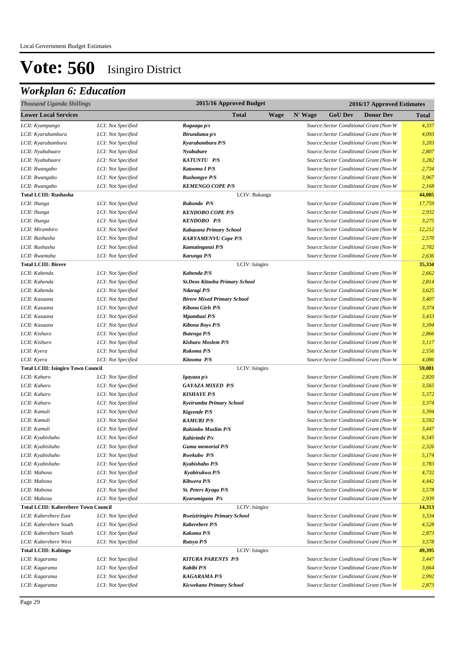| Thousand Uganda Shillings                   |                    | 2015/16 Approved Budget               | 2016/17 Approved Estimates                    |              |  |  |
|---------------------------------------------|--------------------|---------------------------------------|-----------------------------------------------|--------------|--|--|
| <b>Lower Local Services</b>                 |                    | <b>Total</b><br><b>Wage</b>           | <b>GoU Dev</b><br>N' Wage<br><b>Donor Dev</b> | <b>Total</b> |  |  |
| LCII: Kyampango                             | LCI: Not Specified | Rugaaga p/s                           | Source: Sector Conditional Grant (Non-W       | 4,337        |  |  |
| LCII: Kyarubambura                          | LCI: Not Specified | Birunduma p/s                         | Source: Sector Conditional Grant (Non-W       | 4,093        |  |  |
| LCII: Kyarubambura                          | LCI: Not Specified | Kyarubambura P/S                      | Source: Sector Conditional Grant (Non-W       | 3,203        |  |  |
| LCII: Nyabubaare                            | LCI: Not Specified | Nyabubare                             | Source: Sector Conditional Grant (Non-W       | 2,807        |  |  |
| LCII: Nyabubaare                            | LCI: Not Specified | <b>KATUNTU P/S</b>                    | Source: Sector Conditional Grant (Non-W       | 3,282        |  |  |
| LCII: Rwangabo                              | LCI: Not Specified | Katooma I P/S                         | Source: Sector Conditional Grant (Non-W       | 2,734        |  |  |
| LCII: Rwangabo                              | LCI: Not Specified | <b>Rushongye P/S</b>                  | Source: Sector Conditional Grant (Non-W       | 3,967        |  |  |
| LCII: Rwangabo                              | LCI: Not Specified | <b>KEMENGO COPE P/S</b>               | Source: Sector Conditional Grant (Non-W       | 2,168        |  |  |
| <b>Total LCIII: Rushasha</b>                |                    | LCIV: Bukanga                         |                                               | 44,085       |  |  |
| LCII: Ihunga                                | LCI: Not Specified | Rubondo P/S                           | Source: Sector Conditional Grant (Non-W       | 17,759       |  |  |
| LCII: Ihunga                                | LCI: Not Specified | <b>KENDOBO COPE P/S</b>               | Source: Sector Conditional Grant (Non-W       | 2,932        |  |  |
| LCII: Ihunga                                | LCI: Not Specified | <b>KENDOBO P/S</b>                    | Source: Sector Conditional Grant (Non-W       | 3,275        |  |  |
| LCII: Mirambiro                             | LCI: Not Specified | Kabazana Primary School               | Source: Sector Conditional Grant (Non-W       | 12,212       |  |  |
| LCII: Rushasha                              | LCI: Not Specified | <b>KARYAMENVU Cope P/S</b>            | Source: Sector Conditional Grant (Non-W       | 2,570        |  |  |
| LCII: Rushasha                              | LCI: Not Specified | Kamutinganzi P/S                      | Source: Sector Conditional Grant (Non-W       | 2,702        |  |  |
| LCII: Rwantaha                              | LCI: Not Specified | Karunga P/S                           | Source: Sector Conditional Grant (Non-W       | 2,636        |  |  |
| <b>Total LCIII: Birere</b>                  |                    | LCIV: Isingiro                        |                                               | 35,334       |  |  |
| LCII: Kahenda                               | LCI: Not Specified | Kahenda P/S                           | Source: Sector Conditional Grant (Non-W       | 2,662        |  |  |
| LCII: Kahenda                               | LCI: Not Specified | <b>St.Deos Kitooha Primary School</b> | Source: Sector Conditional Grant (Non-W       | 2,814        |  |  |
| LCII: Kahenda                               | LCI: Not Specified | Ndaragi P/S                           | Source: Sector Conditional Grant (Non-W       | 3,625        |  |  |
| LCII: Kasaana                               | LCI: Not Specified | <b>Birere Mixed Primary School</b>    | Source: Sector Conditional Grant (Non-W       | 3,407        |  |  |
| LCII: Kasaana                               | LCI: Not Specified | <b>Kibona Girls P/S</b>               | Source: Sector Conditional Grant (Non-W       | 3,374        |  |  |
| LCII: Kasaana                               | LCI: Not Specified | Mpambazi P/S                          | Source: Sector Conditional Grant (Non-W       | 3,433        |  |  |
| LCII: Kasaana                               | LCI: Not Specified | <b>Kibona Boys P/S</b>                | Source: Sector Conditional Grant (Non-W       | 3,394        |  |  |
| LCII: Kishuro                               | LCI: Not Specified | <b>Butenga P/S</b>                    | Source: Sector Conditional Grant (Non-W       | 2,866        |  |  |
| LCII: Kishuro                               | LCI: Not Specified | <b>Kishuro Moslem P/S</b>             | Source: Sector Conditional Grant (Non-W       | 3,117        |  |  |
| LCII: Kyera                                 | LCI: Not Specified | Rukoma P/S                            | Source: Sector Conditional Grant (Non-W       | 2,556        |  |  |
| LCII: Kyera                                 | LCI: Not Specified | Kitooma P/S                           | Source: Sector Conditional Grant (Non-W       | 4,086        |  |  |
| <b>Total LCIII: Isingiro Town Council</b>   |                    | LCIV: Isingiro                        |                                               | 59,081       |  |  |
| LCII: Kaharo                                | LCI: Not Specified | Igayaza p/s                           | Source: Sector Conditional Grant (Non-W       | 2,820        |  |  |
| LCII: Kaharo                                | LCI: Not Specified | <b>GAYAZA MIXED P/S</b>               | Source: Sector Conditional Grant (Non-W       | 3,565        |  |  |
| LCII: Kaharo                                | LCI: Not Specified | <b>KISHAYE P/S</b>                    | Source: Sector Conditional Grant (Non-W       | 5,372        |  |  |
| LCII: Kaharo                                | LCI: Not Specified | Kyeirumba Primary School              | Source: Sector Conditional Grant (Non-W       | 3,374        |  |  |
| LCII: Kamuli                                | LCI: Not Specified | <b>Kigyende P/S</b>                   | Source: Sector Conditional Grant (Non-W       | 3,394        |  |  |
| LCII: Kamuli                                | LCI: Not Specified | <b>KAMURI P/S</b>                     | Source: Sector Conditional Grant (Non-W       | 3,592        |  |  |
| LCII: Kamuli                                | LCI: Not Specified | <b>Ruhimbo Muslim P/S</b>             | Source: Sector Conditional Grant (Non-W       | 3,447        |  |  |
| LCII: Kyabishaho                            | LCI: Not Specified | Kahirimbi P/s                         | Source: Sector Conditional Grant (Non-W       | 6,545        |  |  |
| LCII: Kyabishaho                            | LCI: Not Specified | Guma memorial P/S                     | Source: Sector Conditional Grant (Non-W       | 2,326        |  |  |
| LCII: Kyabishaho                            | LCI: Not Specified | Rwekubo P/S                           | Source: Sector Conditional Grant (Non-W       | 5,174        |  |  |
| LCII: Kyabishaho                            | LCI: Not Specified | Kyabishaho P/S                        | Source: Sector Conditional Grant (Non-W       | 3,783        |  |  |
| LCII: Mabona                                | LCI: Not Specified | Kyabirukwa P/S                        | Source: Sector Conditional Grant (Non-W       | 4,732        |  |  |
| LCII: Mabona                                | LCI: Not Specified | Kibwera P/S                           | Source: Sector Conditional Grant (Non-W       | 4,442        |  |  |
| LCII: Mabona                                | LCI: Not Specified | St. Peters Kyoga P/S                  | Source: Sector Conditional Grant (Non-W       | 3,578        |  |  |
| LCII: Mabona                                | LCI: Not Specified | Kyarumigana P/s                       | Source: Sector Conditional Grant (Non-W       | 2,939        |  |  |
| <b>Total LCIII: Kaberebere Town Council</b> |                    | LCIV: Isingiro                        |                                               | 14,313       |  |  |
| LCII: Kaberebere East                       | LCI: Not Specified | <b>Rweiziringiro Primary School</b>   | Source: Sector Conditional Grant (Non-W       | 3,334        |  |  |
| LCII: Kaberebere South                      | LCI: Not Specified | <b>Kaberebere P/S</b>                 | Source: Sector Conditional Grant (Non-W       | 4,528        |  |  |
| LCII: Kaberebere South                      | LCI: Not Specified | <b>Kakoma P/S</b>                     | Source: Sector Conditional Grant (Non-W       | 2,873        |  |  |
| LCII: Kaberebere West                       | LCI: Not Specified | Rutsya P/S                            | Source: Sector Conditional Grant (Non-W       | 3,578        |  |  |
| <b>Total LCIII: Kabingo</b>                 |                    | LCIV: Isingiro                        |                                               | 49,395       |  |  |
| LCII: Kagarama                              | LCI: Not Specified | <b>KITURA PARENTS P/S</b>             | Source: Sector Conditional Grant (Non-W       | 3,447        |  |  |
| LCII: Kagarama                              | LCI: Not Specified | Kabibi P/S                            | Source: Sector Conditional Grant (Non-W       | 3,664        |  |  |
| LCII: Kagarama                              | LCI: Not Specified | <b>KAGARAMA P/S</b>                   | Source: Sector Conditional Grant (Non-W       | 2,992        |  |  |
| LCII: Kagarama                              | LCI: Not Specified | Kicwekano Primary School              | Source: Sector Conditional Grant (Non-W       | 2,873        |  |  |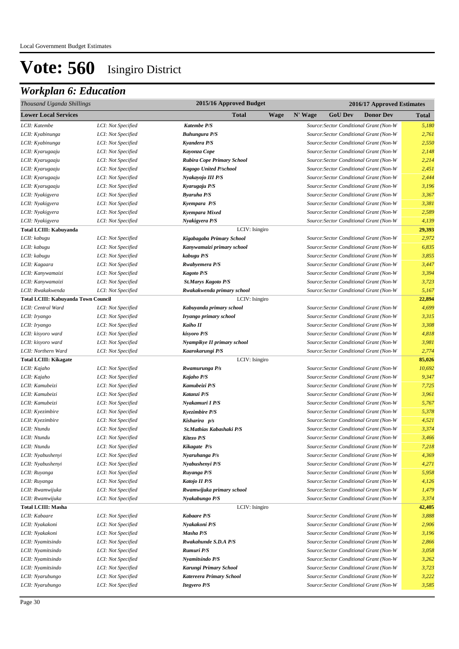| Thousand Uganda Shillings                  |                                          | 2015/16 Approved Budget                   |                        | 2016/17 Approved Estimates |                                                                                    |                |  |  |
|--------------------------------------------|------------------------------------------|-------------------------------------------|------------------------|----------------------------|------------------------------------------------------------------------------------|----------------|--|--|
| <b>Lower Local Services</b>                |                                          | Total                                     | N' Wage<br><b>Wage</b> | <b>GoU Dev</b>             | <b>Donor Dev</b>                                                                   | <b>Total</b>   |  |  |
| LCII: Katembe                              | LCI: Not Specified                       | Katembe P/S                               |                        |                            | Source: Sector Conditional Grant (Non-W                                            | 5,180          |  |  |
| LCII: Kyabinunga                           | LCI: Not Specified                       | <b>Buhungura P/S</b>                      |                        |                            | Source: Sector Conditional Grant (Non-W                                            | 2,761          |  |  |
| LCII: Kyabinunga                           | LCI: Not Specified                       | Kyandera P/S                              |                        |                            | Source: Sector Conditional Grant (Non-W                                            | 2,550          |  |  |
| LCII: Kyarugaaju                           | LCI: Not Specified                       | Kayonza Cope                              |                        |                            | Source: Sector Conditional Grant (Non-W                                            | 2,148          |  |  |
| LCII: Kyarugaaju                           | LCI: Not Specified                       | Rubira Cope Primary School                |                        |                            | Source: Sector Conditional Grant (Non-W                                            | 2,214          |  |  |
| LCII: Kyarugaaju                           | LCI: Not Specified                       | Kagogo United P/school                    |                        |                            | Source: Sector Conditional Grant (Non-W                                            | 2,451          |  |  |
| LCII: Kyarugaaju                           | LCI: Not Specified                       | Nyakayojo III P/S                         |                        |                            | Source: Sector Conditional Grant (Non-W                                            | 2,444          |  |  |
| LCII: Kyarugaaju                           | LCI: Not Specified                       | Kyarugaju P/S                             |                        |                            | Source: Sector Conditional Grant (Non-W                                            | 3,196          |  |  |
| LCII: Nyakigyera                           | LCI: Not Specified                       | <b>Byaruha P/S</b>                        |                        |                            | Source: Sector Conditional Grant (Non-W                                            | 3,367          |  |  |
| LCII: Nyakigyera                           | LCI: Not Specified                       | Kyempara P/S                              |                        |                            | Source: Sector Conditional Grant (Non-W                                            | 3,381          |  |  |
| LCII: Nyakigyera                           | LCI: Not Specified                       | Kyempara Mixed                            |                        |                            | Source: Sector Conditional Grant (Non-W                                            | 2,589          |  |  |
| LCII: Nyakigyera                           | LCI: Not Specified                       | Nyakigyera P/S                            |                        |                            | Source: Sector Conditional Grant (Non-W                                            | 4,139          |  |  |
| Total LCIII: Kabuyanda                     |                                          | LCIV: Isingiro                            |                        |                            |                                                                                    | 29,393         |  |  |
| LCII: kabugu                               | LCI: Not Specified                       | Kigabagaba Primary School                 |                        |                            | Source: Sector Conditional Grant (Non-W                                            | 2,972          |  |  |
| LCII: kabugu                               | LCI: Not Specified                       | Kanywamaizi primary school                |                        |                            | Source: Sector Conditional Grant (Non-W                                            | 6,835          |  |  |
| LCII: kabugu                               | LCI: Not Specified                       | kabugu P/S                                |                        |                            | Source: Sector Conditional Grant (Non-W                                            | 3,855          |  |  |
| LCII: Kagaara                              | LCI: Not Specified                       | <b>Rwabyemera P/S</b>                     |                        |                            | Source: Sector Conditional Grant (Non-W                                            | 3,447          |  |  |
| LCII: Kanywamaizi                          | LCI: Not Specified                       | <b>Kagoto P/S</b>                         |                        |                            | Source: Sector Conditional Grant (Non-W                                            | 3,394          |  |  |
| LCII: Kanywamaizi                          | LCI: Not Specified                       | <b>St.Marys Kagoto P/S</b>                |                        |                            | Source: Sector Conditional Grant (Non-W                                            | 3,723          |  |  |
| LCII: Rwakakwenda                          | LCI: Not Specified                       | Rwakakwenda primary school                |                        |                            | Source: Sector Conditional Grant (Non-W                                            | 5,167          |  |  |
| <b>Total LCIII: Kabuyanda Town Council</b> |                                          | LCIV: Isingiro                            |                        |                            |                                                                                    | 22,894         |  |  |
| LCII: Central Ward                         | LCI: Not Specified                       | Kabuyanda primary school                  |                        |                            | Source: Sector Conditional Grant (Non-W                                            | 4,699          |  |  |
| LCII: Iryango                              | LCI: Not Specified                       | Iryango primary school                    |                        |                            | Source: Sector Conditional Grant (Non-W                                            | 3,315          |  |  |
| LCII: Iryango                              | LCI: Not Specified                       | Kaiho II                                  |                        |                            | Source: Sector Conditional Grant (Non-W                                            | 3,308          |  |  |
| LCII: kisyoro ward                         | LCI: Not Specified                       | kisyoro P/S                               |                        |                            | Source: Sector Conditional Grant (Non-W                                            | 4,818          |  |  |
| LCII: kisyoro ward                         | LCI: Not Specified                       | Nyampikye II primary school               |                        |                            | Source: Sector Conditional Grant (Non-W                                            | 3,981          |  |  |
| LCII: Northern Ward                        | LCI: Not Specified                       | Kaarokarungi P/S                          |                        |                            | Source: Sector Conditional Grant (Non-W                                            | 2,774          |  |  |
| <b>Total LCIII: Kikagate</b>               |                                          | LCIV: Isingiro                            |                        |                            |                                                                                    | 85,026         |  |  |
| LCII: Kajaho                               | LCI: Not Specified                       | Rwamurunga P/s                            |                        |                            | Source: Sector Conditional Grant (Non-W                                            | 10,692         |  |  |
| LCII: Kajaho                               | LCI: Not Specified                       | Kajaho P/S                                |                        |                            | Source: Sector Conditional Grant (Non-W                                            | 9,347          |  |  |
| LCII: Kamubeizi                            | LCI: Not Specified                       | Kamubeizi P/S                             |                        |                            | Source: Sector Conditional Grant (Non-W                                            | 7,725          |  |  |
| LCII: Kamubeizi                            | LCI: Not Specified                       | Katanzi P/S                               |                        |                            | Source: Sector Conditional Grant (Non-W                                            | 3,961<br>5,767 |  |  |
| LCII: Kamubeizi<br>LCII: Kyezimbire        | LCI: Not Specified                       | Nyakamuri I P/S                           |                        |                            | Source: Sector Conditional Grant (Non-W                                            |                |  |  |
| LCII: Kyezimbire                           | LCI: Not Specified<br>LCI: Not Specified | <b>Kyezimbire P/S</b>                     |                        |                            | Source: Sector Conditional Grant (Non-W<br>Source: Sector Conditional Grant (Non-W | 5,378<br>4,521 |  |  |
| LCII: Ntundu                               | LCI: Not Specified                       | Kisharira p/s<br>St.Mathias Kabashaki P/S |                        |                            | Source: Sector Conditional Grant (Non-W                                            | 3,374          |  |  |
| LCII: Ntundu                               | LCI: Not Specified                       | Kitezo P/S                                |                        |                            | Source: Sector Conditional Grant (Non-W                                            | 3,466          |  |  |
| LCII: Ntundu                               | LCI: Not Specified                       | Kikagate P/s                              |                        |                            | Source: Sector Conditional Grant (Non-W                                            | 7,218          |  |  |
| LCII: Nyabushenyi                          | LCI: Not Specified                       | Nyaruhanga P/s                            |                        |                            | Source: Sector Conditional Grant (Non-W                                            | 4,369          |  |  |
| LCII: Nyabushenyi                          | LCI: Not Specified                       | Nyabushenyi P/S                           |                        |                            | Source: Sector Conditional Grant (Non-W                                            | 4,271          |  |  |
| LCII: Ruyanga                              | LCI: Not Specified                       | Ruyanga P/S                               |                        |                            | Source: Sector Conditional Grant (Non-W                                            | 5,958          |  |  |
| LCII: Ruyanga                              | LCI: Not Specified                       | Katojo II P/S                             |                        |                            | Source: Sector Conditional Grant (Non-W                                            | 4,126          |  |  |
| LCII: Rwamwijuka                           | LCI: Not Specified                       | Rwamwijuka primary school                 |                        |                            | Source: Sector Conditional Grant (Non-W                                            | 1,479          |  |  |
| LCII: Rwamwijuka                           | LCI: Not Specified                       | Nyakabungo P/S                            |                        |                            | Source: Sector Conditional Grant (Non-W                                            | 3,374          |  |  |
| <b>Total LCIII: Masha</b>                  |                                          | LCIV: Isingiro                            |                        |                            |                                                                                    | 42,405         |  |  |
| LCII: Kabaare                              | LCI: Not Specified                       | <b>Kabaare P/S</b>                        |                        |                            | Source: Sector Conditional Grant (Non-W                                            | 3,888          |  |  |
| LCII: Nyakakoni                            | LCI: Not Specified                       | Nyakakoni P/S                             |                        |                            | Source: Sector Conditional Grant (Non-W                                            | 2,906          |  |  |
| LCII: Nyakakoni                            | LCI: Not Specified                       | Masha P/S                                 |                        |                            | Source: Sector Conditional Grant (Non-W                                            | 3,196          |  |  |
| LCII: Nyamitsindo                          | LCI: Not Specified                       | Rwakahunde S.D.A P/S                      |                        |                            | Source: Sector Conditional Grant (Non-W                                            | 2,866          |  |  |
| LCII: Nyamitsindo                          | LCI: Not Specified                       | Rumuri P/S                                |                        |                            | Source: Sector Conditional Grant (Non-W                                            | 3,058          |  |  |
| LCII: Nyamitsindo                          | LCI: Not Specified                       | Nyamitsindo P/S                           |                        |                            | Source: Sector Conditional Grant (Non-W                                            | 3,262          |  |  |
| LCII: Nyamitsindo                          | LCI: Not Specified                       | Karungi Primary School                    |                        |                            | Source: Sector Conditional Grant (Non-W                                            | 3,723          |  |  |
| LCII: Nyarubungo                           | LCI: Not Specified                       | Katereera Primary School                  |                        |                            | Source: Sector Conditional Grant (Non-W                                            | 3,222          |  |  |
| LCII: Nyarubungo                           | LCI: Not Specified                       | <b>Itegyero P/S</b>                       |                        |                            | Source: Sector Conditional Grant (Non-W                                            | 3,585          |  |  |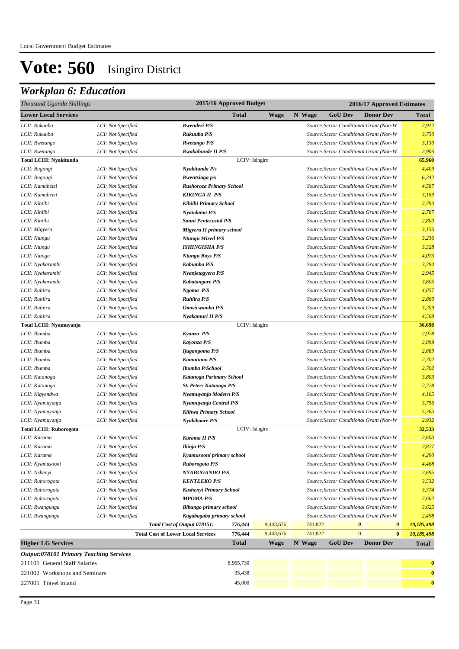| Thousand Uganda Shillings                      |                    |                                           | 2015/16 Approved Budget |             |         | 2016/17 Approved Estimates |                                         |              |  |  |
|------------------------------------------------|--------------------|-------------------------------------------|-------------------------|-------------|---------|----------------------------|-----------------------------------------|--------------|--|--|
| <b>Lower Local Services</b>                    |                    |                                           | <b>Total</b>            | <b>Wage</b> | N' Wage | <b>GoU Dev</b>             | <b>Donor Dev</b>                        | Total        |  |  |
| LCII: Rukuuba                                  | LCI: Not Specified | Rwendezi P/S                              |                         |             |         |                            | Source: Sector Conditional Grant (Non-W | 2,912        |  |  |
| LCII: Rukuuba                                  | LCI: Not Specified | Rukuuba P/S                               |                         |             |         |                            | Source: Sector Conditional Grant (Non-W | 3,750        |  |  |
| LCII: Rwetango                                 | LCI: Not Specified | <b>Rwetango P/S</b>                       |                         |             |         |                            | Source: Sector Conditional Grant (Non-W | 3,130        |  |  |
| LCII: Rwetango                                 | LCI: Not Specified | Rwakahunde II P/S                         |                         |             |         |                            | Source: Sector Conditional Grant (Non-W | 2,906        |  |  |
| <b>Total LCIII: Nyakitunda</b>                 |                    |                                           | LCIV: Isingiro          |             |         |                            |                                         | 65,960       |  |  |
| LCII: Bugongi                                  | LCI: Not Specified | Nyakitunda P/s                            |                         |             |         |                            | Source: Sector Conditional Grant (Non-W | 4,409        |  |  |
| LCII: Bugongi                                  | LCI: Not Specified | Rwentsinga p/s                            |                         |             |         |                            | Source: Sector Conditional Grant (Non-W | 6,242        |  |  |
| LCII: Kamubeizi                                | LCI: Not Specified | Rushoroza Primary School                  |                         |             |         |                            | Source: Sector Conditional Grant (Non-W | 4,587        |  |  |
| LCII: Kamubeizi                                | LCI: Not Specified | <b>KIKINGA II P/S</b>                     |                         |             |         |                            | Source: Sector Conditional Grant (Non-W | 3,189        |  |  |
| LCII: Kihiihi                                  | LCI: Not Specified | Kihiihi Primary School                    |                         |             |         |                            | Source: Sector Conditional Grant (Non-W | 2,794        |  |  |
| LCII: Kihiihi                                  | LCI: Not Specified | Nyandama P/S                              |                         |             |         |                            | Source: Sector Conditional Grant (Non-W | 2,767        |  |  |
| LCII: Kihiihi                                  | LCI: Not Specified | Sanni Pentecostal P/S                     |                         |             |         |                            | Source: Sector Conditional Grant (Non-W | 2,800        |  |  |
| LCII: Migyera                                  | LCI: Not Specified | Migyera II primary school                 |                         |             |         |                            | Source: Sector Conditional Grant (Non-W | 3,156        |  |  |
| LCII: Ntungu                                   | LCI: Not Specified | <b>Ntungu Mixed P/S</b>                   |                         |             |         |                            | Source: Sector Conditional Grant (Non-W | 3,236        |  |  |
| LCII: Ntungu                                   | LCI: Not Specified | <b>ISHINGISHA P/S</b>                     |                         |             |         |                            | Source: Sector Conditional Grant (Non-W | 3,328        |  |  |
| LCII: Ntungu                                   | LCI: Not Specified | Ntungu Boys P/S                           |                         |             |         |                            | Source: Sector Conditional Grant (Non-W | 4,073        |  |  |
| LCII: Nyakarambi                               | LCI: Not Specified | Kabumba P/S                               |                         |             |         |                            | Source: Sector Conditional Grant (Non-W | 3,394        |  |  |
| LCII: Nyakarambi                               | LCI: Not Specified | Nyanjetagyera P/S                         |                         |             |         |                            | Source: Sector Conditional Grant (Non-W | 2,945        |  |  |
| LCII: Nyakarambi                               | LCI: Not Specified | Kabatangare P/S                           |                         |             |         |                            | Source: Sector Conditional Grant (Non-W | 3,605        |  |  |
| LCII: Ruhiira                                  | LCI: Not Specified | Ngoma P/S                                 |                         |             |         |                            | Source: Sector Conditional Grant (Non-W | 4,857        |  |  |
| LCII: Ruhiira                                  | LCI: Not Specified | Ruhiira P/S                               |                         |             |         |                            | Source: Sector Conditional Grant (Non-W | 2,860        |  |  |
| LCII: Ruhiira                                  | LCI: Not Specified | Omwicwamba P/S                            |                         |             |         |                            | Source: Sector Conditional Grant (Non-W | 3,209        |  |  |
| LCII: Ruhiira                                  | LCI: Not Specified | Nyakamuri II P/S                          |                         |             |         |                            | Source: Sector Conditional Grant (Non-W | 4,508        |  |  |
| Total LCIII: Nyamuyanja                        |                    |                                           | LCIV: Isingiro          |             |         |                            |                                         | 36,698       |  |  |
| LCII: Ibumba                                   | LCI: Not Specified | Kyanza P/S                                |                         |             |         |                            | Source: Sector Conditional Grant (Non-W | 2,978        |  |  |
| LCII: Ibumba                                   | LCI: Not Specified | Kayonza P/S                               |                         |             |         |                            | Source: Sector Conditional Grant (Non-W | 2,899        |  |  |
| LCII: Ibumba                                   | LCI: Not Specified | Ijugangoma P/S                            |                         |             |         |                            | Source: Sector Conditional Grant (Non-W | 2,669        |  |  |
| LCII: Ibumba                                   | LCI: Not Specified | Kamutumo P/S                              |                         |             |         |                            | Source: Sector Conditional Grant (Non-W | 2,702        |  |  |
| LCII: Ibumba                                   | LCI: Not Specified | <b>Ibumba P/School</b>                    |                         |             |         |                            | Source: Sector Conditional Grant (Non-W | 2,702        |  |  |
| LCII: Katanoga                                 | LCI: Not Specified | Katanoga Parimary School                  |                         |             |         |                            | Source: Sector Conditional Grant (Non-W | 3,803        |  |  |
| LCII: Katanoga                                 | LCI: Not Specified | St. Peters Katanoga P/S                   |                         |             |         |                            | Source: Sector Conditional Grant (Non-W | 2,728        |  |  |
| LCII: Kigyendwa                                | LCI: Not Specified | Nyamuyanja Modern P/S                     |                         |             |         |                            | Source: Sector Conditional Grant (Non-W | 4,165        |  |  |
| LCII: Nyamuyanja                               | LCI: Not Specified | Nyamuyanja Central P/S                    |                         |             |         |                            | Source: Sector Conditional Grant (Non-W | 3,756        |  |  |
| LCII: Nyamuyanja                               | LCI: Not Specified | Kiihwa Primary School                     |                         |             |         |                            | Source: Sector Conditional Grant (Non-W | 5,365        |  |  |
| LCII: Nyamuyanja                               | LCI: Not Specified | Nyakibaare P/S                            |                         |             |         |                            | Source: Sector Conditional Grant (Non-W | 2,932        |  |  |
| <b>Total LCIII: Ruborogota</b>                 |                    |                                           | LCIV: Isingiro          |             |         |                            |                                         | 32,533       |  |  |
| LCII: Karama                                   | LCI: Not Specified | <b>Karama II P/S</b>                      |                         |             |         |                            | Source: Sector Conditional Grant (Non-W | 2,603        |  |  |
| LCII: Karama                                   | LCI: Not Specified | Ibinja P/S                                |                         |             |         |                            | Source: Sector Conditional Grant (Non-W | 2,827        |  |  |
| LCII: Karama                                   | LCI: Not Specified | Kyamusooni primary school                 |                         |             |         |                            | Source: Sector Conditional Grant (Non-W | 4,290        |  |  |
| LCII: Kyamusooni                               | LCI: Not Specified | Ruborogota P/S                            |                         |             |         |                            | Source: Sector Conditional Grant (Non-W | 4,468        |  |  |
| LCII: Nshenyi                                  | LCI: Not Specified | <b>NYABUGANDO P/S</b>                     |                         |             |         |                            | Source: Sector Conditional Grant (Non-W | 2,695        |  |  |
| LCII: Ruborogota                               | LCI: Not Specified | <b>KENTEEKO P/S</b>                       |                         |             |         |                            | Source: Sector Conditional Grant (Non-W | 3,532        |  |  |
| LCII: Ruborogota                               | LCI: Not Specified | Kashenyi Primary School                   |                         |             |         |                            | Source: Sector Conditional Grant (Non-W | 3,374        |  |  |
| LCII: Ruborogota                               | LCI: Not Specified | <b>MPOMA P/S</b>                          |                         |             |         |                            | Source: Sector Conditional Grant (Non-W | 2,662        |  |  |
| LCII: Rwangunga                                | LCI: Not Specified | <b>Bibungo primary school</b>             |                         |             |         |                            | Source: Sector Conditional Grant (Non-W | 3,625        |  |  |
| LCII: Rwangunga                                | LCI: Not Specified | Kagabagaba primary school                 |                         |             |         |                            | Source: Sector Conditional Grant (Non-W | 2,458        |  |  |
|                                                |                    | Total Cost of Output 078151:              | 776,444                 | 9,443,676   | 741,822 |                            | $\boldsymbol{\theta}$<br>0              | 10,185,498   |  |  |
|                                                |                    | <b>Total Cost of Lower Local Services</b> | 776,444                 | 9,443,676   | 741,822 |                            | $\overline{0}$<br>$\bf{0}$              | 10,185,498   |  |  |
| <b>Higher LG Services</b>                      |                    |                                           | Total                   | <b>Wage</b> | N' Wage | <b>GoU Dev</b>             | <b>Donor Dev</b>                        | <b>Total</b> |  |  |
| <b>Output:078101 Primary Teaching Services</b> |                    |                                           |                         |             |         |                            |                                         |              |  |  |
| 211101 General Staff Salaries                  |                    |                                           | 8,965,730               |             |         |                            |                                         | $\bf{0}$     |  |  |
| 221002 Workshops and Seminars                  |                    |                                           | 35,438                  |             |         |                            |                                         | $\bf{0}$     |  |  |
|                                                |                    |                                           | 45,000                  |             |         |                            |                                         | $\bf{0}$     |  |  |
| 227001 Travel inland                           |                    |                                           |                         |             |         |                            |                                         |              |  |  |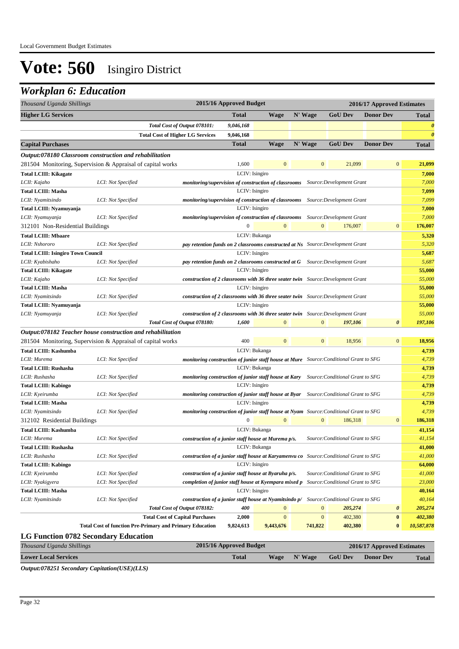### *Workplan 6: Education*

| Thousand Uganda Shillings                   | 2015/16 Approved Budget<br>2016/17 Approved Estimates           |                                                      |                         |               |                  |                                                                                         |                            |                       |
|---------------------------------------------|-----------------------------------------------------------------|------------------------------------------------------|-------------------------|---------------|------------------|-----------------------------------------------------------------------------------------|----------------------------|-----------------------|
| <b>Higher LG Services</b>                   |                                                                 |                                                      | <b>Total</b>            | <b>Wage</b>   | N' Wage          | <b>GoU Dev</b>                                                                          | <b>Donor Dev</b>           | <b>Total</b>          |
|                                             |                                                                 | Total Cost of Output 078101:                         | 9,046,168               |               |                  |                                                                                         |                            | $\boldsymbol{\theta}$ |
|                                             | <b>Total Cost of Higher LG Services</b>                         |                                                      | 9,046,168               |               |                  |                                                                                         |                            | $\theta$              |
| <b>Capital Purchases</b>                    |                                                                 |                                                      | <b>Total</b>            | <b>Wage</b>   | N' Wage          | <b>GoU Dev</b>                                                                          | <b>Donor Dev</b>           | <b>Total</b>          |
|                                             | Output:078180 Classroom construction and rehabilitation         |                                                      |                         |               |                  |                                                                                         |                            |                       |
|                                             | 281504 Monitoring, Supervision & Appraisal of capital works     |                                                      | 1,600                   | $\mathbf{0}$  | $\mathbf{0}$     | 21,099                                                                                  | $\mathbf{0}$               | 21,099                |
| <b>Total LCIII: Kikagate</b>                |                                                                 |                                                      | LCIV: Isingiro          |               |                  |                                                                                         |                            | 7,000                 |
| LCII: Kajaho                                | LCI: Not Specified                                              |                                                      |                         |               |                  | monitoring/supervision of construction of classrooms  Source:Development Grant          |                            | 7,000                 |
| <b>Total LCIII: Masha</b>                   |                                                                 |                                                      | LCIV: Isingiro          |               |                  |                                                                                         |                            | 7,099                 |
| LCII: Nyamitsindo                           | LCI: Not Specified                                              |                                                      |                         |               |                  | monitoring/supervision of construction of classrooms  Source:Development Grant          |                            | 7,099                 |
| Total LCIII: Nyamuyanja                     |                                                                 |                                                      | LCIV: Isingiro          |               |                  |                                                                                         |                            | 7,000                 |
| LCII: Nyamuyanja                            | LCI: Not Specified                                              |                                                      |                         |               |                  | monitoring/supervision of construction of classrooms Source: Development Grant          |                            | 7,000                 |
| 312101 Non-Residential Buildings            |                                                                 |                                                      | $\boldsymbol{0}$        | $\mathbf{0}$  | $\mathbf{0}$     | 176,007                                                                                 | $\mathbf{0}$               | 176,007               |
| <b>Total LCIII: Mbaare</b>                  |                                                                 |                                                      |                         | LCIV: Bukanga |                  |                                                                                         |                            | 5,320                 |
| LCII: Nshororo                              | LCI: Not Specified                                              |                                                      |                         |               |                  | pay retention funds on 2 classrooms constructed at Ns Source: Development Grant         |                            | 5,320                 |
| <b>Total LCIII: Isingiro Town Council</b>   |                                                                 |                                                      | LCIV: Isingiro          |               |                  |                                                                                         |                            | 5,687                 |
| LCII: Kyabishaho                            | LCI: Not Specified                                              |                                                      |                         |               |                  | pay retention funds on 2 classrooms constructed at G Source: Development Grant          |                            | 5,687                 |
| <b>Total LCIII: Kikagate</b>                |                                                                 |                                                      | LCIV: Isingiro          |               |                  |                                                                                         |                            | 55,000                |
| LCII: Kajaho                                | LCI: Not Specified                                              |                                                      |                         |               |                  | construction of 2 classrooms with 36 three seater twin Source: Development Grant        |                            | 55,000                |
| <b>Total LCIII: Masha</b>                   |                                                                 |                                                      | LCIV: Isingiro          |               |                  |                                                                                         |                            | 55,000                |
| LCII: Nyamitsindo                           | LCI: Not Specified                                              |                                                      |                         |               |                  | construction of 2 classrooms with 36 three seater twin Source: Development Grant        |                            | 55,000                |
| Total LCIII: Nyamuyanja                     |                                                                 |                                                      | LCIV: Isingiro          |               |                  |                                                                                         |                            | 55,000                |
| LCII: Nyamuyanja                            | LCI: Not Specified                                              |                                                      |                         |               |                  | construction of 2 classrooms with 36 three seater twin Source: Development Grant        |                            | 55,000                |
|                                             |                                                                 | Total Cost of Output 078180:                         | 1,600                   | $\Omega$      | $\Omega$         | 197,106                                                                                 | $\boldsymbol{\theta}$      | 197,106               |
|                                             | Output:078182 Teacher house construction and rehabilitation     |                                                      |                         |               |                  |                                                                                         |                            |                       |
|                                             | 281504 Monitoring, Supervision & Appraisal of capital works     |                                                      | 400                     | $\mathbf{0}$  | $\mathbf{0}$     | 18,956                                                                                  | $\mathbf{0}$               | 18,956                |
| Total LCIII: Kashumba                       |                                                                 |                                                      |                         | LCIV: Bukanga |                  |                                                                                         |                            | 4,739                 |
| LCII: Murema                                | LCI: Not Specified                                              |                                                      |                         |               |                  | monitoring construction of junior staff house at Mure Source: Conditional Grant to SFG  |                            | 4,739                 |
| <b>Total LCIII: Rushasha</b>                |                                                                 |                                                      |                         | LCIV: Bukanga |                  |                                                                                         |                            | 4,739                 |
| LCII: Rushasha                              | LCI: Not Specified                                              |                                                      |                         |               |                  | monitoring construction of junior staff house at Kary Source: Conditional Grant to SFG  |                            | 4,739                 |
| <b>Total LCIII: Kabingo</b>                 |                                                                 |                                                      | LCIV: Isingiro          |               |                  |                                                                                         |                            | 4,739                 |
| LCII: Kyeirumba                             | LCI: Not Specified                                              |                                                      |                         |               |                  | monitoring construction of junior staff house at Byar Source: Conditional Grant to SFG  |                            | 4,739                 |
| <b>Total LCIII: Masha</b>                   |                                                                 |                                                      | LCIV: Isingiro          |               |                  |                                                                                         |                            | 4,739                 |
| LCII: Nyamitsindo                           | LCI: Not Specified                                              |                                                      |                         |               |                  | monitoring construction of junior staff house at Nyam Source: Conditional Grant to SFG  |                            | 4,739                 |
| 312102 Residential Buildings                |                                                                 |                                                      | $\boldsymbol{0}$        | $\mathbf{0}$  | $\mathbf{0}$     | 186,318                                                                                 | $\mathbf{0}$               | 186,318               |
| Total LCIII: Kashumba                       |                                                                 |                                                      |                         | LCIV: Bukanga |                  |                                                                                         |                            | 41,154                |
| LCII: Murema                                | LCI: Not Specified                                              | construction of a junior staff house at Murema p/s.  |                         |               |                  | Source: Conditional Grant to SFG                                                        |                            | 41,154                |
| <b>Total LCIII: Rushasha</b>                |                                                                 |                                                      |                         | LCIV: Bukanga |                  |                                                                                         |                            | 41,000                |
| LCII: Rushasha                              | LCI: Not Specified                                              |                                                      |                         |               |                  | construction of a junior staff house at Karyamenvu co Source: Conditional Grant to SFG  |                            | 41,000                |
| <b>Total LCIII: Kabingo</b>                 |                                                                 |                                                      | LCIV: Isingiro          |               |                  |                                                                                         |                            | 64,000                |
| LCII: Kyeirumba                             | LCI: Not Specified                                              | construction of a junior staff house at Byaruha p/s. |                         |               |                  | Source: Conditional Grant to SFG                                                        |                            | 41,000                |
| LCII: Nyakigyera                            | LCI: Not Specified                                              | completion of junior staff house at Kyempara mixed p |                         |               |                  | Source: Conditional Grant to SFG                                                        |                            | 23,000                |
| <b>Total LCIII: Masha</b>                   |                                                                 |                                                      | LCIV: Isingiro          |               |                  |                                                                                         |                            | 40,164                |
| LCII: Nyamitsindo                           | LCI: Not Specified                                              |                                                      |                         |               |                  | construction of a junior staff house at Nyamitsindo p/ Source: Conditional Grant to SFG |                            | 40,164                |
|                                             |                                                                 | Total Cost of Output 078182:                         | 400                     | $\mathbf{0}$  | $\boldsymbol{0}$ | 205,274                                                                                 | $\boldsymbol{\theta}$      | 205,274               |
|                                             |                                                                 | <b>Total Cost of Capital Purchases</b>               |                         | $\mathbf{0}$  | $\boldsymbol{0}$ | 402,380                                                                                 | $\bf{0}$                   | 402,380               |
|                                             | <b>Total Cost of function Pre-Primary and Primary Education</b> |                                                      | 2,000<br>9,824,613      | 9,443,676     | 741,822          | 402,380                                                                                 | $\bf{0}$                   | 10,587,878            |
|                                             |                                                                 |                                                      |                         |               |                  |                                                                                         |                            |                       |
| <b>LG Function 0782 Secondary Education</b> |                                                                 |                                                      |                         |               |                  |                                                                                         |                            |                       |
| Thousand Uganda Shillings                   |                                                                 |                                                      | 2015/16 Approved Budget |               |                  |                                                                                         | 2016/17 Approved Estimates |                       |
| <b>Lower Local Services</b>                 |                                                                 |                                                      | <b>Total</b>            | <b>Wage</b>   | N' Wage          | <b>GoU Dev</b>                                                                          | <b>Donor Dev</b>           | <b>Total</b>          |

*Output:078251 Secondary Capitation(USE)(LLS)*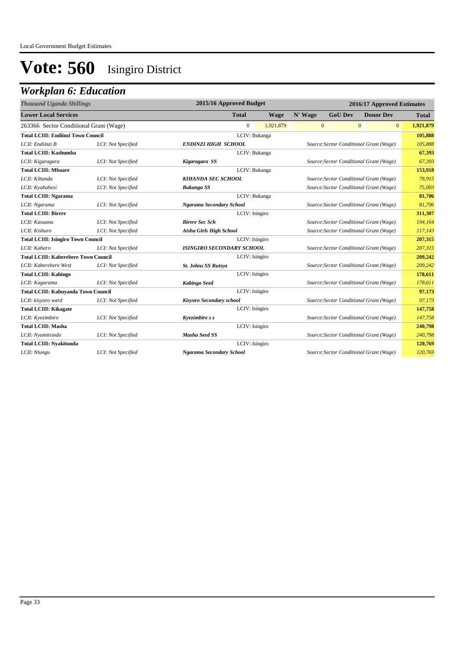| 2015/16 Approved Budget<br>Thousand Uganda Shillings |                    |                                                                     | 2016/17 Approved Estimates              |                                         |                                         |                                         |              |  |  |  |
|------------------------------------------------------|--------------------|---------------------------------------------------------------------|-----------------------------------------|-----------------------------------------|-----------------------------------------|-----------------------------------------|--------------|--|--|--|
| <b>Lower Local Services</b>                          |                    | <b>Total</b>                                                        | <b>Wage</b>                             | N' Wage                                 | <b>GoU Dev</b>                          | <b>Donor Dev</b>                        | <b>Total</b> |  |  |  |
| 263366 Sector Conditional Grant (Wage)               |                    | $\overline{0}$                                                      | 1,921,879                               | $\mathbf{0}$                            |                                         | $\mathbf{0}$<br>$\overline{0}$          | 1,921,879    |  |  |  |
| <b>Total LCIII: Endiinzi Town Council</b>            |                    |                                                                     | LCIV: Bukanga                           |                                         |                                         |                                         | 105,888      |  |  |  |
| LCII: Endiinzi B                                     | LCI: Not Specified | <b>ENDINZI HIGH SCHOOL</b>                                          |                                         |                                         | Source: Sector Conditional Grant (Wage) |                                         |              |  |  |  |
| <b>Total LCIII: Kashumba</b>                         |                    |                                                                     | LCIV: Bukanga                           |                                         |                                         |                                         | 67,393       |  |  |  |
| LCII: Kigaragara                                     | LCI: Not Specified | Kigaragara SS                                                       |                                         |                                         |                                         | Source: Sector Conditional Grant (Wage) |              |  |  |  |
| <b>Total LCIII: Mbaare</b>                           |                    |                                                                     | LCIV: Bukanga                           |                                         |                                         |                                         | 153,918      |  |  |  |
| LCII: Kihanda                                        | LCI: Not Specified | <b>KIHANDA SEC SCHOOL</b>                                           |                                         |                                         |                                         | Source: Sector Conditional Grant (Wage) |              |  |  |  |
| LCII: Kyabahesi                                      | LCI: Not Specified | <b>Bukanga SS</b>                                                   | Source: Sector Conditional Grant (Wage) |                                         |                                         |                                         | 75,003       |  |  |  |
| <b>Total LCIII: Ngarama</b><br>LCIV: Bukanga         |                    |                                                                     |                                         |                                         | 81,706                                  |                                         |              |  |  |  |
| LCII: Ngarama                                        | LCI: Not Specified | Ngarama Secondary School<br>Source: Sector Conditional Grant (Wage) |                                         |                                         |                                         |                                         | 81,706       |  |  |  |
| <b>Total LCIII: Birere</b>                           |                    | LCIV: Isingiro                                                      |                                         |                                         |                                         |                                         | 311,307      |  |  |  |
| LCII: Kasaana                                        | LCI: Not Specified | <b>Birere Sec Sch</b>                                               | Source: Sector Conditional Grant (Wage) |                                         |                                         |                                         | 194,164      |  |  |  |
| LCII: Kishuro                                        | LCI: Not Specified | Aisha Girls High School                                             |                                         |                                         |                                         | Source: Sector Conditional Grant (Wage) | 117,143      |  |  |  |
| <b>Total LCIII: Isingiro Town Council</b>            |                    |                                                                     | LCIV: Isingiro                          |                                         |                                         |                                         | 207,315      |  |  |  |
| LCII: Kaharo                                         | LCI: Not Specified | <b>ISINGIRO SECONDARY SCHOOL</b>                                    |                                         |                                         |                                         | Source: Sector Conditional Grant (Wage) | 207,315      |  |  |  |
| <b>Total LCIII: Kaberebere Town Council</b>          |                    | LCIV: Isingiro                                                      |                                         |                                         |                                         |                                         | 209,242      |  |  |  |
| LCII: Kaberebere West                                | LCI: Not Specified | <b>St. Johns SS Rutsya</b>                                          |                                         | Source: Sector Conditional Grant (Wage) | 209,242                                 |                                         |              |  |  |  |
| <b>Total LCIII: Kabingo</b>                          |                    | LCIV: Isingiro                                                      |                                         |                                         |                                         |                                         | 178,611      |  |  |  |
| LCII: Kagarama                                       | LCI: Not Specified | <b>Kabingo Seed</b>                                                 |                                         |                                         |                                         | Source: Sector Conditional Grant (Wage) | 178,611      |  |  |  |
| <b>Total LCIII: Kabuyanda Town Council</b>           |                    | LCIV: Isingiro                                                      |                                         |                                         |                                         |                                         | 97,173       |  |  |  |
| LCII: kisyoro ward                                   | LCI: Not Specified | Kisyoro Secondary school                                            |                                         |                                         |                                         | Source: Sector Conditional Grant (Wage) | 97,173       |  |  |  |
| <b>Total LCIII: Kikagate</b>                         |                    | LCIV: Isingiro                                                      |                                         |                                         |                                         |                                         | 147,758      |  |  |  |
| LCII: Kyezimbire                                     | LCI: Not Specified | Kyezimbire s s                                                      |                                         |                                         |                                         | Source: Sector Conditional Grant (Wage) | 147,758      |  |  |  |
| <b>Total LCIII: Masha</b>                            |                    | LCIV: Isingiro                                                      |                                         |                                         |                                         |                                         | 240,798      |  |  |  |
| LCII: Nyamitsindo                                    | LCI: Not Specified | <b>Masha Seed SS</b>                                                |                                         |                                         |                                         | Source: Sector Conditional Grant (Wage) | 240,798      |  |  |  |
| <b>Total LCIII: Nyakitunda</b>                       |                    | LCIV: Isingiro                                                      |                                         |                                         |                                         |                                         | 120,769      |  |  |  |
| LCII: Ntungu                                         | LCI: Not Specified | Ngarama Secondary School                                            |                                         |                                         |                                         | Source: Sector Conditional Grant (Wage) | 120,769      |  |  |  |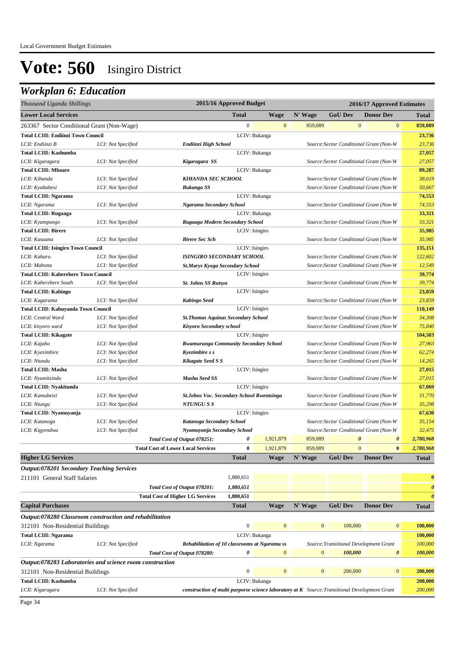| Thousand Uganda Shillings                                |                    | 2015/16 Approved Budget                                                                         |                  |                | 2016/17 Approved Estimates |                       |                                         |                       |
|----------------------------------------------------------|--------------------|-------------------------------------------------------------------------------------------------|------------------|----------------|----------------------------|-----------------------|-----------------------------------------|-----------------------|
| <b>Lower Local Services</b>                              |                    |                                                                                                 | <b>Total</b>     | <b>Wage</b>    | N' Wage                    | <b>GoU Dev</b>        | <b>Donor Dev</b>                        | <b>Total</b>          |
| 263367 Sector Conditional Grant (Non-Wage)               |                    |                                                                                                 | $\mathbf{0}$     | $\mathbf{0}$   | 859,089                    | $\mathbf{0}$          | $\mathbf{0}$                            | 859,089               |
| <b>Total LCIII: Endiinzi Town Council</b>                |                    |                                                                                                 |                  | LCIV: Bukanga  |                            |                       |                                         | 23,736                |
| LCII: Endiinzi B                                         | LCI: Not Specified | Endiinzi High School                                                                            |                  |                |                            |                       | Source: Sector Conditional Grant (Non-W | 23,736                |
| <b>Total LCIII: Kashumba</b>                             |                    |                                                                                                 |                  | LCIV: Bukanga  |                            |                       |                                         | 27,057                |
| LCII: Kigaragara                                         | LCI: Not Specified | Kigaragara SS                                                                                   |                  |                |                            |                       | Source: Sector Conditional Grant (Non-W | 27,057                |
| <b>Total LCIII: Mbaare</b>                               |                    |                                                                                                 |                  | LCIV: Bukanga  |                            |                       |                                         | 89,287                |
| LCII: Kihanda                                            | LCI: Not Specified | KIHANDA SEC SCHOOL                                                                              |                  |                |                            |                       | Source: Sector Conditional Grant (Non-W | 38,619                |
| LCII: Kyabahesi                                          | LCI: Not Specified | <b>Bukanga SS</b>                                                                               |                  |                |                            |                       | Source: Sector Conditional Grant (Non-W | 50,667                |
| <b>Total LCIII: Ngarama</b>                              |                    |                                                                                                 |                  | LCIV: Bukanga  |                            |                       |                                         | 74,553                |
| LCII: Ngarama                                            | LCI: Not Specified | Ngarama Secondary School                                                                        |                  |                |                            |                       | Source: Sector Conditional Grant (Non-W | 74,553                |
| <b>Total LCIII: Rugaaga</b>                              |                    |                                                                                                 |                  | LCIV: Bukanga  |                            |                       |                                         | 33,321                |
| LCII: Kyampango                                          | LCI: Not Specified | Rugaaga Modern Secondary School                                                                 |                  |                |                            |                       | Source: Sector Conditional Grant (Non-W | 33,321                |
| <b>Total LCIII: Birere</b>                               |                    |                                                                                                 |                  | LCIV: Isingiro |                            |                       |                                         | 35,985                |
| LCII: Kasaana                                            | LCI: Not Specified | <b>Birere Sec Sch</b>                                                                           |                  |                |                            |                       | Source: Sector Conditional Grant (Non-W | 35,985                |
| <b>Total LCIII: Isingiro Town Council</b>                |                    |                                                                                                 |                  | LCIV: Isingiro |                            |                       |                                         | 135,151               |
| LCII: Kaharo                                             | LCI: Not Specified | <b>ISINGIRO SECONDARY SCHOOL</b>                                                                |                  |                |                            |                       | Source: Sector Conditional Grant (Non-W | 122,602               |
| LCII: Mabona                                             | LCI: Not Specified | St.Marys Kyoga Secondary School                                                                 |                  |                |                            |                       | Source: Sector Conditional Grant (Non-W | 12,549                |
| <b>Total LCIII: Kaberebere Town Council</b>              |                    |                                                                                                 |                  | LCIV: Isingiro |                            |                       |                                         | 39,774                |
| LCII: Kaberebere South                                   | LCI: Not Specified | <b>St. Johns SS Rutsya</b>                                                                      |                  |                |                            |                       | Source: Sector Conditional Grant (Non-W | 39,774                |
| <b>Total LCIII: Kabingo</b>                              |                    |                                                                                                 |                  | LCIV: Isingiro |                            |                       |                                         | 23,859                |
| LCII: Kagarama                                           | LCI: Not Specified | <b>Kabingo Seed</b>                                                                             |                  |                |                            |                       | Source: Sector Conditional Grant (Non-W | 23,859                |
| <b>Total LCIII: Kabuyanda Town Council</b>               |                    |                                                                                                 |                  | LCIV: Isingiro |                            |                       |                                         | 110,149               |
| LCII: Central Ward                                       | LCI: Not Specified | <b>St. Thomas Aquinas Secondary School</b>                                                      |                  |                |                            |                       | Source: Sector Conditional Grant (Non-W | 34,308                |
| LCII: kisyoro ward                                       | LCI: Not Specified | Kisyoro Secondary school                                                                        |                  |                |                            |                       | Source: Sector Conditional Grant (Non-W | 75,840                |
| <b>Total LCIII: Kikagate</b>                             |                    |                                                                                                 |                  | LCIV: Isingiro |                            |                       |                                         | 104,503               |
| LCII: Kajaho                                             | LCI: Not Specified | Rwamurunga Community Secondary School                                                           |                  |                |                            |                       | Source: Sector Conditional Grant (Non-W | 27,963                |
| LCII: Kyezimbire                                         | LCI: Not Specified | Kyezimbire s s                                                                                  |                  |                |                            |                       | Source: Sector Conditional Grant (Non-W | 62,274                |
| LCII: Ntundu                                             | LCI: Not Specified | Kikagate Seed S S                                                                               |                  |                |                            |                       | Source: Sector Conditional Grant (Non-W | 14,265                |
| <b>Total LCIII: Masha</b>                                |                    |                                                                                                 |                  | LCIV: Isingiro |                            |                       |                                         | 27,015                |
| LCII: Nyamitsindo                                        | LCI: Not Specified | <b>Masha Seed SS</b>                                                                            |                  |                |                            |                       | Source: Sector Conditional Grant (Non-W | 27,015                |
| <b>Total LCIII: Nyakitunda</b>                           |                    |                                                                                                 |                  | LCIV: Isingiro |                            |                       |                                         | 67,069                |
| LCII: Kamubeizi                                          | LCI: Not Specified | <b>St.Johns Voc. Secondary School Rwentsinga</b>                                                |                  |                |                            |                       | Source: Sector Conditional Grant (Non-W | 31,770                |
| LCII: Ntungu                                             | LCI: Not Specified | NTUNGU S S                                                                                      |                  |                |                            |                       | Source: Sector Conditional Grant (Non-W | 35,298                |
| Total LCIII: Nyamuyanja                                  |                    |                                                                                                 |                  | LCIV: Isingiro |                            |                       |                                         | 67,630                |
| LCII: Katanoga                                           | LCI: Not Specified | Katanoga Secondary School                                                                       |                  |                |                            |                       | Source: Sector Conditional Grant (Non-W | 35,154                |
| LCII: Kigyendwa                                          | LCI: Not Specified | Nyamuyanja Secondary School                                                                     |                  |                |                            |                       | Source: Sector Conditional Grant (Non-W | 32,475                |
|                                                          |                    | Total Cost of Output 078251:                                                                    | 0                | 1,921,879      | 859,089                    | $\boldsymbol{\theta}$ | $\boldsymbol{\theta}$                   | 2,780,968             |
|                                                          |                    | <b>Total Cost of Lower Local Services</b>                                                       | $\bf{0}$         | 1,921,879      | 859,089                    | $\mathbf{0}$          | $\bf{0}$                                | 2,780,968             |
| <b>Higher LG Services</b>                                |                    |                                                                                                 | <b>Total</b>     | Wage           | N' Wage                    | <b>GoU Dev</b>        | <b>Donor Dev</b>                        | <b>Total</b>          |
| <b>Output:078201 Secondary Teaching Services</b>         |                    |                                                                                                 |                  |                |                            |                       |                                         |                       |
| 211101 General Staff Salaries                            |                    |                                                                                                 | 1,880,651        |                |                            |                       |                                         | $\bf{0}$              |
|                                                          |                    | Total Cost of Output 078201:                                                                    | 1,880,651        |                |                            |                       |                                         | $\boldsymbol{\theta}$ |
|                                                          |                    | <b>Total Cost of Higher LG Services</b>                                                         | 1,880,651        |                |                            |                       |                                         | $\boldsymbol{\theta}$ |
| <b>Capital Purchases</b>                                 |                    |                                                                                                 | <b>Total</b>     | Wage           | N' Wage                    | <b>GoU Dev</b>        | <b>Donor Dev</b>                        | <b>Total</b>          |
| Output:078280 Classroom construction and rehabilitation  |                    |                                                                                                 |                  |                |                            |                       |                                         |                       |
| 312101 Non-Residential Buildings                         |                    |                                                                                                 | $\boldsymbol{0}$ | $\mathbf{0}$   | $\mathbf{0}$               | 100,000               | $\bf{0}$                                | 100,000               |
| <b>Total LCIII: Ngarama</b>                              |                    |                                                                                                 |                  | LCIV: Bukanga  |                            |                       |                                         | 100,000               |
| LCII: Ngarama                                            | LCI: Not Specified | Rehabilitation of 10 classrooms at Ngarama ss                                                   |                  |                |                            |                       | Source: Transitional Development Grant  | 100,000               |
|                                                          |                    | Total Cost of Output 078280:                                                                    | 0                | $\overline{0}$ | $\mathbf{0}$               | 100,000               | $\boldsymbol{\theta}$                   | 100,000               |
| Output:078283 Laboratories and science room construction |                    |                                                                                                 |                  |                |                            |                       |                                         |                       |
| 312101 Non-Residential Buildings                         |                    |                                                                                                 | $\boldsymbol{0}$ | $\mathbf{0}$   | $\mathbf{0}$               | 200,000               | $\mathbf{0}$                            | 200,000               |
| <b>Total LCIII: Kashumba</b>                             |                    |                                                                                                 |                  | LCIV: Bukanga  |                            |                       |                                         | 200,000               |
| LCII: Kigaragara                                         | LCI: Not Specified | construction of multi purporse science laboratory at $K$ Source: Transitional Development Grant |                  |                |                            |                       |                                         | 200,000               |
|                                                          |                    |                                                                                                 |                  |                |                            |                       |                                         |                       |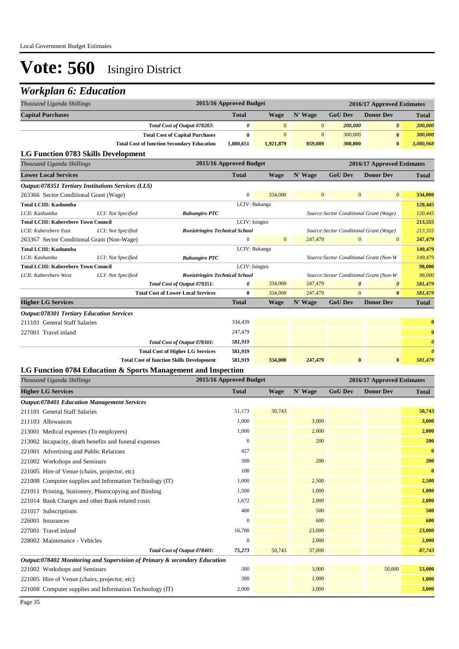### *Workplan 6: Education*

| 2015/16 Approved Budget<br>Thousand Uganda Shillings<br>2016/17 Approved Estimates<br><b>Capital Purchases</b><br><b>Total</b><br><b>Wage</b><br>N' Wage<br><b>GoU Dev</b><br><b>Donor Dev</b><br><b>Total</b><br>$\boldsymbol{\theta}$<br>Total Cost of Output 078283:<br>$\mathbf{0}$<br>$\mathbf{0}$<br>200,000<br>$\boldsymbol{\theta}$<br>200,000<br>$\pmb{0}$<br>$\boldsymbol{0}$<br>$\boldsymbol{0}$<br><b>Total Cost of Capital Purchases</b><br>300,000<br>$\bf{0}$<br>300,000<br><b>Total Cost of function Secondary Education</b><br>1,880,651<br>859,089<br>300,000<br>$\bf{0}$<br>3,080,968<br>1,921,879<br>LG Function 0783 Skills Development<br>2015/16 Approved Budget<br>2016/17 Approved Estimates<br>Thousand Uganda Shillings<br><b>GoU Dev</b><br><b>Donor Dev</b><br><b>Lower Local Services</b><br><b>Total</b><br><b>Wage</b><br>N' Wage<br><b>Total</b><br>Output:078351 Tertiary Institutions Services (LLS)<br>$\overline{0}$<br>334,000<br>$\mathbf{0}$<br>$\mathbf{0}$<br>$\mathbf{0}$<br>334,000<br>263366 Sector Conditional Grant (Wage)<br>LCIV: Bukanga<br><b>Total LCIII: Kashumba</b><br>120,445<br>LCII: Kashumba<br>LCI: Not Specified<br>120,445<br>Source: Sector Conditional Grant (Wage)<br><b>Buhungiro PTC</b><br>LCIV: Isingiro<br>213,555<br><b>Total LCIII: Kaberebere Town Council</b><br>LCI: Not Specified<br>213,555<br>LCII: Kaberebere East<br>Source: Sector Conditional Grant (Wage)<br><b>Rweiziringiro Technical School</b><br>$\overline{0}$<br>$\mathbf{0}$<br>247,479<br>$\mathbf{0}$<br>$\mathbf{0}$<br>247,479<br>263367 Sector Conditional Grant (Non-Wage) |
|-----------------------------------------------------------------------------------------------------------------------------------------------------------------------------------------------------------------------------------------------------------------------------------------------------------------------------------------------------------------------------------------------------------------------------------------------------------------------------------------------------------------------------------------------------------------------------------------------------------------------------------------------------------------------------------------------------------------------------------------------------------------------------------------------------------------------------------------------------------------------------------------------------------------------------------------------------------------------------------------------------------------------------------------------------------------------------------------------------------------------------------------------------------------------------------------------------------------------------------------------------------------------------------------------------------------------------------------------------------------------------------------------------------------------------------------------------------------------------------------------------------------------------------------------------------------------------------------------------------------------------|
|                                                                                                                                                                                                                                                                                                                                                                                                                                                                                                                                                                                                                                                                                                                                                                                                                                                                                                                                                                                                                                                                                                                                                                                                                                                                                                                                                                                                                                                                                                                                                                                                                             |
|                                                                                                                                                                                                                                                                                                                                                                                                                                                                                                                                                                                                                                                                                                                                                                                                                                                                                                                                                                                                                                                                                                                                                                                                                                                                                                                                                                                                                                                                                                                                                                                                                             |
|                                                                                                                                                                                                                                                                                                                                                                                                                                                                                                                                                                                                                                                                                                                                                                                                                                                                                                                                                                                                                                                                                                                                                                                                                                                                                                                                                                                                                                                                                                                                                                                                                             |
|                                                                                                                                                                                                                                                                                                                                                                                                                                                                                                                                                                                                                                                                                                                                                                                                                                                                                                                                                                                                                                                                                                                                                                                                                                                                                                                                                                                                                                                                                                                                                                                                                             |
|                                                                                                                                                                                                                                                                                                                                                                                                                                                                                                                                                                                                                                                                                                                                                                                                                                                                                                                                                                                                                                                                                                                                                                                                                                                                                                                                                                                                                                                                                                                                                                                                                             |
|                                                                                                                                                                                                                                                                                                                                                                                                                                                                                                                                                                                                                                                                                                                                                                                                                                                                                                                                                                                                                                                                                                                                                                                                                                                                                                                                                                                                                                                                                                                                                                                                                             |
|                                                                                                                                                                                                                                                                                                                                                                                                                                                                                                                                                                                                                                                                                                                                                                                                                                                                                                                                                                                                                                                                                                                                                                                                                                                                                                                                                                                                                                                                                                                                                                                                                             |
|                                                                                                                                                                                                                                                                                                                                                                                                                                                                                                                                                                                                                                                                                                                                                                                                                                                                                                                                                                                                                                                                                                                                                                                                                                                                                                                                                                                                                                                                                                                                                                                                                             |
|                                                                                                                                                                                                                                                                                                                                                                                                                                                                                                                                                                                                                                                                                                                                                                                                                                                                                                                                                                                                                                                                                                                                                                                                                                                                                                                                                                                                                                                                                                                                                                                                                             |
|                                                                                                                                                                                                                                                                                                                                                                                                                                                                                                                                                                                                                                                                                                                                                                                                                                                                                                                                                                                                                                                                                                                                                                                                                                                                                                                                                                                                                                                                                                                                                                                                                             |
|                                                                                                                                                                                                                                                                                                                                                                                                                                                                                                                                                                                                                                                                                                                                                                                                                                                                                                                                                                                                                                                                                                                                                                                                                                                                                                                                                                                                                                                                                                                                                                                                                             |
|                                                                                                                                                                                                                                                                                                                                                                                                                                                                                                                                                                                                                                                                                                                                                                                                                                                                                                                                                                                                                                                                                                                                                                                                                                                                                                                                                                                                                                                                                                                                                                                                                             |
|                                                                                                                                                                                                                                                                                                                                                                                                                                                                                                                                                                                                                                                                                                                                                                                                                                                                                                                                                                                                                                                                                                                                                                                                                                                                                                                                                                                                                                                                                                                                                                                                                             |
|                                                                                                                                                                                                                                                                                                                                                                                                                                                                                                                                                                                                                                                                                                                                                                                                                                                                                                                                                                                                                                                                                                                                                                                                                                                                                                                                                                                                                                                                                                                                                                                                                             |
|                                                                                                                                                                                                                                                                                                                                                                                                                                                                                                                                                                                                                                                                                                                                                                                                                                                                                                                                                                                                                                                                                                                                                                                                                                                                                                                                                                                                                                                                                                                                                                                                                             |
| LCIV: Bukanga<br>149,479<br><b>Total LCIII: Kashumba</b>                                                                                                                                                                                                                                                                                                                                                                                                                                                                                                                                                                                                                                                                                                                                                                                                                                                                                                                                                                                                                                                                                                                                                                                                                                                                                                                                                                                                                                                                                                                                                                    |
| 149,479<br>LCII: Kashumba<br>LCI: Not Specified<br>Source: Sector Conditional Grant (Non-W<br><b>Buhungiro PTC</b>                                                                                                                                                                                                                                                                                                                                                                                                                                                                                                                                                                                                                                                                                                                                                                                                                                                                                                                                                                                                                                                                                                                                                                                                                                                                                                                                                                                                                                                                                                          |
| LCIV: Isingiro<br><b>Total LCIII: Kaberebere Town Council</b><br>98,000                                                                                                                                                                                                                                                                                                                                                                                                                                                                                                                                                                                                                                                                                                                                                                                                                                                                                                                                                                                                                                                                                                                                                                                                                                                                                                                                                                                                                                                                                                                                                     |
| 98,000<br>LCII: Kaberebere West<br>LCI: Not Specified<br>Source: Sector Conditional Grant (Non-W<br><b>Rweiziringiro Technical School</b>                                                                                                                                                                                                                                                                                                                                                                                                                                                                                                                                                                                                                                                                                                                                                                                                                                                                                                                                                                                                                                                                                                                                                                                                                                                                                                                                                                                                                                                                                   |
| 0<br>334,000<br>247,479<br>$\boldsymbol{\theta}$<br>$\boldsymbol{\theta}$<br>581,479<br>Total Cost of Output 078351:                                                                                                                                                                                                                                                                                                                                                                                                                                                                                                                                                                                                                                                                                                                                                                                                                                                                                                                                                                                                                                                                                                                                                                                                                                                                                                                                                                                                                                                                                                        |
| $\overline{0}$<br>247,479<br>581,479<br>$\bf{0}$<br>334,000<br>$\bf{0}$<br><b>Total Cost of Lower Local Services</b>                                                                                                                                                                                                                                                                                                                                                                                                                                                                                                                                                                                                                                                                                                                                                                                                                                                                                                                                                                                                                                                                                                                                                                                                                                                                                                                                                                                                                                                                                                        |
| <b>Total</b><br>N' Wage<br><b>GoU Dev</b><br><b>Donor Dev</b><br><b>Wage</b><br><b>Higher LG Services</b><br><b>Total</b>                                                                                                                                                                                                                                                                                                                                                                                                                                                                                                                                                                                                                                                                                                                                                                                                                                                                                                                                                                                                                                                                                                                                                                                                                                                                                                                                                                                                                                                                                                   |
| <b>Output:078301 Tertiary Education Services</b>                                                                                                                                                                                                                                                                                                                                                                                                                                                                                                                                                                                                                                                                                                                                                                                                                                                                                                                                                                                                                                                                                                                                                                                                                                                                                                                                                                                                                                                                                                                                                                            |
| 211101 General Staff Salaries<br>334,439<br>$\bf{0}$                                                                                                                                                                                                                                                                                                                                                                                                                                                                                                                                                                                                                                                                                                                                                                                                                                                                                                                                                                                                                                                                                                                                                                                                                                                                                                                                                                                                                                                                                                                                                                        |
| $\bf{0}$<br>227001 Travel inland<br>247,479                                                                                                                                                                                                                                                                                                                                                                                                                                                                                                                                                                                                                                                                                                                                                                                                                                                                                                                                                                                                                                                                                                                                                                                                                                                                                                                                                                                                                                                                                                                                                                                 |
| 581,919<br>$\boldsymbol{\theta}$<br>Total Cost of Output 078301:                                                                                                                                                                                                                                                                                                                                                                                                                                                                                                                                                                                                                                                                                                                                                                                                                                                                                                                                                                                                                                                                                                                                                                                                                                                                                                                                                                                                                                                                                                                                                            |
| <b>Total Cost of Higher LG Services</b><br>581,919<br>$\boldsymbol{\theta}$                                                                                                                                                                                                                                                                                                                                                                                                                                                                                                                                                                                                                                                                                                                                                                                                                                                                                                                                                                                                                                                                                                                                                                                                                                                                                                                                                                                                                                                                                                                                                 |
| <b>Total Cost of function Skills Development</b><br>581,919<br>$\bf{0}$<br>334,000<br>247,479<br>$\bf{0}$<br>581,479                                                                                                                                                                                                                                                                                                                                                                                                                                                                                                                                                                                                                                                                                                                                                                                                                                                                                                                                                                                                                                                                                                                                                                                                                                                                                                                                                                                                                                                                                                        |
| LG Function 0784 Education & Sports Management and Inspection                                                                                                                                                                                                                                                                                                                                                                                                                                                                                                                                                                                                                                                                                                                                                                                                                                                                                                                                                                                                                                                                                                                                                                                                                                                                                                                                                                                                                                                                                                                                                               |
| 2015/16 Approved Budget<br>2016/17 Approved Estimates<br>Thousand Uganda Shillings                                                                                                                                                                                                                                                                                                                                                                                                                                                                                                                                                                                                                                                                                                                                                                                                                                                                                                                                                                                                                                                                                                                                                                                                                                                                                                                                                                                                                                                                                                                                          |
| N' Wage<br><b>GoU Dev</b><br><b>Donor Dev</b><br><b>Higher LG Services</b><br><b>Total</b><br>Wage<br><b>Total</b>                                                                                                                                                                                                                                                                                                                                                                                                                                                                                                                                                                                                                                                                                                                                                                                                                                                                                                                                                                                                                                                                                                                                                                                                                                                                                                                                                                                                                                                                                                          |
| <b>Output:078401 Education Management Services</b>                                                                                                                                                                                                                                                                                                                                                                                                                                                                                                                                                                                                                                                                                                                                                                                                                                                                                                                                                                                                                                                                                                                                                                                                                                                                                                                                                                                                                                                                                                                                                                          |
| 50,743<br>211101 General Staff Salaries<br>51,173<br>50,743                                                                                                                                                                                                                                                                                                                                                                                                                                                                                                                                                                                                                                                                                                                                                                                                                                                                                                                                                                                                                                                                                                                                                                                                                                                                                                                                                                                                                                                                                                                                                                 |
| 3,000<br>1,000<br>3,000<br>211103 Allowances                                                                                                                                                                                                                                                                                                                                                                                                                                                                                                                                                                                                                                                                                                                                                                                                                                                                                                                                                                                                                                                                                                                                                                                                                                                                                                                                                                                                                                                                                                                                                                                |
| 1,000<br>2,000<br>2,000<br>213001 Medical expenses (To employees)                                                                                                                                                                                                                                                                                                                                                                                                                                                                                                                                                                                                                                                                                                                                                                                                                                                                                                                                                                                                                                                                                                                                                                                                                                                                                                                                                                                                                                                                                                                                                           |
| $\boldsymbol{0}$<br>200<br>200<br>213002 Incapacity, death benefits and funeral expenses                                                                                                                                                                                                                                                                                                                                                                                                                                                                                                                                                                                                                                                                                                                                                                                                                                                                                                                                                                                                                                                                                                                                                                                                                                                                                                                                                                                                                                                                                                                                    |
| $\bf{0}$<br>427<br>221001 Advertising and Public Relations                                                                                                                                                                                                                                                                                                                                                                                                                                                                                                                                                                                                                                                                                                                                                                                                                                                                                                                                                                                                                                                                                                                                                                                                                                                                                                                                                                                                                                                                                                                                                                  |

| 221008 Computer supplies and Information Technology (IT)                  | 1,000        |        | 2,500  |        | 2,500  |
|---------------------------------------------------------------------------|--------------|--------|--------|--------|--------|
| 221011 Printing, Stationery, Photocopying and Binding                     | 1,500        |        | 1,000  |        | 1,000  |
| 221014 Bank Charges and other Bank related costs                          | 1,672        |        | 2.000  |        | 2,000  |
| 221017 Subscriptions                                                      | 400          |        | 500    |        | 500    |
| 226001 Insurances                                                         | $\mathbf{0}$ |        | 600    |        | 600    |
| 227001 Travel inland                                                      | 16,700       |        | 23,000 |        | 23,000 |
| 228002 Maintenance - Vehicles                                             | $\Omega$     |        | 2.000  |        | 2,000  |
| Total Cost of Output 078401:                                              | 75,273       | 50,743 | 37,000 |        | 87,743 |
| Output:078402 Monitoring and Supervision of Primary & secondary Education |              |        |        |        |        |
| 221002 Workshops and Seminars                                             | 300          |        | 3,000  | 50,000 | 53,000 |
| 221005 Hire of Venue (chairs, projector, etc)                             | 300          |        | 1.000  |        | 1,000  |
| 221008 Computer supplies and Information Technology (IT)                  | 2,000        |        | 3,000  |        | 3,000  |

221002 Workshops and Seminars 300 200 **200** 221005 Hire of Venue (chairs, projector, etc) 100 **0**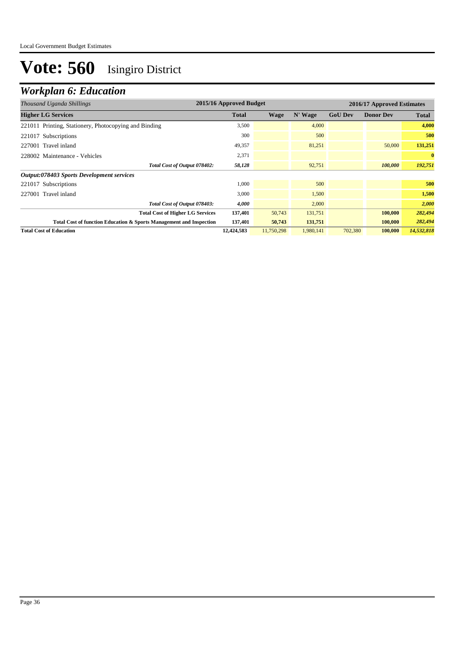| Thousand Uganda Shillings                                           | 2015/16 Approved Budget |            |           |                | 2016/17 Approved Estimates |              |  |  |
|---------------------------------------------------------------------|-------------------------|------------|-----------|----------------|----------------------------|--------------|--|--|
| <b>Higher LG Services</b>                                           | <b>Total</b>            | Wage       | N' Wage   | <b>GoU Dev</b> | <b>Donor Dev</b>           | <b>Total</b> |  |  |
| 221011 Printing, Stationery, Photocopying and Binding               | 3,500                   |            | 4,000     |                |                            | 4,000        |  |  |
| 221017 Subscriptions                                                | 300                     |            | 500       |                |                            | 500          |  |  |
| 227001 Travel inland                                                | 49,357                  |            | 81,251    |                | 50,000                     | 131,251      |  |  |
| 228002 Maintenance - Vehicles                                       | 2,371                   |            |           |                |                            | $\bf{0}$     |  |  |
| Total Cost of Output 078402:                                        | 58,128                  |            | 92,751    |                | 100,000                    | 192,751      |  |  |
| Output:078403 Sports Development services                           |                         |            |           |                |                            |              |  |  |
| 221017 Subscriptions                                                | 1,000                   |            | 500       |                |                            | 500          |  |  |
| 227001 Travel inland                                                | 3,000                   |            | 1,500     |                |                            | 1,500        |  |  |
| Total Cost of Output 078403:                                        | 4,000                   |            | 2,000     |                |                            | 2,000        |  |  |
| <b>Total Cost of Higher LG Services</b>                             | 137,401                 | 50,743     | 131,751   |                | 100,000                    | 282,494      |  |  |
| Total Cost of function Education & Sports Management and Inspection | 137,401                 | 50,743     | 131,751   |                | 100,000                    | 282,494      |  |  |
| <b>Total Cost of Education</b>                                      | 12,424,583              | 11,750,298 | 1,980,141 | 702,380        | 100,000                    | 14,532,818   |  |  |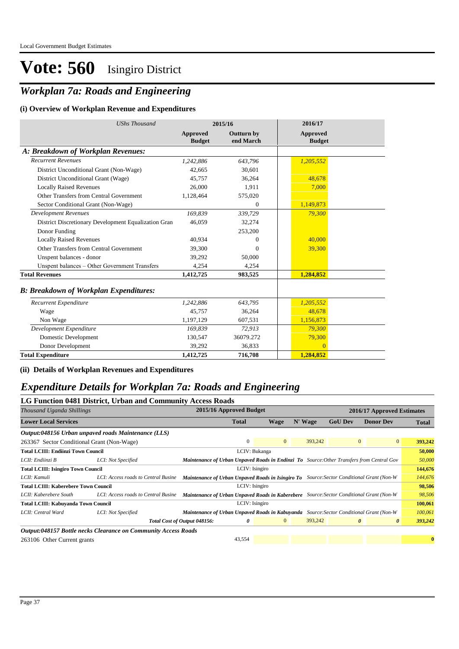## *Workplan 7a: Roads and Engineering*

#### **(i) Overview of Workplan Revenue and Expenditures**

| <b>UShs Thousand</b>                                 | 2015/16                          |                                | 2016/17                          |  |
|------------------------------------------------------|----------------------------------|--------------------------------|----------------------------------|--|
|                                                      | <b>Approved</b><br><b>Budget</b> | <b>Outturn by</b><br>end March | <b>Approved</b><br><b>Budget</b> |  |
| A: Breakdown of Workplan Revenues:                   |                                  |                                |                                  |  |
| <b>Recurrent Revenues</b>                            | 1,242,886                        | 643,796                        | 1,205,552                        |  |
| District Unconditional Grant (Non-Wage)              | 42,665                           | 30,601                         |                                  |  |
| District Unconditional Grant (Wage)                  | 45,757                           | 36,264                         | 48,678                           |  |
| <b>Locally Raised Revenues</b>                       | 26,000                           | 1,911                          | 7,000                            |  |
| Other Transfers from Central Government              | 1,128,464                        | 575,020                        |                                  |  |
| Sector Conditional Grant (Non-Wage)                  |                                  | $\mathbf{0}$                   | 1,149,873                        |  |
| <b>Development Revenues</b>                          | 169.839                          | 339,729                        | 79,300                           |  |
| District Discretionary Development Equalization Gran | 46,059                           | 32,274                         |                                  |  |
| Donor Funding                                        |                                  | 253,200                        |                                  |  |
| <b>Locally Raised Revenues</b>                       | 40,934                           | 0                              | 40,000                           |  |
| Other Transfers from Central Government              | 39,300                           | 0                              | 39,300                           |  |
| Unspent balances - donor                             | 39,292                           | 50,000                         |                                  |  |
| Unspent balances - Other Government Transfers        | 4,254                            | 4,254                          |                                  |  |
| <b>Total Revenues</b>                                | 1,412,725                        | 983,525                        | 1,284,852                        |  |
| <b>B: Breakdown of Workplan Expenditures:</b>        |                                  |                                |                                  |  |
| Recurrent Expenditure                                | 1,242,886                        | 643,795                        | 1,205,552                        |  |
| Wage                                                 | 45,757                           | 36,264                         | 48,678                           |  |
| Non Wage                                             | 1,197,129                        | 607,531                        | 1,156,873                        |  |
| Development Expenditure                              | 169,839                          | 72,913                         | 79,300                           |  |
| Domestic Development                                 | 130,547                          | 36079.272                      | 79,300                           |  |
| Donor Development                                    | 39,292                           | 36,833                         | $\Omega$                         |  |
| <b>Total Expenditure</b>                             | 1,412,725                        | 716,708                        | 1,284,852                        |  |

**(ii) Details of Workplan Revenues and Expenditures**

### *Expenditure Details for Workplan 7a: Roads and Engineering*

|                                             | LG Function 0481 District, Urban and Community Access Roads    |                                                                                                  |                         |                |                |                            |                       |         |  |
|---------------------------------------------|----------------------------------------------------------------|--------------------------------------------------------------------------------------------------|-------------------------|----------------|----------------|----------------------------|-----------------------|---------|--|
| Thousand Uganda Shillings                   |                                                                |                                                                                                  | 2015/16 Approved Budget |                |                | 2016/17 Approved Estimates |                       |         |  |
| <b>Lower Local Services</b>                 |                                                                | <b>Total</b>                                                                                     | Wage                    | N' Wage        | <b>GoU Dev</b> | <b>Donor Dev</b>           | <b>Total</b>          |         |  |
|                                             | Output:048156 Urban unpaved roads Maintenance (LLS)            |                                                                                                  |                         |                |                |                            |                       |         |  |
| 263367 Sector Conditional Grant (Non-Wage)  |                                                                |                                                                                                  | $\mathbf{0}$            | $\overline{0}$ | 393,242        | $\mathbf{0}$               | $\overline{0}$        | 393,242 |  |
| <b>Total LCIII: Endiinzi Town Council</b>   |                                                                | LCIV: Bukanga                                                                                    |                         |                |                |                            |                       | 50,000  |  |
| LCII: Endiinzi B                            | LCI: Not Specified                                             | <b>Maintenance of Urban Unpaved Roads in Endinzi To</b> Source: Other Transfers from Central Gov |                         |                |                |                            |                       | 50,000  |  |
| <b>Total LCIII: Isingiro Town Council</b>   |                                                                | LCIV: Isingiro                                                                                   |                         |                |                |                            |                       | 144,676 |  |
| LCII: Kamuli                                | LCI: Access roads to Central Busine                            | <b>Maintenance of Urban Unpaved Roads in Isingiro To</b> Source: Sector Conditional Grant (Non-W |                         |                |                |                            |                       | 144,676 |  |
| <b>Total LCIII: Kaberebere Town Council</b> |                                                                |                                                                                                  |                         | 98,506         |                |                            |                       |         |  |
| LCII: Kaberebere South                      | LCI: Access roads to Central Busine                            | <b>Maintenance of Urban Unpaved Roads in Kaberebere</b> Source: Sector Conditional Grant (Non-W) |                         |                |                |                            |                       | 98,506  |  |
| <b>Total LCIII: Kabuyanda Town Council</b>  |                                                                | LCIV: Isingiro                                                                                   |                         |                |                |                            |                       | 100,061 |  |
| LCII: Central Ward                          | LCI: Not Specified                                             | <b>Maintenance of Urban Unpaved Roads in Kabuyanda</b> Source: Sector Conditional Grant (Non-W   |                         |                |                |                            |                       | 100,061 |  |
|                                             |                                                                | Total Cost of Output 048156:                                                                     | 0                       | $\mathbf{0}$   | 393,242        | $\boldsymbol{\theta}$      | $\boldsymbol{\theta}$ | 393,242 |  |
|                                             | Output:048157 Bottle necks Clearance on Community Access Roads |                                                                                                  |                         |                |                |                            |                       |         |  |
| 263106 Other Current grants                 |                                                                |                                                                                                  | 43,554                  |                |                |                            |                       |         |  |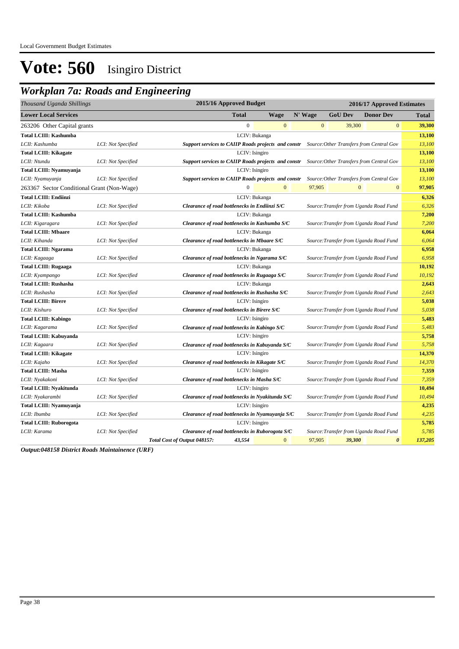### *Workplan 7a: Roads and Engineering*

| Thousand Uganda Shillings                  | 2015/16 Approved Budget<br>2016/17 Approved Estimates |                                                                                                        |                                  |  |  |
|--------------------------------------------|-------------------------------------------------------|--------------------------------------------------------------------------------------------------------|----------------------------------|--|--|
| <b>Lower Local Services</b>                |                                                       | <b>Total</b><br>N' Wage<br><b>GoU Dev</b><br><b>Donor Dev</b><br><b>Wage</b>                           | Total                            |  |  |
| 263206 Other Capital grants                |                                                       | $\boldsymbol{0}$<br>$\mathbf{0}$<br>39,300<br>$\mathbf{0}$                                             | $\mathbf{0}$<br>39,300           |  |  |
| <b>Total LCIII: Kashumba</b>               |                                                       | LCIV: Bukanga                                                                                          | 13,100                           |  |  |
| LCII: Kashumba                             | LCI: Not Specified                                    | Support services to CAIIP Roads projects and constr Source: Other Transfers from Central Gov           | 13,100                           |  |  |
| <b>Total LCIII: Kikagate</b>               |                                                       | LCIV: Isingiro                                                                                         | 13,100                           |  |  |
| LCII: Ntundu                               | LCI: Not Specified                                    | <b>Support services to CAIIP Roads projects and constr</b><br>Source: Other Transfers from Central Gov | 13,100                           |  |  |
| Total LCIII: Nyamuyanja                    |                                                       | LCIV: Isingiro                                                                                         | 13,100                           |  |  |
| LCII: Nyamuyanja                           | LCI: Not Specified                                    | Support services to CAIIP Roads projects and constr<br>Source: Other Transfers from Central Gov        | 13,100                           |  |  |
| 263367 Sector Conditional Grant (Non-Wage) |                                                       | $\boldsymbol{0}$<br>97,905<br>$\mathbf{0}$<br>$\mathbf{0}$                                             | $\mathbf{0}$<br>97,905           |  |  |
| <b>Total LCIII: Endiinzi</b>               |                                                       | LCIV: Bukanga                                                                                          | 6,326                            |  |  |
| LCII: Kikoba                               | LCI: Not Specified                                    | Clearance of road bottlenecks in Endiinzi S/C<br>Source: Transfer from Uganda Road Fund                | 6,326                            |  |  |
| <b>Total LCIII: Kashumba</b>               |                                                       | LCIV: Bukanga                                                                                          | 7,200                            |  |  |
| LCII: Kigaragara                           | LCI: Not Specified                                    | Clearance of road bottlenecks in Kashumba S/C<br>Source: Transfer from Uganda Road Fund                | 7,200                            |  |  |
| <b>Total LCIII: Mbaare</b>                 |                                                       | LCIV: Bukanga                                                                                          | 6,064                            |  |  |
| LCII: Kihanda                              | LCI: Not Specified                                    | Clearance of road bottlenecks in Mbaare S/C<br>Source: Transfer from Uganda Road Fund                  | 6,064                            |  |  |
| <b>Total LCIII: Ngarama</b>                |                                                       | LCIV: Bukanga                                                                                          | 6,958                            |  |  |
| LCII: Kagaaga                              | LCI: Not Specified                                    | Clearance of road bottlenecks in Ngarama S/C<br>Source:Transfer from Uganda Road Fund                  | 6,958                            |  |  |
| <b>Total LCIII: Rugaaga</b>                |                                                       | LCIV: Bukanga                                                                                          | 10,192                           |  |  |
| LCII: Kyampango                            | LCI: Not Specified                                    | Clearance of road bottlenecks in Rugaaga S/C<br>Source: Transfer from Uganda Road Fund                 | 10,192                           |  |  |
| <b>Total LCIII: Rushasha</b>               |                                                       | LCIV: Bukanga                                                                                          | 2,643                            |  |  |
| LCII: Rushasha                             | LCI: Not Specified                                    | Clearance of road bottlenecks in Rushasha S/C<br>Source: Transfer from Uganda Road Fund                | 2,643                            |  |  |
| <b>Total LCIII: Birere</b>                 |                                                       | LCIV: Isingiro                                                                                         | 5,038                            |  |  |
| LCII: Kishuro                              | LCI: Not Specified                                    | Clearance of road bottlenecks in Birere S/C<br>Source: Transfer from Uganda Road Fund                  | 5,038                            |  |  |
| <b>Total LCIII: Kabingo</b>                |                                                       | LCIV: Isingiro                                                                                         | 5,483                            |  |  |
| LCII: Kagarama                             | LCI: Not Specified                                    | Source: Transfer from Uganda Road Fund<br>Clearance of road bottlenecks in Kabingo S/C                 | 5,483                            |  |  |
| <b>Total LCIII: Kabuyanda</b>              |                                                       | LCIV: Isingiro                                                                                         | 5,758                            |  |  |
| LCII: Kagaara                              | LCI: Not Specified                                    | Clearance of road bottlenecks in Kabuyanda S/C<br>Source: Transfer from Uganda Road Fund               | 5,758                            |  |  |
| <b>Total LCIII: Kikagate</b>               |                                                       | LCIV: Isingiro                                                                                         | 14,370                           |  |  |
| LCII: Kajaho                               | LCI: Not Specified                                    | Source: Transfer from Uganda Road Fund<br>Clearance of road bottlenecks in Kikagate S/C                | 14,370                           |  |  |
| <b>Total LCIII: Masha</b>                  |                                                       | LCIV: Isingiro                                                                                         | 7,359                            |  |  |
| LCII: Nyakakoni                            | LCI: Not Specified                                    | Clearance of road bottlenecks in Masha S/C<br>Source: Transfer from Uganda Road Fund                   | 7,359                            |  |  |
| <b>Total LCIII: Nyakitunda</b>             |                                                       | LCIV: Isingiro                                                                                         | 10,494                           |  |  |
| LCII: Nyakarambi                           | LCI: Not Specified                                    | Clearance of road bottlenecks in Nyakitunda S/C<br>Source:Transfer from Uganda Road Fund               | 10,494                           |  |  |
| Total LCIII: Nyamuyanja                    |                                                       | LCIV: Isingiro                                                                                         | 4,235                            |  |  |
| LCII: Ibumba                               | LCI: Not Specified                                    | Clearance of road bottlenecks in Nyamuyanja S/C<br>Source: Transfer from Uganda Road Fund              | 4,235                            |  |  |
| <b>Total LCIII: Ruborogota</b>             |                                                       | LCIV: Isingiro                                                                                         | 5,785                            |  |  |
| LCII: Karama                               | LCI: Not Specified                                    | Clearance of road bottlenecks in Ruborogota S/C<br>Source: Transfer from Uganda Road Fund              | 5,785                            |  |  |
|                                            |                                                       | $\overline{0}$<br>97,905<br>43,554<br>39,300<br>Total Cost of Output 048157:                           | 137,205<br>$\boldsymbol{\theta}$ |  |  |

*Output:048158 District Roads Maintainence (URF)*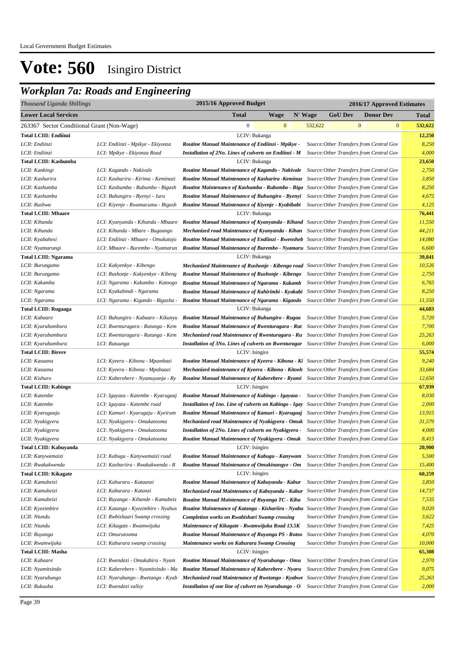### *Workplan 7a: Roads and Engineering*

| Thousand Uganda Shillings                  |                                    | 2015/16 Approved Budget<br>2016/17 Approved Estimates                                                                       |         |                |                                          |         |  |
|--------------------------------------------|------------------------------------|-----------------------------------------------------------------------------------------------------------------------------|---------|----------------|------------------------------------------|---------|--|
| <b>Lower Local Services</b>                |                                    | <b>Total</b><br><b>Wage</b>                                                                                                 | N' Wage | <b>GoU Dev</b> | <b>Donor Dev</b>                         | Total   |  |
| 263367 Sector Conditional Grant (Non-Wage) |                                    | $\boldsymbol{0}$<br>$\mathbf{0}$                                                                                            | 532,622 |                | $\mathbf{0}$<br>$\bf{0}$                 | 532,622 |  |
| <b>Total LCIII: Endiinzi</b>               |                                    | LCIV: Bukanga                                                                                                               |         |                |                                          | 12,250  |  |
| LCII: Endiinzi                             | LCI: Endiinzi - Mpikye - Ekiyonza  | Routine Manual Maintenance of Endiinzi - Mpikye -                                                                           |         |                | Source: Other Transfers from Central Gov | 8,250   |  |
| LCII: Endiinzi                             | LCI: Mpikye - Ekiyonza Road        | Installation of 2No. Lines of culverts on Endiinzi - M                                                                      |         |                | Source: Other Transfers from Central Gov | 4,000   |  |
| Total LCIII: Kashumba                      |                                    | LCIV: Bukanga                                                                                                               |         |                |                                          | 23,650  |  |
| LCII: Kankingi                             | LCI: Kagando - Nakivale            | <b>Routine Manual Maintenance of Kagando - Nakivale</b> Source: Other Transfers from Central Gov                            |         |                |                                          | 2,750   |  |
| LCII: Kasharira                            | LCI: Kasharira - Kirima - Keminazi | Routine Manual Maintenance of Kasharira -Keminaz Source: Other Transfers from Central Gov                                   |         |                |                                          | 3,850   |  |
| LCII: Kashumba                             | LCI: Kashumba - Rubumbo - Bigash   | Routine Maintenance of Kashumba - Rubombo - Biga Source: Other Transfers from Central Gov                                   |         |                |                                          | 8,250   |  |
| LCII: Kashumba                             | LCI: Buhungiro - Byenyi - Juru     | <b>Routine Manual Maintenance of Buhungiro - Byenyi</b> Source: Other Transfers from Central Gov                            |         |                |                                          | 4,675   |  |
| LCII: Rushwa                               | LCI: Kiyenje - Rwamacumu - Bigash  | <b>Routine Manual Maintenance of Kiyenje - Kyabibabi</b> Source: Other Transfers from Central Gov                           |         |                |                                          | 4,125   |  |
| <b>Total LCIII: Mbaare</b>                 |                                    | LCIV: Bukanga                                                                                                               |         |                |                                          | 76,441  |  |
| LCII: Kihanda                              |                                    | LCI: Kyanyanda - Kihanda - Mbaare Routine Manual Maintenance of Kyanyanda - Kihand Source: Other Transfers from Central Gov |         |                |                                          | 11,550  |  |
| LCII: Kihanda                              | LCI: Kihanda - Mbare - Bugaango    | <b>Mechanized road Maintenance of Kyanyanda - Kihan</b> Source: Other Transfers from Central Gov                            |         |                |                                          | 44,211  |  |
| LCII: Kyabahesi                            | LCI: Endiinzi - Mbaare - Omukatojo | <b>Routine Manual Maintenance of Endiinzi - Rwensheb</b> Source: Other Transfers from Central Gov                           |         |                |                                          | 14,080  |  |
| LCII: Nyamarungi                           | LCI: Mbaare - Burembo - Nyamarun   | Routine Manual Maintenance of Burembo - Nyamaru Source: Other Transfers from Central Gov                                    |         |                |                                          | 6,600   |  |
| <b>Total LCIII: Ngarama</b>                |                                    | LCIV: Bukanga                                                                                                               |         |                |                                          | 39,841  |  |
| LCII: Burungamo                            | LCI: Kakyenkye - Kibengo           | Mechanized Maintenance of Rushonje - Kibengo road Source: Other Transfers from Central Gov                                  |         |                |                                          | 10,526  |  |
| LCII: Burungamo                            | LCI: Rushonje - Kakyenkye - Kibeng | Routine Manual Maintenance of Rushonje - Kibengo                                                                            |         |                | Source: Other Transfers from Central Gov | 2,750   |  |
| LCII: Kakamba                              | LCI: Ngarama - Kakamba - Katoogo   | Routine Manual Maintenance of Ngarama - Kakamb                                                                              |         |                | Source: Other Transfers from Central Gov | 6,765   |  |
| LCII: Ngarama                              | LCI: Kyakabindi - Ngarama          | <b>Routine Manual Maintenance of Kahirimbi - Kyakabi</b> Source: Other Transfers from Central Gov                           |         |                |                                          | 8,250   |  |
| LCII: Ngarama                              | LCI: Ngarama - Kigando - Bigasha - | Routine Manual Maintenance of Ngarama - Kigando                                                                             |         |                | Source: Other Transfers from Central Gov | 11,550  |  |
| <b>Total LCIII: Rugaaga</b>                |                                    | LCIV: Bukanga                                                                                                               |         |                |                                          | 44,683  |  |
| LCII: Kabaare                              |                                    | LCI: Buhungiro - Kabaare - Kikunyu Routine Manual Maintenance of Buhungiro - Rugaa                                          |         |                | Source: Other Transfers from Central Gov | 5,720   |  |
| LCII: Kyarubambura                         | LCI: Rwenturagara - Rutunga - Kem  | Routine Manual Maintenance of Rwenturagara - Rut Source: Other Transfers from Central Gov                                   |         |                |                                          | 7,700   |  |
| LCII: Kyarubambura                         | LCI: Rwenturagara - Rutunga - Kem  | Mechanized road Maintenance of Rwenturagara - Ru Source: Other Transfers from Central Gov                                   |         |                |                                          | 25,263  |  |
| LCII: Kyarubambura                         | LCI: Rutuunga                      | <b>Installation of 3No. Lines of culverts on Rwenturagar</b> Source: Other Transfers from Central Gov                       |         |                |                                          | 6,000   |  |
| <b>Total LCIII: Birere</b>                 |                                    | LCIV: Isingiro                                                                                                              |         |                |                                          | 55,574  |  |
| LCII: Kasaana                              | LCI: Kyeera - Kibona - Mpambazi    | <b>Routine Manual Maintenance of Kyeera - Kibona - Ki</b> Source: Other Transfers from Central Gov                          |         |                |                                          | 9,240   |  |
| LCII: Kasaana                              | LCI: Kyeera - Kibona - Mpabaazi    | <b>Mechanized maintenance of Kyeera - Kibona - Kitooh</b> Source: Other Transfers from Central Gov                          |         |                |                                          | 33,684  |  |
| LCII: Kishuro                              | LCI: Kaberebere - Nyamuyanja - Ry  | <b>Routine Manual Maintenance of Kaberebere - Ryami</b> Source: Other Transfers from Central Gov                            |         |                |                                          | 12,650  |  |
| <b>Total LCIII: Kabingo</b>                |                                    | LCIV: Isingiro                                                                                                              |         |                |                                          | 67,939  |  |
| LCII: Katembe                              | LCI: Igayaza - Katembe - Kyarugaaj | <b>Routine Manual Maintenance of Kabingo - Igayaza -</b> Source: Other Transfers from Central Gov                           |         |                |                                          | 8,030   |  |
| LCII: Katembe                              | LCI: Igayaza - Katembe road        | <b>Installation of 1no. Line of culverts on Kabingo - Igay</b> Source: Other Transfers from Central Gov                     |         |                |                                          | 2,000   |  |
| LCII: Kyarugaaju                           | LCI: Kamuri - Kyarugaju - Kyeirum  | Routine Manual Maintenance of Kamuri - Kyarugaaj Source: Other Transfers from Central Gov                                   |         |                |                                          | 13,915  |  |
| LCII: Nyakigyera                           | LCI: Nyakigyera - Omukatooma       | Mechanized road Maintenance of Nyakigyera - Omuk Source: Other Transfers from Central Gov                                   |         |                |                                          | 31,579  |  |
| LCII: Nyakigyera                           | LCI: Nyakigyera - Omukatooma       | <b>Installation of 2No. Lines of culverts on Nyakigyera -</b> Source: Other Transfers from Central Gov                      |         |                |                                          | 4,000   |  |
| LCII: Nyakigyera                           | LCI: Nyakigyera - Omukatooma       | Routine Manual Maintenance of Nyakigyera - Omuk Source: Other Transfers from Central Gov                                    |         |                |                                          | 8,415   |  |
| <b>Total LCIII: Kabuyanda</b>              |                                    | LCIV: Isingiro                                                                                                              |         |                |                                          | 20,900  |  |
| LCII: Kanywamaizi                          | LCI: Kabugu - Kanywamaizi road     | Routine Manual Maintenance of Kabugu - Kanywam                                                                              |         |                | Source: Other Transfers from Central Gov | 5,500   |  |
| LCII: Rwakakwenda                          | LCI: Kashariira - Rwakakwenda - R  | Routine Manual Maintenance of Omukinangye - Om                                                                              |         |                | Source: Other Transfers from Central Gov | 15,400  |  |
| <b>Total LCIII: Kikagate</b>               |                                    | LCIV: Isingiro                                                                                                              |         |                |                                          | 60,259  |  |
| LCII: Kamubeizi                            | LCI: Kaburara - Kataanzi           | Routine Manual Maintenance of Kabuyanda - Kabur                                                                             |         |                | Source: Other Transfers from Central Gov | 3,850   |  |
| LCII: Kamubeizi                            | LCI: Kaburara - Katanzi            | Mechanized road Maintenance of Kabuyanda - Kabur                                                                            |         |                | Source: Other Transfers from Central Gov | 14,737  |  |
| LCII: Kamubeizi                            | LCI: Ruyanga - Kihande - Kamubeiz  | Routine Manual Maintenance of Ruyanga TC - Kiha                                                                             |         |                | Source: Other Transfers from Central Gov | 7,535   |  |
| LCII: Kyezimbire                           | LCI: Katanga - Kyezimbire - Nyabus | Routine Maintenance of Katanga - Kishariira - Nyabu Source: Other Transfers from Central Gov                                |         |                |                                          | 9,020   |  |
| LCII: Ntundu                               | LCI: Rwbishaari Swamp crossing     | <b>Completion works on Rwabishari Swamp crossing</b>                                                                        |         |                | Source: Other Transfers from Central Gov | 3,622   |  |
| LCII: Ntundu                               | LCI: Kikagate - Rwamwijuka         | Maintenance of Kikagate - Rwamwijuka Road 13.5K                                                                             |         |                | Source: Other Transfers from Central Gov | 7,425   |  |
| LCII: Ruyanga                              | LCI: Omurutooma                    | Routine Manual Maintenance of Ruyanga PS - Rotoo                                                                            |         |                | Source: Other Transfers from Central Gov | 4,070   |  |
| LCII: Rwamwijuka                           | LCI: Kaburara swamp crossing       | <b>Maintenance works on Kaburara Swamp Crossing</b>                                                                         |         |                | Source: Other Transfers from Central Gov | 10,000  |  |
| <b>Total LCIII: Masha</b>                  |                                    | LCIV: Isingiro                                                                                                              |         |                |                                          | 65,308  |  |
| LCII: Kabaare                              | LCI: Rwendezi - Omukabira - Nyam   | Routine Manual Maintenance of Nyarubungo - Omu                                                                              |         |                | Source: Other Transfers from Central Gov | 2,970   |  |
| LCII: Nyamitsindo                          | LCI: Kaberebere - Nyamitsindo - Ma | Routine Manual Maintenance of Kaberebere - Nyaru                                                                            |         |                | Source: Other Transfers from Central Gov | 9,075   |  |
| LCII: Nyarubungo                           | LCI: Nyarubungo - Rwetango - Kyab  | Mechanized road Maintenance of Rwetango - Kyabwe Source: Other Transfers from Central Gov                                   |         |                |                                          | 25,263  |  |
| LCII: Rukuuba                              | LCI: Rwendezi valley               | Installation of one line of culvert on Nyarubungo - O                                                                       |         |                | Source: Other Transfers from Central Gov | 2,000   |  |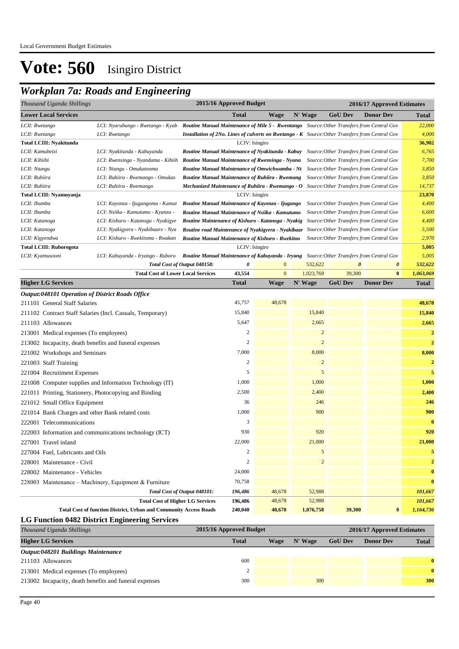### *Workplan 7a: Roads and Engineering*

| 2015/16 Approved Budget<br>Thousand Uganda Shillings<br>2016/17 Approved Estimates |                                                                          |                                                                                                        |                                                                                                                                          |              |                |                       |                                                                                      |                  |  |
|------------------------------------------------------------------------------------|--------------------------------------------------------------------------|--------------------------------------------------------------------------------------------------------|------------------------------------------------------------------------------------------------------------------------------------------|--------------|----------------|-----------------------|--------------------------------------------------------------------------------------|------------------|--|
| <b>Lower Local Services</b>                                                        |                                                                          |                                                                                                        | <b>Total</b>                                                                                                                             | Wage         | N' Wage        | <b>GoU</b> Dev        | <b>Donor Dev</b>                                                                     | <b>Total</b>     |  |
| LCII: Rwetango                                                                     | LCI: Nyarubungo - Rwetango - Kyab                                        | <b>Routine Manual Maintenance of Mile 5 - Rwentango</b> Source: Other Transfers from Central Gov       |                                                                                                                                          |              |                |                       |                                                                                      | 22,000           |  |
| LCII: Rwetango                                                                     | LCI: Rwetango                                                            | <b>Installation of 2No. Lines of culverts on Rwetango - K</b> Source: Other Transfers from Central Gov |                                                                                                                                          |              |                |                       |                                                                                      | 4,000            |  |
| <b>Total LCIII: Nyakitunda</b>                                                     |                                                                          |                                                                                                        | LCIV: Isingiro                                                                                                                           |              |                |                       |                                                                                      | 36,902           |  |
| LCII: Kamubeizi                                                                    | LCI: Nyakitunda - Kabuyanda                                              | Routine Manual Maintenance of Nyakitunda - Kabuy Source: Other Transfers from Central Gov              |                                                                                                                                          |              |                |                       |                                                                                      | 6,765            |  |
| LCII: Kihiihi                                                                      | LCI: Rwensinga - Nyandama - Kihiih                                       | Routine Manual Maintenance of Rwensinga - Nyana                                                        |                                                                                                                                          |              |                |                       | Source: Other Transfers from Central Gov                                             | 7,700<br>3,850   |  |
| LCII: Ntungu                                                                       | LCI: Ntungu - Omukatooma                                                 |                                                                                                        | <b>Routine Manual Maintenance of Omwichwamba - Nt</b> Source: Other Transfers from Central Gov                                           |              |                |                       |                                                                                      |                  |  |
| LCII: Ruhiira                                                                      | LCI: Ruhiira - Rwemango - Omukas                                         | Routine Manual Maintenance of Ruhiira - Rwemang                                                        |                                                                                                                                          |              |                |                       | Source: Other Transfers from Central Gov                                             | 3,850            |  |
| LCII: Ruhiira                                                                      | LCI: Ruhiira - Rwemango                                                  | Mechanized Maintenance of Ruhiira - Rwemango - O Source: Other Transfers from Central Gov              |                                                                                                                                          |              |                |                       |                                                                                      | 14,737<br>23,870 |  |
| Total LCIII: Nyamuyanja<br>LCIV: Isingiro                                          |                                                                          |                                                                                                        |                                                                                                                                          |              |                |                       |                                                                                      |                  |  |
| LCII: Ibumba                                                                       | LCI: Kayonza - Ijugangoma - Kamut                                        |                                                                                                        | Routine Manual Maintenance of Kayonza - Ijugango<br>Source: Other Transfers from Central Gov<br>Source: Other Transfers from Central Gov |              |                |                       |                                                                                      |                  |  |
| LCII: Ibumba                                                                       | LCI: Nsiika - Kamutumo - Kyanza -                                        | Routine Manual Maintenance of Nsiika - Kamutumo                                                        |                                                                                                                                          |              |                |                       |                                                                                      | 6,600            |  |
| LCII: Katanoga                                                                     | LCI: Kishuro - Katanoga - Nyakigye                                       | Routine Maintenance of Kishuro - Katanoga - Nyakig                                                     |                                                                                                                                          |              |                |                       | Source: Other Transfers from Central Gov                                             | 4,400            |  |
| LCII: Katanoga<br>LCII: Kigyendwa                                                  | LCI: Nyakigyera - Nyakibaare - Nya<br>LCI: Kishuro - Rwekitoma - Rwakan  | Routine road Maintenance of Nyakigyera - Nyakibaar<br>Routine Manual Maintenance of Kishuro - Rwekitoo |                                                                                                                                          |              |                |                       | Source: Other Transfers from Central Gov<br>Source: Other Transfers from Central Gov | 5,500<br>2,970   |  |
| <b>Total LCIII: Ruborogota</b>                                                     |                                                                          |                                                                                                        | LCIV: Isingiro                                                                                                                           |              |                |                       |                                                                                      | 5,005            |  |
| LCII: Kyamusooni                                                                   | LCI: Kabuyanda - Iryango - Ruboro                                        | Routine Manual Maintenance of Kabuyanda - Iryang Source: Other Transfers from Central Gov              |                                                                                                                                          |              |                |                       |                                                                                      | 5,005            |  |
|                                                                                    |                                                                          | Total Cost of Output 048158:                                                                           | 0                                                                                                                                        | $\mathbf{0}$ | 532,622        | $\boldsymbol{\theta}$ | $\boldsymbol{\theta}$                                                                | 532,622          |  |
|                                                                                    | <b>Total Cost of Lower Local Services</b>                                |                                                                                                        | 43,554                                                                                                                                   | $\mathbf{0}$ | 1,023,769      | 39,300                | $\bf{0}$                                                                             | 1,063,069        |  |
| <b>Higher LG Services</b>                                                          |                                                                          |                                                                                                        | <b>Total</b>                                                                                                                             | Wage         | N' Wage        | <b>GoU Dev</b>        | <b>Donor Dev</b>                                                                     | <b>Total</b>     |  |
| Output:048101 Operation of District Roads Office                                   |                                                                          |                                                                                                        |                                                                                                                                          |              |                |                       |                                                                                      |                  |  |
| 211101 General Staff Salaries                                                      |                                                                          |                                                                                                        | 45,757                                                                                                                                   | 48,678       |                |                       |                                                                                      | 48,678           |  |
|                                                                                    | 211102 Contract Staff Salaries (Incl. Casuals, Temporary)                |                                                                                                        | 15,840                                                                                                                                   |              | 15,840         |                       |                                                                                      | 15,840           |  |
| 211103 Allowances                                                                  |                                                                          |                                                                                                        | 5,647                                                                                                                                    |              | 2,665          |                       |                                                                                      | 2,665            |  |
| 213001 Medical expenses (To employees)                                             |                                                                          |                                                                                                        | $\boldsymbol{2}$                                                                                                                         |              | $\overline{c}$ |                       |                                                                                      | $\overline{2}$   |  |
| 213002 Incapacity, death benefits and funeral expenses                             |                                                                          |                                                                                                        | $\overline{2}$                                                                                                                           |              | $\overline{2}$ |                       |                                                                                      | $\overline{2}$   |  |
| 221002 Workshops and Seminars                                                      |                                                                          |                                                                                                        | 7,000                                                                                                                                    |              | 8,000          |                       |                                                                                      | 8,000            |  |
| 221003 Staff Training                                                              |                                                                          |                                                                                                        | $\boldsymbol{2}$                                                                                                                         |              | $\overline{c}$ |                       |                                                                                      | $\overline{2}$   |  |
| 221004 Recruitment Expenses                                                        |                                                                          |                                                                                                        | 5                                                                                                                                        |              | 5              |                       |                                                                                      | 5                |  |
|                                                                                    | 221008 Computer supplies and Information Technology (IT)                 |                                                                                                        | 1,000                                                                                                                                    |              | 1,000          |                       |                                                                                      | 1,000            |  |
| 221011 Printing, Stationery, Photocopying and Binding                              |                                                                          |                                                                                                        | 2,500                                                                                                                                    |              | 2,400          |                       |                                                                                      | 2,400            |  |
| 221012 Small Office Equipment                                                      |                                                                          |                                                                                                        | 36                                                                                                                                       |              | 246            |                       |                                                                                      | 246              |  |
| 221014 Bank Charges and other Bank related costs                                   |                                                                          |                                                                                                        | 1,000                                                                                                                                    |              | 900            |                       |                                                                                      | 900              |  |
| 222001 Telecommunications                                                          |                                                                          |                                                                                                        | 3                                                                                                                                        |              |                |                       |                                                                                      | $\bf{0}$         |  |
|                                                                                    | 222003 Information and communications technology (ICT)                   |                                                                                                        | 930                                                                                                                                      |              | 920            |                       |                                                                                      | 920              |  |
| 227001 Travel inland                                                               |                                                                          |                                                                                                        | 22,000                                                                                                                                   |              | 21,000         |                       |                                                                                      | 21,000           |  |
| 227004 Fuel, Lubricants and Oils                                                   |                                                                          |                                                                                                        | $\overline{\mathbf{c}}$                                                                                                                  |              | 5              |                       |                                                                                      | 5                |  |
| 228001 Maintenance - Civil                                                         |                                                                          |                                                                                                        | $\boldsymbol{2}$                                                                                                                         |              | $\sqrt{2}$     |                       |                                                                                      | $\overline{2}$   |  |
| 228002 Maintenance - Vehicles                                                      |                                                                          |                                                                                                        | 24,000                                                                                                                                   |              |                |                       |                                                                                      | $\bf{0}$         |  |
|                                                                                    | 228003 Maintenance - Machinery, Equipment & Furniture                    |                                                                                                        | 70,758                                                                                                                                   |              |                |                       |                                                                                      | $\bf{0}$         |  |
|                                                                                    |                                                                          | Total Cost of Output 048101:                                                                           | 196,486                                                                                                                                  | 48,678       | 52,988         |                       |                                                                                      | 101,667          |  |
|                                                                                    | <b>Total Cost of Higher LG Services</b>                                  |                                                                                                        | 196,486                                                                                                                                  | 48,678       | 52,988         |                       |                                                                                      | 101,667          |  |
|                                                                                    | <b>Total Cost of function District, Urban and Community Access Roads</b> |                                                                                                        | 240,040                                                                                                                                  | 48,678       | 1,076,758      | 39,300                | $\bf{0}$                                                                             | 1,164,736        |  |

#### **LG Function 0482 District Engineering Services**

| Thousand Uganda Shillings                              | 2015/16 Approved Budget | 2016/17 Approved Estimates |           |                |                  |              |
|--------------------------------------------------------|-------------------------|----------------------------|-----------|----------------|------------------|--------------|
| <b>Higher LG Services</b>                              | <b>Total</b>            | Wage                       | $N'$ Wage | <b>GoU Dev</b> | <b>Donor Dev</b> | <b>Total</b> |
| <b>Output:048201 Buildings Maintenance</b>             |                         |                            |           |                |                  |              |
| 211103 Allowances                                      | 600                     |                            |           |                |                  | $\mathbf{0}$ |
| 213001 Medical expenses (To employees)                 |                         |                            |           |                |                  | $\mathbf{0}$ |
| 213002 Incapacity, death benefits and funeral expenses | 300                     |                            | 300       |                |                  | 300          |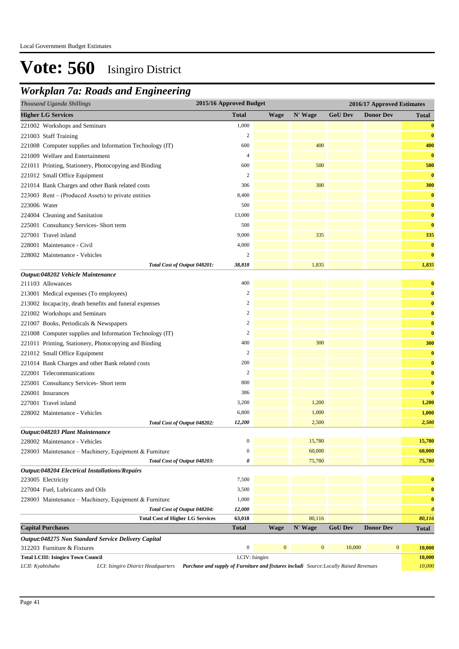### *Workplan 7a: Roads and Engineering*

| Thousand Uganda Shillings                                                                                                                        | 2015/16 Approved Budget |                  |                  |                | 2016/17 Approved Estimates |                       |
|--------------------------------------------------------------------------------------------------------------------------------------------------|-------------------------|------------------|------------------|----------------|----------------------------|-----------------------|
| <b>Higher LG Services</b>                                                                                                                        | <b>Total</b>            | <b>Wage</b>      | N' Wage          | <b>GoU Dev</b> | <b>Donor Dev</b>           | <b>Total</b>          |
| 221002 Workshops and Seminars                                                                                                                    | 1,000                   |                  |                  |                |                            | $\bf{0}$              |
| 221003 Staff Training                                                                                                                            | $\overline{c}$          |                  |                  |                |                            | $\bf{0}$              |
| 221008 Computer supplies and Information Technology (IT)                                                                                         | 600                     |                  | 400              |                |                            | 400                   |
| 221009 Welfare and Entertainment                                                                                                                 | $\overline{4}$          |                  |                  |                |                            | $\bf{0}$              |
| 221011 Printing, Stationery, Photocopying and Binding                                                                                            | 600                     |                  | 500              |                |                            | 500                   |
| 221012 Small Office Equipment                                                                                                                    | $\overline{c}$          |                  |                  |                |                            | $\bf{0}$              |
| 221014 Bank Charges and other Bank related costs                                                                                                 | 306                     |                  | 300              |                |                            | 300                   |
| 223003 Rent – (Produced Assets) to private entities                                                                                              | 8,400                   |                  |                  |                |                            | $\bf{0}$              |
| 223006 Water                                                                                                                                     | 500                     |                  |                  |                |                            | $\bf{0}$              |
| 224004 Cleaning and Sanitation                                                                                                                   | 13,000                  |                  |                  |                |                            | $\bf{0}$              |
| 225001 Consultancy Services- Short term                                                                                                          | 500                     |                  |                  |                |                            | $\bf{0}$              |
| 227001 Travel inland                                                                                                                             | 9,000                   |                  | 335              |                |                            | 335                   |
| 228001 Maintenance - Civil                                                                                                                       | 4,000                   |                  |                  |                |                            | $\bf{0}$              |
| 228002 Maintenance - Vehicles                                                                                                                    | $\overline{c}$          |                  |                  |                |                            | $\bf{0}$              |
| Total Cost of Output 048201:                                                                                                                     | 38,818                  |                  | 1,835            |                |                            | 1,835                 |
| Output:048202 Vehicle Maintenance                                                                                                                |                         |                  |                  |                |                            |                       |
| 211103 Allowances                                                                                                                                | 400                     |                  |                  |                |                            | $\bf{0}$              |
| 213001 Medical expenses (To employees)                                                                                                           | $\overline{2}$          |                  |                  |                |                            | $\bf{0}$              |
| 213002 Incapacity, death benefits and funeral expenses                                                                                           | $\overline{\mathbf{c}}$ |                  |                  |                |                            | $\bf{0}$              |
| 221002 Workshops and Seminars                                                                                                                    | $\overline{c}$          |                  |                  |                |                            | $\bf{0}$              |
| 221007 Books, Periodicals & Newspapers                                                                                                           | $\overline{c}$          |                  |                  |                |                            | $\bf{0}$              |
| 221008 Computer supplies and Information Technology (IT)                                                                                         | $\boldsymbol{2}$        |                  |                  |                |                            | $\bf{0}$              |
| 221011 Printing, Stationery, Photocopying and Binding                                                                                            | 400                     |                  | 300              |                |                            | 300                   |
| 221012 Small Office Equipment                                                                                                                    | $\overline{c}$          |                  |                  |                |                            | $\bf{0}$              |
| 221014 Bank Charges and other Bank related costs                                                                                                 | 200                     |                  |                  |                |                            | $\bf{0}$              |
| 222001 Telecommunications                                                                                                                        | $\overline{c}$          |                  |                  |                |                            | $\bf{0}$              |
| 225001 Consultancy Services- Short term                                                                                                          | 800                     |                  |                  |                |                            | $\bf{0}$              |
| 226001 Insurances                                                                                                                                | 386                     |                  |                  |                |                            | $\bf{0}$              |
| 227001 Travel inland                                                                                                                             | 3,200                   |                  | 1,200            |                |                            | 1,200                 |
| 228002 Maintenance - Vehicles                                                                                                                    | 6,800                   |                  | 1,000            |                |                            | 1,000                 |
| Total Cost of Output 048202:                                                                                                                     | 12,200                  |                  | 2,500            |                |                            | 2,500                 |
| Output:048203 Plant Maintenance                                                                                                                  |                         |                  |                  |                |                            |                       |
| 228002 Maintenance - Vehicles                                                                                                                    | $\mathbf{0}$            |                  | 15,780           |                |                            | 15,780                |
| 228003 Maintenance - Machinery, Equipment & Furniture                                                                                            | $\boldsymbol{0}$<br>0   |                  | 60,000           |                |                            | 60,000                |
| Total Cost of Output 048203:<br>Output:048204 Electrical Installations/Repairs                                                                   |                         |                  | 75,780           |                |                            | 75,780                |
| 223005 Electricity                                                                                                                               | 7,500                   |                  |                  |                |                            | $\bf{0}$              |
| 227004 Fuel, Lubricants and Oils                                                                                                                 | 3,500                   |                  |                  |                |                            | $\bf{0}$              |
| 228003 Maintenance - Machinery, Equipment & Furniture                                                                                            | 1,000                   |                  |                  |                |                            | $\bf{0}$              |
| Total Cost of Output 048204:                                                                                                                     | 12,000                  |                  |                  |                |                            | $\boldsymbol{\theta}$ |
| <b>Total Cost of Higher LG Services</b>                                                                                                          | 63,018                  |                  | 80,116           |                |                            | 80,116                |
| <b>Capital Purchases</b>                                                                                                                         | Total                   | <b>Wage</b>      | N' Wage          | <b>GoU Dev</b> | <b>Donor Dev</b>           | <b>Total</b>          |
| Output:048275 Non Standard Service Delivery Capital                                                                                              |                         |                  |                  |                |                            |                       |
| 312203 Furniture & Fixtures                                                                                                                      | $\boldsymbol{0}$        | $\boldsymbol{0}$ | $\boldsymbol{0}$ | 10,000         | $\boldsymbol{0}$           | 10,000                |
| <b>Total LCIII: Isingiro Town Council</b>                                                                                                        | LCIV: Isingiro          |                  |                  |                |                            | 10,000                |
| LCII: Kyabishaho<br>Purchase and supply of Furniture and fixtures includi Source: Locally Raised Revenues<br>LCI: Isingiro District Headquarters |                         |                  |                  |                |                            | 10,000                |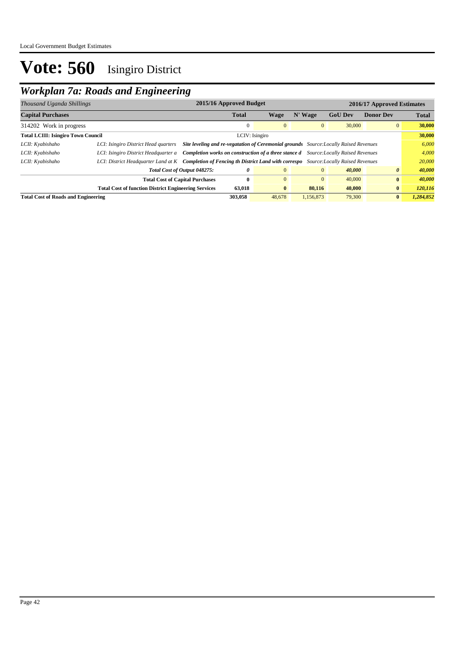## *Workplan 7a: Roads and Engineering*

| Thousand Uganda Shillings                  |                                                             | 2015/16 Approved Budget                                                                     | 2016/17 Approved Estimates |                |                |                  |              |  |
|--------------------------------------------|-------------------------------------------------------------|---------------------------------------------------------------------------------------------|----------------------------|----------------|----------------|------------------|--------------|--|
| <b>Capital Purchases</b>                   |                                                             | <b>Total</b>                                                                                | Wage                       | N' Wage        | <b>GoU Dev</b> | <b>Donor Dev</b> | <b>Total</b> |  |
| 314202 Work in progress                    |                                                             |                                                                                             | $\mathbf{0}$               | $\mathbf{0}$   | 30,000         | $\overline{0}$   | 30,000       |  |
| <b>Total LCIII: Isingiro Town Council</b>  |                                                             | LCIV: Isingiro                                                                              |                            |                |                |                  | 30,000       |  |
| LCII: Kyabishaho                           | LCI: Isingiro District Head quarters                        | Site leveling and re-vegatation of Ceremonial grounds Source: Locally Raised Revenues       |                            |                |                |                  |              |  |
| LCII: Kyabishaho                           | LCI: Isingiro District Headquarter a                        | <b>Completion works on construction of a three stance d</b> Source: Locally Raised Revenues |                            |                |                |                  |              |  |
| LCII: Kyabishaho                           | LCI: District Headquarter Land at K                         | <b>Completion of Fencing th District Land with correspo</b> Source: Locally Raised Revenues |                            |                |                |                  | 20,000       |  |
|                                            | Total Cost of Output 048275:                                | 0                                                                                           | $\overline{0}$             | $\overline{0}$ | 40,000         | 0                | 40,000       |  |
|                                            | <b>Total Cost of Capital Purchases</b>                      | $\bf{0}$                                                                                    | $\Omega$                   | $\mathbf{0}$   | 40,000         | $\bf{0}$         | 40,000       |  |
|                                            | <b>Total Cost of function District Engineering Services</b> | 63,018                                                                                      | $\bf{0}$                   | 80,116         | 40,000         | $\bf{0}$         | 120,116      |  |
| <b>Total Cost of Roads and Engineering</b> |                                                             | 303,058                                                                                     | 48,678                     | 1.156.873      | 79,300         | $\mathbf{0}$     | 1,284,852    |  |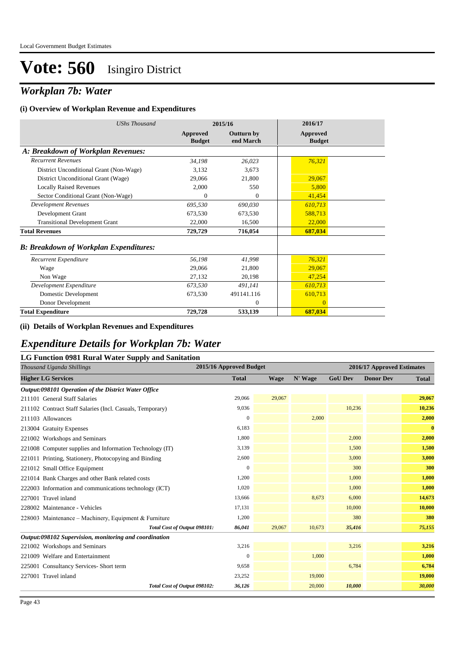### *Workplan 7b: Water*

#### **(i) Overview of Workplan Revenue and Expenditures**

| <b>UShs Thousand</b>                          |                           | 2015/16                        | 2016/17                          |
|-----------------------------------------------|---------------------------|--------------------------------|----------------------------------|
|                                               | Approved<br><b>Budget</b> | <b>Outturn by</b><br>end March | <b>Approved</b><br><b>Budget</b> |
| A: Breakdown of Workplan Revenues:            |                           |                                |                                  |
| <b>Recurrent Revenues</b>                     | 34,198                    | 26,023                         | 76,321                           |
| District Unconditional Grant (Non-Wage)       | 3,132                     | 3,673                          |                                  |
| District Unconditional Grant (Wage)           | 29,066                    | 21,800                         | 29,067                           |
| <b>Locally Raised Revenues</b>                | 2,000                     | 550                            | 5,800                            |
| Sector Conditional Grant (Non-Wage)           | $\Omega$                  | $\theta$                       | 41,454                           |
| <b>Development Revenues</b>                   | 695,530                   | 690,030                        | 610,713                          |
| Development Grant                             | 673.530                   | 673,530                        | 588,713                          |
| <b>Transitional Development Grant</b>         | 22,000                    | 16,500                         | 22,000                           |
| <b>Total Revenues</b>                         | 729,729                   | 716,054                        | 687,034                          |
| <b>B: Breakdown of Workplan Expenditures:</b> |                           |                                |                                  |
| Recurrent Expenditure                         | 56,198                    | 41,998                         | 76,321                           |
| Wage                                          | 29,066                    | 21,800                         | 29,067                           |
| Non Wage                                      | 27,132                    | 20,198                         | 47,254                           |
| Development Expenditure                       | 673,530                   | 491,141                        | 610,713                          |
| Domestic Development                          | 673,530                   | 491141.116                     | 610,713                          |
| Donor Development                             |                           | $\Omega$                       | $\Omega$                         |
| <b>Total Expenditure</b>                      | 729,728                   | 533,139                        | 687,034                          |

#### **(ii) Details of Workplan Revenues and Expenditures**

### *Expenditure Details for Workplan 7b: Water*

#### **LG Function 0981 Rural Water Supply and Sanitation**

| Thousand Uganda Shillings                                 | 2015/16 Approved Budget |             |         |                | 2016/17 Approved Estimates |              |
|-----------------------------------------------------------|-------------------------|-------------|---------|----------------|----------------------------|--------------|
| <b>Higher LG Services</b>                                 | <b>Total</b>            | <b>Wage</b> | N' Wage | <b>GoU Dev</b> | <b>Donor Dev</b>           | <b>Total</b> |
| Output:098101 Operation of the District Water Office      |                         |             |         |                |                            |              |
| 211101 General Staff Salaries                             | 29,066                  | 29,067      |         |                |                            | 29,067       |
| 211102 Contract Staff Salaries (Incl. Casuals, Temporary) | 9,036                   |             |         | 10,236         |                            | 10,236       |
| 211103 Allowances                                         | $\Omega$                |             | 2,000   |                |                            | 2,000        |
| 213004 Gratuity Expenses                                  | 6,183                   |             |         |                |                            | $\bf{0}$     |
| 221002 Workshops and Seminars                             | 1,800                   |             |         | 2,000          |                            | 2,000        |
| 221008 Computer supplies and Information Technology (IT)  | 3,139                   |             |         | 1,500          |                            | 1,500        |
| 221011 Printing, Stationery, Photocopying and Binding     | 2,600                   |             |         | 3,000          |                            | 3,000        |
| 221012 Small Office Equipment                             | $\mathbf{0}$            |             |         | 300            |                            | 300          |
| 221014 Bank Charges and other Bank related costs          | 1,200                   |             |         | 1,000          |                            | 1,000        |
| 222003 Information and communications technology (ICT)    | 1,020                   |             |         | 1,000          |                            | 1,000        |
| 227001 Travel inland                                      | 13,666                  |             | 8,673   | 6,000          |                            | 14,673       |
| 228002 Maintenance - Vehicles                             | 17,131                  |             |         | 10,000         |                            | 10,000       |
| 228003 Maintenance – Machinery, Equipment & Furniture     | 1,200                   |             |         | 380            |                            | 380          |
| Total Cost of Output 098101:                              | 86,041                  | 29,067      | 10,673  | 35,416         |                            | 75,155       |
| Output:098102 Supervision, monitoring and coordination    |                         |             |         |                |                            |              |
| 221002 Workshops and Seminars                             | 3,216                   |             |         | 3,216          |                            | 3,216        |
| 221009 Welfare and Entertainment                          | $\Omega$                |             | 1,000   |                |                            | 1,000        |
| 225001 Consultancy Services-Short term                    | 9,658                   |             |         | 6,784          |                            | 6,784        |
| 227001 Travel inland                                      | 23,252                  |             | 19,000  |                |                            | 19,000       |
| Total Cost of Output 098102:                              | 36,126                  |             | 20,000  | 10,000         |                            | 30,000       |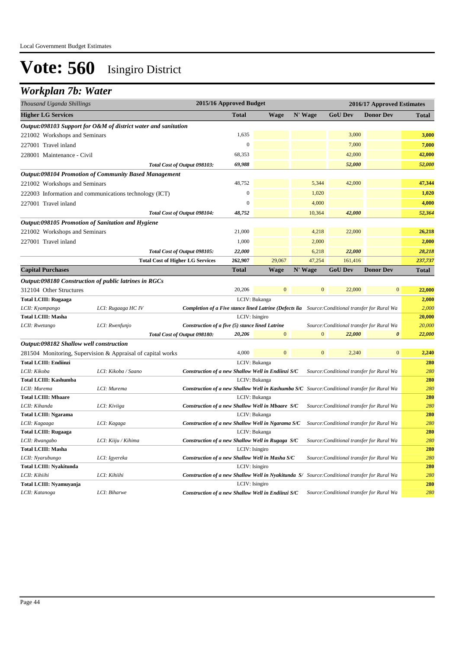### *Workplan 7b: Water*

| Thousand Uganda Shillings                    |                                                                |                                                                                                         | 2015/16 Approved Budget<br>2016/17 Approved Estimates |                  |                  |                                           |                       |              |
|----------------------------------------------|----------------------------------------------------------------|---------------------------------------------------------------------------------------------------------|-------------------------------------------------------|------------------|------------------|-------------------------------------------|-----------------------|--------------|
| <b>Higher LG Services</b>                    |                                                                |                                                                                                         | <b>Total</b>                                          | <b>Wage</b>      | N' Wage          | <b>GoU Dev</b>                            | <b>Donor Dev</b>      | <b>Total</b> |
|                                              | Output:098103 Support for O&M of district water and sanitation |                                                                                                         |                                                       |                  |                  |                                           |                       |              |
| 221002 Workshops and Seminars                |                                                                |                                                                                                         | 1,635                                                 |                  |                  | 3,000                                     |                       | 3,000        |
| 227001 Travel inland                         |                                                                |                                                                                                         | $\mathbf{0}$                                          |                  |                  | 7,000                                     |                       | 7,000        |
| 228001 Maintenance - Civil                   |                                                                |                                                                                                         | 68,353                                                |                  |                  | 42,000                                    |                       | 42,000       |
|                                              |                                                                | Total Cost of Output 098103:                                                                            | 69,988                                                |                  |                  | 52,000                                    |                       | 52,000       |
|                                              | <b>Output:098104 Promotion of Community Based Management</b>   |                                                                                                         |                                                       |                  |                  |                                           |                       |              |
| 221002 Workshops and Seminars                |                                                                |                                                                                                         | 48,752                                                |                  | 5,344            | 42,000                                    |                       | 47,344       |
|                                              | 222003 Information and communications technology (ICT)         |                                                                                                         | $\mathbf{0}$                                          |                  | 1,020            |                                           |                       | 1,020        |
| 227001 Travel inland                         |                                                                |                                                                                                         | $\overline{0}$                                        |                  | 4,000            |                                           |                       | 4,000        |
|                                              |                                                                | Total Cost of Output 098104:                                                                            | 48,752                                                |                  | 10,364           | 42,000                                    |                       | 52,364       |
|                                              | Output:098105 Promotion of Sanitation and Hygiene              |                                                                                                         |                                                       |                  |                  |                                           |                       |              |
| 221002 Workshops and Seminars                |                                                                |                                                                                                         | 21,000                                                |                  | 4,218            | 22,000                                    |                       | 26,218       |
|                                              |                                                                |                                                                                                         | 1,000                                                 |                  | 2,000            |                                           |                       | 2,000        |
| 227001 Travel inland                         |                                                                |                                                                                                         |                                                       |                  |                  |                                           |                       |              |
|                                              |                                                                | Total Cost of Output 098105:                                                                            | 22,000                                                |                  | 6,218<br>47,254  | 22,000                                    |                       | 28,218       |
|                                              |                                                                | <b>Total Cost of Higher LG Services</b>                                                                 | 262,907                                               | 29,067           |                  | 161,416                                   | <b>Donor Dev</b>      | 237,737      |
| <b>Capital Purchases</b>                     |                                                                |                                                                                                         | <b>Total</b>                                          | <b>Wage</b>      | N' Wage          | <b>GoU Dev</b>                            |                       | <b>Total</b> |
|                                              | Output:098180 Construction of public latrines in RGCs          |                                                                                                         |                                                       |                  |                  |                                           |                       |              |
| 312104 Other Structures                      |                                                                |                                                                                                         | 20,206                                                | $\mathbf{0}$     | $\mathbf{0}$     | 22,000                                    | $\mathbf{0}$          | 22,000       |
| <b>Total LCIII: Rugaaga</b><br>LCIV: Bukanga |                                                                |                                                                                                         |                                                       |                  |                  |                                           |                       | 2,000        |
| LCII: Kyampango                              | LCI: Rugaaga HC IV                                             | <b>Completion of a Five stance lined Latrine (Defects lia</b> Source: Conditional transfer for Rural Wa |                                                       |                  |                  |                                           |                       | 2,000        |
| <b>Total LCIII: Masha</b>                    |                                                                |                                                                                                         | LCIV: Isingiro                                        |                  |                  |                                           |                       | 20,000       |
| LCII: Rwetango                               | LCI: Rwenfunjo                                                 | Construction of a five (5) stance lined Latrine                                                         |                                                       |                  |                  | Source: Conditional transfer for Rural Wa |                       | 20,000       |
|                                              |                                                                | Total Cost of Output 098180:                                                                            | 20,206                                                | $\mathbf{0}$     | $\boldsymbol{0}$ | 22,000                                    | $\boldsymbol{\theta}$ | 22,000       |
| Output:098182 Shallow well construction      |                                                                |                                                                                                         | 4,000                                                 | $\boldsymbol{0}$ | $\overline{0}$   |                                           | $\boldsymbol{0}$      |              |
|                                              | 281504 Monitoring, Supervision & Appraisal of capital works    |                                                                                                         |                                                       |                  |                  | 2,240                                     |                       | 2,240        |
| <b>Total LCIII: Endiinzi</b>                 |                                                                |                                                                                                         | LCIV: Bukanga                                         |                  |                  |                                           |                       | 280<br>280   |
| LCII: Kikoba<br><b>Total LCIII: Kashumba</b> | LCI: Kikoba / Saano                                            | Construction of a new Shallow Well in Endiinzi S/C                                                      | LCIV: Bukanga                                         |                  |                  | Source: Conditional transfer for Rural Wa |                       | 280          |
| LCII: Murema                                 | LCI: Murema                                                    | Construction of a new Shallow Well in Kashumba S/C Source: Conditional transfer for Rural Wa            |                                                       |                  |                  |                                           |                       | 280          |
| <b>Total LCIII: Mbaare</b>                   |                                                                |                                                                                                         | LCIV: Bukanga                                         |                  |                  |                                           |                       | 280          |
| LCII: Kihanda                                | LCI: Kiviiga                                                   | Construction of a new Shallow Well in Mbaare S/C                                                        |                                                       |                  |                  | Source: Conditional transfer for Rural Wa |                       | 280          |
| <b>Total LCIII: Ngarama</b>                  |                                                                |                                                                                                         | LCIV: Bukanga                                         |                  |                  |                                           |                       | 280          |
| LCII: Kagaaga                                | LCI: Kagaga                                                    | Construction of a new Shallow Well in Ngarama S/C                                                       |                                                       |                  |                  | Source: Conditional transfer for Rural Wa |                       | 280          |
| <b>Total LCIII: Rugaaga</b>                  |                                                                |                                                                                                         | LCIV: Bukanga                                         |                  |                  |                                           |                       | 280          |
| LCII: Rwangabo                               | LCI: Kiiju / Kihima                                            | Construction of a new Shallow Well in Rugaga S/C                                                        |                                                       |                  |                  | Source: Conditional transfer for Rural Wa |                       | 280          |
| <b>Total LCIII: Masha</b>                    |                                                                |                                                                                                         | LCIV: Isingiro                                        |                  |                  |                                           |                       | 280          |
| LCII: Nyarubungo                             | LCI: Igyereka                                                  | Construction of a new Shallow Well in Masha S/C                                                         |                                                       |                  |                  | Source: Conditional transfer for Rural Wa |                       | 280          |
| <b>Total LCIII: Nyakitunda</b>               |                                                                |                                                                                                         | LCIV: Isingiro                                        |                  |                  |                                           |                       | 280          |
| LCII: Kihiihi                                | LCI: Kihiihi                                                   | Construction of a new Shallow Well in Nyakitunda S/ Source: Conditional transfer for Rural Wa           |                                                       |                  |                  |                                           |                       | 280          |
| Total LCIII: Nyamuyanja                      |                                                                |                                                                                                         | LCIV: Isingiro                                        |                  |                  |                                           |                       | 280          |
| LCII: Katanoga                               | LCI: Biharwe                                                   | Construction of a new Shallow Well in Endiinzi S/C                                                      |                                                       |                  |                  | Source: Conditional transfer for Rural Wa |                       | 280          |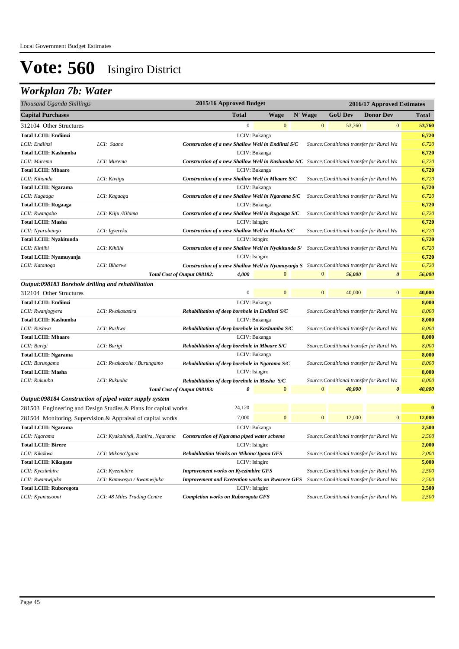## *Workplan 7b: Water*

| Thousand Uganda Shillings                          |                                                                 | 2015/16 Approved Budget                                                                             |                |         |                  |                | 2016/17 Approved Estimates                |              |
|----------------------------------------------------|-----------------------------------------------------------------|-----------------------------------------------------------------------------------------------------|----------------|---------|------------------|----------------|-------------------------------------------|--------------|
| <b>Capital Purchases</b>                           |                                                                 | Total                                                                                               | <b>Wage</b>    | N' Wage |                  | <b>GoU Dev</b> | <b>Donor Dev</b>                          | <b>Total</b> |
| 312104 Other Structures                            |                                                                 | $\boldsymbol{0}$                                                                                    | $\mathbf{0}$   |         | $\mathbf{0}$     | 53,760         | $\mathbf{0}$                              | 53,760       |
| <b>Total LCIII: Endiinzi</b>                       |                                                                 |                                                                                                     | LCIV: Bukanga  |         |                  |                |                                           | 6,720        |
| LCII: Endiinzi                                     | LCI: Saano                                                      | Construction of a new Shallow Well in Endiinzi S/C                                                  |                |         |                  |                | Source: Conditional transfer for Rural Wa | 6,720        |
| <b>Total LCIII: Kashumba</b>                       |                                                                 |                                                                                                     | LCIV: Bukanga  |         |                  |                |                                           | 6,720        |
| LCII: Murema                                       | LCI: Murema                                                     | Construction of a new Shallow Well in Kashumba S/C Source: Conditional transfer for Rural Wa        |                |         |                  |                |                                           | 6,720        |
| <b>Total LCIII: Mbaare</b>                         |                                                                 |                                                                                                     | LCIV: Bukanga  |         |                  |                |                                           | 6,720        |
| LCII: Kihanda                                      | LCI: Kiviiga                                                    | Construction of a new Shallow Well in Mbaare S/C                                                    |                |         |                  |                | Source: Conditional transfer for Rural Wa | 6,720        |
| <b>Total LCIII: Ngarama</b>                        |                                                                 |                                                                                                     | LCIV: Bukanga  |         |                  |                |                                           | 6,720        |
| LCII: Kagaaga                                      | LCI: Kagaaga                                                    | Construction of a new Shallow Well in Ngarama S/C                                                   |                |         |                  |                | Source: Conditional transfer for Rural Wa | 6,720        |
| <b>Total LCIII: Rugaaga</b>                        |                                                                 |                                                                                                     | LCIV: Bukanga  |         |                  |                |                                           | 6,720        |
| LCII: Rwangabo                                     | LCI: Kiiju /Kihima                                              | Construction of a new Shallow Well in Rugaaga S/C                                                   |                |         |                  |                | Source: Conditional transfer for Rural Wa | 6,720        |
| <b>Total LCIII: Masha</b>                          |                                                                 |                                                                                                     | LCIV: Isingiro |         |                  |                |                                           | 6,720        |
| LCII: Nyarubungo                                   | LCI: Igyereka                                                   | Construction of a new Shallow Well in Masha S/C                                                     |                |         |                  |                | Source: Conditional transfer for Rural Wa | 6,720        |
| <b>Total LCIII: Nyakitunda</b>                     |                                                                 |                                                                                                     | LCIV: Isingiro |         |                  |                |                                           | 6,720        |
| LCII: Kihiihi                                      | LCI: Kihiihi                                                    | Construction of a new Shallow Well in Nyakitunda S/ Source: Conditional transfer for Rural Wa       |                |         |                  |                |                                           | 6,720        |
| Total LCIII: Nyamuyanja                            |                                                                 |                                                                                                     | LCIV: Isingiro |         |                  |                |                                           | 6,720        |
| LCII: Katanoga                                     | LCI: Biharwe                                                    | <b>Construction of a new Shallow Well in Nyamuyanja S</b> Source: Conditional transfer for Rural Wa |                |         |                  |                |                                           | 6,720        |
|                                                    |                                                                 | 4,000<br>Total Cost of Output 098182:                                                               | $\overline{0}$ |         | $\mathbf{0}$     | 56,000         | $\boldsymbol{\theta}$                     | 56,000       |
| Output:098183 Borehole drilling and rehabilitation |                                                                 |                                                                                                     |                |         |                  |                |                                           |              |
| 312104 Other Structures                            |                                                                 | $\boldsymbol{0}$                                                                                    | $\mathbf{0}$   |         | $\boldsymbol{0}$ | 40,000         | $\mathbf{0}$                              | 40,000       |
| <b>Total LCIII: Endiinzi</b>                       |                                                                 |                                                                                                     | LCIV: Bukanga  |         |                  |                |                                           | 8,000        |
| LCII: Rwanjogyera                                  | LCI: Rwakasasira                                                | Rehabilitation of deep borehole in Endiinzi S/C                                                     |                |         |                  |                | Source: Conditional transfer for Rural Wa | 8,000        |
| <b>Total LCIII: Kashumba</b>                       |                                                                 |                                                                                                     | LCIV: Bukanga  |         |                  |                |                                           | 8,000        |
| LCII: Rushwa                                       | LCI: Rushwa                                                     | Rehabilitation of deep borehole in Kashumba S/C                                                     |                |         |                  |                | Source: Conditional transfer for Rural Wa | 8,000        |
| <b>Total LCIII: Mbaare</b>                         |                                                                 |                                                                                                     | LCIV: Bukanga  |         |                  |                |                                           | 8,000        |
| LCII: Burigi                                       | LCI: Burigi                                                     | Rehabilitation of deep borehole in Mbaare S/C                                                       |                |         |                  |                | Source: Conditional transfer for Rural Wa | 8,000        |
| <b>Total LCIII: Ngarama</b>                        |                                                                 |                                                                                                     | LCIV: Bukanga  |         |                  |                |                                           | 8,000        |
| LCII: Burungamo                                    | LCI: Rwakabohe / Burungamo                                      | Rehabilitation of deep borehole in Ngarama S/C                                                      |                |         |                  |                | Source: Conditional transfer for Rural Wa | 8,000        |
| <b>Total LCIII: Masha</b>                          |                                                                 |                                                                                                     | LCIV: Isingiro |         |                  |                |                                           | 8,000        |
| LCII: Rukuuba                                      | LCI: Rukuuba                                                    | Rehabilitation of deep borehole in Masha S/C                                                        |                |         |                  |                | Source: Conditional transfer for Rural Wa | 8,000        |
|                                                    |                                                                 | Total Cost of Output 098183:<br>0                                                                   | $\mathbf{0}$   |         | $\mathbf{0}$     | 40,000         | $\boldsymbol{\theta}$                     | 40,000       |
|                                                    | Output:098184 Construction of piped water supply system         |                                                                                                     |                |         |                  |                |                                           |              |
|                                                    | 281503 Engineering and Design Studies & Plans for capital works | 24,120                                                                                              |                |         |                  |                |                                           | $\bf{0}$     |
|                                                    | 281504 Monitoring, Supervision & Appraisal of capital works     | 7,000                                                                                               | $\mathbf{0}$   |         | $\overline{0}$   | 12,000         | $\mathbf{0}$                              | 12,000       |
| <b>Total LCIII: Ngarama</b>                        |                                                                 |                                                                                                     | LCIV: Bukanga  |         |                  |                |                                           | 2,500        |
| LCII: Ngarama                                      | LCI: Kyakabindi, Ruhiira, Ngarama                               | Construction of Ngarama piped water scheme                                                          |                |         |                  |                | Source: Conditional transfer for Rural Wa | 2,500        |
| <b>Total LCIII: Birere</b>                         |                                                                 |                                                                                                     | LCIV: Isingiro |         |                  |                |                                           | 2,000        |
| LCII: Kikokwa                                      | LCI: Mikono'Igana                                               | <b>Rehabilitation Works on Mikono'Igana GFS</b>                                                     |                |         |                  |                | Source: Conditional transfer for Rural Wa | 2,000        |
| <b>Total LCIII: Kikagate</b>                       |                                                                 |                                                                                                     | LCIV: Isingiro |         |                  |                |                                           | 5,000        |
| LCII: Kyezimbire                                   | LCI: Kyezimbire                                                 | <b>Improvement works on Kyezimbire GFS</b>                                                          |                |         |                  |                | Source: Conditional transfer for Rural Wa | 2,500        |
| LCII: Rwamwijuka                                   | LCI: Kamwosya / Rwamwijuka                                      | <b>Improvement and Exetention works on Rwacece GFS</b>                                              |                |         |                  |                | Source: Conditional transfer for Rural Wa | 2,500        |
| <b>Total LCIII: Ruborogota</b>                     |                                                                 |                                                                                                     | LCIV: Isingiro |         |                  |                |                                           | 2,500        |
| LCII: Kyamusooni                                   | LCI: 48 Miles Trading Centre                                    | <b>Completion works on Ruborogota GFS</b>                                                           |                |         |                  |                | Source: Conditional transfer for Rural Wa | 2,500        |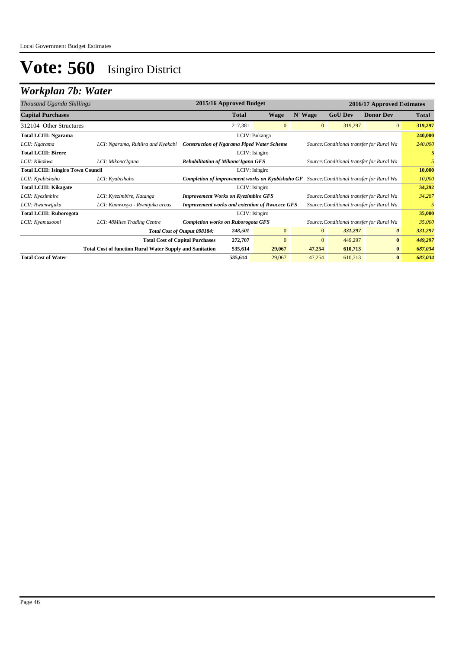## *Workplan 7b: Water*

| Thousand Uganda Shillings                                   |                                                                 |                                                       | 2015/16 Approved Budget                                                                           |                |                |                | 2016/17 Approved Estimates                |              |
|-------------------------------------------------------------|-----------------------------------------------------------------|-------------------------------------------------------|---------------------------------------------------------------------------------------------------|----------------|----------------|----------------|-------------------------------------------|--------------|
| <b>Capital Purchases</b>                                    |                                                                 |                                                       | Total                                                                                             | Wage           | N' Wage        | <b>GoU Dev</b> | <b>Donor Dev</b>                          | <b>Total</b> |
| 312104 Other Structures                                     |                                                                 |                                                       | 217,381                                                                                           | $\overline{0}$ | $\mathbf{0}$   | 319,297        | $\overline{0}$                            | 319,297      |
| <b>Total LCIII: Ngarama</b>                                 |                                                                 |                                                       |                                                                                                   | LCIV: Bukanga  |                |                |                                           | 240,000      |
| LCII: Ngarama                                               | LCI: Ngarama, Ruhiira and Kyakabi                               | <b>Construction of Ngarama Piped Water Scheme</b>     |                                                                                                   |                |                |                | Source: Conditional transfer for Rural Wa | 240,000      |
| <b>Total LCIII: Birere</b>                                  |                                                                 |                                                       | LCIV: Isingiro                                                                                    |                |                |                |                                           |              |
| LCII: Kikokwa                                               | LCI: Mikono'Igana                                               |                                                       | <b>Rehabilitation of Mikono'Igana GFS</b><br>Source: Conditional transfer for Rural Wa            |                |                |                |                                           |              |
| <b>Total LCIII: Isingiro Town Council</b><br>LCIV: Isingiro |                                                                 |                                                       |                                                                                                   |                | 10,000         |                |                                           |              |
| LCII: Kyabishaho                                            | LCI: Kyabishaho                                                 |                                                       | <b>Completion of improvement works on Kyabishaho GF</b> Source: Conditional transfer for Rural Wa |                |                |                |                                           |              |
| <b>Total LCIII: Kikagate</b>                                |                                                                 |                                                       | LCIV: Isingiro                                                                                    |                |                |                |                                           | 34,292       |
| LCII: Kyezimbire                                            | LCI: Kyezimbire, Katanga                                        | <b>Improvement Works on Kyezimbire GFS</b>            |                                                                                                   |                |                |                | Source: Conditional transfer for Rural Wa | 34,287       |
| LCII: Rwamwijuka                                            | LCI: Kamwosya - Rwmijuka areas                                  | <b>Improvement works and extention of Rwacece GFS</b> |                                                                                                   |                |                |                | Source: Conditional transfer for Rural Wa |              |
| <b>Total LCIII: Ruborogota</b>                              |                                                                 |                                                       | LCIV: Isingiro                                                                                    |                |                |                |                                           | 35,000       |
| LCII: Kyamusooni                                            | LCI: 48Miles Trading Centre                                     | <b>Completion works on Ruborogota GFS</b>             |                                                                                                   |                |                |                | Source: Conditional transfer for Rural Wa | 35,000       |
|                                                             |                                                                 | Total Cost of Output 098184:                          | 248,501                                                                                           | $\mathbf{0}$   | $\overline{0}$ | 331,297        | 0                                         | 331,297      |
|                                                             |                                                                 | <b>Total Cost of Capital Purchases</b>                | 272,707                                                                                           | $\overline{0}$ | $\mathbf{0}$   | 449,297        | $\bf{0}$                                  | 449,297      |
|                                                             | <b>Total Cost of function Rural Water Supply and Sanitation</b> |                                                       | 535,614                                                                                           | 29,067         | 47,254         | 610,713        | $\bf{0}$                                  | 687,034      |
| <b>Total Cost of Water</b>                                  |                                                                 |                                                       | 535,614                                                                                           | 29,067         | 47,254         | 610,713        | $\bf{0}$                                  | 687,034      |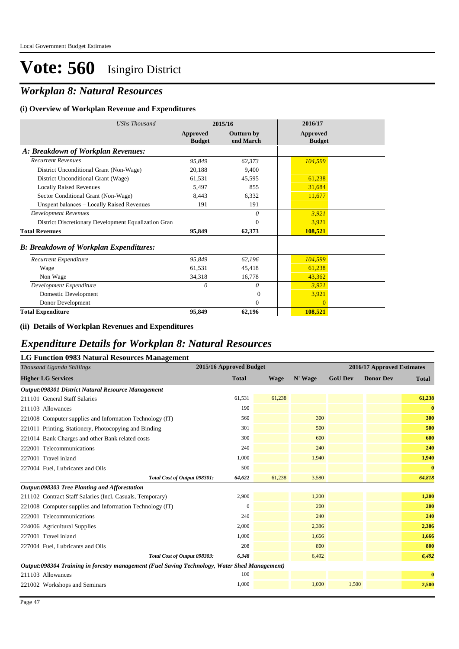## *Workplan 8: Natural Resources*

#### **(i) Overview of Workplan Revenue and Expenditures**

| <b>UShs Thousand</b>                                 |                           | 2015/16                        | 2016/17                   |  |
|------------------------------------------------------|---------------------------|--------------------------------|---------------------------|--|
|                                                      | Approved<br><b>Budget</b> | <b>Outturn by</b><br>end March | Approved<br><b>Budget</b> |  |
| A: Breakdown of Workplan Revenues:                   |                           |                                |                           |  |
| <b>Recurrent Revenues</b>                            | 95,849                    | 62,373                         | 104,599                   |  |
| District Unconditional Grant (Non-Wage)              | 20,188                    | 9,400                          |                           |  |
| District Unconditional Grant (Wage)                  | 61,531                    | 45,595                         | 61,238                    |  |
| <b>Locally Raised Revenues</b>                       | 5,497                     | 855                            | 31,684                    |  |
| Sector Conditional Grant (Non-Wage)                  | 8,443                     | 6.332                          | 11,677                    |  |
| Unspent balances - Locally Raised Revenues           | 191                       | 191                            |                           |  |
| <b>Development Revenues</b>                          |                           | $\theta$                       | 3,921                     |  |
| District Discretionary Development Equalization Gran |                           | $\overline{0}$                 | 3,921                     |  |
| <b>Total Revenues</b>                                | 95,849                    | 62,373                         | 108,521                   |  |
| <b>B: Breakdown of Workplan Expenditures:</b>        |                           |                                |                           |  |
| Recurrent Expenditure                                | 95,849                    | 62,196                         | 104,599                   |  |
| Wage                                                 | 61,531                    | 45,418                         | 61,238                    |  |
| Non Wage                                             | 34,318                    | 16,778                         | 43,362                    |  |
| Development Expenditure                              | $\theta$                  | 0                              | 3,921                     |  |
| Domestic Development                                 |                           | $\Omega$                       | 3,921                     |  |
| Donor Development                                    |                           | $\Omega$                       | $\Omega$                  |  |
| <b>Total Expenditure</b>                             | 95,849                    | 62,196                         | 108,521                   |  |

#### **(ii) Details of Workplan Revenues and Expenditures**

### *Expenditure Details for Workplan 8: Natural Resources*

### **LG Function 0983 Natural Resources Management**

| Thousand Uganda Shillings                                                                     | 2015/16 Approved Budget |             |         |                | 2016/17 Approved Estimates |              |
|-----------------------------------------------------------------------------------------------|-------------------------|-------------|---------|----------------|----------------------------|--------------|
| <b>Higher LG Services</b>                                                                     | <b>Total</b>            | <b>Wage</b> | N' Wage | <b>GoU Dev</b> | <b>Donor Dev</b>           | <b>Total</b> |
| Output:098301 District Natural Resource Management                                            |                         |             |         |                |                            |              |
| 211101 General Staff Salaries                                                                 | 61,531                  | 61,238      |         |                |                            | 61,238       |
| 211103 Allowances                                                                             | 190                     |             |         |                |                            | $\bf{0}$     |
| 221008 Computer supplies and Information Technology (IT)                                      | 560                     |             | 300     |                |                            | 300          |
| 221011 Printing, Stationery, Photocopying and Binding                                         | 301                     |             | 500     |                |                            | 500          |
| 221014 Bank Charges and other Bank related costs                                              | 300                     |             | 600     |                |                            | 600          |
| 222001 Telecommunications                                                                     | 240                     |             | 240     |                |                            | 240          |
| 227001 Travel inland                                                                          | 1,000                   |             | 1,940   |                |                            | 1,940        |
| 227004 Fuel, Lubricants and Oils                                                              | 500                     |             |         |                |                            | $\bf{0}$     |
| Total Cost of Output 098301:                                                                  | 64,622                  | 61,238      | 3,580   |                |                            | 64,818       |
| Output:098303 Tree Planting and Afforestation                                                 |                         |             |         |                |                            |              |
| 211102 Contract Staff Salaries (Incl. Casuals, Temporary)                                     | 2,900                   |             | 1,200   |                |                            | 1,200        |
| 221008 Computer supplies and Information Technology (IT)                                      | $\mathbf{0}$            |             | 200     |                |                            | 200          |
| 222001 Telecommunications                                                                     | 240                     |             | 240     |                |                            | 240          |
| 224006 Agricultural Supplies                                                                  | 2,000                   |             | 2,386   |                |                            | 2,386        |
| 227001 Travel inland                                                                          | 1,000                   |             | 1,666   |                |                            | 1,666        |
| 227004 Fuel, Lubricants and Oils                                                              | 208                     |             | 800     |                |                            | 800          |
| Total Cost of Output 098303:                                                                  | 6,348                   |             | 6,492   |                |                            | 6,492        |
| Output:098304 Training in forestry management (Fuel Saving Technology, Water Shed Management) |                         |             |         |                |                            |              |
| 211103 Allowances                                                                             | 100                     |             |         |                |                            | $\bf{0}$     |
| 221002 Workshops and Seminars                                                                 | 1,000                   |             | 1,000   | 1,500          |                            | 2,500        |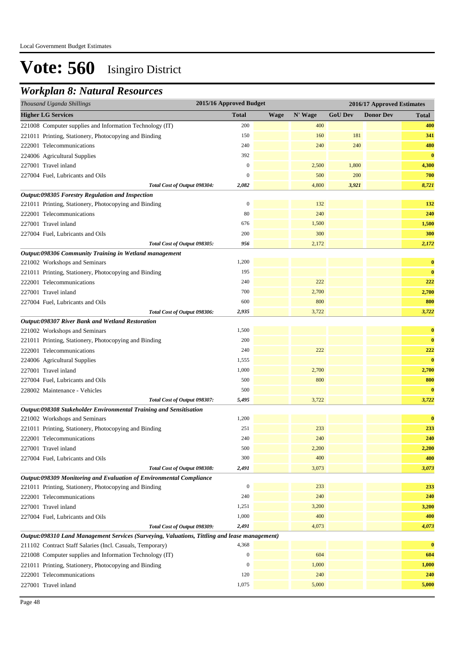### *Workplan 8: Natural Resources*

| Thousand Uganda Shillings                                                                     | 2015/16 Approved Budget |             |         |                | 2016/17 Approved Estimates |              |
|-----------------------------------------------------------------------------------------------|-------------------------|-------------|---------|----------------|----------------------------|--------------|
| <b>Higher LG Services</b>                                                                     | <b>Total</b>            | <b>Wage</b> | N' Wage | <b>GoU Dev</b> | <b>Donor Dev</b>           | <b>Total</b> |
| 221008 Computer supplies and Information Technology (IT)                                      | 200                     |             | 400     |                |                            | 400          |
| 221011 Printing, Stationery, Photocopying and Binding                                         | 150                     |             | 160     | 181            |                            | 341          |
| 222001 Telecommunications                                                                     | 240                     |             | 240     | 240            |                            | 480          |
| 224006 Agricultural Supplies                                                                  | 392                     |             |         |                |                            | $\bf{0}$     |
| 227001 Travel inland                                                                          | $\mathbf{0}$            |             | 2,500   | 1,800          |                            | 4,300        |
| 227004 Fuel, Lubricants and Oils                                                              | $\boldsymbol{0}$        |             | 500     | 200            |                            | 700          |
| Total Cost of Output 098304:                                                                  | 2,082                   |             | 4,800   | 3,921          |                            | 8,721        |
| Output:098305 Forestry Regulation and Inspection                                              |                         |             |         |                |                            |              |
| 221011 Printing, Stationery, Photocopying and Binding                                         | $\boldsymbol{0}$        |             | 132     |                |                            | 132          |
| 222001 Telecommunications                                                                     | 80                      |             | 240     |                |                            | 240          |
| 227001 Travel inland                                                                          | 676                     |             | 1,500   |                |                            | 1,500        |
| 227004 Fuel, Lubricants and Oils                                                              | 200                     |             | 300     |                |                            | 300          |
| Total Cost of Output 098305:                                                                  | 956                     |             | 2,172   |                |                            | 2,172        |
| Output:098306 Community Training in Wetland management                                        |                         |             |         |                |                            |              |
| 221002 Workshops and Seminars                                                                 | 1,200                   |             |         |                |                            | $\bf{0}$     |
| 221011 Printing, Stationery, Photocopying and Binding                                         | 195                     |             |         |                |                            | $\bf{0}$     |
| 222001 Telecommunications                                                                     | 240                     |             | 222     |                |                            | 222          |
| 227001 Travel inland                                                                          | 700                     |             | 2,700   |                |                            | 2,700        |
| 227004 Fuel, Lubricants and Oils                                                              | 600                     |             | 800     |                |                            | 800          |
| Total Cost of Output 098306:                                                                  | 2,935                   |             | 3,722   |                |                            | 3,722        |
| Output:098307 River Bank and Wetland Restoration                                              |                         |             |         |                |                            |              |
| 221002 Workshops and Seminars                                                                 | 1,500                   |             |         |                |                            | $\bf{0}$     |
| 221011 Printing, Stationery, Photocopying and Binding                                         | 200                     |             |         |                |                            | $\bf{0}$     |
| 222001 Telecommunications                                                                     | 240                     |             | 222     |                |                            | 222          |
| 224006 Agricultural Supplies                                                                  | 1,555                   |             |         |                |                            | $\bf{0}$     |
| 227001 Travel inland                                                                          | 1,000                   |             | 2,700   |                |                            | 2,700        |
| 227004 Fuel, Lubricants and Oils                                                              | 500                     |             | 800     |                |                            | 800          |
| 228002 Maintenance - Vehicles                                                                 | 500                     |             |         |                |                            | $\bf{0}$     |
| Total Cost of Output 098307:                                                                  | 5,495                   |             | 3,722   |                |                            | 3,722        |
| Output:098308 Stakeholder Environmental Training and Sensitisation                            |                         |             |         |                |                            |              |
| 221002 Workshops and Seminars                                                                 | 1,200                   |             |         |                |                            | $\bf{0}$     |
| 221011 Printing, Stationery, Photocopying and Binding                                         | 251                     |             | 233     |                |                            | 233          |
| 222001 Telecommunications                                                                     | 240                     |             | 240     |                |                            | 240          |
| 227001 Travel inland                                                                          | 500                     |             | 2,200   |                |                            | 2,200        |
| 227004 Fuel, Lubricants and Oils                                                              | 300                     |             | 400     |                |                            | 400          |
| Total Cost of Output 098308:                                                                  | 2,491                   |             | 3,073   |                |                            | 3,073        |
| Output:098309 Monitoring and Evaluation of Environmental Compliance                           |                         |             |         |                |                            |              |
| 221011 Printing, Stationery, Photocopying and Binding                                         | $\boldsymbol{0}$        |             | 233     |                |                            | 233          |
| 222001 Telecommunications                                                                     | 240                     |             | 240     |                |                            | 240          |
| 227001 Travel inland                                                                          | 1,251                   |             | 3,200   |                |                            | 3,200        |
| 227004 Fuel, Lubricants and Oils                                                              | 1,000                   |             | 400     |                |                            | 400          |
| Total Cost of Output 098309:                                                                  | 2,491                   |             | 4,073   |                |                            | 4,073        |
| Output:098310 Land Management Services (Surveying, Valuations, Tittling and lease management) |                         |             |         |                |                            |              |
| 211102 Contract Staff Salaries (Incl. Casuals, Temporary)                                     | 4,368                   |             |         |                |                            | $\bf{0}$     |
| 221008 Computer supplies and Information Technology (IT)                                      | $\boldsymbol{0}$        |             | 604     |                |                            | 604          |
| 221011 Printing, Stationery, Photocopying and Binding                                         | $\boldsymbol{0}$        |             | 1,000   |                |                            | 1,000        |
| 222001 Telecommunications                                                                     | 120                     |             | 240     |                |                            | 240          |
| 227001 Travel inland                                                                          | 1,075                   |             | 5,000   |                |                            | 5,000        |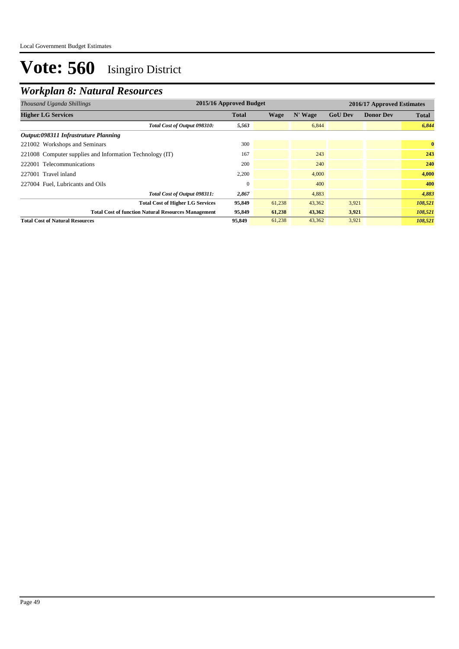## *Workplan 8: Natural Resources*

| Thousand Uganda Shillings                                  | 2015/16 Approved Budget<br>2016/17 Approved Estimates |        |         |                |                  |              |
|------------------------------------------------------------|-------------------------------------------------------|--------|---------|----------------|------------------|--------------|
| <b>Higher LG Services</b>                                  | <b>Total</b>                                          | Wage   | N' Wage | <b>GoU Dev</b> | <b>Donor Dev</b> | <b>Total</b> |
| Total Cost of Output 098310:                               | 5,563                                                 |        | 6,844   |                |                  | 6,844        |
| Output:098311 Infrastruture Planning                       |                                                       |        |         |                |                  |              |
| 221002 Workshops and Seminars                              | 300                                                   |        |         |                |                  | $\bf{0}$     |
| 221008 Computer supplies and Information Technology (IT)   | 167                                                   |        | 243     |                |                  | 243          |
| 222001 Telecommunications                                  | 200                                                   |        | 240     |                |                  | 240          |
| 227001 Travel inland                                       | 2,200                                                 |        | 4.000   |                |                  | 4,000        |
| 227004 Fuel, Lubricants and Oils                           |                                                       |        | 400     |                |                  | 400          |
| Total Cost of Output 098311:                               | 2,867                                                 |        | 4,883   |                |                  | 4,883        |
| <b>Total Cost of Higher LG Services</b>                    | 95,849                                                | 61,238 | 43,362  | 3,921          |                  | 108,521      |
| <b>Total Cost of function Natural Resources Management</b> | 95,849                                                | 61,238 | 43,362  | 3,921          |                  | 108,521      |
| <b>Total Cost of Natural Resources</b>                     | 95,849                                                | 61,238 | 43,362  | 3,921          |                  | 108,521      |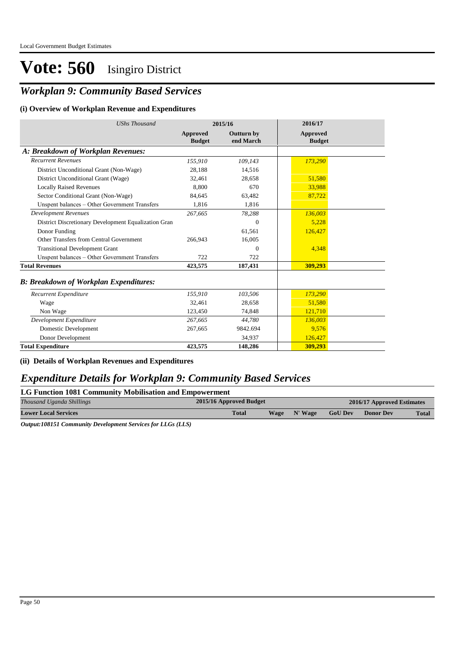### *Workplan 9: Community Based Services*

#### **(i) Overview of Workplan Revenue and Expenditures**

| <b>UShs Thousand</b>                                 | 2015/16                   |                                | 2016/17                   |
|------------------------------------------------------|---------------------------|--------------------------------|---------------------------|
|                                                      | Approved<br><b>Budget</b> | <b>Outturn by</b><br>end March | Approved<br><b>Budget</b> |
| A: Breakdown of Workplan Revenues:                   |                           |                                |                           |
| <b>Recurrent Revenues</b>                            | 155,910                   | 109,143                        | 173,290                   |
| District Unconditional Grant (Non-Wage)              | 28.188                    | 14,516                         |                           |
| District Unconditional Grant (Wage)                  | 32.461                    | 28.658                         | 51,580                    |
| <b>Locally Raised Revenues</b>                       | 8.800                     | 670                            | 33,988                    |
| Sector Conditional Grant (Non-Wage)                  | 84.645                    | 63,482                         | 87,722                    |
| Unspent balances - Other Government Transfers        | 1.816                     | 1,816                          |                           |
| <b>Development Revenues</b>                          | 267,665                   | 78,288                         | 136,003                   |
| District Discretionary Development Equalization Gran |                           | $\Omega$                       | 5,228                     |
| Donor Funding                                        |                           | 61,561                         | 126,427                   |
| Other Transfers from Central Government              | 266.943                   | 16,005                         |                           |
| <b>Transitional Development Grant</b>                |                           | $\Omega$                       | 4,348                     |
| Unspent balances - Other Government Transfers        | 722                       | 722                            |                           |
| <b>Total Revenues</b>                                | 423,575                   | 187,431                        | 309,293                   |
| <b>B: Breakdown of Workplan Expenditures:</b>        |                           |                                |                           |
| Recurrent Expenditure                                | 155,910                   | 103,506                        | 173,290                   |
| Wage                                                 | 32,461                    | 28,658                         | 51,580                    |
| Non Wage                                             | 123,450                   | 74,848                         | 121,710                   |
| Development Expenditure                              | 267,665                   | 44,780                         | 136,003                   |
| Domestic Development                                 | 267,665                   | 9842.694                       | 9.576                     |
| Donor Development                                    |                           | 34,937                         | 126,427                   |
| <b>Total Expenditure</b>                             | 423,575                   | 148,286                        | 309,293                   |

#### **(ii) Details of Workplan Revenues and Expenditures**

### *Expenditure Details for Workplan 9: Community Based Services*

**LG Function 1081 Community Mobilisation and Empowerment**

| Thousand Uganda Shillings   | 2015/16 Approved Budget |                        | 2016/17 Approved Estimates |                  |              |
|-----------------------------|-------------------------|------------------------|----------------------------|------------------|--------------|
| <b>Lower Local Services</b> | <b>Total</b>            | N' Wage<br><b>Wage</b> | <b>GoU Dev</b>             | <b>Donor Dev</b> | <b>Total</b> |

*Output:108151 Community Development Services for LLGs (LLS)*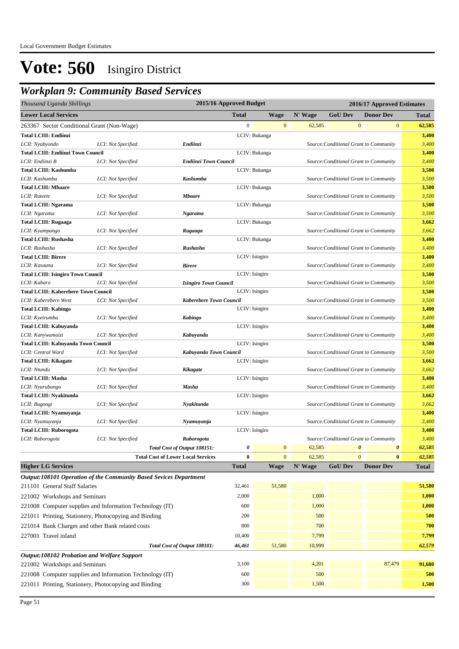## *Workplan 9: Community Based Services*

| Thousand Uganda Shillings                                         |                    |                                           | 2015/16 Approved Budget |                |         | 2016/17 Approved Estimates |                                        |              |
|-------------------------------------------------------------------|--------------------|-------------------------------------------|-------------------------|----------------|---------|----------------------------|----------------------------------------|--------------|
| <b>Lower Local Services</b>                                       |                    |                                           | <b>Total</b>            | Wage           | N' Wage | <b>GoU Dev</b>             | <b>Donor Dev</b>                       | <b>Total</b> |
| 263367 Sector Conditional Grant (Non-Wage)                        |                    |                                           | $\mathbf{0}$            | $\mathbf{0}$   | 62,585  | $\bf{0}$                   | $\mathbf{0}$                           | 62,585       |
| <b>Total LCIII: Endiinzi</b>                                      |                    |                                           |                         | LCIV: Bukanga  |         |                            |                                        | 3,400        |
| LCII: Nyabyondo                                                   | LCI: Not Specified | Endiinzi                                  |                         |                |         |                            | Source: Conditional Grant to Community | 3,400        |
| <b>Total LCIII: Endiinzi Town Council</b>                         |                    |                                           |                         | LCIV: Bukanga  |         |                            |                                        | 3,400        |
| LCII: Endiinzi B                                                  | LCI: Not Specified | Endiinzi Town Council                     |                         |                |         |                            | Source: Conditional Grant to Community | 3,400        |
| <b>Total LCIII: Kashumba</b>                                      |                    |                                           |                         | LCIV: Bukanga  |         |                            |                                        | 3,500        |
| LCII: Kashumba                                                    | LCI: Not Specified | Kashumba                                  |                         |                |         |                            | Source: Conditional Grant to Community | 3,500        |
| <b>Total LCIII: Mbaare</b>                                        |                    |                                           |                         | LCIV: Bukanga  |         |                            |                                        | 3,500        |
| LCII: Ruteete                                                     | LCI: Not Specified | <b>Mbaare</b>                             |                         |                |         |                            | Source: Conditional Grant to Community | 3,500        |
| <b>Total LCIII: Ngarama</b>                                       |                    |                                           |                         | LCIV: Bukanga  |         |                            |                                        | 3,500        |
| LCII: Ngarama                                                     | LCI: Not Specified | Ngarama                                   |                         |                |         |                            | Source: Conditional Grant to Community | 3,500        |
| <b>Total LCIII: Rugaaga</b>                                       |                    |                                           |                         | LCIV: Bukanga  |         |                            |                                        | 3,662        |
| LCII: Kyampango                                                   | LCI: Not Specified | Rugaaga                                   |                         |                |         |                            | Source: Conditional Grant to Community | 3,662        |
| <b>Total LCIII: Rushasha</b>                                      |                    |                                           |                         | LCIV: Bukanga  |         |                            |                                        | 3,400        |
| LCII: Rushasha                                                    | LCI: Not Specified | Rushasha                                  |                         |                |         |                            | Source: Conditional Grant to Community | 3,400        |
| <b>Total LCIII: Birere</b>                                        |                    |                                           | LCIV: Isingiro          |                |         |                            |                                        | 3,400        |
| LCII: Kasaana                                                     | LCI: Not Specified | <b>Birere</b>                             |                         |                |         |                            | Source: Conditional Grant to Community | 3,400        |
| <b>Total LCIII: Isingiro Town Council</b>                         |                    |                                           | LCIV: Isingiro          |                |         |                            |                                        | 3,500        |
| LCII: Kaharo                                                      | LCI: Not Specified | <b>Isingiro Town Council</b>              |                         |                |         |                            | Source: Conditional Grant to Community | 3,500        |
| <b>Total LCIII: Kaberebere Town Council</b>                       |                    |                                           | LCIV: Isingiro          |                |         |                            |                                        | 3,500        |
| LCII: Kaberebere West                                             | LCI: Not Specified | <b>Kaberebere Town Council</b>            |                         |                |         |                            | Source: Conditional Grant to Community | 3,500        |
| <b>Total LCIII: Kabingo</b>                                       |                    |                                           | LCIV: Isingiro          |                |         |                            |                                        | 3,400        |
| LCII: Kyeirumba                                                   | LCI: Not Specified | <b>Kabingo</b>                            |                         |                |         |                            | Source: Conditional Grant to Community | 3,400        |
| Total LCIII: Kabuyanda                                            |                    |                                           | LCIV: Isingiro          |                |         |                            |                                        | 3,400        |
| LCII: Kanywamaizi                                                 | LCI: Not Specified | Kabuyanda                                 |                         |                |         |                            | Source: Conditional Grant to Community | 3,400        |
| <b>Total LCIII: Kabuyanda Town Council</b>                        |                    |                                           | LCIV: Isingiro          |                |         |                            |                                        | 3,500        |
| LCII: Central Ward                                                | LCI: Not Specified | Kabuyanda Town Council                    |                         |                |         |                            | Source: Conditional Grant to Community | 3,500        |
| <b>Total LCIII: Kikagate</b>                                      |                    |                                           | LCIV: Isingiro          |                |         |                            |                                        | 3,662        |
| LCII: Ntundu                                                      | LCI: Not Specified | Kikagate                                  |                         |                |         |                            | Source: Conditional Grant to Community | 3,662        |
| <b>Total LCIII: Masha</b>                                         |                    |                                           | LCIV: Isingiro          |                |         |                            |                                        | 3,400        |
| LCII: Nyarubungo                                                  | LCI: Not Specified | Masha                                     |                         |                |         |                            | Source: Conditional Grant to Community | 3,400        |
| Total LCIII: Nyakitunda                                           |                    |                                           | LCIV: Isingiro          |                |         |                            |                                        | 3,662        |
| LCII: Bugongi                                                     | LCI: Not Specified | Nyakitunda                                |                         |                |         |                            | Source: Conditional Grant to Community | 3,662        |
| Total LCIII: Nyamuyanja                                           |                    |                                           | LCIV: Isingiro          |                |         |                            |                                        | 3,400        |
| LCII: Nyamuyanja                                                  | LCI: Not Specified | Nyamuyanja                                |                         |                |         |                            | Source: Conditional Grant to Community | 3,400        |
| <b>Total LCIII: Ruborogota</b>                                    |                    |                                           | LCIV: Isingiro          |                |         |                            |                                        | 3,400        |
| LCII: Ruborogota                                                  | LCI: Not Specified | Ruborogota                                |                         |                |         |                            | Source: Conditional Grant to Community | 3,400        |
|                                                                   |                    | Total Cost of Output 108151:              | 0                       | $\mathbf{0}$   | 62,585  | 0                          | $\boldsymbol{\theta}$                  | 62,585       |
|                                                                   |                    | <b>Total Cost of Lower Local Services</b> | $\bf{0}$                | $\overline{0}$ | 62,585  | $\Omega$                   | $\bf{0}$                               | 62,585       |
| <b>Higher LG Services</b>                                         |                    |                                           | <b>Total</b>            | <b>Wage</b>    | N' Wage | <b>GoU Dev</b>             | <b>Donor Dev</b>                       | <b>Total</b> |
| Output:108101 Operation of the Community Based Sevices Department |                    |                                           |                         |                |         |                            |                                        |              |
| 211101 General Staff Salaries                                     |                    |                                           | 32,461                  | 51,580         |         |                            |                                        | 51,580       |
| 221002 Workshops and Seminars                                     |                    |                                           | 2,000                   |                | 1,000   |                            |                                        | 1,000        |
| 221008 Computer supplies and Information Technology (IT)          |                    |                                           | 600                     |                | 1,000   |                            |                                        | 1,000        |
|                                                                   |                    |                                           |                         |                |         |                            |                                        |              |
| 221011 Printing, Stationery, Photocopying and Binding             |                    |                                           | 200                     |                | 500     |                            |                                        | 500          |
| 221014 Bank Charges and other Bank related costs                  |                    |                                           | 800                     |                | 700     |                            |                                        | 700          |
| 227001 Travel inland                                              |                    |                                           | 10,400                  |                | 7,799   |                            |                                        | 7,799        |
|                                                                   |                    | Total Cost of Output 108101:              | 46,461                  | 51,580         | 10,999  |                            |                                        | 62,579       |
| Output:108102 Probation and Welfare Support                       |                    |                                           |                         |                |         |                            |                                        |              |
| 221002 Workshops and Seminars                                     |                    |                                           | 3,100                   |                | 4,201   |                            | 87,479                                 | 91,680       |
| 221008 Computer supplies and Information Technology (IT)          |                    |                                           | 600                     |                | 500     |                            |                                        | 500          |
| 221011 Printing, Stationery, Photocopying and Binding             |                    |                                           | 300                     |                | 1,500   |                            |                                        | 1,500        |
|                                                                   |                    |                                           |                         |                |         |                            |                                        |              |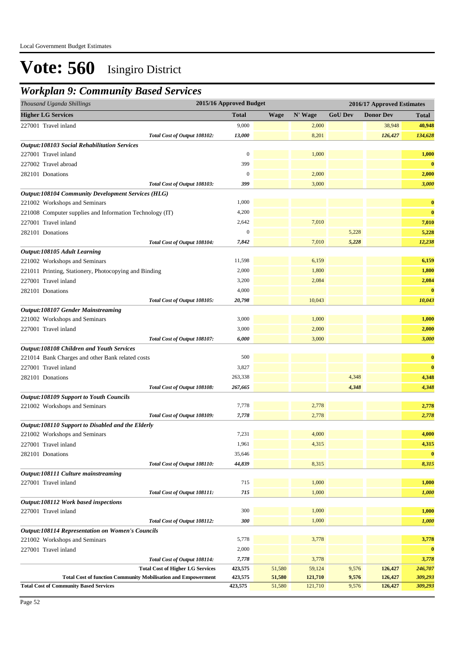### *Workplan 9: Community Based Services*

| Thousand Uganda Shillings                                            | 2015/16 Approved Budget |             |         |                | 2016/17 Approved Estimates |              |
|----------------------------------------------------------------------|-------------------------|-------------|---------|----------------|----------------------------|--------------|
| <b>Higher LG Services</b>                                            | <b>Total</b>            | <b>Wage</b> | N' Wage | <b>GoU Dev</b> | <b>Donor Dev</b>           | <b>Total</b> |
| 227001 Travel inland                                                 | 9,000                   |             | 2,000   |                | 38,948                     | 40,948       |
| Total Cost of Output 108102:                                         | 13,000                  |             | 8,201   |                | 126,427                    | 134,628      |
| <b>Output:108103 Social Rehabilitation Services</b>                  |                         |             |         |                |                            |              |
| 227001 Travel inland                                                 | $\boldsymbol{0}$        |             | 1,000   |                |                            | 1,000        |
| 227002 Travel abroad                                                 | 399                     |             |         |                |                            | $\bf{0}$     |
| 282101 Donations                                                     | $\boldsymbol{0}$        |             | 2,000   |                |                            | 2,000        |
| Total Cost of Output 108103:                                         | 399                     |             | 3,000   |                |                            | 3,000        |
| <b>Output:108104 Community Development Services (HLG)</b>            |                         |             |         |                |                            |              |
| 221002 Workshops and Seminars                                        | 1,000                   |             |         |                |                            | $\bf{0}$     |
| 221008 Computer supplies and Information Technology (IT)             | 4,200                   |             |         |                |                            | $\bf{0}$     |
| 227001 Travel inland                                                 | 2,642                   |             | 7,010   |                |                            | 7,010        |
| 282101 Donations                                                     | $\boldsymbol{0}$        |             |         | 5,228          |                            | 5,228        |
| Total Cost of Output 108104:                                         | 7,842                   |             | 7,010   | 5,228          |                            | 12,238       |
| Output:108105 Adult Learning                                         |                         |             |         |                |                            |              |
| 221002 Workshops and Seminars                                        | 11,598                  |             | 6,159   |                |                            | 6,159        |
| 221011 Printing, Stationery, Photocopying and Binding                | 2,000                   |             | 1,800   |                |                            | 1,800        |
| 227001 Travel inland                                                 | 3,200                   |             | 2,084   |                |                            | 2,084        |
| 282101 Donations                                                     | 4,000                   |             |         |                |                            | $\bf{0}$     |
| Total Cost of Output 108105:                                         | 20,798                  |             | 10,043  |                |                            | 10,043       |
| <b>Output:108107 Gender Mainstreaming</b>                            |                         |             |         |                |                            |              |
| 221002 Workshops and Seminars                                        | 3,000                   |             | 1,000   |                |                            | 1,000        |
| 227001 Travel inland                                                 | 3,000                   |             | 2,000   |                |                            | 2,000        |
| Total Cost of Output 108107:                                         | 6,000                   |             | 3,000   |                |                            | 3,000        |
| Output:108108 Children and Youth Services                            |                         |             |         |                |                            |              |
| 221014 Bank Charges and other Bank related costs                     | 500                     |             |         |                |                            | $\bf{0}$     |
| 227001 Travel inland                                                 | 3,827                   |             |         |                |                            | $\bf{0}$     |
| 282101 Donations                                                     | 263,338                 |             |         | 4,348          |                            | 4,348        |
| Total Cost of Output 108108:                                         | 267,665                 |             |         | 4,348          |                            | 4,348        |
| <b>Output:108109 Support to Youth Councils</b>                       |                         |             |         |                |                            |              |
| 221002 Workshops and Seminars                                        | 7,778                   |             | 2,778   |                |                            | 2,778        |
| Total Cost of Output 108109:                                         | 7,778                   |             | 2,778   |                |                            | 2,778        |
| Output:108110 Support to Disabled and the Elderly                    |                         |             |         |                |                            |              |
| 221002 Workshops and Seminars                                        | 7,231                   |             | 4,000   |                |                            | 4,000        |
| 227001 Travel inland                                                 | 1,961                   |             | 4,315   |                |                            | 4,315        |
| 282101 Donations                                                     | 35,646                  |             |         |                |                            | $\bf{0}$     |
| Total Cost of Output 108110:                                         | 44,839                  |             | 8,315   |                |                            | 8,315        |
| Output:108111 Culture mainstreaming<br>227001 Travel inland          | 715                     |             | 1,000   |                |                            | 1,000        |
|                                                                      | 715                     |             | 1,000   |                |                            | 1,000        |
| Total Cost of Output 108111:                                         |                         |             |         |                |                            |              |
| Output:108112 Work based inspections<br>227001 Travel inland         | 300                     |             | 1,000   |                |                            | 1,000        |
| Total Cost of Output 108112:                                         | 300                     |             | 1,000   |                |                            | 1,000        |
| <b>Output:108114 Representation on Women's Councils</b>              |                         |             |         |                |                            |              |
| 221002 Workshops and Seminars                                        | 5,778                   |             | 3,778   |                |                            | 3,778        |
| 227001 Travel inland                                                 | 2,000                   |             |         |                |                            | $\bf{0}$     |
| Total Cost of Output 108114:                                         | 7,778                   |             | 3,778   |                |                            | 3,778        |
| <b>Total Cost of Higher LG Services</b>                              | 423,575                 | 51,580      | 59,124  | 9,576          | 126,427                    | 246,707      |
| <b>Total Cost of function Community Mobilisation and Empowerment</b> | 423,575                 | 51,580      | 121,710 | 9,576          | 126,427                    | 309,293      |
| <b>Total Cost of Community Based Services</b>                        | 423,575                 | 51,580      | 121,710 | 9,576          | 126,427                    | 309,293      |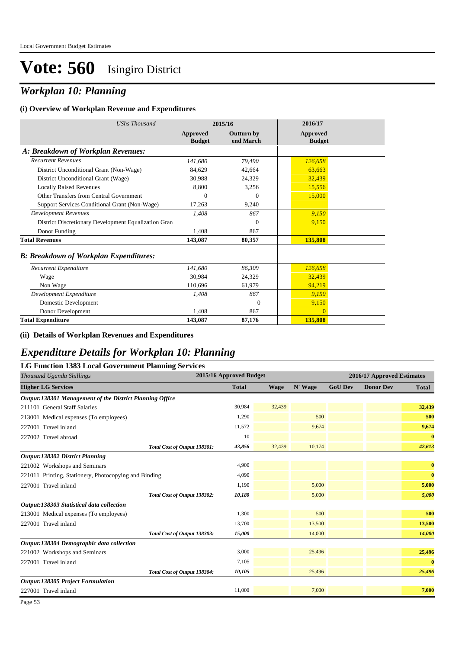### *Workplan 10: Planning*

#### **(i) Overview of Workplan Revenue and Expenditures**

| <b>UShs Thousand</b>                                 |                           | 2015/16                        | 2016/17                   |
|------------------------------------------------------|---------------------------|--------------------------------|---------------------------|
|                                                      | Approved<br><b>Budget</b> | <b>Outturn by</b><br>end March | Approved<br><b>Budget</b> |
| A: Breakdown of Workplan Revenues:                   |                           |                                |                           |
| <b>Recurrent Revenues</b>                            | 141,680                   | 79,490                         | 126,658                   |
| District Unconditional Grant (Non-Wage)              | 84,629                    | 42,664                         | 63,663                    |
| District Unconditional Grant (Wage)                  | 30,988                    | 24,329                         | 32,439                    |
| <b>Locally Raised Revenues</b>                       | 8.800                     | 3,256                          | 15,556                    |
| Other Transfers from Central Government              | $\theta$                  | $\boldsymbol{0}$               | 15,000                    |
| Support Services Conditional Grant (Non-Wage)        | 17,263                    | 9,240                          |                           |
| Development Revenues                                 | 1.408                     | 867                            | 9.150                     |
| District Discretionary Development Equalization Gran |                           | $\theta$                       | 9,150                     |
| Donor Funding                                        | 1,408                     | 867                            |                           |
| <b>Total Revenues</b>                                | 143,087                   | 80,357                         | 135,808                   |
| <b>B: Breakdown of Workplan Expenditures:</b>        |                           |                                |                           |
| Recurrent Expenditure                                | 141.680                   | 86.309                         | 126,658                   |
| Wage                                                 | 30.984                    | 24,329                         | 32,439                    |
| Non Wage                                             | 110.696                   | 61,979                         | 94,219                    |
| Development Expenditure                              | 1,408                     | 867                            | 9,150                     |
| Domestic Development                                 |                           | $\Omega$                       | 9,150                     |
| Donor Development                                    | 1,408                     | 867                            | $\Omega$                  |
| <b>Total Expenditure</b>                             | 143,087                   | 87,176                         | 135,808                   |

**(ii) Details of Workplan Revenues and Expenditures**

### *Expenditure Details for Workplan 10: Planning*

| <b>LG Function 1383 Local Government Planning Services</b> |                         |             |         |                |                            |              |
|------------------------------------------------------------|-------------------------|-------------|---------|----------------|----------------------------|--------------|
| Thousand Uganda Shillings                                  | 2015/16 Approved Budget |             |         |                | 2016/17 Approved Estimates |              |
| <b>Higher LG Services</b>                                  | <b>Total</b>            | <b>Wage</b> | N' Wage | <b>GoU Dev</b> | <b>Donor Dev</b>           | <b>Total</b> |
| Output:138301 Management of the District Planning Office   |                         |             |         |                |                            |              |
| 211101 General Staff Salaries                              | 30,984                  | 32,439      |         |                |                            | 32,439       |
| 213001 Medical expenses (To employees)                     | 1,290                   |             | 500     |                |                            | 500          |
| 227001 Travel inland                                       | 11,572                  |             | 9,674   |                |                            | 9,674        |
| 227002 Travel abroad                                       | 10                      |             |         |                |                            | $\bf{0}$     |
| Total Cost of Output 138301:                               | 43,856                  | 32,439      | 10,174  |                |                            | 42,613       |
| Output:138302 District Planning                            |                         |             |         |                |                            |              |
| 221002 Workshops and Seminars                              | 4,900                   |             |         |                |                            | $\bf{0}$     |
| 221011 Printing, Stationery, Photocopying and Binding      | 4,090                   |             |         |                |                            | $\bf{0}$     |
| 227001 Travel inland                                       | 1,190                   |             | 5,000   |                |                            | 5,000        |
| Total Cost of Output 138302:                               | 10,180                  |             | 5,000   |                |                            | 5,000        |
| Output:138303 Statistical data collection                  |                         |             |         |                |                            |              |
| 213001 Medical expenses (To employees)                     | 1,300                   |             | 500     |                |                            | 500          |
| 227001 Travel inland                                       | 13,700                  |             | 13,500  |                |                            | 13,500       |
| Total Cost of Output 138303:                               | 15,000                  |             | 14,000  |                |                            | 14,000       |
| Output:138304 Demographic data collection                  |                         |             |         |                |                            |              |
| 221002 Workshops and Seminars                              | 3,000                   |             | 25,496  |                |                            | 25,496       |
| 227001 Travel inland                                       | 7,105                   |             |         |                |                            | $\mathbf{0}$ |
| Total Cost of Output 138304:                               | 10,105                  |             | 25,496  |                |                            | 25,496       |
| <b>Output:138305 Project Formulation</b>                   |                         |             |         |                |                            |              |
| 227001 Travel inland                                       | 11,000                  |             | 7,000   |                |                            | 7,000        |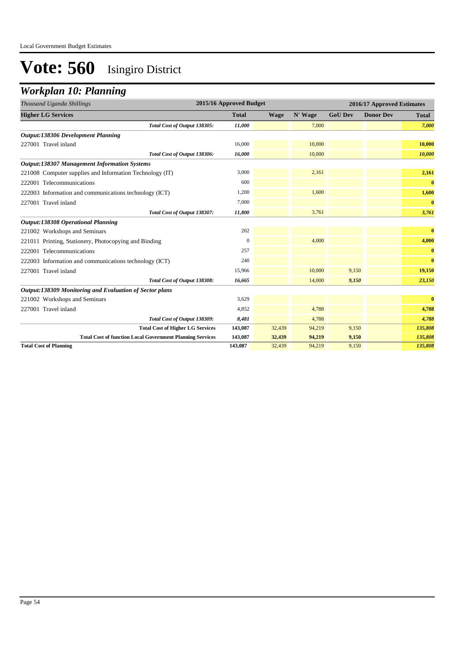## *Workplan 10: Planning*

| Thousand Uganda Shillings                                        | 2015/16 Approved Budget |             |         |                | 2016/17 Approved Estimates |              |
|------------------------------------------------------------------|-------------------------|-------------|---------|----------------|----------------------------|--------------|
| <b>Higher LG Services</b>                                        | <b>Total</b>            | <b>Wage</b> | N' Wage | <b>GoU Dev</b> | <b>Donor Dev</b>           | <b>Total</b> |
| Total Cost of Output 138305:                                     | 11,000                  |             | 7,000   |                |                            | 7,000        |
| <b>Output:138306 Development Planning</b>                        |                         |             |         |                |                            |              |
| 227001 Travel inland                                             | 16,000                  |             | 10,000  |                |                            | 10,000       |
| Total Cost of Output 138306:                                     | 16,000                  |             | 10,000  |                |                            | 10,000       |
| <b>Output:138307 Management Information Systems</b>              |                         |             |         |                |                            |              |
| 221008 Computer supplies and Information Technology (IT)         | 3,000                   |             | 2,161   |                |                            | 2,161        |
| 222001 Telecommunications                                        | 600                     |             |         |                |                            | $\bf{0}$     |
| 222003 Information and communications technology (ICT)           | 1,200                   |             | 1,600   |                |                            | 1,600        |
| 227001 Travel inland                                             | 7,000                   |             |         |                |                            | $\bf{0}$     |
| Total Cost of Output 138307:                                     | 11,800                  |             | 3,761   |                |                            | 3,761        |
| <b>Output:138308 Operational Planning</b>                        |                         |             |         |                |                            |              |
| 221002 Workshops and Seminars                                    | 202                     |             |         |                |                            | $\bf{0}$     |
| 221011 Printing, Stationery, Photocopying and Binding            | $\Omega$                |             | 4,000   |                |                            | 4,000        |
| 222001 Telecommunications                                        | 257                     |             |         |                |                            | $\bf{0}$     |
| 222003 Information and communications technology (ICT)           | 240                     |             |         |                |                            | $\bf{0}$     |
| 227001 Travel inland                                             | 15,966                  |             | 10,000  | 9,150          |                            | 19,150       |
| Total Cost of Output 138308:                                     | 16,665                  |             | 14,000  | 9,150          |                            | 23,150       |
| Output:138309 Monitoring and Evaluation of Sector plans          |                         |             |         |                |                            |              |
| 221002 Workshops and Seminars                                    | 3,629                   |             |         |                |                            | $\bf{0}$     |
| 227001 Travel inland                                             | 4,852                   |             | 4,788   |                |                            | 4,788        |
| Total Cost of Output 138309:                                     | 8,481                   |             | 4,788   |                |                            | 4,788        |
| <b>Total Cost of Higher LG Services</b>                          | 143,087                 | 32,439      | 94,219  | 9,150          |                            | 135,808      |
| <b>Total Cost of function Local Government Planning Services</b> | 143,087                 | 32,439      | 94,219  | 9,150          |                            | 135,808      |
| <b>Total Cost of Planning</b>                                    | 143,087                 | 32,439      | 94,219  | 9,150          |                            | 135,808      |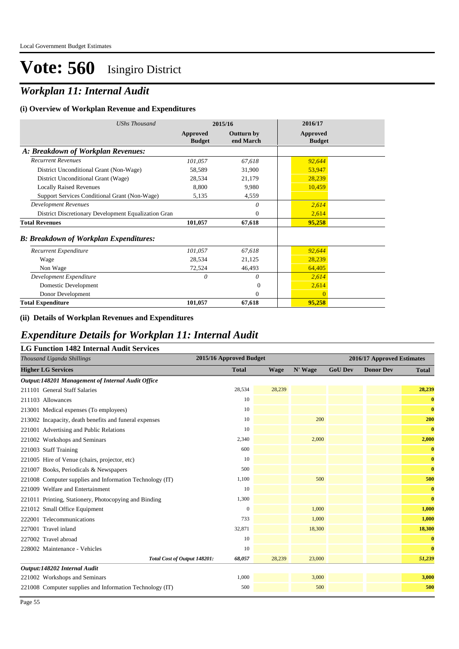### *Workplan 11: Internal Audit*

#### **(i) Overview of Workplan Revenue and Expenditures**

| <b>UShs Thousand</b>                                 |                           | 2015/16                        | 2016/17                   |  |
|------------------------------------------------------|---------------------------|--------------------------------|---------------------------|--|
|                                                      | Approved<br><b>Budget</b> | <b>Outturn by</b><br>end March | Approved<br><b>Budget</b> |  |
| A: Breakdown of Workplan Revenues:                   |                           |                                |                           |  |
| <b>Recurrent Revenues</b>                            | 101,057                   | 67,618                         | 92,644                    |  |
| District Unconditional Grant (Non-Wage)              | 58,589                    | 31,900                         | 53,947                    |  |
| District Unconditional Grant (Wage)                  | 28,534                    | 21,179                         | 28,239                    |  |
| <b>Locally Raised Revenues</b>                       | 8,800                     | 9,980                          | 10,459                    |  |
| Support Services Conditional Grant (Non-Wage)        | 5,135                     | 4,559                          |                           |  |
| <b>Development Revenues</b>                          |                           | 0                              | 2,614                     |  |
| District Discretionary Development Equalization Gran |                           | $\mathbf{0}$                   | 2,614                     |  |
| <b>Total Revenues</b>                                | 101,057                   | 67,618                         | 95,258                    |  |
| <b>B: Breakdown of Workplan Expenditures:</b>        |                           |                                |                           |  |
| Recurrent Expenditure                                | 101,057                   | 67,618                         | 92,644                    |  |
| Wage                                                 | 28,534                    | 21,125                         | 28,239                    |  |
| Non Wage                                             | 72,524                    | 46,493                         | 64,405                    |  |
| Development Expenditure                              | 0                         | 0                              | 2,614                     |  |
| Domestic Development                                 |                           | $\Omega$                       | 2,614                     |  |
| Donor Development                                    |                           | $\theta$                       | $\mathbf{0}$              |  |
| <b>Total Expenditure</b>                             | 101,057                   | 67,618                         | 95,258                    |  |

#### **(ii) Details of Workplan Revenues and Expenditures**

### *Expenditure Details for Workplan 11: Internal Audit*

| <b>LG Function 1482 Internal Audit Services</b>          |                         |        |         |                |                            |              |
|----------------------------------------------------------|-------------------------|--------|---------|----------------|----------------------------|--------------|
| Thousand Uganda Shillings                                | 2015/16 Approved Budget |        |         |                | 2016/17 Approved Estimates |              |
| <b>Higher LG Services</b>                                | <b>Total</b>            | Wage   | N' Wage | <b>GoU Dev</b> | <b>Donor Dev</b>           | <b>Total</b> |
| Output:148201 Management of Internal Audit Office        |                         |        |         |                |                            |              |
| 211101 General Staff Salaries                            | 28,534                  | 28,239 |         |                |                            | 28,239       |
| 211103 Allowances                                        | 10                      |        |         |                |                            | $\bf{0}$     |
| 213001 Medical expenses (To employees)                   | 10                      |        |         |                |                            | $\bf{0}$     |
| 213002 Incapacity, death benefits and funeral expenses   | 10                      |        | 200     |                |                            | 200          |
| 221001 Advertising and Public Relations                  | 10                      |        |         |                |                            | $\bf{0}$     |
| 221002 Workshops and Seminars                            | 2,340                   |        | 2,000   |                |                            | 2,000        |
| 221003 Staff Training                                    | 600                     |        |         |                |                            | $\bf{0}$     |
| 221005 Hire of Venue (chairs, projector, etc)            | 10                      |        |         |                |                            | $\bf{0}$     |
| 221007 Books, Periodicals & Newspapers                   | 500                     |        |         |                |                            | $\bf{0}$     |
| 221008 Computer supplies and Information Technology (IT) | 1,100                   |        | 500     |                |                            | 500          |
| 221009 Welfare and Entertainment                         | 10                      |        |         |                |                            | $\bf{0}$     |
| 221011 Printing, Stationery, Photocopying and Binding    | 1,300                   |        |         |                |                            | $\bf{0}$     |
| 221012 Small Office Equipment                            | $\mathbf{0}$            |        | 1,000   |                |                            | 1,000        |
| 222001 Telecommunications                                | 733                     |        | 1,000   |                |                            | 1,000        |
| 227001 Travel inland                                     | 32,871                  |        | 18,300  |                |                            | 18,300       |
| 227002 Travel abroad                                     | 10                      |        |         |                |                            | $\bf{0}$     |
| 228002 Maintenance - Vehicles                            | 10                      |        |         |                |                            | $\bf{0}$     |
| Total Cost of Output 148201:                             | 68,057                  | 28,239 | 23,000  |                |                            | 51,239       |
| Output:148202 Internal Audit                             |                         |        |         |                |                            |              |
| 221002 Workshops and Seminars                            | 1,000                   |        | 3,000   |                |                            | 3,000        |
| 221008 Computer supplies and Information Technology (IT) | 500                     |        | 500     |                |                            | 500          |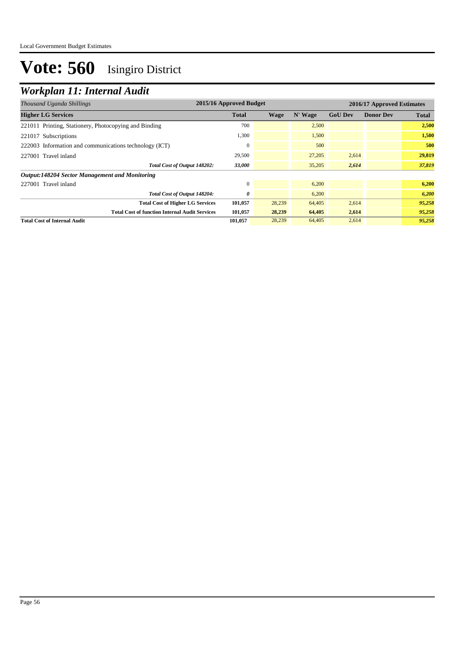### *Workplan 11: Internal Audit*

| 2015/16 Approved Budget<br>Thousand Uganda Shillings   |              |        |         | 2016/17 Approved Estimates |                  |              |  |
|--------------------------------------------------------|--------------|--------|---------|----------------------------|------------------|--------------|--|
| <b>Higher LG Services</b>                              | <b>Total</b> | Wage   | N' Wage | <b>GoU Dev</b>             | <b>Donor Dev</b> | <b>Total</b> |  |
| 221011 Printing, Stationery, Photocopying and Binding  | 700          |        | 2,500   |                            |                  | 2,500        |  |
| 221017 Subscriptions                                   | 1,300        |        | 1,500   |                            |                  | 1,500        |  |
| 222003 Information and communications technology (ICT) |              |        | 500     |                            |                  | 500          |  |
| 227001 Travel inland                                   | 29,500       |        | 27,205  | 2,614                      |                  | 29,819       |  |
| Total Cost of Output 148202:                           | 33,000       |        | 35,205  | 2,614                      |                  | 37,819       |  |
| Output:148204 Sector Management and Monitoring         |              |        |         |                            |                  |              |  |
| 227001 Travel inland                                   |              |        | 6,200   |                            |                  | 6,200        |  |
| Total Cost of Output 148204:                           | 0            |        | 6,200   |                            |                  | 6,200        |  |
| <b>Total Cost of Higher LG Services</b>                | 101,057      | 28,239 | 64,405  | 2,614                      |                  | 95,258       |  |
| <b>Total Cost of function Internal Audit Services</b>  | 101,057      | 28,239 | 64,405  | 2,614                      |                  | 95,258       |  |
| <b>Total Cost of Internal Audit</b>                    | 101,057      | 28,239 | 64,405  | 2,614                      |                  | 95,258       |  |